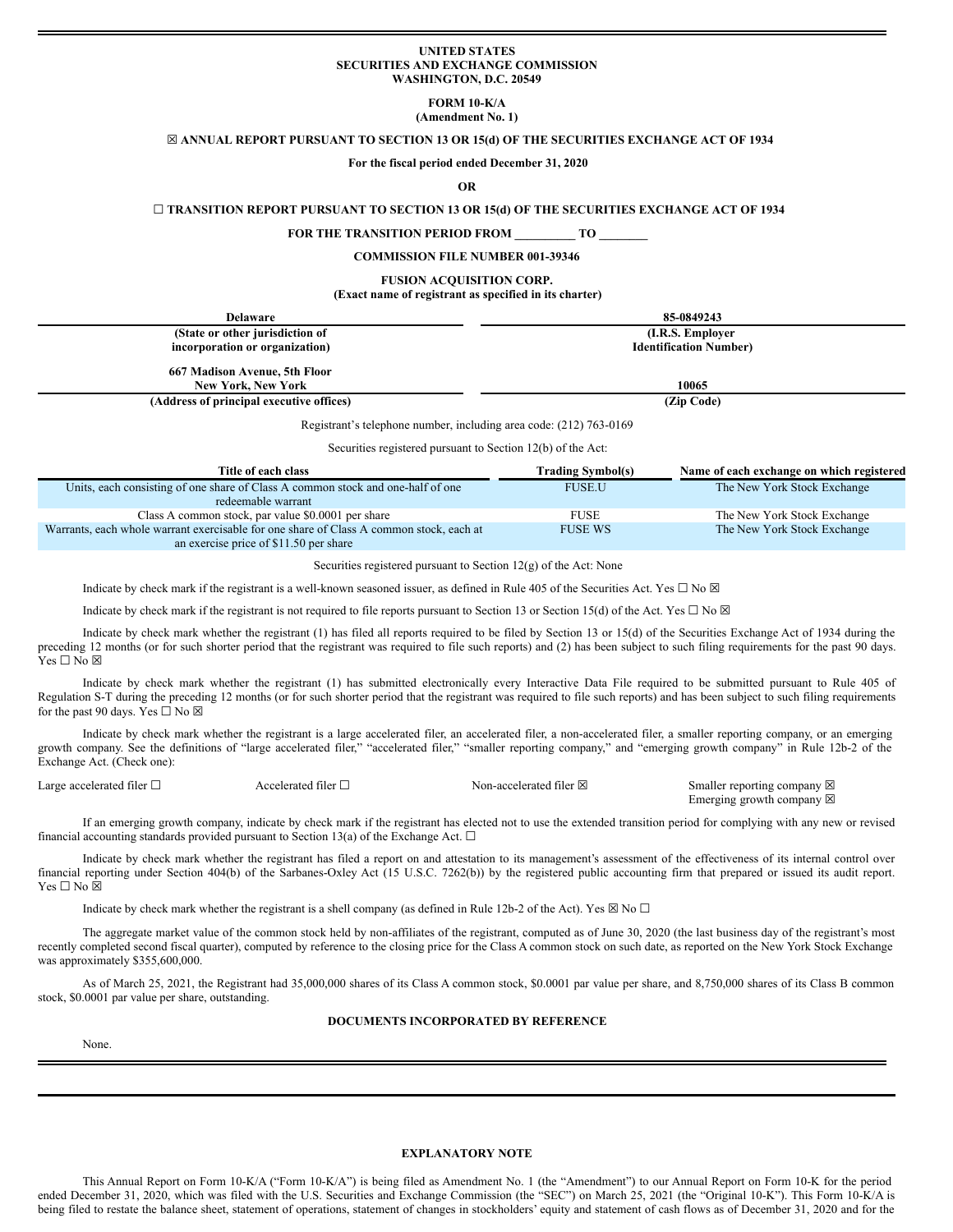### **UNITED STATES SECURITIES AND EXCHANGE COMMISSION WASHINGTON, D.C. 20549**

**FORM 10-K/A (Amendment No. 1)**

### ☒ **ANNUAL REPORT PURSUANT TO SECTION 13 OR 15(d) OF THE SECURITIES EXCHANGE ACT OF 1934**

### **For the fiscal period ended December 31, 2020**

**OR**

## **☐ TRANSITION REPORT PURSUANT TO SECTION 13 OR 15(d) OF THE SECURITIES EXCHANGE ACT OF 1934**

#### **FOR THE TRANSITION PERIOD FROM \_\_\_\_\_\_\_\_\_\_ TO \_\_\_\_\_\_\_\_**

## **COMMISSION FILE NUMBER 001-39346**

#### **FUSION ACQUISITION CORP.**

**(Exact name of registrant as specified in its charter)**

| <b>Delaware</b>                                                    | 85-0849243                                                  |
|--------------------------------------------------------------------|-------------------------------------------------------------|
| (State or other jurisdiction of                                    | (I.R.S. Employer                                            |
| incorporation or organization)                                     | <b>Identification Number)</b>                               |
| 667 Madison Avenue, 5th Floor<br>New York, New York                | 10065                                                       |
| (Address of principal executive offices)                           | (Zip Code)                                                  |
| Registrant's telephone number, including area code: (212) 763-0169 |                                                             |
|                                                                    | Securities registered pursuant to Section 12(b) of the Act: |

| Title of each class                                                                     | <b>Trading Symbol(s)</b> | Name of each exchange on which registered |
|-----------------------------------------------------------------------------------------|--------------------------|-------------------------------------------|
| Units, each consisting of one share of Class A common stock and one-half of one         | <b>FUSE U</b>            | The New York Stock Exchange               |
| redeemable warrant                                                                      |                          |                                           |
| Class A common stock, par value \$0.0001 per share                                      | <b>FUSE</b>              | The New York Stock Exchange               |
| Warrants, each whole warrant exercisable for one share of Class A common stock, each at | <b>FUSE WS</b>           | The New York Stock Exchange               |
| an exercise price of \$11.50 per share                                                  |                          |                                           |

Securities registered pursuant to Section 12(g) of the Act: None

Indicate by check mark if the registrant is a well-known seasoned issuer, as defined in Rule 405 of the Securities Act. Yes  $\Box$  No  $\boxtimes$ 

Indicate by check mark if the registrant is not required to file reports pursuant to Section 13 or Section 15(d) of the Act. Yes  $\Box$  No  $\boxtimes$ 

Indicate by check mark whether the registrant (1) has filed all reports required to be filed by Section 13 or 15(d) of the Securities Exchange Act of 1934 during the preceding 12 months (or for such shorter period that the registrant was required to file such reports) and (2) has been subject to such filing requirements for the past 90 days.  $Yes \Box No \boxtimes$ 

Indicate by check mark whether the registrant (1) has submitted electronically every Interactive Data File required to be submitted pursuant to Rule 405 of Regulation S-T during the preceding 12 months (or for such shorter period that the registrant was required to file such reports) and has been subject to such filing requirements for the past 90 days. Yes  $\square$  No  $\square$ 

Indicate by check mark whether the registrant is a large accelerated filer, an accelerated filer, a non-accelerated filer, a smaller reporting company, or an emerging growth company. See the definitions of "large accelerated filer," "accelerated filer," "smaller reporting company," and "emerging growth company" in Rule 12b-2 of the Exchange Act. (Check one):

| Large<br>tiler<br>e accelerated<br>'11e1<br>$\sim$<br>lerated<br>M |  | Non-accelerated<br>. filer<br>₩ | smaller<br>.tıng<br>comp <sup>r</sup><br>…anv ·· |
|--------------------------------------------------------------------|--|---------------------------------|--------------------------------------------------|
|                                                                    |  |                                 | nompany.<br><b>orowt</b><br>merging              |

If an emerging growth company, indicate by check mark if the registrant has elected not to use the extended transition period for complying with any new or revised financial accounting standards provided pursuant to Section 13(a) of the Exchange Act.  $\Box$ 

Indicate by check mark whether the registrant has filed a report on and attestation to its management's assessment of the effectiveness of its internal control over financial reporting under Section 404(b) of the Sarbanes-Oxley Act (15 U.S.C. 7262(b)) by the registered public accounting firm that prepared or issued its audit report. Yes □ No ⊠

Indicate by check mark whether the registrant is a shell company (as defined in Rule 12b-2 of the Act). Yes  $\boxtimes$  No  $\Box$ 

The aggregate market value of the common stock held by non-affiliates of the registrant, computed as of June 30, 2020 (the last business day of the registrant's most recently completed second fiscal quarter), computed by reference to the closing price for the Class A common stock on such date, as reported on the New York Stock Exchange was approximately \$355,600,000.

As of March 25, 2021, the Registrant had 35,000,000 shares of its Class A common stock, \$0.0001 par value per share, and 8,750,000 shares of its Class B common stock, \$0.0001 par value per share, outstanding.

# **DOCUMENTS INCORPORATED BY REFERENCE**

None.

### **EXPLANATORY NOTE**

This Annual Report on Form 10-K/A ("Form 10-K/A") is being filed as Amendment No. 1 (the "Amendment") to our Annual Report on Form 10-K for the period ended December 31, 2020, which was filed with the U.S. Securities and Exchange Commission (the "SEC") on March 25, 2021 (the "Original 10-K"). This Form 10-K/A is being filed to restate the balance sheet, statement of operations, statement of changes in stockholders' equity and statement of cash flows as of December 31, 2020 and for the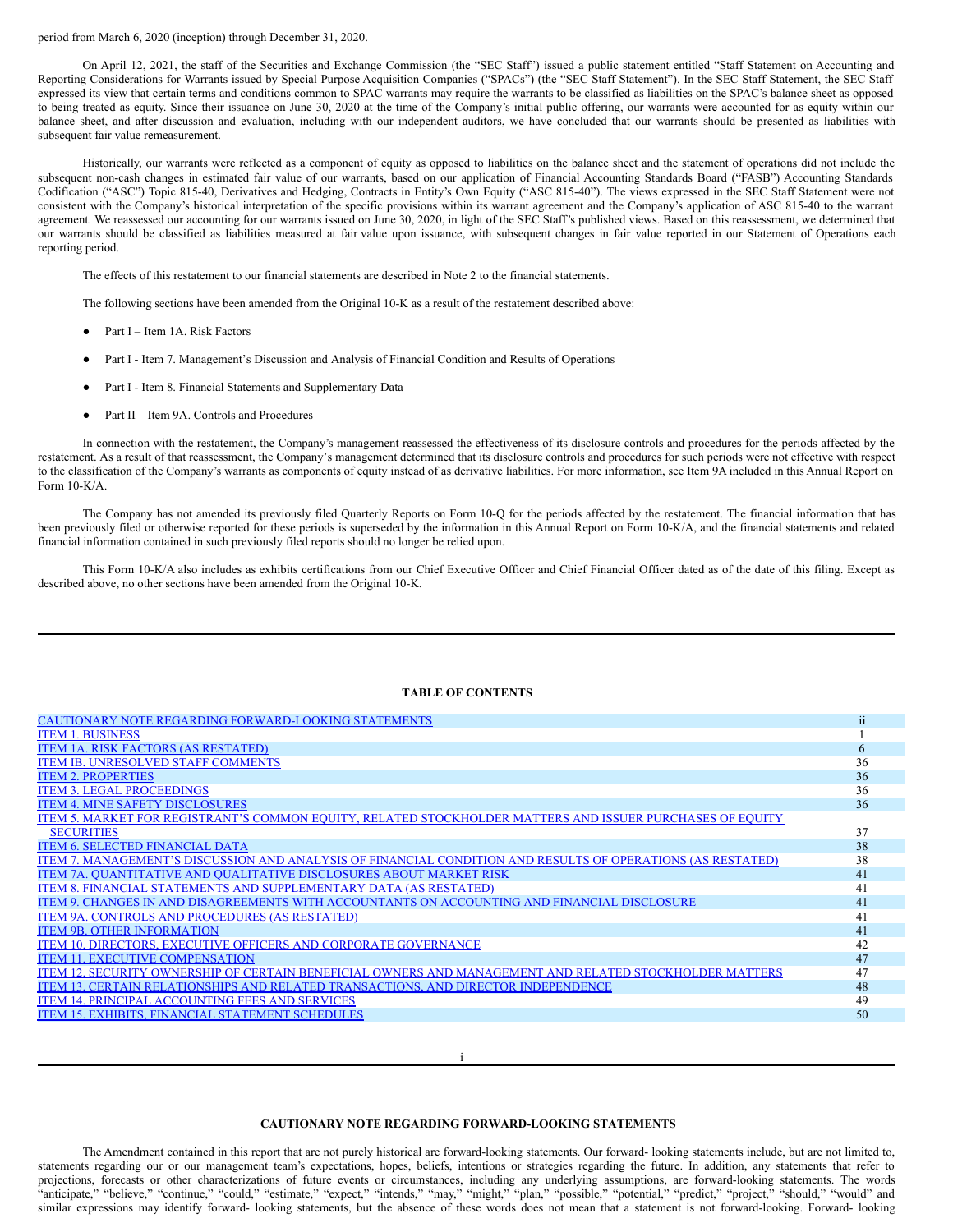### period from March 6, 2020 (inception) through December 31, 2020.

On April 12, 2021, the staff of the Securities and Exchange Commission (the "SEC Staff") issued a public statement entitled "Staff Statement on Accounting and Reporting Considerations for Warrants issued by Special Purpose Acquisition Companies ("SPACs") (the "SEC Staff Statement"). In the SEC Staff Statement, the SEC Staff expressed its view that certain terms and conditions common to SPAC warrants may require the warrants to be classified as liabilities on the SPAC's balance sheet as opposed to being treated as equity. Since their issuance on June 30, 2020 at the time of the Company's initial public offering, our warrants were accounted for as equity within our balance sheet, and after discussion and evaluation, including with our independent auditors, we have concluded that our warrants should be presented as liabilities with subsequent fair value remeasurement.

Historically, our warrants were reflected as a component of equity as opposed to liabilities on the balance sheet and the statement of operations did not include the subsequent non-cash changes in estimated fair value of our warrants, based on our application of Financial Accounting Standards Board ("FASB") Accounting Standards Codification ("ASC") Topic 815-40, Derivatives and Hedging, Contracts in Entity's Own Equity ("ASC 815-40"). The views expressed in the SEC Staff Statement were not consistent with the Company's historical interpretation of the specific provisions within its warrant agreement and the Company's application of ASC 815-40 to the warrant agreement. We reassessed our accounting for our warrants issued on June 30, 2020, in light of the SEC Staff's published views. Based on this reassessment, we determined that our warrants should be classified as liabilities measured at fair value upon issuance, with subsequent changes in fair value reported in our Statement of Operations each reporting period.

The effects of this restatement to our financial statements are described in Note 2 to the financial statements.

The following sections have been amended from the Original 10-K as a result of the restatement described above:

- Part I Item 1A. Risk Factors
- Part I Item 7. Management's Discussion and Analysis of Financial Condition and Results of Operations
- Part I Item 8. Financial Statements and Supplementary Data
- Part II Item 9A. Controls and Procedures

In connection with the restatement, the Company's management reassessed the effectiveness of its disclosure controls and procedures for the periods affected by the restatement. As a result of that reassessment, the Company's management determined that its disclosure controls and procedures for such periods were not effective with respect to the classification of the Company's warrants as components of equity instead of as derivative liabilities. For more information, see Item 9A included in this Annual Report on Form 10-K/A.

The Company has not amended its previously filed Quarterly Reports on Form 10-Q for the periods affected by the restatement. The financial information that has been previously filed or otherwise reported for these periods is superseded by the information in this Annual Report on Form 10-K/A, and the financial statements and related financial information contained in such previously filed reports should no longer be relied upon.

This Form 10-K/A also includes as exhibits certifications from our Chief Executive Officer and Chief Financial Officer dated as of the date of this filing. Except as described above, no other sections have been amended from the Original 10-K.

# **TABLE OF CONTENTS**

| CAUTIONARY NOTE REGARDING FORWARD-LOOKING STATEMENTS                                                           | 11 |
|----------------------------------------------------------------------------------------------------------------|----|
| <b>ITEM 1. BUSINESS</b>                                                                                        |    |
| <b>ITEM 1A. RISK FACTORS (AS RESTATED)</b>                                                                     | 6  |
| ITEM IB. UNRESOLVED STAFF COMMENTS                                                                             | 36 |
| <b>ITEM 2. PROPERTIES</b>                                                                                      | 36 |
| <b>ITEM 3. LEGAL PROCEEDINGS</b>                                                                               | 36 |
| <b>ITEM 4. MINE SAFETY DISCLOSURES</b>                                                                         | 36 |
| ITEM 5. MARKET FOR REGISTRANT'S COMMON EQUITY, RELATED STOCKHOLDER MATTERS AND ISSUER PURCHASES OF EQUITY      |    |
| <b>SECURITIES</b>                                                                                              | 37 |
| <b>ITEM 6. SELECTED FINANCIAL DATA</b>                                                                         | 38 |
| ITEM 7. MANAGEMENT'S DISCUSSION AND ANALYSIS OF FINANCIAL CONDITION AND RESULTS OF OPERATIONS (AS RESTATED)    | 38 |
| ITEM 7A. OUANTITATIVE AND OUALITATIVE DISCLOSURES ABOUT MARKET RISK                                            | 41 |
| <b>ITEM 8. FINANCIAL STATEMENTS AND SUPPLEMENTARY DATA (AS RESTATED)</b>                                       | 41 |
| ITEM 9. CHANGES IN AND DISAGREEMENTS WITH ACCOUNTANTS ON ACCOUNTING AND FINANCIAL DISCLOSURE                   | 41 |
| <b>ITEM 9A. CONTROLS AND PROCEDURES (AS RESTATED)</b>                                                          | 41 |
| <b>ITEM 9B. OTHER INFORMATION</b>                                                                              | 41 |
| <b>ITEM 10. DIRECTORS, EXECUTIVE OFFICERS AND CORPORATE GOVERNANCE</b>                                         | 42 |
| <b>ITEM 11. EXECUTIVE COMPENSATION</b>                                                                         | 47 |
| <u>ITEM 12. SECURITY OWNERSHIP OF CERTAIN BENEFICIAL OWNERS AND MANAGEMENT AND RELATED STOCKHOLDER MATTERS</u> | 47 |
| <b>ITEM 13. CERTAIN RELATIONSHIPS AND RELATED TRANSACTIONS, AND DIRECTOR INDEPENDENCE</b>                      | 48 |
| ITEM 14. PRINCIPAL ACCOUNTING FEES AND SERVICES                                                                | 49 |
| <b>ITEM 15. EXHIBITS, FINANCIAL STATEMENT SCHEDULES</b>                                                        | 50 |
|                                                                                                                |    |

### <span id="page-1-0"></span>**CAUTIONARY NOTE REGARDING FORWARD-LOOKING STATEMENTS**

i

The Amendment contained in this report that are not purely historical are forward-looking statements. Our forward- looking statements include, but are not limited to, statements regarding our or our management team's expectations, hopes, beliefs, intentions or strategies regarding the future. In addition, any statements that refer to projections, forecasts or other characterizations of future events or circumstances, including any underlying assumptions, are forward-looking statements. The words "anticipate," "believe," "continue," "could," "estimate," "expect," "intends," "may," "might," "plan," "possible," "potential," "predict," "project," "should," "would" and similar expressions may identify forward- looking statements, but the absence of these words does not mean that a statement is not forward-looking. Forward- looking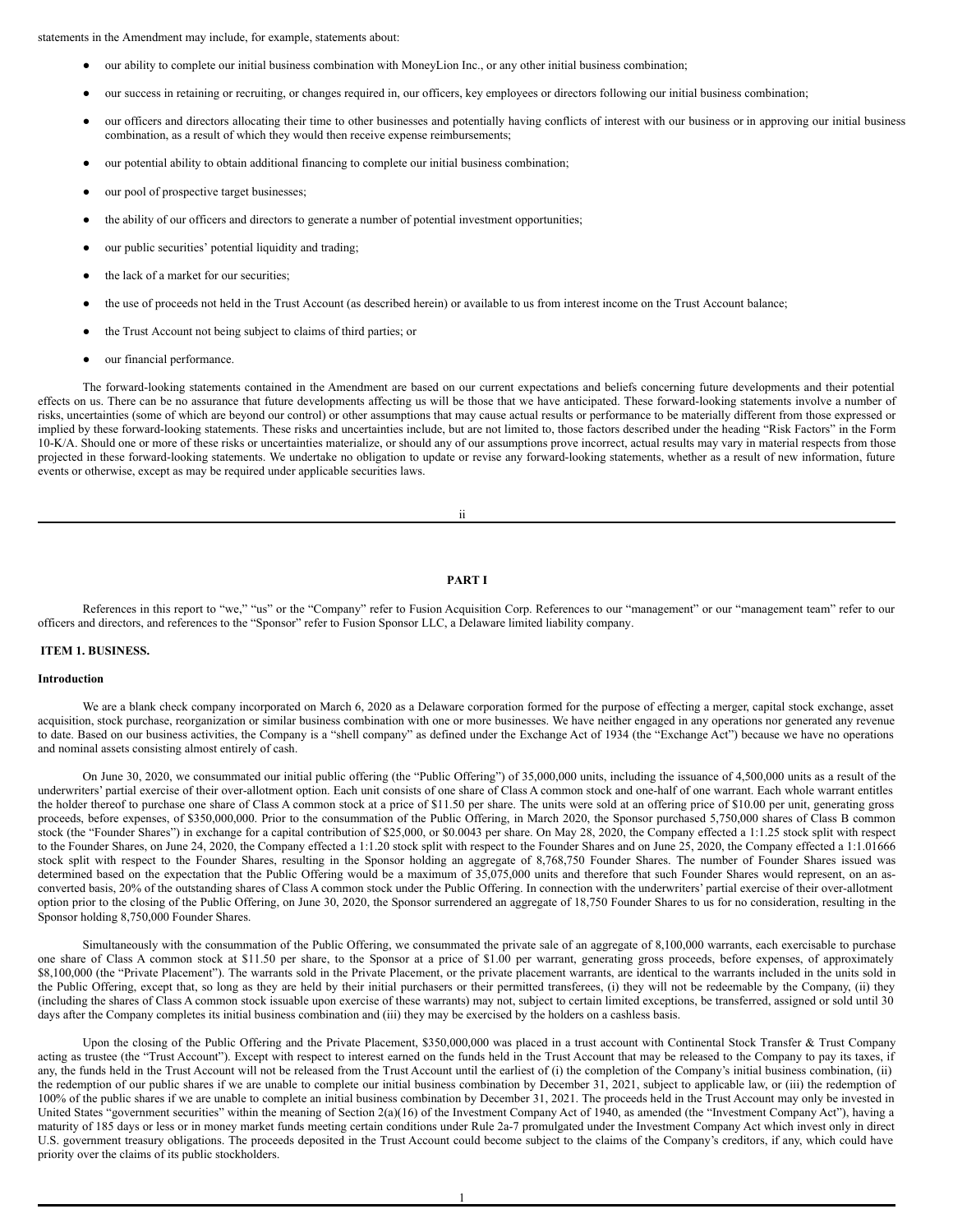statements in the Amendment may include, for example, statements about:

- our ability to complete our initial business combination with MoneyLion Inc., or any other initial business combination;
- our success in retaining or recruiting, or changes required in, our officers, key employees or directors following our initial business combination;
- our officers and directors allocating their time to other businesses and potentially having conflicts of interest with our business or in approving our initial business combination, as a result of which they would then receive expense reimbursements;
- our potential ability to obtain additional financing to complete our initial business combination;
- our pool of prospective target businesses;
- the ability of our officers and directors to generate a number of potential investment opportunities;
- our public securities' potential liquidity and trading;
- the lack of a market for our securities;
- the use of proceeds not held in the Trust Account (as described herein) or available to us from interest income on the Trust Account balance;
- the Trust Account not being subject to claims of third parties; or
- our financial performance.

The forward-looking statements contained in the Amendment are based on our current expectations and beliefs concerning future developments and their potential effects on us. There can be no assurance that future developments affecting us will be those that we have anticipated. These forward-looking statements involve a number of risks, uncertainties (some of which are beyond our control) or other assumptions that may cause actual results or performance to be materially different from those expressed or implied by these forward-looking statements. These risks and uncertainties include, but are not limited to, those factors described under the heading "Risk Factors" in the Form 10-K/A. Should one or more of these risks or uncertainties materialize, or should any of our assumptions prove incorrect, actual results may vary in material respects from those projected in these forward-looking statements. We undertake no obligation to update or revise any forward-looking statements, whether as a result of new information, future events or otherwise, except as may be required under applicable securities laws.

ii

# **PART I**

References in this report to "we," "us" or the "Company" refer to Fusion Acquisition Corp. References to our "management" or our "management team" refer to our officers and directors, and references to the "Sponsor" refer to Fusion Sponsor LLC, a Delaware limited liability company.

## <span id="page-2-0"></span>**ITEM 1. BUSINESS.**

## **Introduction**

We are a blank check company incorporated on March 6, 2020 as a Delaware corporation formed for the purpose of effecting a merger, capital stock exchange, asset acquisition, stock purchase, reorganization or similar business combination with one or more businesses. We have neither engaged in any operations nor generated any revenue to date. Based on our business activities, the Company is a "shell company" as defined under the Exchange Act of 1934 (the "Exchange Act") because we have no operations and nominal assets consisting almost entirely of cash.

On June 30, 2020, we consummated our initial public offering (the "Public Offering") of 35,000,000 units, including the issuance of 4,500,000 units as a result of the underwriters' partial exercise of their over-allotment option. Each unit consists of one share of Class A common stock and one-half of one warrant. Each whole warrant entitles the holder thereof to purchase one share of Class A common stock at a price of \$11.50 per share. The units were sold at an offering price of \$10.00 per unit, generating gross proceeds, before expenses, of \$350,000,000. Prior to the consummation of the Public Offering, in March 2020, the Sponsor purchased 5,750,000 shares of Class B common stock (the "Founder Shares") in exchange for a capital contribution of \$25,000, or \$0.0043 per share. On May 28, 2020, the Company effected a 1:1.25 stock split with respect to the Founder Shares, on June 24, 2020, the Company effected a 1:1.20 stock split with respect to the Founder Shares and on June 25, 2020, the Company effected a 1:1.01666 stock split with respect to the Founder Shares, resulting in the Sponsor holding an aggregate of 8,768,750 Founder Shares. The number of Founder Shares issued was determined based on the expectation that the Public Offering would be a maximum of 35,075,000 units and therefore that such Founder Shares would represent, on an asconverted basis, 20% of the outstanding shares of Class A common stock under the Public Offering. In connection with the underwriters' partial exercise of their over-allotment option prior to the closing of the Public Offering, on June 30, 2020, the Sponsor surrendered an aggregate of 18,750 Founder Shares to us for no consideration, resulting in the Sponsor holding 8,750,000 Founder Shares.

Simultaneously with the consummation of the Public Offering, we consummated the private sale of an aggregate of 8,100,000 warrants, each exercisable to purchase one share of Class A common stock at \$11.50 per share, to the Sponsor at a price of \$1.00 per warrant, generating gross proceeds, before expenses, of approximately \$8,100,000 (the "Private Placement"). The warrants sold in the Private Placement, or the private placement warrants, are identical to the warrants included in the units sold in the Public Offering, except that, so long as they are held by their initial purchasers or their permitted transferees, (i) they will not be redeemable by the Company, (ii) they (including the shares of Class A common stock issuable upon exercise of these warrants) may not, subject to certain limited exceptions, be transferred, assigned or sold until 30 days after the Company completes its initial business combination and (iii) they may be exercised by the holders on a cashless basis.

Upon the closing of the Public Offering and the Private Placement, \$350,000,000 was placed in a trust account with Continental Stock Transfer & Trust Company acting as trustee (the "Trust Account"). Except with respect to interest earned on the funds held in the Trust Account that may be released to the Company to pay its taxes, if any, the funds held in the Trust Account will not be released from the Trust Account until the earliest of (i) the completion of the Company's initial business combination, (ii) the redemption of our public shares if we are unable to complete our initial business combination by December 31, 2021, subject to applicable law, or (iii) the redemption of 100% of the public shares if we are unable to complete an initial business combination by December 31, 2021. The proceeds held in the Trust Account may only be invested in United States "government securities" within the meaning of Section 2(a)(16) of the Investment Company Act of 1940, as amended (the "Investment Company Act"), having a maturity of 185 days or less or in money market funds meeting certain conditions under Rule 2a-7 promulgated under the Investment Company Act which invest only in direct U.S. government treasury obligations. The proceeds deposited in the Trust Account could become subject to the claims of the Company's creditors, if any, which could have priority over the claims of its public stockholders.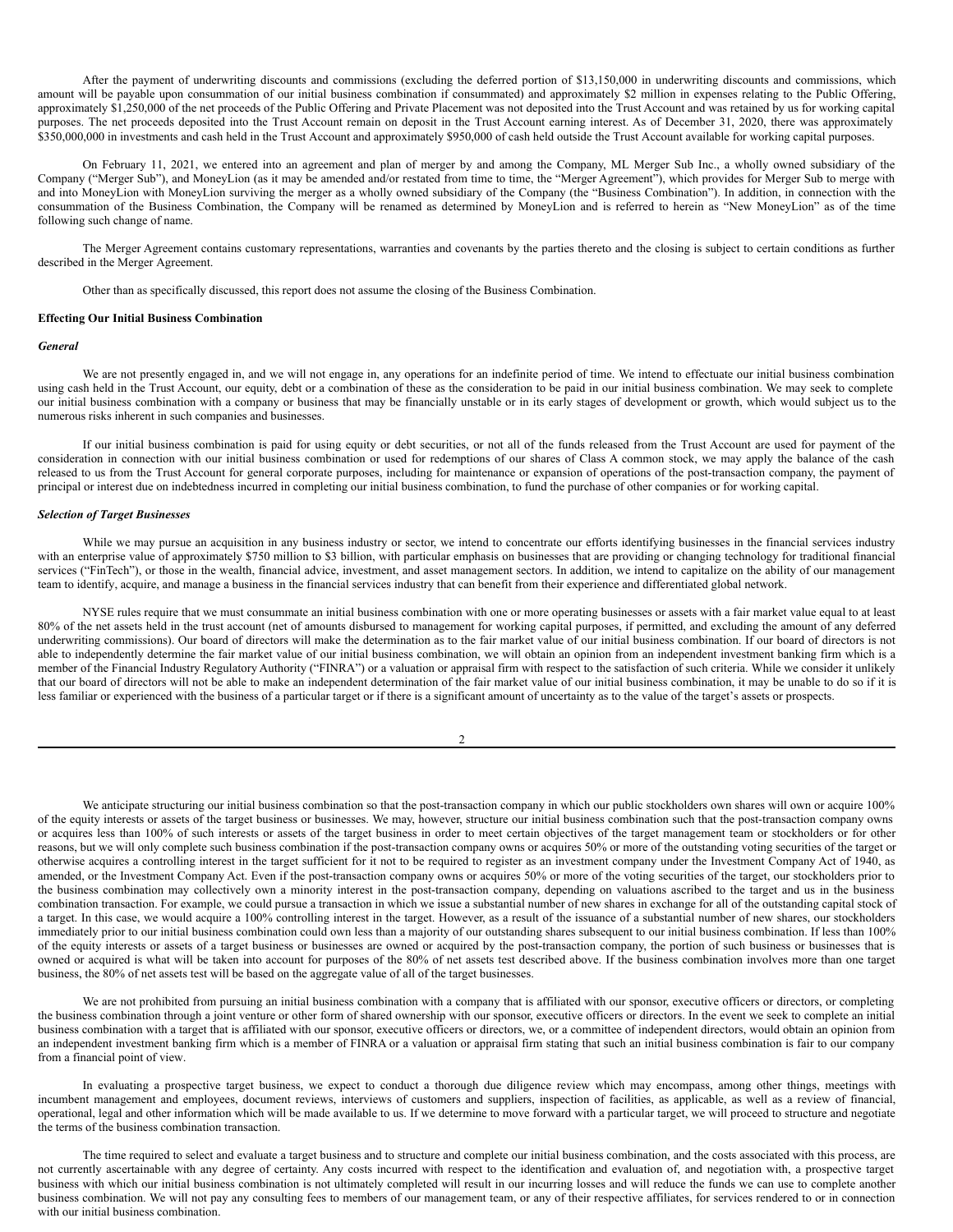After the payment of underwriting discounts and commissions (excluding the deferred portion of \$13,150,000 in underwriting discounts and commissions, which amount will be payable upon consummation of our initial business combination if consummated) and approximately \$2 million in expenses relating to the Public Offering, approximately \$1,250,000 of the net proceeds of the Public Offering and Private Placement was not deposited into the Trust Account and was retained by us for working capital purposes. The net proceeds deposited into the Trust Account remain on deposit in the Trust Account earning interest. As of December 31, 2020, there was approximately \$350,000,000 in investments and cash held in the Trust Account and approximately \$950,000 of cash held outside the Trust Account available for working capital purposes.

On February 11, 2021, we entered into an agreement and plan of merger by and among the Company, ML Merger Sub Inc., a wholly owned subsidiary of the Company ("Merger Sub"), and MoneyLion (as it may be amended and/or restated from time to time, the "Merger Agreement"), which provides for Merger Sub to merge with and into MoneyLion with MoneyLion surviving the merger as a wholly owned subsidiary of the Company (the "Business Combination"). In addition, in connection with the consummation of the Business Combination, the Company will be renamed as determined by MoneyLion and is referred to herein as "New MoneyLion" as of the time following such change of name.

The Merger Agreement contains customary representations, warranties and covenants by the parties thereto and the closing is subject to certain conditions as further described in the Merger Agreement.

Other than as specifically discussed, this report does not assume the closing of the Business Combination.

## **Effecting Our Initial Business Combination**

#### *General*

We are not presently engaged in, and we will not engage in, any operations for an indefinite period of time. We intend to effectuate our initial business combination using cash held in the Trust Account, our equity, debt or a combination of these as the consideration to be paid in our initial business combination. We may seek to complete our initial business combination with a company or business that may be financially unstable or in its early stages of development or growth, which would subject us to the numerous risks inherent in such companies and businesses.

If our initial business combination is paid for using equity or debt securities, or not all of the funds released from the Trust Account are used for payment of the consideration in connection with our initial business combination or used for redemptions of our shares of Class A common stock, we may apply the balance of the cash released to us from the Trust Account for general corporate purposes, including for maintenance or expansion of operations of the post-transaction company, the payment of principal or interest due on indebtedness incurred in completing our initial business combination, to fund the purchase of other companies or for working capital.

### *Selection of Target Businesses*

While we may pursue an acquisition in any business industry or sector, we intend to concentrate our efforts identifying businesses in the financial services industry with an enterprise value of approximately \$750 million to \$3 billion, with particular emphasis on businesses that are providing or changing technology for traditional financial services ("FinTech"), or those in the wealth, financial advice, investment, and asset management sectors. In addition, we intend to capitalize on the ability of our management team to identify, acquire, and manage a business in the financial services industry that can benefit from their experience and differentiated global network.

NYSE rules require that we must consummate an initial business combination with one or more operating businesses or assets with a fair market value equal to at least 80% of the net assets held in the trust account (net of amounts disbursed to management for working capital purposes, if permitted, and excluding the amount of any deferred underwriting commissions). Our board of directors will make the determination as to the fair market value of our initial business combination. If our board of directors is not able to independently determine the fair market value of our initial business combination, we will obtain an opinion from an independent investment banking firm which is a member of the Financial Industry Regulatory Authority ("FINRA") or a valuation or appraisal firm with respect to the satisfaction of such criteria. While we consider it unlikely that our board of directors will not be able to make an independent determination of the fair market value of our initial business combination, it may be unable to do so if it is less familiar or experienced with the business of a particular target or if there is a significant amount of uncertainty as to the value of the target's assets or prospects.

| ł       |  |
|---------|--|
| ×,<br>I |  |
|         |  |

We anticipate structuring our initial business combination so that the post-transaction company in which our public stockholders own shares will own or acquire 100% of the equity interests or assets of the target business or businesses. We may, however, structure our initial business combination such that the post-transaction company owns or acquires less than 100% of such interests or assets of the target business in order to meet certain objectives of the target management team or stockholders or for other reasons, but we will only complete such business combination if the post-transaction company owns or acquires 50% or more of the outstanding voting securities of the target or otherwise acquires a controlling interest in the target sufficient for it not to be required to register as an investment company under the Investment Company Act of 1940, as amended, or the Investment Company Act. Even if the post-transaction company owns or acquires 50% or more of the voting securities of the target, our stockholders prior to the business combination may collectively own a minority interest in the post-transaction company, depending on valuations ascribed to the target and us in the business combination transaction. For example, we could pursue a transaction in which we issue a substantial number of new shares in exchange for all of the outstanding capital stock of a target. In this case, we would acquire a 100% controlling interest in the target. However, as a result of the issuance of a substantial number of new shares, our stockholders immediately prior to our initial business combination could own less than a majority of our outstanding shares subsequent to our initial business combination. If less than 100% of the equity interests or assets of a target business or businesses are owned or acquired by the post-transaction company, the portion of such business or businesses that is owned or acquired is what will be taken into account for purposes of the 80% of net assets test described above. If the business combination involves more than one target business, the 80% of net assets test will be based on the aggregate value of all of the target businesses.

We are not prohibited from pursuing an initial business combination with a company that is affiliated with our sponsor, executive officers or directors, or completing the business combination through a joint venture or other form of shared ownership with our sponsor, executive officers or directors. In the event we seek to complete an initial business combination with a target that is affiliated with our sponsor, executive officers or directors, we, or a committee of independent directors, would obtain an opinion from an independent investment banking firm which is a member of FINRA or a valuation or appraisal firm stating that such an initial business combination is fair to our company from a financial point of view.

In evaluating a prospective target business, we expect to conduct a thorough due diligence review which may encompass, among other things, meetings with incumbent management and employees, document reviews, interviews of customers and suppliers, inspection of facilities, as applicable, as well as a review of financial, operational, legal and other information which will be made available to us. If we determine to move forward with a particular target, we will proceed to structure and negotiate the terms of the business combination transaction.

The time required to select and evaluate a target business and to structure and complete our initial business combination, and the costs associated with this process, are not currently ascertainable with any degree of certainty. Any costs incurred with respect to the identification and evaluation of, and negotiation with, a prospective target business with which our initial business combination is not ultimately completed will result in our incurring losses and will reduce the funds we can use to complete another business combination. We will not pay any consulting fees to members of our management team, or any of their respective affiliates, for services rendered to or in connection with our initial business combination.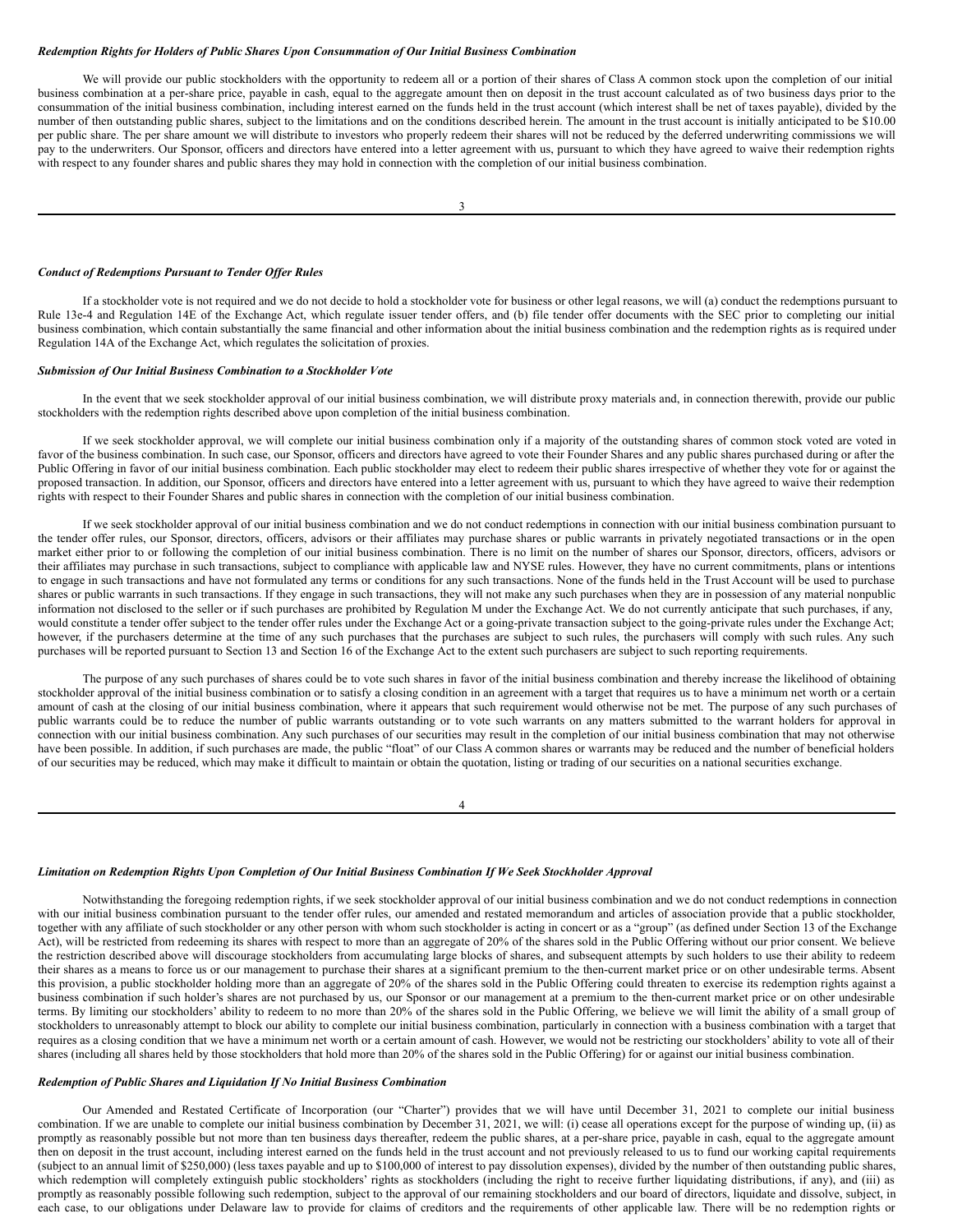#### *Redemption Rights for Holders of Public Shares Upon Consummation of Our Initial Business Combination*

We will provide our public stockholders with the opportunity to redeem all or a portion of their shares of Class A common stock upon the completion of our initial business combination at a per-share price, payable in cash, equal to the aggregate amount then on deposit in the trust account calculated as of two business days prior to the consummation of the initial business combination, including interest earned on the funds held in the trust account (which interest shall be net of taxes payable), divided by the number of then outstanding public shares, subject to the limitations and on the conditions described herein. The amount in the trust account is initially anticipated to be \$10.00 per public share. The per share amount we will distribute to investors who properly redeem their shares will not be reduced by the deferred underwriting commissions we will pay to the underwriters. Our Sponsor, officers and directors have entered into a letter agreement with us, pursuant to which they have agreed to waive their redemption rights with respect to any founder shares and public shares they may hold in connection with the completion of our initial business combination.

3

### *Conduct of Redemptions Pursuant to Tender Of er Rules*

If a stockholder vote is not required and we do not decide to hold a stockholder vote for business or other legal reasons, we will (a) conduct the redemptions pursuant to Rule 13e-4 and Regulation 14E of the Exchange Act, which regulate issuer tender offers, and (b) file tender offer documents with the SEC prior to completing our initial business combination, which contain substantially the same financial and other information about the initial business combination and the redemption rights as is required under Regulation 14A of the Exchange Act, which regulates the solicitation of proxies.

### *Submission of Our Initial Business Combination to a Stockholder Vote*

In the event that we seek stockholder approval of our initial business combination, we will distribute proxy materials and, in connection therewith, provide our public stockholders with the redemption rights described above upon completion of the initial business combination.

If we seek stockholder approval, we will complete our initial business combination only if a majority of the outstanding shares of common stock voted are voted in favor of the business combination. In such case, our Sponsor, officers and directors have agreed to vote their Founder Shares and any public shares purchased during or after the Public Offering in favor of our initial business combination. Each public stockholder may elect to redeem their public shares irrespective of whether they vote for or against the proposed transaction. In addition, our Sponsor, officers and directors have entered into a letter agreement with us, pursuant to which they have agreed to waive their redemption rights with respect to their Founder Shares and public shares in connection with the completion of our initial business combination.

If we seek stockholder approval of our initial business combination and we do not conduct redemptions in connection with our initial business combination pursuant to the tender offer rules, our Sponsor, directors, officers, advisors or their affiliates may purchase shares or public warrants in privately negotiated transactions or in the open market either prior to or following the completion of our initial business combination. There is no limit on the number of shares our Sponsor, directors, officers, advisors or their affiliates may purchase in such transactions, subject to compliance with applicable law and NYSE rules. However, they have no current commitments, plans or intentions to engage in such transactions and have not formulated any terms or conditions for any such transactions. None of the funds held in the Trust Account will be used to purchase shares or public warrants in such transactions. If they engage in such transactions, they will not make any such purchases when they are in possession of any material nonpublic information not disclosed to the seller or if such purchases are prohibited by Regulation M under the Exchange Act. We do not currently anticipate that such purchases, if any, would constitute a tender offer subject to the tender offer rules under the Exchange Act or a going-private transaction subject to the going-private rules under the Exchange Act; however, if the purchasers determine at the time of any such purchases that the purchases are subject to such rules, the purchasers will comply with such rules. Any such purchases will be reported pursuant to Section 13 and Section 16 of the Exchange Act to the extent such purchasers are subject to such reporting requirements.

The purpose of any such purchases of shares could be to vote such shares in favor of the initial business combination and thereby increase the likelihood of obtaining stockholder approval of the initial business combination or to satisfy a closing condition in an agreement with a target that requires us to have a minimum net worth or a certain amount of cash at the closing of our initial business combination, where it appears that such requirement would otherwise not be met. The purpose of any such purchases of public warrants could be to reduce the number of public warrants outstanding or to vote such warrants on any matters submitted to the warrant holders for approval in connection with our initial business combination. Any such purchases of our securities may result in the completion of our initial business combination that may not otherwise have been possible. In addition, if such purchases are made, the public "float" of our Class A common shares or warrants may be reduced and the number of beneficial holders of our securities may be reduced, which may make it difficult to maintain or obtain the quotation, listing or trading of our securities on a national securities exchange.

4

### Limitation on Redemption Rights Upon Completion of Our Initial Business Combination If We Seek Stockholder Approval

Notwithstanding the foregoing redemption rights, if we seek stockholder approval of our initial business combination and we do not conduct redemptions in connection with our initial business combination pursuant to the tender offer rules, our amended and restated memorandum and articles of association provide that a public stockholder, together with any affiliate of such stockholder or any other person with whom such stockholder is acting in concert or as a "group" (as defined under Section 13 of the Exchange Act), will be restricted from redeeming its shares with respect to more than an aggregate of 20% of the shares sold in the Public Offering without our prior consent. We believe the restriction described above will discourage stockholders from accumulating large blocks of shares, and subsequent attempts by such holders to use their ability to redeem their shares as a means to force us or our management to purchase their shares at a significant premium to the then-current market price or on other undesirable terms. Absent this provision, a public stockholder holding more than an aggregate of 20% of the shares sold in the Public Offering could threaten to exercise its redemption rights against a business combination if such holder's shares are not purchased by us, our Sponsor or our management at a premium to the then-current market price or on other undesirable terms. By limiting our stockholders' ability to redeem to no more than 20% of the shares sold in the Public Offering, we believe we will limit the ability of a small group of stockholders to unreasonably attempt to block our ability to complete our initial business combination, particularly in connection with a business combination with a target that requires as a closing condition that we have a minimum net worth or a certain amount of cash. However, we would not be restricting our stockholders' ability to vote all of their shares (including all shares held by those stockholders that hold more than 20% of the shares sold in the Public Offering) for or against our initial business combination.

#### *Redemption of Public Shares and Liquidation If No Initial Business Combination*

Our Amended and Restated Certificate of Incorporation (our "Charter") provides that we will have until December 31, 2021 to complete our initial business combination. If we are unable to complete our initial business combination by December 31, 2021, we will: (i) cease all operations except for the purpose of winding up, (ii) as promptly as reasonably possible but not more than ten business days thereafter, redeem the public shares, at a per-share price, payable in cash, equal to the aggregate amount then on deposit in the trust account, including interest earned on the funds held in the trust account and not previously released to us to fund our working capital requirements (subject to an annual limit of \$250,000) (less taxes payable and up to \$100,000 of interest to pay dissolution expenses), divided by the number of then outstanding public shares, which redemption will completely extinguish public stockholders' rights as stockholders (including the right to receive further liquidating distributions, if any), and (iii) as promptly as reasonably possible following such redemption, subject to the approval of our remaining stockholders and our board of directors, liquidate and dissolve, subject, in each case, to our obligations under Delaware law to provide for claims of creditors and the requirements of other applicable law. There will be no redemption rights or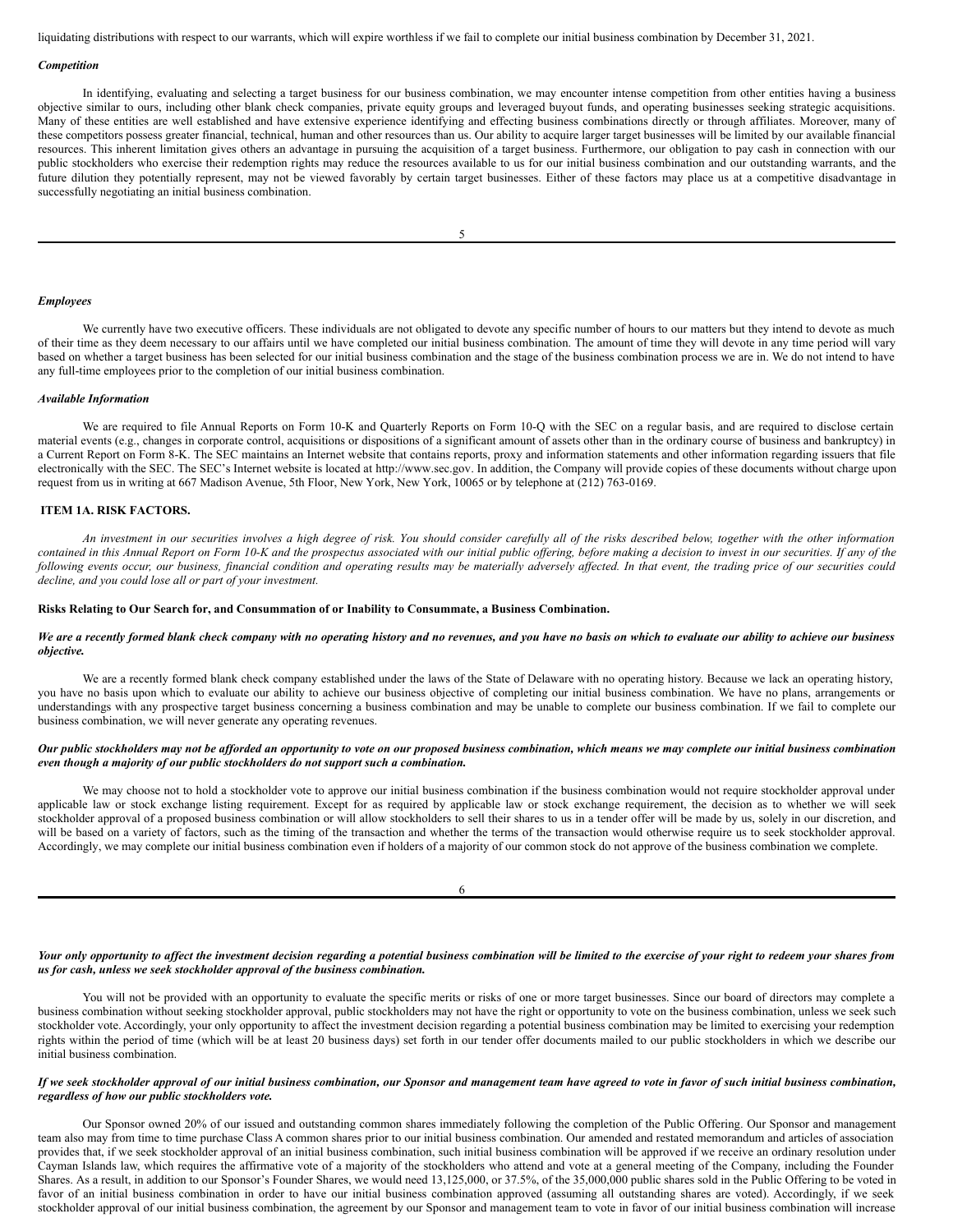liquidating distributions with respect to our warrants, which will expire worthless if we fail to complete our initial business combination by December 31, 2021.

#### *Competition*

In identifying, evaluating and selecting a target business for our business combination, we may encounter intense competition from other entities having a business objective similar to ours, including other blank check companies, private equity groups and leveraged buyout funds, and operating businesses seeking strategic acquisitions. Many of these entities are well established and have extensive experience identifying and effecting business combinations directly or through affiliates. Moreover, many of these competitors possess greater financial, technical, human and other resources than us. Our ability to acquire larger target businesses will be limited by our available financial resources. This inherent limitation gives others an advantage in pursuing the acquisition of a target business. Furthermore, our obligation to pay cash in connection with our public stockholders who exercise their redemption rights may reduce the resources available to us for our initial business combination and our outstanding warrants, and the future dilution they potentially represent, may not be viewed favorably by certain target businesses. Either of these factors may place us at a competitive disadvantage in successfully negotiating an initial business combination.

#### *Employees*

We currently have two executive officers. These individuals are not obligated to devote any specific number of hours to our matters but they intend to devote as much of their time as they deem necessary to our affairs until we have completed our initial business combination. The amount of time they will devote in any time period will vary based on whether a target business has been selected for our initial business combination and the stage of the business combination process we are in. We do not intend to have any full-time employees prior to the completion of our initial business combination.

#### *Available Information*

We are required to file Annual Reports on Form 10-K and Quarterly Reports on Form 10-Q with the SEC on a regular basis, and are required to disclose certain material events (e.g., changes in corporate control, acquisitions or dispositions of a significant amount of assets other than in the ordinary course of business and bankruptcy) in a Current Report on Form 8-K. The SEC maintains an Internet website that contains reports, proxy and information statements and other information regarding issuers that file electronically with the SEC. The SEC's Internet website is located at http://www.sec.gov. In addition, the Company will provide copies of these documents without charge upon request from us in writing at 667 Madison Avenue, 5th Floor, New York, New York, 10065 or by telephone at (212) 763-0169.

### <span id="page-5-0"></span>**ITEM 1A. RISK FACTORS.**

An investment in our securities involves a high degree of risk. You should consider carefully all of the risks described below, together with the other information contained in this Annual Report on Form 10-K and the prospectus associated with our initial public offering, before making a decision to invest in our securities. If any of the following events occur, our business, financial condition and operating results may be materially adversely affected. In that event, the trading price of our securities could *decline, and you could lose all or part of your investment.*

### **Risks Relating to Our Search for, and Consummation of or Inability to Consummate, a Business Combination.**

### We are a recently formed blank check company with no operating history and no revenues, and you have no basis on which to evaluate our ability to achieve our business *objective.*

We are a recently formed blank check company established under the laws of the State of Delaware with no operating history. Because we lack an operating history, you have no basis upon which to evaluate our ability to achieve our business objective of completing our initial business combination. We have no plans, arrangements or understandings with any prospective target business concerning a business combination and may be unable to complete our business combination. If we fail to complete our business combination, we will never generate any operating revenues.

## Our public stockholders may not be afforded an opportunity to vote on our proposed business combination, which means we may complete our initial business combination *even though a majority of our public stockholders do not support such a combination.*

We may choose not to hold a stockholder vote to approve our initial business combination if the business combination would not require stockholder approval under applicable law or stock exchange listing requirement. Except for as required by applicable law or stock exchange requirement, the decision as to whether we will seek stockholder approval of a proposed business combination or will allow stockholders to sell their shares to us in a tender offer will be made by us, solely in our discretion, and will be based on a variety of factors, such as the timing of the transaction and whether the terms of the transaction would otherwise require us to seek stockholder approval. Accordingly, we may complete our initial business combination even if holders of a majority of our common stock do not approve of the business combination we complete.

6

# Your only opportunity to affect the investment decision regarding a potential business combination will be limited to the exercise of your right to redeem your shares from *us for cash, unless we seek stockholder approval of the business combination.*

You will not be provided with an opportunity to evaluate the specific merits or risks of one or more target businesses. Since our board of directors may complete a business combination without seeking stockholder approval, public stockholders may not have the right or opportunity to vote on the business combination, unless we seek such stockholder vote. Accordingly, your only opportunity to affect the investment decision regarding a potential business combination may be limited to exercising your redemption rights within the period of time (which will be at least 20 business days) set forth in our tender offer documents mailed to our public stockholders in which we describe our initial business combination.

### If we seek stockholder approval of our initial business combination, our Sponsor and management team have agreed to vote in favor of such initial business combination, *regardless of how our public stockholders vote.*

Our Sponsor owned 20% of our issued and outstanding common shares immediately following the completion of the Public Offering. Our Sponsor and management team also may from time to time purchase Class A common shares prior to our initial business combination. Our amended and restated memorandum and articles of association provides that, if we seek stockholder approval of an initial business combination, such initial business combination will be approved if we receive an ordinary resolution under Cayman Islands law, which requires the affirmative vote of a majority of the stockholders who attend and vote at a general meeting of the Company, including the Founder Shares. As a result, in addition to our Sponsor's Founder Shares, we would need 13,125,000, or 37.5%, of the 35,000,000 public shares sold in the Public Offering to be voted in favor of an initial business combination in order to have our initial business combination approved (assuming all outstanding shares are voted). Accordingly, if we seek stockholder approval of our initial business combination, the agreement by our Sponsor and management team to vote in favor of our initial business combination will increase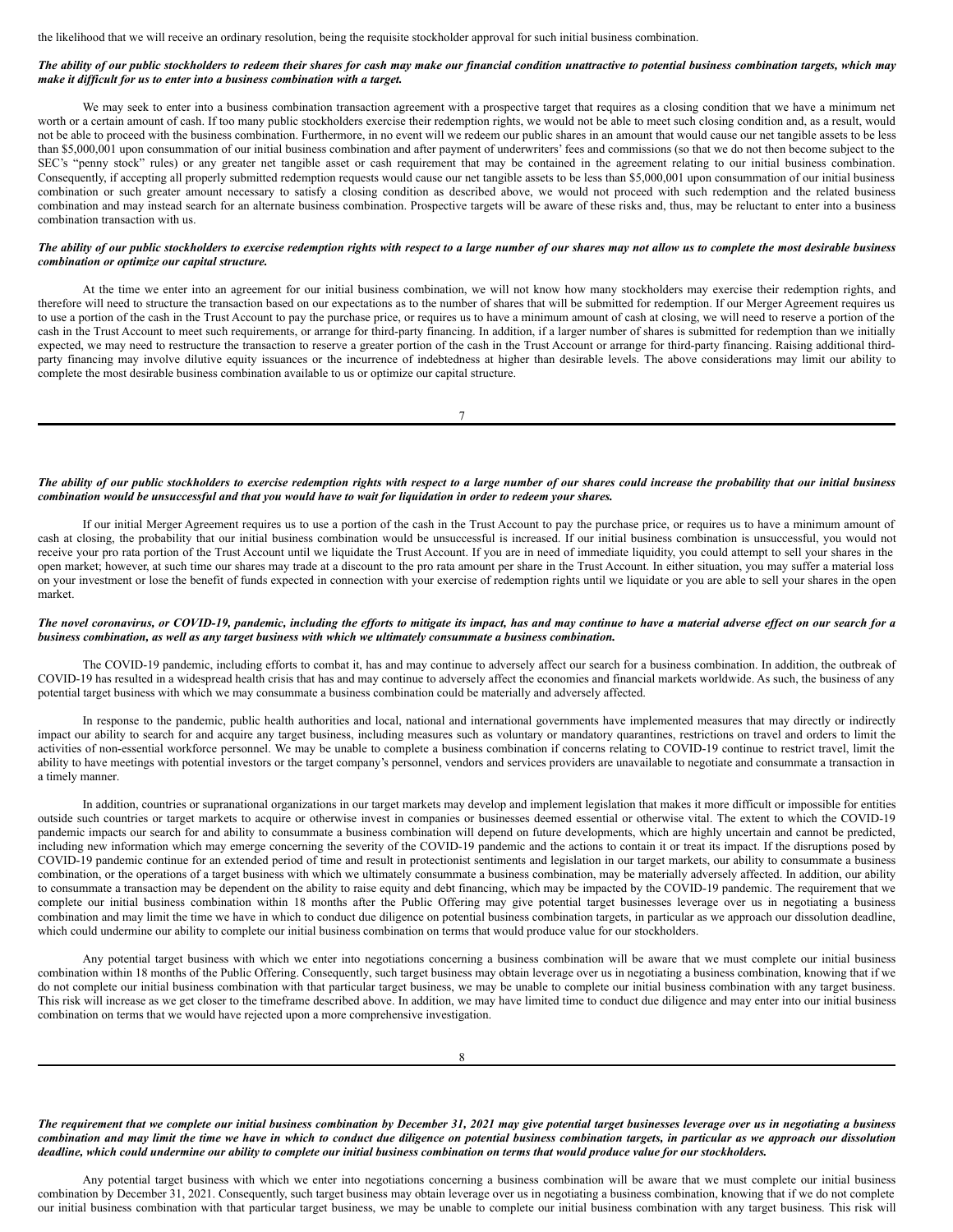the likelihood that we will receive an ordinary resolution, being the requisite stockholder approval for such initial business combination.

## The ability of our public stockholders to redeem their shares for cash may make our financial condition unattractive to potential business combination targets, which may *make it dif icult for us to enter into a business combination with a target.*

We may seek to enter into a business combination transaction agreement with a prospective target that requires as a closing condition that we have a minimum net worth or a certain amount of cash. If too many public stockholders exercise their redemption rights, we would not be able to meet such closing condition and, as a result, would not be able to proceed with the business combination. Furthermore, in no event will we redeem our public shares in an amount that would cause our net tangible assets to be less than \$5,000,001 upon consummation of our initial business combination and after payment of underwriters' fees and commissions (so that we do not then become subject to the SEC's "penny stock" rules) or any greater net tangible asset or cash requirement that may be contained in the agreement relating to our initial business combination. Consequently, if accepting all properly submitted redemption requests would cause our net tangible assets to be less than \$5,000,001 upon consummation of our initial business combination or such greater amount necessary to satisfy a closing condition as described above, we would not proceed with such redemption and the related business combination and may instead search for an alternate business combination. Prospective targets will be aware of these risks and, thus, may be reluctant to enter into a business combination transaction with us.

### The ability of our public stockholders to exercise redemption rights with respect to a large number of our shares may not allow us to complete the most desirable business *combination or optimize our capital structure.*

At the time we enter into an agreement for our initial business combination, we will not know how many stockholders may exercise their redemption rights, and therefore will need to structure the transaction based on our expectations as to the number of shares that will be submitted for redemption. If our Merger Agreement requires us to use a portion of the cash in the Trust Account to pay the purchase price, or requires us to have a minimum amount of cash at closing, we will need to reserve a portion of the cash in the Trust Account to meet such requirements, or arrange for third-party financing. In addition, if a larger number of shares is submitted for redemption than we initially expected, we may need to restructure the transaction to reserve a greater portion of the cash in the Trust Account or arrange for third-party financing. Raising additional thirdparty financing may involve dilutive equity issuances or the incurrence of indebtedness at higher than desirable levels. The above considerations may limit our ability to complete the most desirable business combination available to us or optimize our capital structure.

7

### The ability of our public stockholders to exercise redemption rights with respect to a large number of our shares could increase the probability that our initial business combination would be unsuccessful and that you would have to wait for liquidation in order to redeem your shares.

If our initial Merger Agreement requires us to use a portion of the cash in the Trust Account to pay the purchase price, or requires us to have a minimum amount of cash at closing, the probability that our initial business combination would be unsuccessful is increased. If our initial business combination is unsuccessful, you would not receive your pro rata portion of the Trust Account until we liquidate the Trust Account. If you are in need of immediate liquidity, you could attempt to sell your shares in the open market; however, at such time our shares may trade at a discount to the pro rata amount per share in the Trust Account. In either situation, you may suffer a material loss on your investment or lose the benefit of funds expected in connection with your exercise of redemption rights until we liquidate or you are able to sell your shares in the open market.

## The novel coronavirus, or COVID-19, pandemic, including the efforts to mitigate its impact, has and may continue to have a material adverse effect on our search for a *business combination, as well as any target business with which we ultimately consummate a business combination.*

The COVID-19 pandemic, including efforts to combat it, has and may continue to adversely affect our search for a business combination. In addition, the outbreak of COVID-19 has resulted in a widespread health crisis that has and may continue to adversely affect the economies and financial markets worldwide. As such, the business of any potential target business with which we may consummate a business combination could be materially and adversely affected.

In response to the pandemic, public health authorities and local, national and international governments have implemented measures that may directly or indirectly impact our ability to search for and acquire any target business, including measures such as voluntary or mandatory quarantines, restrictions on travel and orders to limit the activities of non-essential workforce personnel. We may be unable to complete a business combination if concerns relating to COVID-19 continue to restrict travel, limit the ability to have meetings with potential investors or the target company's personnel, vendors and services providers are unavailable to negotiate and consummate a transaction in a timely manner.

In addition, countries or supranational organizations in our target markets may develop and implement legislation that makes it more difficult or impossible for entities outside such countries or target markets to acquire or otherwise invest in companies or businesses deemed essential or otherwise vital. The extent to which the COVID-19 pandemic impacts our search for and ability to consummate a business combination will depend on future developments, which are highly uncertain and cannot be predicted, including new information which may emerge concerning the severity of the COVID-19 pandemic and the actions to contain it or treat its impact. If the disruptions posed by COVID-19 pandemic continue for an extended period of time and result in protectionist sentiments and legislation in our target markets, our ability to consummate a business combination, or the operations of a target business with which we ultimately consummate a business combination, may be materially adversely affected. In addition, our ability to consummate a transaction may be dependent on the ability to raise equity and debt financing, which may be impacted by the COVID-19 pandemic. The requirement that we complete our initial business combination within 18 months after the Public Offering may give potential target businesses leverage over us in negotiating a business combination and may limit the time we have in which to conduct due diligence on potential business combination targets, in particular as we approach our dissolution deadline, which could undermine our ability to complete our initial business combination on terms that would produce value for our stockholders.

Any potential target business with which we enter into negotiations concerning a business combination will be aware that we must complete our initial business combination within 18 months of the Public Offering. Consequently, such target business may obtain leverage over us in negotiating a business combination, knowing that if we do not complete our initial business combination with that particular target business, we may be unable to complete our initial business combination with any target business. This risk will increase as we get closer to the timeframe described above. In addition, we may have limited time to conduct due diligence and may enter into our initial business combination on terms that we would have rejected upon a more comprehensive investigation.

The requirement that we complete our initial business combination by December 31, 2021 may give potential target businesses leverage over us in negotiating a business combination and may limit the time we have in which to conduct due diligence on potential business combination targets, in particular as we approach our dissolution deadline, which could undermine our ability to complete our initial business combination on terms that would produce value for our stockholders.

Any potential target business with which we enter into negotiations concerning a business combination will be aware that we must complete our initial business combination by December 31, 2021. Consequently, such target business may obtain leverage over us in negotiating a business combination, knowing that if we do not complete our initial business combination with that particular target business, we may be unable to complete our initial business combination with any target business. This risk will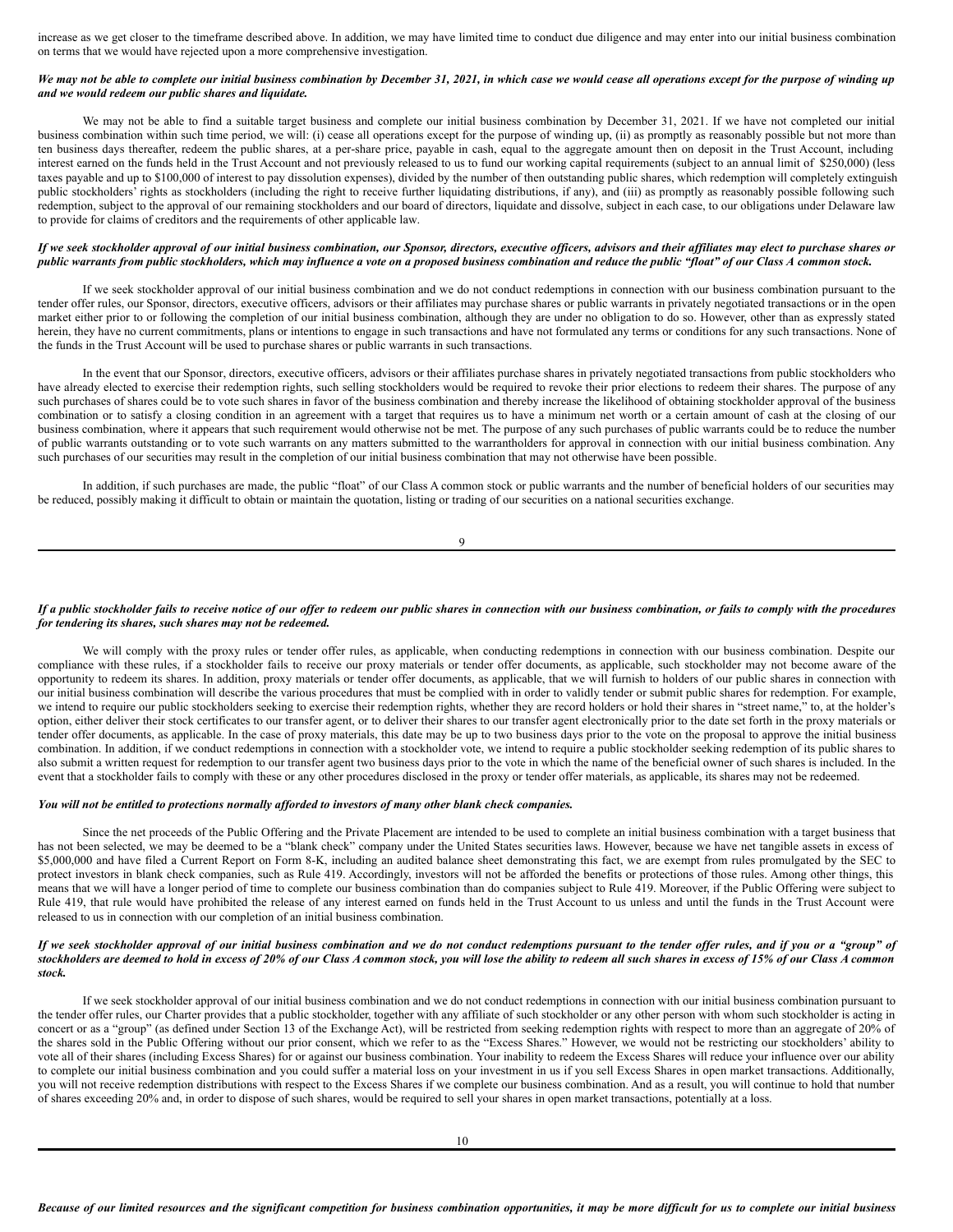increase as we get closer to the timeframe described above. In addition, we may have limited time to conduct due diligence and may enter into our initial business combination on terms that we would have rejected upon a more comprehensive investigation.

## We may not be able to complete our initial business combination by December 31, 2021, in which case we would cease all operations except for the purpose of winding up *and we would redeem our public shares and liquidate.*

We may not be able to find a suitable target business and complete our initial business combination by December 31, 2021. If we have not completed our initial business combination within such time period, we will: (i) cease all operations except for the purpose of winding up, (ii) as promptly as reasonably possible but not more than ten business days thereafter, redeem the public shares, at a per-share price, payable in cash, equal to the aggregate amount then on deposit in the Trust Account, including interest earned on the funds held in the Trust Account and not previously released to us to fund our working capital requirements (subject to an annual limit of \$250,000) (less taxes payable and up to \$100,000 of interest to pay dissolution expenses), divided by the number of then outstanding public shares, which redemption will completely extinguish public stockholders' rights as stockholders (including the right to receive further liquidating distributions, if any), and (iii) as promptly as reasonably possible following such redemption, subject to the approval of our remaining stockholders and our board of directors, liquidate and dissolve, subject in each case, to our obligations under Delaware law to provide for claims of creditors and the requirements of other applicable law.

## If we seek stockholder approval of our initial business combination, our Sponsor, directors, executive officers, advisors and their affiliates may elect to purchase shares or public warrants from public stockholders, which may influence a vote on a proposed business combination and reduce the public "float" of our Class A common stock.

If we seek stockholder approval of our initial business combination and we do not conduct redemptions in connection with our business combination pursuant to the tender offer rules, our Sponsor, directors, executive officers, advisors or their affiliates may purchase shares or public warrants in privately negotiated transactions or in the open market either prior to or following the completion of our initial business combination, although they are under no obligation to do so. However, other than as expressly stated herein, they have no current commitments, plans or intentions to engage in such transactions and have not formulated any terms or conditions for any such transactions. None of the funds in the Trust Account will be used to purchase shares or public warrants in such transactions.

In the event that our Sponsor, directors, executive officers, advisors or their affiliates purchase shares in privately negotiated transactions from public stockholders who have already elected to exercise their redemption rights, such selling stockholders would be required to revoke their prior elections to redeem their shares. The purpose of any such purchases of shares could be to vote such shares in favor of the business combination and thereby increase the likelihood of obtaining stockholder approval of the business combination or to satisfy a closing condition in an agreement with a target that requires us to have a minimum net worth or a certain amount of cash at the closing of our business combination, where it appears that such requirement would otherwise not be met. The purpose of any such purchases of public warrants could be to reduce the number of public warrants outstanding or to vote such warrants on any matters submitted to the warrantholders for approval in connection with our initial business combination. Any such purchases of our securities may result in the completion of our initial business combination that may not otherwise have been possible.

In addition, if such purchases are made, the public "float" of our Class A common stock or public warrants and the number of beneficial holders of our securities may be reduced, possibly making it difficult to obtain or maintain the quotation, listing or trading of our securities on a national securities exchange.

 $\alpha$ 

# If a public stockholder fails to receive notice of our offer to redeem our public shares in connection with our business combination, or fails to comply with the procedures *for tendering its shares, such shares may not be redeemed.*

We will comply with the proxy rules or tender offer rules, as applicable, when conducting redemptions in connection with our business combination. Despite our compliance with these rules, if a stockholder fails to receive our proxy materials or tender offer documents, as applicable, such stockholder may not become aware of the opportunity to redeem its shares. In addition, proxy materials or tender offer documents, as applicable, that we will furnish to holders of our public shares in connection with our initial business combination will describe the various procedures that must be complied with in order to validly tender or submit public shares for redemption. For example, we intend to require our public stockholders seeking to exercise their redemption rights, whether they are record holders or hold their shares in "street name," to, at the holder's option, either deliver their stock certificates to our transfer agent, or to deliver their shares to our transfer agent electronically prior to the date set forth in the proxy materials or tender offer documents, as applicable. In the case of proxy materials, this date may be up to two business days prior to the vote on the proposal to approve the initial business combination. In addition, if we conduct redemptions in connection with a stockholder vote, we intend to require a public stockholder seeking redemption of its public shares to also submit a written request for redemption to our transfer agent two business days prior to the vote in which the name of the beneficial owner of such shares is included. In the event that a stockholder fails to comply with these or any other procedures disclosed in the proxy or tender offer materials, as applicable, its shares may not be redeemed.

# You will not be entitled to protections normally afforded to investors of many other blank check companies.

Since the net proceeds of the Public Offering and the Private Placement are intended to be used to complete an initial business combination with a target business that has not been selected, we may be deemed to be a "blank check" company under the United States securities laws. However, because we have net tangible assets in excess of \$5,000,000 and have filed a Current Report on Form 8-K, including an audited balance sheet demonstrating this fact, we are exempt from rules promulgated by the SEC to protect investors in blank check companies, such as Rule 419. Accordingly, investors will not be afforded the benefits or protections of those rules. Among other things, this means that we will have a longer period of time to complete our business combination than do companies subject to Rule 419. Moreover, if the Public Offering were subject to Rule 419, that rule would have prohibited the release of any interest earned on funds held in the Trust Account to us unless and until the funds in the Trust Account were released to us in connection with our completion of an initial business combination.

## If we seek stockholder approval of our initial business combination and we do not conduct redemptions pursuant to the tender offer rules, and if you or a "group" of stockholders are deemed to hold in excess of 20% of our Class A common stock, you will lose the ability to redeem all such shares in excess of 15% of our Class A common *stock.*

If we seek stockholder approval of our initial business combination and we do not conduct redemptions in connection with our initial business combination pursuant to the tender offer rules, our Charter provides that a public stockholder, together with any affiliate of such stockholder or any other person with whom such stockholder is acting in concert or as a "group" (as defined under Section 13 of the Exchange Act), will be restricted from seeking redemption rights with respect to more than an aggregate of 20% of the shares sold in the Public Offering without our prior consent, which we refer to as the "Excess Shares." However, we would not be restricting our stockholders' ability to vote all of their shares (including Excess Shares) for or against our business combination. Your inability to redeem the Excess Shares will reduce your influence over our ability to complete our initial business combination and you could suffer a material loss on your investment in us if you sell Excess Shares in open market transactions. Additionally, you will not receive redemption distributions with respect to the Excess Shares if we complete our business combination. And as a result, you will continue to hold that number of shares exceeding 20% and, in order to dispose of such shares, would be required to sell your shares in open market transactions, potentially at a loss.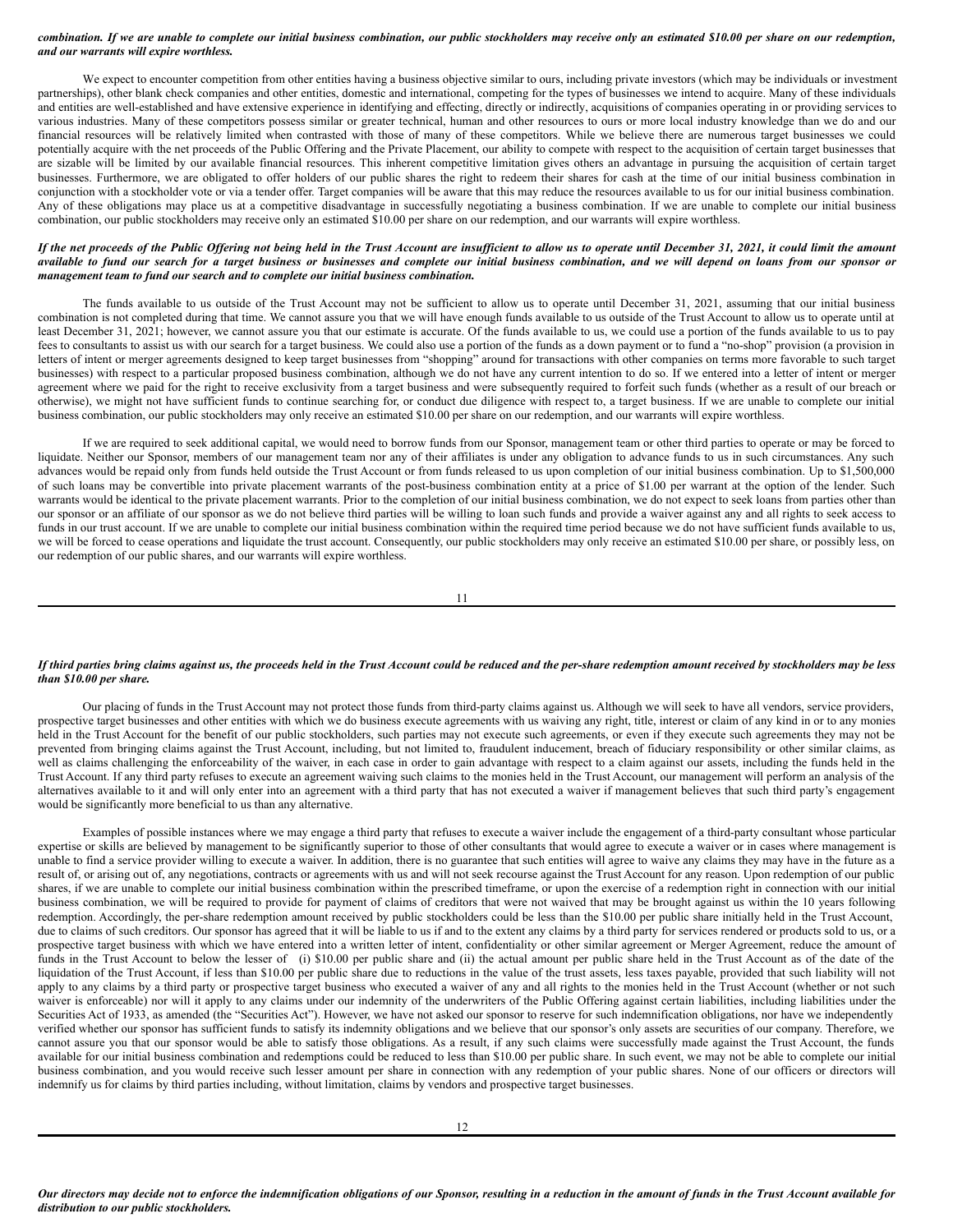### combination. If we are unable to complete our initial business combination, our public stockholders may receive only an estimated \$10.00 per share on our redemption, *and our warrants will expire worthless.*

We expect to encounter competition from other entities having a business objective similar to ours, including private investors (which may be individuals or investment partnerships), other blank check companies and other entities, domestic and international, competing for the types of businesses we intend to acquire. Many of these individuals and entities are well-established and have extensive experience in identifying and effecting, directly or indirectly, acquisitions of companies operating in or providing services to various industries. Many of these competitors possess similar or greater technical, human and other resources to ours or more local industry knowledge than we do and our financial resources will be relatively limited when contrasted with those of many of these competitors. While we believe there are numerous target businesses we could potentially acquire with the net proceeds of the Public Offering and the Private Placement, our ability to compete with respect to the acquisition of certain target businesses that are sizable will be limited by our available financial resources. This inherent competitive limitation gives others an advantage in pursuing the acquisition of certain target businesses. Furthermore, we are obligated to offer holders of our public shares the right to redeem their shares for cash at the time of our initial business combination in conjunction with a stockholder vote or via a tender offer. Target companies will be aware that this may reduce the resources available to us for our initial business combination. Any of these obligations may place us at a competitive disadvantage in successfully negotiating a business combination. If we are unable to complete our initial business combination, our public stockholders may receive only an estimated \$10.00 per share on our redemption, and our warrants will expire worthless.

## If the net proceeds of the Public Offering not being held in the Trust Account are insufficient to allow us to operate until December 31, 2021, it could limit the amount available to fund our search for a target business or businesses and complete our initial business combination, and we will depend on loans from our sponsor or *management team to fund our search and to complete our initial business combination.*

The funds available to us outside of the Trust Account may not be sufficient to allow us to operate until December 31, 2021, assuming that our initial business combination is not completed during that time. We cannot assure you that we will have enough funds available to us outside of the Trust Account to allow us to operate until at least December 31, 2021; however, we cannot assure you that our estimate is accurate. Of the funds available to us, we could use a portion of the funds available to us to pay fees to consultants to assist us with our search for a target business. We could also use a portion of the funds as a down payment or to fund a "no-shop" provision (a provision in letters of intent or merger agreements designed to keep target businesses from "shopping" around for transactions with other companies on terms more favorable to such target businesses) with respect to a particular proposed business combination, although we do not have any current intention to do so. If we entered into a letter of intent or merger agreement where we paid for the right to receive exclusivity from a target business and were subsequently required to forfeit such funds (whether as a result of our breach or otherwise), we might not have sufficient funds to continue searching for, or conduct due diligence with respect to, a target business. If we are unable to complete our initial business combination, our public stockholders may only receive an estimated \$10.00 per share on our redemption, and our warrants will expire worthless.

If we are required to seek additional capital, we would need to borrow funds from our Sponsor, management team or other third parties to operate or may be forced to liquidate. Neither our Sponsor, members of our management team nor any of their affiliates is under any obligation to advance funds to us in such circumstances. Any such advances would be repaid only from funds held outside the Trust Account or from funds released to us upon completion of our initial business combination. Up to \$1,500,000 of such loans may be convertible into private placement warrants of the post-business combination entity at a price of \$1.00 per warrant at the option of the lender. Such warrants would be identical to the private placement warrants. Prior to the completion of our initial business combination, we do not expect to seek loans from parties other than our sponsor or an affiliate of our sponsor as we do not believe third parties will be willing to loan such funds and provide a waiver against any and all rights to seek access to funds in our trust account. If we are unable to complete our initial business combination within the required time period because we do not have sufficient funds available to us, we will be forced to cease operations and liquidate the trust account. Consequently, our public stockholders may only receive an estimated \$10.00 per share, or possibly less, on our redemption of our public shares, and our warrants will expire worthless.

$$
11\phantom{.0}
$$

## If third parties bring claims against us, the proceeds held in the Trust Account could be reduced and the per-share redemption amount received by stockholders may be less *than \$10.00 per share.*

Our placing of funds in the Trust Account may not protect those funds from third-party claims against us. Although we will seek to have all vendors, service providers, prospective target businesses and other entities with which we do business execute agreements with us waiving any right, title, interest or claim of any kind in or to any monies held in the Trust Account for the benefit of our public stockholders, such parties may not execute such agreements, or even if they execute such agreements they may not be prevented from bringing claims against the Trust Account, including, but not limited to, fraudulent inducement, breach of fiduciary responsibility or other similar claims, as well as claims challenging the enforceability of the waiver, in each case in order to gain advantage with respect to a claim against our assets, including the funds held in the Trust Account. If any third party refuses to execute an agreement waiving such claims to the monies held in the Trust Account, our management will perform an analysis of the alternatives available to it and will only enter into an agreement with a third party that has not executed a waiver if management believes that such third party's engagement would be significantly more beneficial to us than any alternative.

Examples of possible instances where we may engage a third party that refuses to execute a waiver include the engagement of a third-party consultant whose particular expertise or skills are believed by management to be significantly superior to those of other consultants that would agree to execute a waiver or in cases where management is unable to find a service provider willing to execute a waiver. In addition, there is no guarantee that such entities will agree to waive any claims they may have in the future as a result of, or arising out of, any negotiations, contracts or agreements with us and will not seek recourse against the Trust Account for any reason. Upon redemption of our public shares, if we are unable to complete our initial business combination within the prescribed timeframe, or upon the exercise of a redemption right in connection with our initial business combination, we will be required to provide for payment of claims of creditors that were not waived that may be brought against us within the 10 years following redemption. Accordingly, the per-share redemption amount received by public stockholders could be less than the \$10.00 per public share initially held in the Trust Account, due to claims of such creditors. Our sponsor has agreed that it will be liable to us if and to the extent any claims by a third party for services rendered or products sold to us, or a prospective target business with which we have entered into a written letter of intent, confidentiality or other similar agreement or Merger Agreement, reduce the amount of funds in the Trust Account to below the lesser of (i) \$10.00 per public share and (ii) the actual amount per public share held in the Trust Account as of the date of the liquidation of the Trust Account, if less than \$10.00 per public share due to reductions in the value of the trust assets, less taxes payable, provided that such liability will not apply to any claims by a third party or prospective target business who executed a waiver of any and all rights to the monies held in the Trust Account (whether or not such waiver is enforceable) nor will it apply to any claims under our indemnity of the underwriters of the Public Offering against certain liabilities, including liabilities under the Securities Act of 1933, as amended (the "Securities Act"). However, we have not asked our sponsor to reserve for such indemnification obligations, nor have we independently verified whether our sponsor has sufficient funds to satisfy its indemnity obligations and we believe that our sponsor's only assets are securities of our company. Therefore, we cannot assure you that our sponsor would be able to satisfy those obligations. As a result, if any such claims were successfully made against the Trust Account, the funds available for our initial business combination and redemptions could be reduced to less than \$10.00 per public share. In such event, we may not be able to complete our initial business combination, and you would receive such lesser amount per share in connection with any redemption of your public shares. None of our officers or directors will indemnify us for claims by third parties including, without limitation, claims by vendors and prospective target businesses.

Our directors may decide not to enforce the indemnification obligations of our Sponsor, resulting in a reduction in the amount of funds in the Trust Account available for *distribution to our public stockholders.*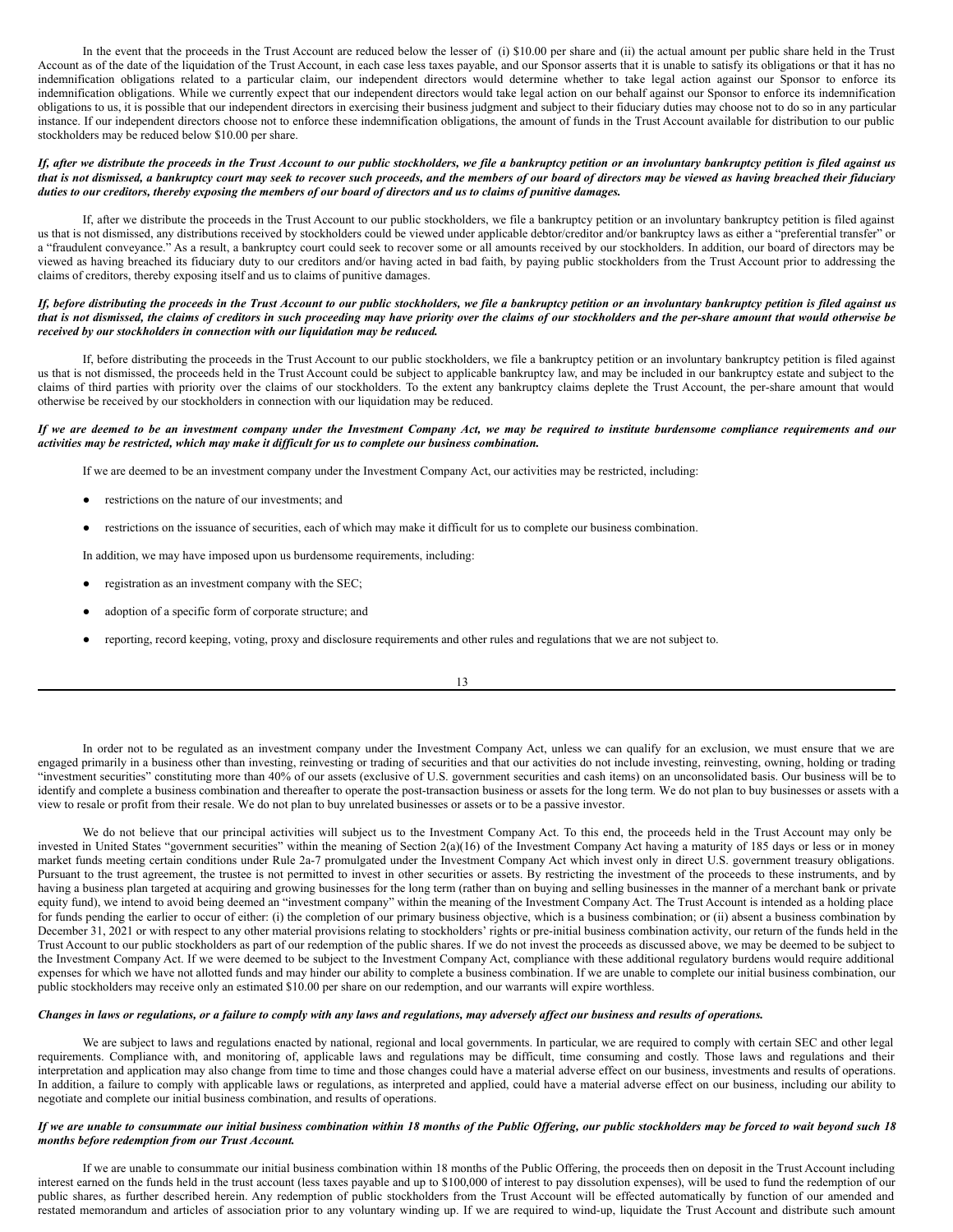In the event that the proceeds in the Trust Account are reduced below the lesser of (i) \$10.00 per share and (ii) the actual amount per public share held in the Trust Account as of the date of the liquidation of the Trust Account, in each case less taxes payable, and our Sponsor asserts that it is unable to satisfy its obligations or that it has no indemnification obligations related to a particular claim, our independent directors would determine whether to take legal action against our Sponsor to enforce its indemnification obligations. While we currently expect that our independent directors would take legal action on our behalf against our Sponsor to enforce its indemnification obligations to us, it is possible that our independent directors in exercising their business judgment and subject to their fiduciary duties may choose not to do so in any particular instance. If our independent directors choose not to enforce these indemnification obligations, the amount of funds in the Trust Account available for distribution to our public stockholders may be reduced below \$10.00 per share.

### If, after we distribute the proceeds in the Trust Account to our public stockholders, we file a bankruptcy petition or an involuntary bankruptcy petition is filed against us that is not dismissed, a bankruptcy court may seek to recover such proceeds, and the members of our board of directors may be viewed as having breached their fiduciary duties to our creditors, thereby exposing the members of our board of directors and us to claims of punitive damages.

If, after we distribute the proceeds in the Trust Account to our public stockholders, we file a bankruptcy petition or an involuntary bankruptcy petition is filed against us that is not dismissed, any distributions received by stockholders could be viewed under applicable debtor/creditor and/or bankruptcy laws as either a "preferential transfer" or a "fraudulent conveyance." As a result, a bankruptcy court could seek to recover some or all amounts received by our stockholders. In addition, our board of directors may be viewed as having breached its fiduciary duty to our creditors and/or having acted in bad faith, by paying public stockholders from the Trust Account prior to addressing the claims of creditors, thereby exposing itself and us to claims of punitive damages.

## If, before distributing the proceeds in the Trust Account to our public stockholders, we file a bankruptcy petition or an involuntary bankruptcy petition is filed against us that is not dismissed, the claims of creditors in such proceeding may have priority over the claims of our stockholders and the per-share amount that would otherwise be *received by our stockholders in connection with our liquidation may be reduced.*

If, before distributing the proceeds in the Trust Account to our public stockholders, we file a bankruptcy petition or an involuntary bankruptcy petition is filed against us that is not dismissed, the proceeds held in the Trust Account could be subject to applicable bankruptcy law, and may be included in our bankruptcy estate and subject to the claims of third parties with priority over the claims of our stockholders. To the extent any bankruptcy claims deplete the Trust Account, the per-share amount that would otherwise be received by our stockholders in connection with our liquidation may be reduced.

### If we are deemed to be an investment company under the Investment Company Act, we may be required to institute burdensome compliance requirements and our *activities may be restricted, which may make it dif icult for us to complete our business combination.*

If we are deemed to be an investment company under the Investment Company Act, our activities may be restricted, including:

- restrictions on the nature of our investments; and
- restrictions on the issuance of securities, each of which may make it difficult for us to complete our business combination.

In addition, we may have imposed upon us burdensome requirements, including:

- registration as an investment company with the SEC;
- adoption of a specific form of corporate structure; and
- reporting, record keeping, voting, proxy and disclosure requirements and other rules and regulations that we are not subject to.

In order not to be regulated as an investment company under the Investment Company Act, unless we can qualify for an exclusion, we must ensure that we are engaged primarily in a business other than investing, reinvesting or trading of securities and that our activities do not include investing, reinvesting, owning, holding or trading "investment securities" constituting more than 40% of our assets (exclusive of U.S. government securities and cash items) on an unconsolidated basis. Our business will be to identify and complete a business combination and thereafter to operate the post-transaction business or assets for the long term. We do not plan to buy businesses or assets with a view to resale or profit from their resale. We do not plan to buy unrelated businesses or assets or to be a passive investor.

We do not believe that our principal activities will subject us to the Investment Company Act. To this end, the proceeds held in the Trust Account may only be invested in United States "government securities" within the meaning of Section 2(a)(16) of the Investment Company Act having a maturity of 185 days or less or in money market funds meeting certain conditions under Rule 2a-7 promulgated under the Investment Company Act which invest only in direct U.S. government treasury obligations. Pursuant to the trust agreement, the trustee is not permitted to invest in other securities or assets. By restricting the investment of the proceeds to these instruments, and by having a business plan targeted at acquiring and growing businesses for the long term (rather than on buying and selling businesses in the manner of a merchant bank or private equity fund), we intend to avoid being deemed an "investment company" within the meaning of the Investment Company Act. The Trust Account is intended as a holding place for funds pending the earlier to occur of either: (i) the completion of our primary business objective, which is a business combination; or (ii) absent a business combination by December 31, 2021 or with respect to any other material provisions relating to stockholders' rights or pre-initial business combination activity, our return of the funds held in the Trust Account to our public stockholders as part of our redemption of the public shares. If we do not invest the proceeds as discussed above, we may be deemed to be subject to the Investment Company Act. If we were deemed to be subject to the Investment Company Act, compliance with these additional regulatory burdens would require additional expenses for which we have not allotted funds and may hinder our ability to complete a business combination. If we are unable to complete our initial business combination, our public stockholders may receive only an estimated \$10.00 per share on our redemption, and our warrants will expire worthless.

### Changes in laws or regulations, or a failure to comply with any laws and regulations, may adversely affect our business and results of operations.

We are subject to laws and regulations enacted by national, regional and local governments. In particular, we are required to comply with certain SEC and other legal requirements. Compliance with, and monitoring of, applicable laws and regulations may be difficult, time consuming and costly. Those laws and regulations and their interpretation and application may also change from time to time and those changes could have a material adverse effect on our business, investments and results of operations. In addition, a failure to comply with applicable laws or regulations, as interpreted and applied, could have a material adverse effect on our business, including our ability to negotiate and complete our initial business combination, and results of operations.

## If we are unable to consummate our initial business combination within 18 months of the Public Offering, our public stockholders may be forced to wait beyond such 18 *months before redemption from our Trust Account.*

If we are unable to consummate our initial business combination within 18 months of the Public Offering, the proceeds then on deposit in the Trust Account including interest earned on the funds held in the trust account (less taxes payable and up to \$100,000 of interest to pay dissolution expenses), will be used to fund the redemption of our public shares, as further described herein. Any redemption of public stockholders from the Trust Account will be effected automatically by function of our amended and restated memorandum and articles of association prior to any voluntary winding up. If we are required to wind-up, liquidate the Trust Account and distribute such amount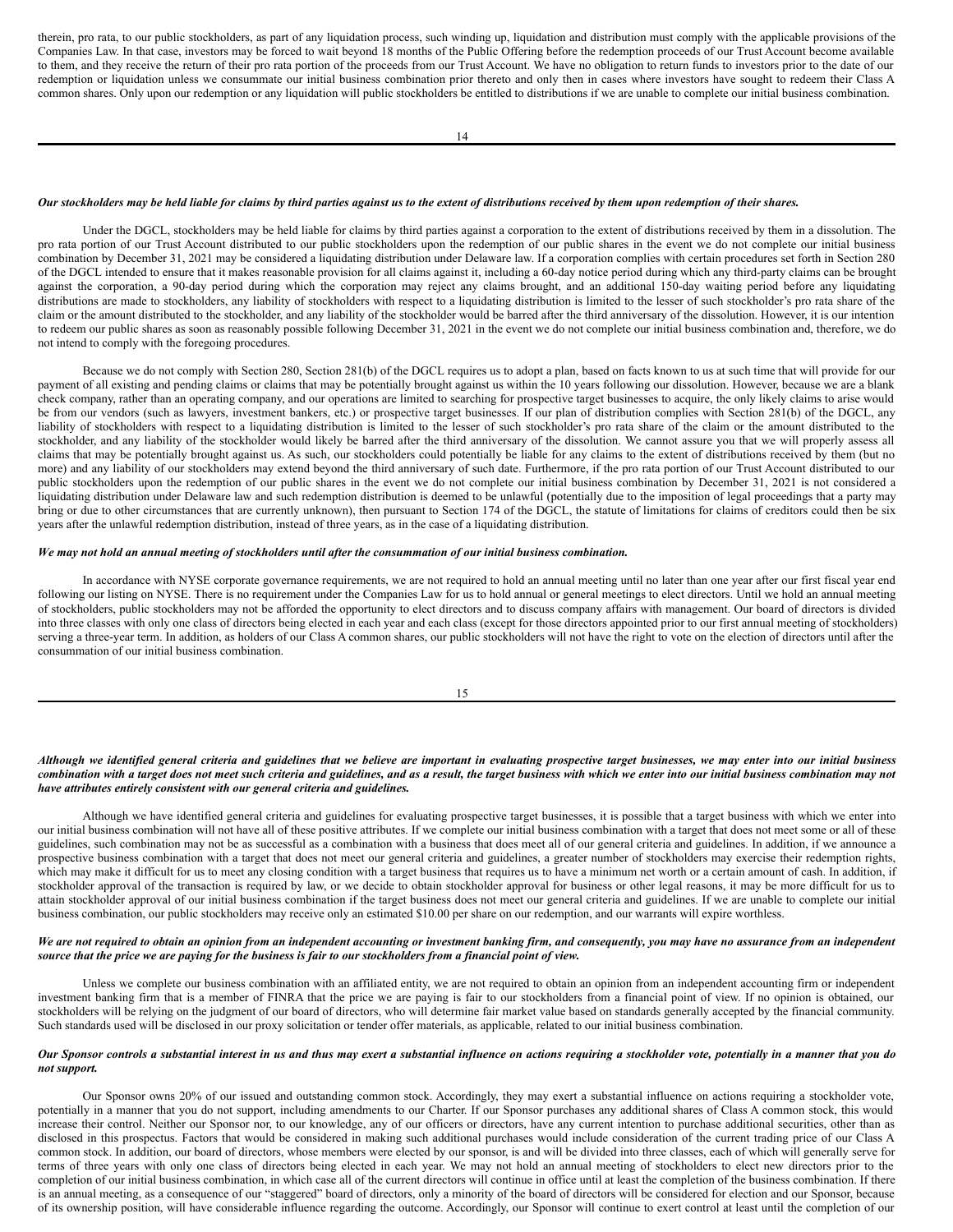therein, pro rata, to our public stockholders, as part of any liquidation process, such winding up, liquidation and distribution must comply with the applicable provisions of the Companies Law. In that case, investors may be forced to wait beyond 18 months of the Public Offering before the redemption proceeds of our Trust Account become available to them, and they receive the return of their pro rata portion of the proceeds from our Trust Account. We have no obligation to return funds to investors prior to the date of our redemption or liquidation unless we consummate our initial business combination prior thereto and only then in cases where investors have sought to redeem their Class A common shares. Only upon our redemption or any liquidation will public stockholders be entitled to distributions if we are unable to complete our initial business combination.

# Our stockholders may be held liable for claims by third parties against us to the extent of distributions received by them upon redemption of their shares.

Under the DGCL, stockholders may be held liable for claims by third parties against a corporation to the extent of distributions received by them in a dissolution. The pro rata portion of our Trust Account distributed to our public stockholders upon the redemption of our public shares in the event we do not complete our initial business combination by December 31, 2021 may be considered a liquidating distribution under Delaware law. If a corporation complies with certain procedures set forth in Section 280 of the DGCL intended to ensure that it makes reasonable provision for all claims against it, including a 60-day notice period during which any third-party claims can be brought against the corporation, a 90-day period during which the corporation may reject any claims brought, and an additional 150-day waiting period before any liquidating distributions are made to stockholders, any liability of stockholders with respect to a liquidating distribution is limited to the lesser of such stockholder's pro rata share of the claim or the amount distributed to the stockholder, and any liability of the stockholder would be barred after the third anniversary of the dissolution. However, it is our intention to redeem our public shares as soon as reasonably possible following December 31, 2021 in the event we do not complete our initial business combination and, therefore, we do not intend to comply with the foregoing procedures.

Because we do not comply with Section 280, Section 281(b) of the DGCL requires us to adopt a plan, based on facts known to us at such time that will provide for our payment of all existing and pending claims or claims that may be potentially brought against us within the 10 years following our dissolution. However, because we are a blank check company, rather than an operating company, and our operations are limited to searching for prospective target businesses to acquire, the only likely claims to arise would be from our vendors (such as lawyers, investment bankers, etc.) or prospective target businesses. If our plan of distribution complies with Section 281(b) of the DGCL, any liability of stockholders with respect to a liquidating distribution is limited to the lesser of such stockholder's pro rata share of the claim or the amount distributed to the stockholder, and any liability of the stockholder would likely be barred after the third anniversary of the dissolution. We cannot assure you that we will properly assess all claims that may be potentially brought against us. As such, our stockholders could potentially be liable for any claims to the extent of distributions received by them (but no more) and any liability of our stockholders may extend beyond the third anniversary of such date. Furthermore, if the pro rata portion of our Trust Account distributed to our public stockholders upon the redemption of our public shares in the event we do not complete our initial business combination by December 31, 2021 is not considered a liquidating distribution under Delaware law and such redemption distribution is deemed to be unlawful (potentially due to the imposition of legal proceedings that a party may bring or due to other circumstances that are currently unknown), then pursuant to Section 174 of the DGCL, the statute of limitations for claims of creditors could then be six years after the unlawful redemption distribution, instead of three years, as in the case of a liquidating distribution.

#### We may not hold an annual meeting of stockholders until after the consummation of our initial business combination.

In accordance with NYSE corporate governance requirements, we are not required to hold an annual meeting until no later than one year after our first fiscal year end following our listing on NYSE. There is no requirement under the Companies Law for us to hold annual or general meetings to elect directors. Until we hold an annual meeting of stockholders, public stockholders may not be afforded the opportunity to elect directors and to discuss company affairs with management. Our board of directors is divided into three classes with only one class of directors being elected in each year and each class (except for those directors appointed prior to our first annual meeting of stockholders) serving a three-year term. In addition, as holders of our Class A common shares, our public stockholders will not have the right to vote on the election of directors until after the consummation of our initial business combination.

15

## Although we identified general criteria and guidelines that we believe are important in evaluating prospective target businesses, we may enter into our initial business combination with a target does not meet such criteria and guidelines, and as a result, the target business with which we enter into our initial business combination may not *have attributes entirely consistent with our general criteria and guidelines.*

Although we have identified general criteria and guidelines for evaluating prospective target businesses, it is possible that a target business with which we enter into our initial business combination will not have all of these positive attributes. If we complete our initial business combination with a target that does not meet some or all of these guidelines, such combination may not be as successful as a combination with a business that does meet all of our general criteria and guidelines. In addition, if we announce a prospective business combination with a target that does not meet our general criteria and guidelines, a greater number of stockholders may exercise their redemption rights, which may make it difficult for us to meet any closing condition with a target business that requires us to have a minimum net worth or a certain amount of cash. In addition, if stockholder approval of the transaction is required by law, or we decide to obtain stockholder approval for business or other legal reasons, it may be more difficult for us to attain stockholder approval of our initial business combination if the target business does not meet our general criteria and guidelines. If we are unable to complete our initial business combination, our public stockholders may receive only an estimated \$10.00 per share on our redemption, and our warrants will expire worthless.

### We are not required to obtain an opinion from an independent accounting or investment banking firm, and consequently, you may have no assurance from an independent source that the price we are paying for the business is fair to our stockholders from a financial point of view.

Unless we complete our business combination with an affiliated entity, we are not required to obtain an opinion from an independent accounting firm or independent investment banking firm that is a member of FINRA that the price we are paying is fair to our stockholders from a financial point of view. If no opinion is obtained, our stockholders will be relying on the judgment of our board of directors, who will determine fair market value based on standards generally accepted by the financial community. Such standards used will be disclosed in our proxy solicitation or tender offer materials, as applicable, related to our initial business combination.

## Our Sponsor controls a substantial interest in us and thus may exert a substantial influence on actions requiring a stockholder vote, potentially in a manner that you do *not support.*

Our Sponsor owns 20% of our issued and outstanding common stock. Accordingly, they may exert a substantial influence on actions requiring a stockholder vote, potentially in a manner that you do not support, including amendments to our Charter. If our Sponsor purchases any additional shares of Class A common stock, this would increase their control. Neither our Sponsor nor, to our knowledge, any of our officers or directors, have any current intention to purchase additional securities, other than as disclosed in this prospectus. Factors that would be considered in making such additional purchases would include consideration of the current trading price of our Class A common stock. In addition, our board of directors, whose members were elected by our sponsor, is and will be divided into three classes, each of which will generally serve for terms of three years with only one class of directors being elected in each year. We may not hold an annual meeting of stockholders to elect new directors prior to the completion of our initial business combination, in which case all of the current directors will continue in office until at least the completion of the business combination. If there is an annual meeting, as a consequence of our "staggered" board of directors, only a minority of the board of directors will be considered for election and our Sponsor, because of its ownership position, will have considerable influence regarding the outcome. Accordingly, our Sponsor will continue to exert control at least until the completion of our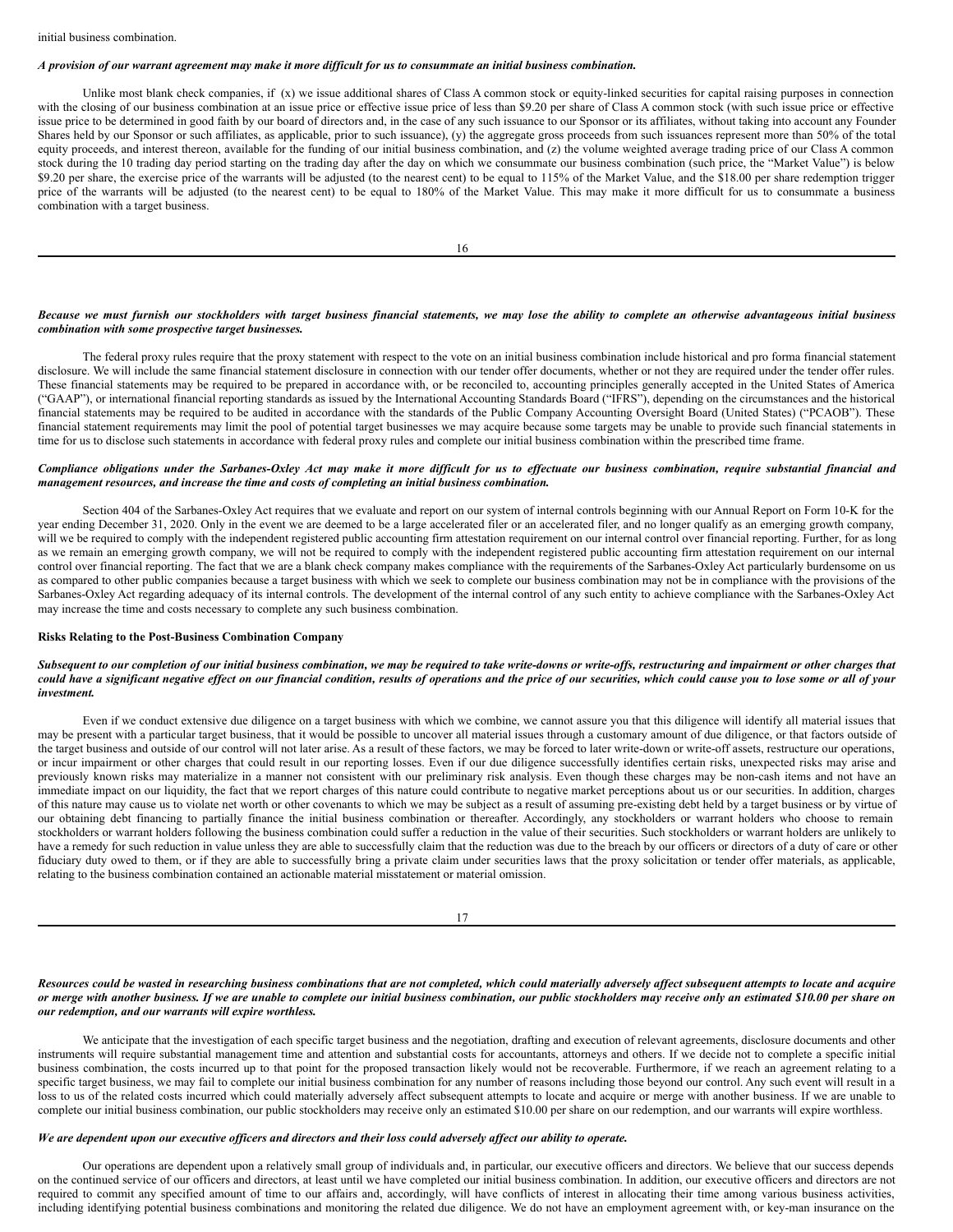### A provision of our warrant agreement may make it more difficult for us to consummate an initial business combination.

Unlike most blank check companies, if (x) we issue additional shares of Class A common stock or equity-linked securities for capital raising purposes in connection with the closing of our business combination at an issue price or effective issue price of less than \$9.20 per share of Class A common stock (with such issue price or effective issue price to be determined in good faith by our board of directors and, in the case of any such issuance to our Sponsor or its affiliates, without taking into account any Founder Shares held by our Sponsor or such affiliates, as applicable, prior to such issuance), (y) the aggregate gross proceeds from such issuances represent more than 50% of the total equity proceeds, and interest thereon, available for the funding of our initial business combination, and (z) the volume weighted average trading price of our Class A common stock during the 10 trading day period starting on the trading day after the day on which we consummate our business combination (such price, the "Market Value") is below \$9.20 per share, the exercise price of the warrants will be adjusted (to the nearest cent) to be equal to 115% of the Market Value, and the \$18.00 per share redemption trigger price of the warrants will be adjusted (to the nearest cent) to be equal to 180% of the Market Value. This may make it more difficult for us to consummate a business combination with a target business.

16

### Because we must furnish our stockholders with target business financial statements, we may lose the ability to complete an otherwise advantageous initial business *combination with some prospective target businesses.*

The federal proxy rules require that the proxy statement with respect to the vote on an initial business combination include historical and pro forma financial statement disclosure. We will include the same financial statement disclosure in connection with our tender offer documents, whether or not they are required under the tender offer rules. These financial statements may be required to be prepared in accordance with, or be reconciled to, accounting principles generally accepted in the United States of America ("GAAP"), or international financial reporting standards as issued by the International Accounting Standards Board ("IFRS"), depending on the circumstances and the historical financial statements may be required to be audited in accordance with the standards of the Public Company Accounting Oversight Board (United States) ("PCAOB"). These financial statement requirements may limit the pool of potential target businesses we may acquire because some targets may be unable to provide such financial statements in time for us to disclose such statements in accordance with federal proxy rules and complete our initial business combination within the prescribed time frame.

## Compliance obligations under the Sarbanes-Oxley Act may make it more difficult for us to effectuate our business combination, require substantial financial and *management resources, and increase the time and costs of completing an initial business combination.*

Section 404 of the Sarbanes-Oxley Act requires that we evaluate and report on our system of internal controls beginning with our Annual Report on Form 10-K for the year ending December 31, 2020. Only in the event we are deemed to be a large accelerated filer or an accelerated filer, and no longer qualify as an emerging growth company, will we be required to comply with the independent registered public accounting firm attestation requirement on our internal control over financial reporting. Further, for as long as we remain an emerging growth company, we will not be required to comply with the independent registered public accounting firm attestation requirement on our internal control over financial reporting. The fact that we are a blank check company makes compliance with the requirements of the Sarbanes-Oxley Act particularly burdensome on us as compared to other public companies because a target business with which we seek to complete our business combination may not be in compliance with the provisions of the Sarbanes-Oxley Act regarding adequacy of its internal controls. The development of the internal control of any such entity to achieve compliance with the Sarbanes-Oxley Act may increase the time and costs necessary to complete any such business combination.

## **Risks Relating to the Post-Business Combination Company**

## Subsequent to our completion of our initial business combination, we may be required to take write-downs or write-offs, restructuring and impairment or other charges that could have a significant negative effect on our financial condition, results of operations and the price of our securities, which could cause you to lose some or all of your *investment.*

Even if we conduct extensive due diligence on a target business with which we combine, we cannot assure you that this diligence will identify all material issues that may be present with a particular target business, that it would be possible to uncover all material issues through a customary amount of due diligence, or that factors outside of the target business and outside of our control will not later arise. As a result of these factors, we may be forced to later write-down or write-off assets, restructure our operations, or incur impairment or other charges that could result in our reporting losses. Even if our due diligence successfully identifies certain risks, unexpected risks may arise and previously known risks may materialize in a manner not consistent with our preliminary risk analysis. Even though these charges may be non-cash items and not have an immediate impact on our liquidity, the fact that we report charges of this nature could contribute to negative market perceptions about us or our securities. In addition, charges of this nature may cause us to violate net worth or other covenants to which we may be subject as a result of assuming pre-existing debt held by a target business or by virtue of our obtaining debt financing to partially finance the initial business combination or thereafter. Accordingly, any stockholders or warrant holders who choose to remain stockholders or warrant holders following the business combination could suffer a reduction in the value of their securities. Such stockholders or warrant holders are unlikely to have a remedy for such reduction in value unless they are able to successfully claim that the reduction was due to the breach by our officers or directors of a duty of care or other fiduciary duty owed to them, or if they are able to successfully bring a private claim under securities laws that the proxy solicitation or tender offer materials, as applicable, relating to the business combination contained an actionable material misstatement or material omission.

17

## Resources could be wasted in researching business combinations that are not completed, which could materially adversely affect subsequent attempts to locate and acquire or merge with another business. If we are unable to complete our initial business combination, our public stockholders may receive only an estimated \$10.00 per share on *our redemption, and our warrants will expire worthless.*

We anticipate that the investigation of each specific target business and the negotiation, drafting and execution of relevant agreements, disclosure documents and other instruments will require substantial management time and attention and substantial costs for accountants, attorneys and others. If we decide not to complete a specific initial business combination, the costs incurred up to that point for the proposed transaction likely would not be recoverable. Furthermore, if we reach an agreement relating to a specific target business, we may fail to complete our initial business combination for any number of reasons including those beyond our control. Any such event will result in a loss to us of the related costs incurred which could materially adversely affect subsequent attempts to locate and acquire or merge with another business. If we are unable to complete our initial business combination, our public stockholders may receive only an estimated \$10.00 per share on our redemption, and our warrants will expire worthless.

## We are dependent upon our executive officers and directors and their loss could adversely affect our ability to operate.

Our operations are dependent upon a relatively small group of individuals and, in particular, our executive officers and directors. We believe that our success depends on the continued service of our officers and directors, at least until we have completed our initial business combination. In addition, our executive officers and directors are not required to commit any specified amount of time to our affairs and, accordingly, will have conflicts of interest in allocating their time among various business activities, including identifying potential business combinations and monitoring the related due diligence. We do not have an employment agreement with, or key-man insurance on the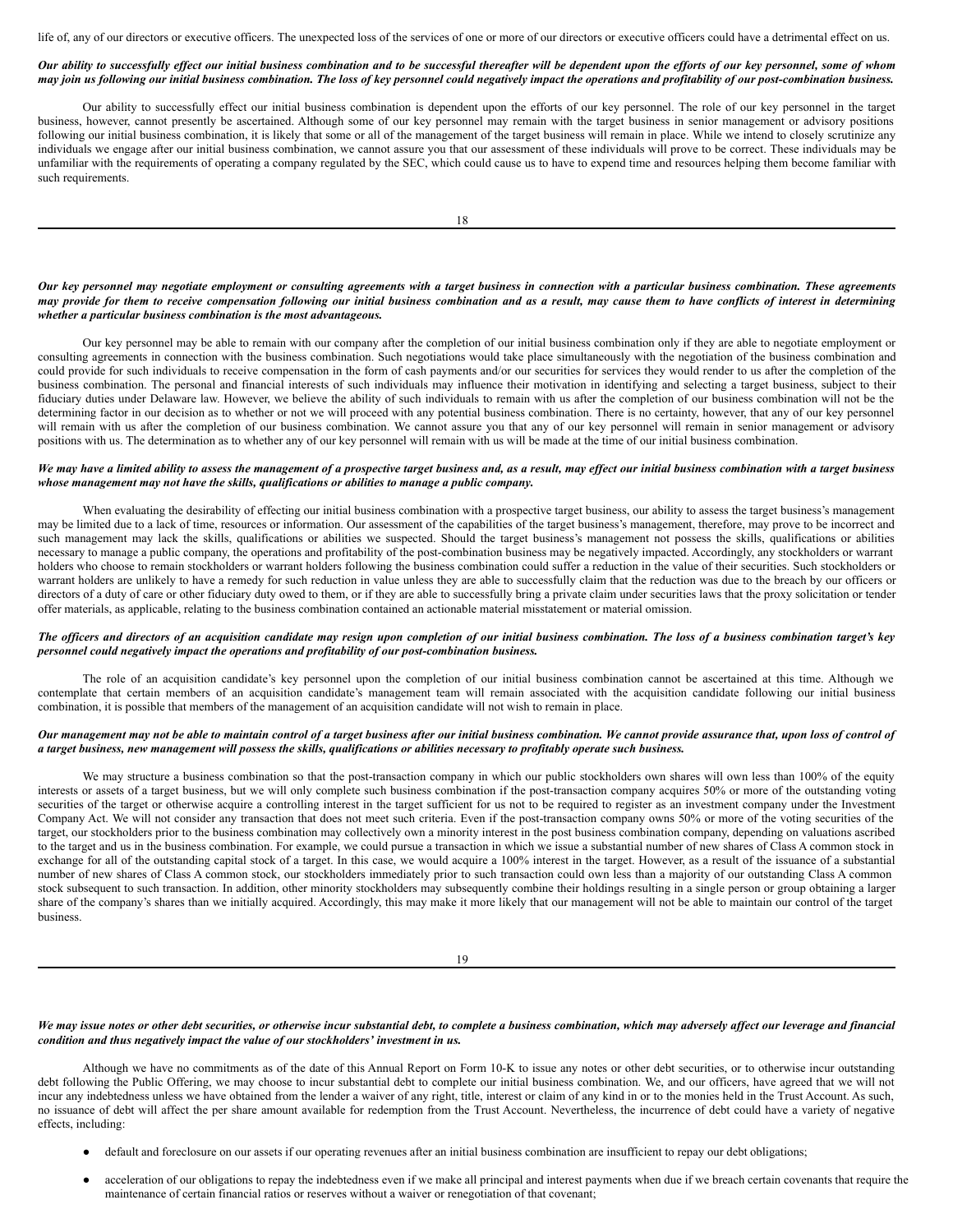life of, any of our directors or executive officers. The unexpected loss of the services of one or more of our directors or executive officers could have a detrimental effect on us.

## Our ability to successfully effect our initial business combination and to be successful thereafter will be dependent upon the efforts of our key personnel, some of whom may join us following our initial business combination. The loss of key personnel could negatively impact the operations and profitability of our post-combination business.

Our ability to successfully effect our initial business combination is dependent upon the efforts of our key personnel. The role of our key personnel in the target business, however, cannot presently be ascertained. Although some of our key personnel may remain with the target business in senior management or advisory positions following our initial business combination, it is likely that some or all of the management of the target business will remain in place. While we intend to closely scrutinize any individuals we engage after our initial business combination, we cannot assure you that our assessment of these individuals will prove to be correct. These individuals may be unfamiliar with the requirements of operating a company regulated by the SEC, which could cause us to have to expend time and resources helping them become familiar with such requirements.

## Our key personnel may negotiate employment or consulting agreements with a target business in connection with a particular business combination. These agreements may provide for them to receive compensation following our initial business combination and as a result, may cause them to have conflicts of interest in determining *whether a particular business combination is the most advantageous.*

Our key personnel may be able to remain with our company after the completion of our initial business combination only if they are able to negotiate employment or consulting agreements in connection with the business combination. Such negotiations would take place simultaneously with the negotiation of the business combination and could provide for such individuals to receive compensation in the form of cash payments and/or our securities for services they would render to us after the completion of the business combination. The personal and financial interests of such individuals may influence their motivation in identifying and selecting a target business, subject to their fiduciary duties under Delaware law. However, we believe the ability of such individuals to remain with us after the completion of our business combination will not be the determining factor in our decision as to whether or not we will proceed with any potential business combination. There is no certainty, however, that any of our key personnel will remain with us after the completion of our business combination. We cannot assure you that any of our key personnel will remain in senior management or advisory positions with us. The determination as to whether any of our key personnel will remain with us will be made at the time of our initial business combination.

## We may have a limited ability to assess the management of a prospective target business and, as a result, may effect our initial business combination with a target business *whose management may not have the skills, qualifications or abilities to manage a public company.*

When evaluating the desirability of effecting our initial business combination with a prospective target business, our ability to assess the target business's management may be limited due to a lack of time, resources or information. Our assessment of the capabilities of the target business's management, therefore, may prove to be incorrect and such management may lack the skills, qualifications or abilities we suspected. Should the target business's management not possess the skills, qualifications or abilities necessary to manage a public company, the operations and profitability of the post-combination business may be negatively impacted. Accordingly, any stockholders or warrant holders who choose to remain stockholders or warrant holders following the business combination could suffer a reduction in the value of their securities. Such stockholders or warrant holders are unlikely to have a remedy for such reduction in value unless they are able to successfully claim that the reduction was due to the breach by our officers or directors of a duty of care or other fiduciary duty owed to them, or if they are able to successfully bring a private claim under securities laws that the proxy solicitation or tender offer materials, as applicable, relating to the business combination contained an actionable material misstatement or material omission.

### The officers and directors of an acquisition candidate may resign upon completion of our initial business combination. The loss of a business combination target's key *personnel could negatively impact the operations and profitability of our post-combination business.*

The role of an acquisition candidate's key personnel upon the completion of our initial business combination cannot be ascertained at this time. Although we contemplate that certain members of an acquisition candidate's management team will remain associated with the acquisition candidate following our initial business combination, it is possible that members of the management of an acquisition candidate will not wish to remain in place.

## Our management may not be able to maintain control of a target business after our initial business combination. We cannot provide assurance that, upon loss of control of a target business, new management will possess the skills, qualifications or abilities necessary to profitably operate such business.

We may structure a business combination so that the post-transaction company in which our public stockholders own shares will own less than 100% of the equity interests or assets of a target business, but we will only complete such business combination if the post-transaction company acquires 50% or more of the outstanding voting securities of the target or otherwise acquire a controlling interest in the target sufficient for us not to be required to register as an investment company under the Investment Company Act. We will not consider any transaction that does not meet such criteria. Even if the post-transaction company owns 50% or more of the voting securities of the target, our stockholders prior to the business combination may collectively own a minority interest in the post business combination company, depending on valuations ascribed to the target and us in the business combination. For example, we could pursue a transaction in which we issue a substantial number of new shares of Class A common stock in exchange for all of the outstanding capital stock of a target. In this case, we would acquire a 100% interest in the target. However, as a result of the issuance of a substantial number of new shares of Class A common stock, our stockholders immediately prior to such transaction could own less than a majority of our outstanding Class A common stock subsequent to such transaction. In addition, other minority stockholders may subsequently combine their holdings resulting in a single person or group obtaining a larger share of the company's shares than we initially acquired. Accordingly, this may make it more likely that our management will not be able to maintain our control of the target business.

19

## We may issue notes or other debt securities, or otherwise incur substantial debt, to complete a business combination, which may adversely affect our leverage and financial *condition and thus negatively impact the value of our stockholders' investment in us.*

Although we have no commitments as of the date of this Annual Report on Form 10-K to issue any notes or other debt securities, or to otherwise incur outstanding debt following the Public Offering, we may choose to incur substantial debt to complete our initial business combination. We, and our officers, have agreed that we will not incur any indebtedness unless we have obtained from the lender a waiver of any right, title, interest or claim of any kind in or to the monies held in the Trust Account. As such, no issuance of debt will affect the per share amount available for redemption from the Trust Account. Nevertheless, the incurrence of debt could have a variety of negative effects, including:

- default and foreclosure on our assets if our operating revenues after an initial business combination are insufficient to repay our debt obligations;
- acceleration of our obligations to repay the indebtedness even if we make all principal and interest payments when due if we breach certain covenants that require the maintenance of certain financial ratios or reserves without a waiver or renegotiation of that covenant;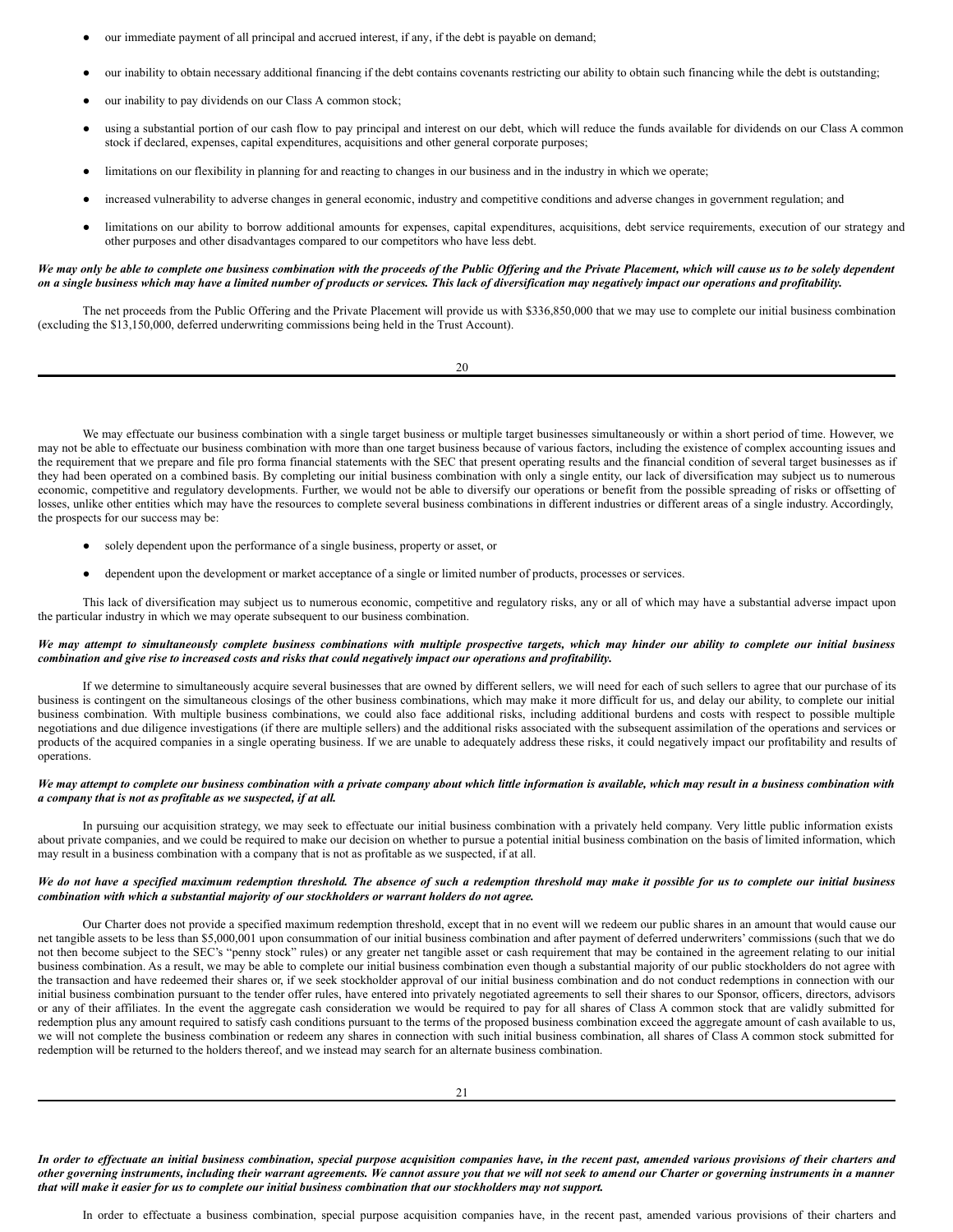- our immediate payment of all principal and accrued interest, if any, if the debt is payable on demand;
- our inability to obtain necessary additional financing if the debt contains covenants restricting our ability to obtain such financing while the debt is outstanding;
- our inability to pay dividends on our Class A common stock;
- using a substantial portion of our cash flow to pay principal and interest on our debt, which will reduce the funds available for dividends on our Class A common stock if declared, expenses, capital expenditures, acquisitions and other general corporate purposes;
- limitations on our flexibility in planning for and reacting to changes in our business and in the industry in which we operate;
- increased vulnerability to adverse changes in general economic, industry and competitive conditions and adverse changes in government regulation; and
- limitations on our ability to borrow additional amounts for expenses, capital expenditures, acquisitions, debt service requirements, execution of our strategy and other purposes and other disadvantages compared to our competitors who have less debt.

### We may only be able to complete one business combination with the proceeds of the Public Offering and the Private Placement, which will cause us to be solely dependent on a single business which may have a limited number of products or services. This lack of diversification may negatively impact our operations and profitability.

The net proceeds from the Public Offering and the Private Placement will provide us with \$336,850,000 that we may use to complete our initial business combination (excluding the \$13,150,000, deferred underwriting commissions being held in the Trust Account).

|   | I           |
|---|-------------|
| I | ٦<br>×<br>I |

We may effectuate our business combination with a single target business or multiple target businesses simultaneously or within a short period of time. However, we may not be able to effectuate our business combination with more than one target business because of various factors, including the existence of complex accounting issues and the requirement that we prepare and file pro forma financial statements with the SEC that present operating results and the financial condition of several target businesses as if they had been operated on a combined basis. By completing our initial business combination with only a single entity, our lack of diversification may subject us to numerous economic, competitive and regulatory developments. Further, we would not be able to diversify our operations or benefit from the possible spreading of risks or offsetting of losses, unlike other entities which may have the resources to complete several business combinations in different industries or different areas of a single industry. Accordingly, the prospects for our success may be:

- solely dependent upon the performance of a single business, property or asset, or
- dependent upon the development or market acceptance of a single or limited number of products, processes or services.

This lack of diversification may subject us to numerous economic, competitive and regulatory risks, any or all of which may have a substantial adverse impact upon the particular industry in which we may operate subsequent to our business combination.

### We may attempt to simultaneously complete business combinations with multiple prospective targets, which may hinder our ability to complete our initial business combination and give rise to increased costs and risks that could negatively impact our operations and profitability.

If we determine to simultaneously acquire several businesses that are owned by different sellers, we will need for each of such sellers to agree that our purchase of its business is contingent on the simultaneous closings of the other business combinations, which may make it more difficult for us, and delay our ability, to complete our initial business combination. With multiple business combinations, we could also face additional risks, including additional burdens and costs with respect to possible multiple negotiations and due diligence investigations (if there are multiple sellers) and the additional risks associated with the subsequent assimilation of the operations and services or products of the acquired companies in a single operating business. If we are unable to adequately address these risks, it could negatively impact our profitability and results of operations.

## We may attempt to complete our business combination with a private company about which little information is available, which may result in a business combination with *a company that is not as profitable as we suspected, if at all.*

In pursuing our acquisition strategy, we may seek to effectuate our initial business combination with a privately held company. Very little public information exists about private companies, and we could be required to make our decision on whether to pursue a potential initial business combination on the basis of limited information, which may result in a business combination with a company that is not as profitable as we suspected, if at all.

## We do not have a specified maximum redemption threshold. The absence of such a redemption threshold may make it possible for us to complete our initial business *combination with which a substantial majority of our stockholders or warrant holders do not agree.*

Our Charter does not provide a specified maximum redemption threshold, except that in no event will we redeem our public shares in an amount that would cause our net tangible assets to be less than \$5,000,001 upon consummation of our initial business combination and after payment of deferred underwriters' commissions (such that we do not then become subject to the SEC's "penny stock" rules) or any greater net tangible asset or cash requirement that may be contained in the agreement relating to our initial business combination. As a result, we may be able to complete our initial business combination even though a substantial majority of our public stockholders do not agree with the transaction and have redeemed their shares or, if we seek stockholder approval of our initial business combination and do not conduct redemptions in connection with our initial business combination pursuant to the tender offer rules, have entered into privately negotiated agreements to sell their shares to our Sponsor, officers, directors, advisors or any of their affiliates. In the event the aggregate cash consideration we would be required to pay for all shares of Class A common stock that are validly submitted for redemption plus any amount required to satisfy cash conditions pursuant to the terms of the proposed business combination exceed the aggregate amount of cash available to us, we will not complete the business combination or redeem any shares in connection with such initial business combination, all shares of Class A common stock submitted for redemption will be returned to the holders thereof, and we instead may search for an alternate business combination.

In order to effectuate an initial business combination, special purpose acquisition companies have, in the recent past, amended various provisions of their charters and other governing instruments, including their warrant agreements. We cannot assure you that we will not seek to amend our Charter or governing instruments in a manner that will make it easier for us to complete our initial business combination that our stockholders may not support.

In order to effectuate a business combination, special purpose acquisition companies have, in the recent past, amended various provisions of their charters and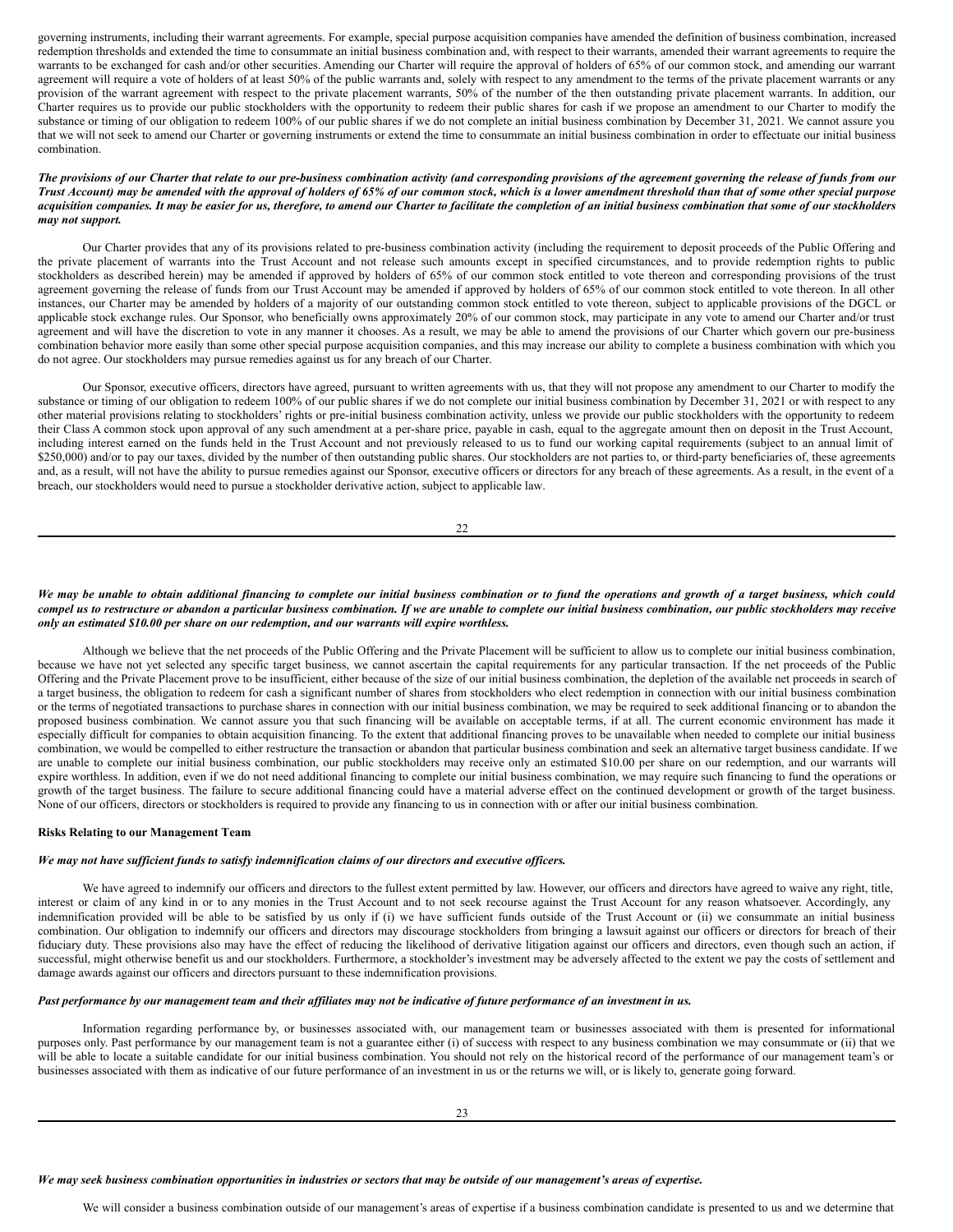governing instruments, including their warrant agreements. For example, special purpose acquisition companies have amended the definition of business combination, increased redemption thresholds and extended the time to consummate an initial business combination and, with respect to their warrants, amended their warrant agreements to require the warrants to be exchanged for cash and/or other securities. Amending our Charter will require the approval of holders of 65% of our common stock, and amending our warrant agreement will require a vote of holders of at least 50% of the public warrants and, solely with respect to any amendment to the terms of the private placement warrants or any provision of the warrant agreement with respect to the private placement warrants, 50% of the number of the then outstanding private placement warrants. In addition, our Charter requires us to provide our public stockholders with the opportunity to redeem their public shares for cash if we propose an amendment to our Charter to modify the substance or timing of our obligation to redeem 100% of our public shares if we do not complete an initial business combination by December 31, 2021. We cannot assure you that we will not seek to amend our Charter or governing instruments or extend the time to consummate an initial business combination in order to effectuate our initial business combination.

## The provisions of our Charter that relate to our pre-business combination activity (and corresponding provisions of the agreement governing the release of funds from our Trust Account) may be amended with the approval of holders of 65% of our common stock, which is a lower amendment threshold than that of some other special purpose acquisition companies. It may be easier for us, therefore, to amend our Charter to facilitate the completion of an initial business combination that some of our stockholders *may not support.*

Our Charter provides that any of its provisions related to pre-business combination activity (including the requirement to deposit proceeds of the Public Offering and the private placement of warrants into the Trust Account and not release such amounts except in specified circumstances, and to provide redemption rights to public stockholders as described herein) may be amended if approved by holders of 65% of our common stock entitled to vote thereon and corresponding provisions of the trust agreement governing the release of funds from our Trust Account may be amended if approved by holders of 65% of our common stock entitled to vote thereon. In all other instances, our Charter may be amended by holders of a majority of our outstanding common stock entitled to vote thereon, subject to applicable provisions of the DGCL or applicable stock exchange rules. Our Sponsor, who beneficially owns approximately 20% of our common stock, may participate in any vote to amend our Charter and/or trust agreement and will have the discretion to vote in any manner it chooses. As a result, we may be able to amend the provisions of our Charter which govern our pre-business combination behavior more easily than some other special purpose acquisition companies, and this may increase our ability to complete a business combination with which you do not agree. Our stockholders may pursue remedies against us for any breach of our Charter.

Our Sponsor, executive officers, directors have agreed, pursuant to written agreements with us, that they will not propose any amendment to our Charter to modify the substance or timing of our obligation to redeem 100% of our public shares if we do not complete our initial business combination by December 31, 2021 or with respect to any other material provisions relating to stockholders' rights or pre-initial business combination activity, unless we provide our public stockholders with the opportunity to redeem their Class A common stock upon approval of any such amendment at a per-share price, payable in cash, equal to the aggregate amount then on deposit in the Trust Account, including interest earned on the funds held in the Trust Account and not previously released to us to fund our working capital requirements (subject to an annual limit of \$250,000) and/or to pay our taxes, divided by the number of then outstanding public shares. Our stockholders are not parties to, or third-party beneficiaries of, these agreements and, as a result, will not have the ability to pursue remedies against our Sponsor, executive officers or directors for any breach of these agreements. As a result, in the event of a breach, our stockholders would need to pursue a stockholder derivative action, subject to applicable law.

 $22$ 

### We may be unable to obtain additional financing to complete our initial business combination or to fund the operations and growth of a target business, which could compel us to restructure or abandon a particular business combination. If we are unable to complete our initial business combination, our public stockholders may receive *only an estimated \$10.00 per share on our redemption, and our warrants will expire worthless.*

Although we believe that the net proceeds of the Public Offering and the Private Placement will be sufficient to allow us to complete our initial business combination, because we have not yet selected any specific target business, we cannot ascertain the capital requirements for any particular transaction. If the net proceeds of the Public Offering and the Private Placement prove to be insufficient, either because of the size of our initial business combination, the depletion of the available net proceeds in search of a target business, the obligation to redeem for cash a significant number of shares from stockholders who elect redemption in connection with our initial business combination or the terms of negotiated transactions to purchase shares in connection with our initial business combination, we may be required to seek additional financing or to abandon the proposed business combination. We cannot assure you that such financing will be available on acceptable terms, if at all. The current economic environment has made it especially difficult for companies to obtain acquisition financing. To the extent that additional financing proves to be unavailable when needed to complete our initial business combination, we would be compelled to either restructure the transaction or abandon that particular business combination and seek an alternative target business candidate. If we are unable to complete our initial business combination, our public stockholders may receive only an estimated \$10.00 per share on our redemption, and our warrants will expire worthless. In addition, even if we do not need additional financing to complete our initial business combination, we may require such financing to fund the operations or growth of the target business. The failure to secure additional financing could have a material adverse effect on the continued development or growth of the target business. None of our officers, directors or stockholders is required to provide any financing to us in connection with or after our initial business combination.

## **Risks Relating to our Management Team**

### We may not have sufficient funds to satisfy indemnification claims of our directors and executive officers.

We have agreed to indemnify our officers and directors to the fullest extent permitted by law. However, our officers and directors have agreed to waive any right, title, interest or claim of any kind in or to any monies in the Trust Account and to not seek recourse against the Trust Account for any reason whatsoever. Accordingly, any indemnification provided will be able to be satisfied by us only if (i) we have sufficient funds outside of the Trust Account or (ii) we consummate an initial business combination. Our obligation to indemnify our officers and directors may discourage stockholders from bringing a lawsuit against our officers or directors for breach of their fiduciary duty. These provisions also may have the effect of reducing the likelihood of derivative litigation against our officers and directors, even though such an action, if successful, might otherwise benefit us and our stockholders. Furthermore, a stockholder's investment may be adversely affected to the extent we pay the costs of settlement and damage awards against our officers and directors pursuant to these indemnification provisions.

### Past performance by our management team and their affiliates may not be indicative of future performance of an investment in us.

Information regarding performance by, or businesses associated with, our management team or businesses associated with them is presented for informational purposes only. Past performance by our management team is not a guarantee either (i) of success with respect to any business combination we may consummate or (ii) that we will be able to locate a suitable candidate for our initial business combination. You should not rely on the historical record of the performance of our management team's or businesses associated with them as indicative of our future performance of an investment in us or the returns we will, or is likely to, generate going forward.

We may seek business combination opportunities in industries or sectors that may be outside of our management's areas of expertise.

We will consider a business combination outside of our management's areas of expertise if a business combination candidate is presented to us and we determine that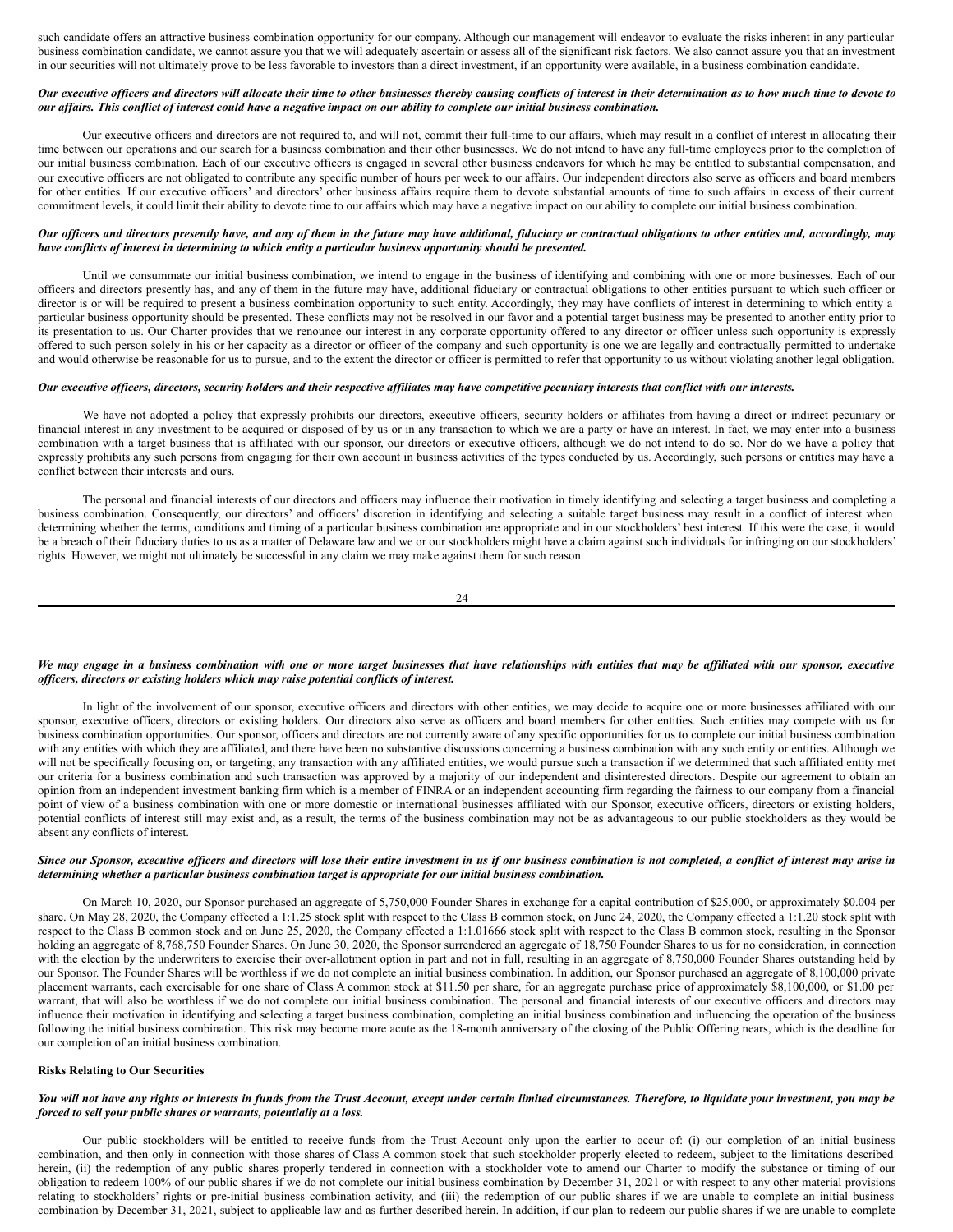such candidate offers an attractive business combination opportunity for our company. Although our management will endeavor to evaluate the risks inherent in any particular business combination candidate, we cannot assure you that we will adequately ascertain or assess all of the significant risk factors. We also cannot assure you that an investment in our securities will not ultimately prove to be less favorable to investors than a direct investment, if an opportunity were available, in a business combination candidate.

## Our executive officers and directors will allocate their time to other businesses thereby causing conflicts of interest in their determination as to how much time to devote to our affairs. This conflict of interest could have a negative impact on our ability to complete our initial business combination.

Our executive officers and directors are not required to, and will not, commit their full-time to our affairs, which may result in a conflict of interest in allocating their time between our operations and our search for a business combination and their other businesses. We do not intend to have any full-time employees prior to the completion of our initial business combination. Each of our executive officers is engaged in several other business endeavors for which he may be entitled to substantial compensation, and our executive officers are not obligated to contribute any specific number of hours per week to our affairs. Our independent directors also serve as officers and board members for other entities. If our executive officers' and directors' other business affairs require them to devote substantial amounts of time to such affairs in excess of their current commitment levels, it could limit their ability to devote time to our affairs which may have a negative impact on our ability to complete our initial business combination.

## Our officers and directors presently have, and any of them in the future may have additional, fiduciary or contractual obligations to other entities and, accordingly, may *have conflicts of interest in determining to which entity a particular business opportunity should be presented.*

Until we consummate our initial business combination, we intend to engage in the business of identifying and combining with one or more businesses. Each of our officers and directors presently has, and any of them in the future may have, additional fiduciary or contractual obligations to other entities pursuant to which such officer or director is or will be required to present a business combination opportunity to such entity. Accordingly, they may have conflicts of interest in determining to which entity a particular business opportunity should be presented. These conflicts may not be resolved in our favor and a potential target business may be presented to another entity prior to its presentation to us. Our Charter provides that we renounce our interest in any corporate opportunity offered to any director or officer unless such opportunity is expressly offered to such person solely in his or her capacity as a director or officer of the company and such opportunity is one we are legally and contractually permitted to undertake and would otherwise be reasonable for us to pursue, and to the extent the director or officer is permitted to refer that opportunity to us without violating another legal obligation.

## Our executive officers, directors, security holders and their respective affiliates may have competitive pecuniary interests that conflict with our interests.

We have not adopted a policy that expressly prohibits our directors, executive officers, security holders or affiliates from having a direct or indirect pecuniary or financial interest in any investment to be acquired or disposed of by us or in any transaction to which we are a party or have an interest. In fact, we may enter into a business combination with a target business that is affiliated with our sponsor, our directors or executive officers, although we do not intend to do so. Nor do we have a policy that expressly prohibits any such persons from engaging for their own account in business activities of the types conducted by us. Accordingly, such persons or entities may have a conflict between their interests and ours.

The personal and financial interests of our directors and officers may influence their motivation in timely identifying and selecting a target business and completing a business combination. Consequently, our directors' and officers' discretion in identifying and selecting a suitable target business may result in a conflict of interest when determining whether the terms, conditions and timing of a particular business combination are appropriate and in our stockholders' best interest. If this were the case, it would be a breach of their fiduciary duties to us as a matter of Delaware law and we or our stockholders might have a claim against such individuals for infringing on our stockholders' rights. However, we might not ultimately be successful in any claim we may make against them for such reason.

24

## We may engage in a business combination with one or more target businesses that have relationships with entities that may be affiliated with our sponsor, executive *of icers, directors or existing holders which may raise potential conflicts of interest.*

In light of the involvement of our sponsor, executive officers and directors with other entities, we may decide to acquire one or more businesses affiliated with our sponsor, executive officers, directors or existing holders. Our directors also serve as officers and board members for other entities. Such entities may compete with us for business combination opportunities. Our sponsor, officers and directors are not currently aware of any specific opportunities for us to complete our initial business combination with any entities with which they are affiliated, and there have been no substantive discussions concerning a business combination with any such entity or entities. Although we will not be specifically focusing on, or targeting, any transaction with any affiliated entities, we would pursue such a transaction if we determined that such affiliated entity met our criteria for a business combination and such transaction was approved by a majority of our independent and disinterested directors. Despite our agreement to obtain an opinion from an independent investment banking firm which is a member of FINRA or an independent accounting firm regarding the fairness to our company from a financial point of view of a business combination with one or more domestic or international businesses affiliated with our Sponsor, executive officers, directors or existing holders, potential conflicts of interest still may exist and, as a result, the terms of the business combination may not be as advantageous to our public stockholders as they would be absent any conflicts of interest.

### Since our Sponsor, executive officers and directors will lose their entire investment in us if our business combination is not completed, a conflict of interest may arise in *determining whether a particular business combination target is appropriate for our initial business combination.*

On March 10, 2020, our Sponsor purchased an aggregate of 5,750,000 Founder Shares in exchange for a capital contribution of \$25,000, or approximately \$0.004 per share. On May 28, 2020, the Company effected a 1:1.25 stock split with respect to the Class B common stock, on June 24, 2020, the Company effected a 1:1.20 stock split with respect to the Class B common stock and on June 25, 2020, the Company effected a 1:1.01666 stock split with respect to the Class B common stock, resulting in the Sponsor holding an aggregate of 8,768,750 Founder Shares. On June 30, 2020, the Sponsor surrendered an aggregate of 18,750 Founder Shares to us for no consideration, in connection with the election by the underwriters to exercise their over-allotment option in part and not in full, resulting in an aggregate of 8,750,000 Founder Shares outstanding held by our Sponsor. The Founder Shares will be worthless if we do not complete an initial business combination. In addition, our Sponsor purchased an aggregate of 8,100,000 private placement warrants, each exercisable for one share of Class A common stock at \$11.50 per share, for an aggregate purchase price of approximately \$8,100,000, or \$1.00 per warrant, that will also be worthless if we do not complete our initial business combination. The personal and financial interests of our executive officers and directors may influence their motivation in identifying and selecting a target business combination, completing an initial business combination and influencing the operation of the business following the initial business combination. This risk may become more acute as the 18-month anniversary of the closing of the Public Offering nears, which is the deadline for our completion of an initial business combination.

### **Risks Relating to Our Securities**

### You will not have any rights or interests in funds from the Trust Account, except under certain limited circumstances. Therefore, to liquidate your investment, you may be *forced to sell your public shares or warrants, potentially at a loss.*

Our public stockholders will be entitled to receive funds from the Trust Account only upon the earlier to occur of: (i) our completion of an initial business combination, and then only in connection with those shares of Class A common stock that such stockholder properly elected to redeem, subject to the limitations described herein, (ii) the redemption of any public shares properly tendered in connection with a stockholder vote to amend our Charter to modify the substance or timing of our obligation to redeem 100% of our public shares if we do not complete our initial business combination by December 31, 2021 or with respect to any other material provisions relating to stockholders' rights or pre-initial business combination activity, and (iii) the redemption of our public shares if we are unable to complete an initial business combination by December 31, 2021, subject to applicable law and as further described herein. In addition, if our plan to redeem our public shares if we are unable to complete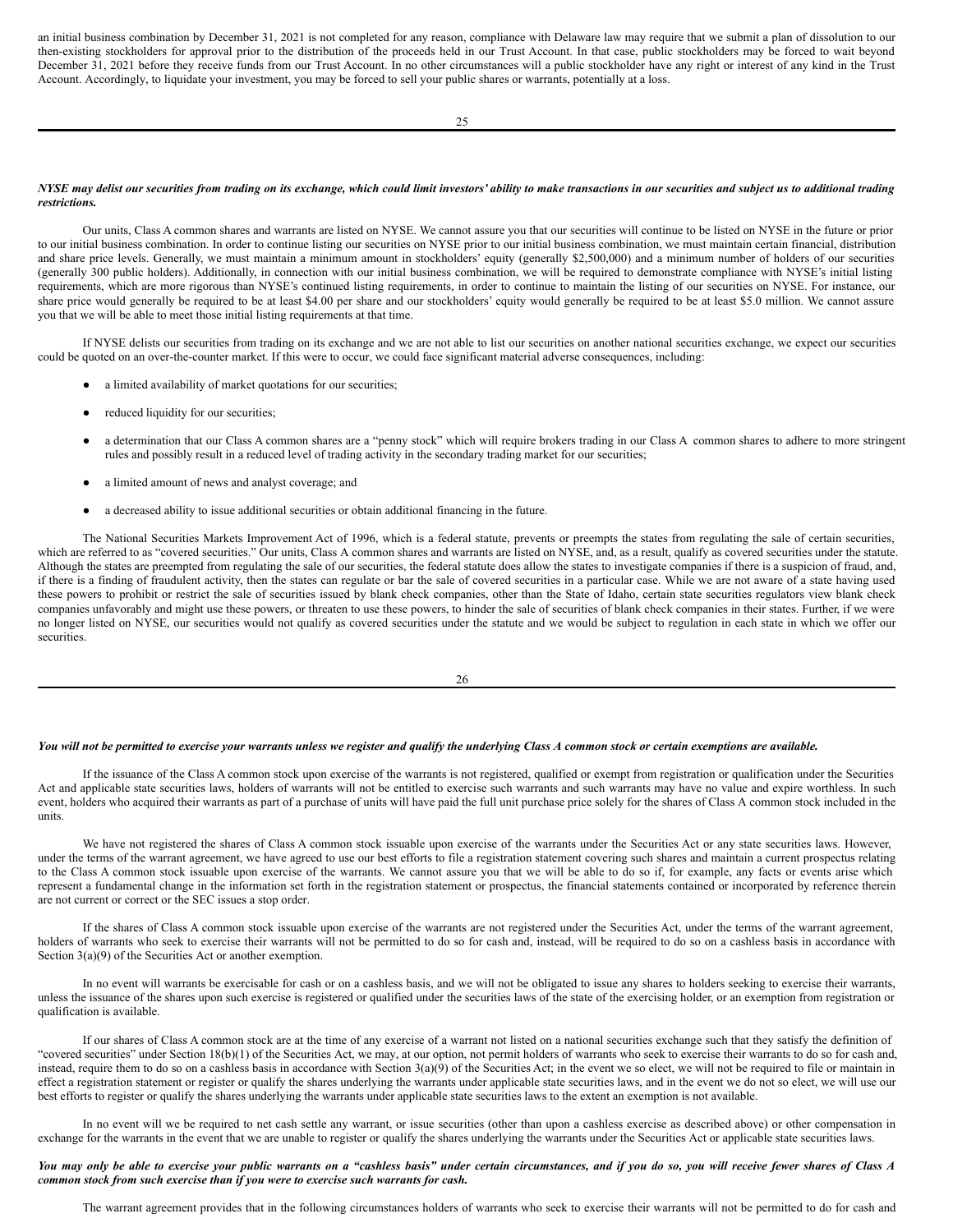an initial business combination by December 31, 2021 is not completed for any reason, compliance with Delaware law may require that we submit a plan of dissolution to our then-existing stockholders for approval prior to the distribution of the proceeds held in our Trust Account. In that case, public stockholders may be forced to wait beyond December 31, 2021 before they receive funds from our Trust Account. In no other circumstances will a public stockholder have any right or interest of any kind in the Trust Account. Accordingly, to liquidate your investment, you may be forced to sell your public shares or warrants, potentially at a loss.

### NYSE may delist our securities from trading on its exchange, which could limit investors' ability to make transactions in our securities and subject us to additional trading *restrictions.*

Our units, Class A common shares and warrants are listed on NYSE. We cannot assure you that our securities will continue to be listed on NYSE in the future or prior to our initial business combination. In order to continue listing our securities on NYSE prior to our initial business combination, we must maintain certain financial, distribution and share price levels. Generally, we must maintain a minimum amount in stockholders' equity (generally \$2,500,000) and a minimum number of holders of our securities (generally 300 public holders). Additionally, in connection with our initial business combination, we will be required to demonstrate compliance with NYSE's initial listing requirements, which are more rigorous than NYSE's continued listing requirements, in order to continue to maintain the listing of our securities on NYSE. For instance, our share price would generally be required to be at least \$4.00 per share and our stockholders' equity would generally be required to be at least \$5.0 million. We cannot assure you that we will be able to meet those initial listing requirements at that time.

If NYSE delists our securities from trading on its exchange and we are not able to list our securities on another national securities exchange, we expect our securities could be quoted on an over-the-counter market. If this were to occur, we could face significant material adverse consequences, including:

- a limited availability of market quotations for our securities;
- reduced liquidity for our securities;
- a determination that our Class A common shares are a "penny stock" which will require brokers trading in our Class A common shares to adhere to more stringent rules and possibly result in a reduced level of trading activity in the secondary trading market for our securities;
- a limited amount of news and analyst coverage; and
- a decreased ability to issue additional securities or obtain additional financing in the future.

The National Securities Markets Improvement Act of 1996, which is a federal statute, prevents or preempts the states from regulating the sale of certain securities, which are referred to as "covered securities." Our units, Class A common shares and warrants are listed on NYSE, and, as a result, qualify as covered securities under the statute. Although the states are preempted from regulating the sale of our securities, the federal statute does allow the states to investigate companies if there is a suspicion of fraud, and, if there is a finding of fraudulent activity, then the states can regulate or bar the sale of covered securities in a particular case. While we are not aware of a state having used these powers to prohibit or restrict the sale of securities issued by blank check companies, other than the State of Idaho, certain state securities regulators view blank check companies unfavorably and might use these powers, or threaten to use these powers, to hinder the sale of securities of blank check companies in their states. Further, if we were no longer listed on NYSE, our securities would not qualify as covered securities under the statute and we would be subject to regulation in each state in which we offer our securities.

| I |   |
|---|---|
|   | I |

#### You will not be permitted to exercise your warrants unless we register and qualify the underlying Class A common stock or certain exemptions are available.

If the issuance of the Class A common stock upon exercise of the warrants is not registered, qualified or exempt from registration or qualification under the Securities Act and applicable state securities laws, holders of warrants will not be entitled to exercise such warrants and such warrants may have no value and expire worthless. In such event, holders who acquired their warrants as part of a purchase of units will have paid the full unit purchase price solely for the shares of Class A common stock included in the units.

We have not registered the shares of Class A common stock issuable upon exercise of the warrants under the Securities Act or any state securities laws. However, under the terms of the warrant agreement, we have agreed to use our best efforts to file a registration statement covering such shares and maintain a current prospectus relating to the Class A common stock issuable upon exercise of the warrants. We cannot assure you that we will be able to do so if, for example, any facts or events arise which represent a fundamental change in the information set forth in the registration statement or prospectus, the financial statements contained or incorporated by reference therein are not current or correct or the SEC issues a stop order.

If the shares of Class A common stock issuable upon exercise of the warrants are not registered under the Securities Act, under the terms of the warrant agreement, holders of warrants who seek to exercise their warrants will not be permitted to do so for cash and, instead, will be required to do so on a cashless basis in accordance with Section 3(a)(9) of the Securities Act or another exemption.

In no event will warrants be exercisable for cash or on a cashless basis, and we will not be obligated to issue any shares to holders seeking to exercise their warrants, unless the issuance of the shares upon such exercise is registered or qualified under the securities laws of the state of the exercising holder, or an exemption from registration or qualification is available.

If our shares of Class A common stock are at the time of any exercise of a warrant not listed on a national securities exchange such that they satisfy the definition of "covered securities" under Section 18(b)(1) of the Securities Act, we may, at our option, not permit holders of warrants who seek to exercise their warrants to do so for cash and, instead, require them to do so on a cashless basis in accordance with Section 3(a)(9) of the Securities Act; in the event we so elect, we will not be required to file or maintain in effect a registration statement or register or qualify the shares underlying the warrants under applicable state securities laws, and in the event we do not so elect, we will use our best efforts to register or qualify the shares underlying the warrants under applicable state securities laws to the extent an exemption is not available.

In no event will we be required to net cash settle any warrant, or issue securities (other than upon a cashless exercise as described above) or other compensation in exchange for the warrants in the event that we are unable to register or qualify the shares underlying the warrants under the Securities Act or applicable state securities laws.

## You may only be able to exercise your public warrants on a "cashless basis" under certain circumstances, and if you do so, you will receive fewer shares of Class A *common stock from such exercise than if you were to exercise such warrants for cash.*

The warrant agreement provides that in the following circumstances holders of warrants who seek to exercise their warrants will not be permitted to do for cash and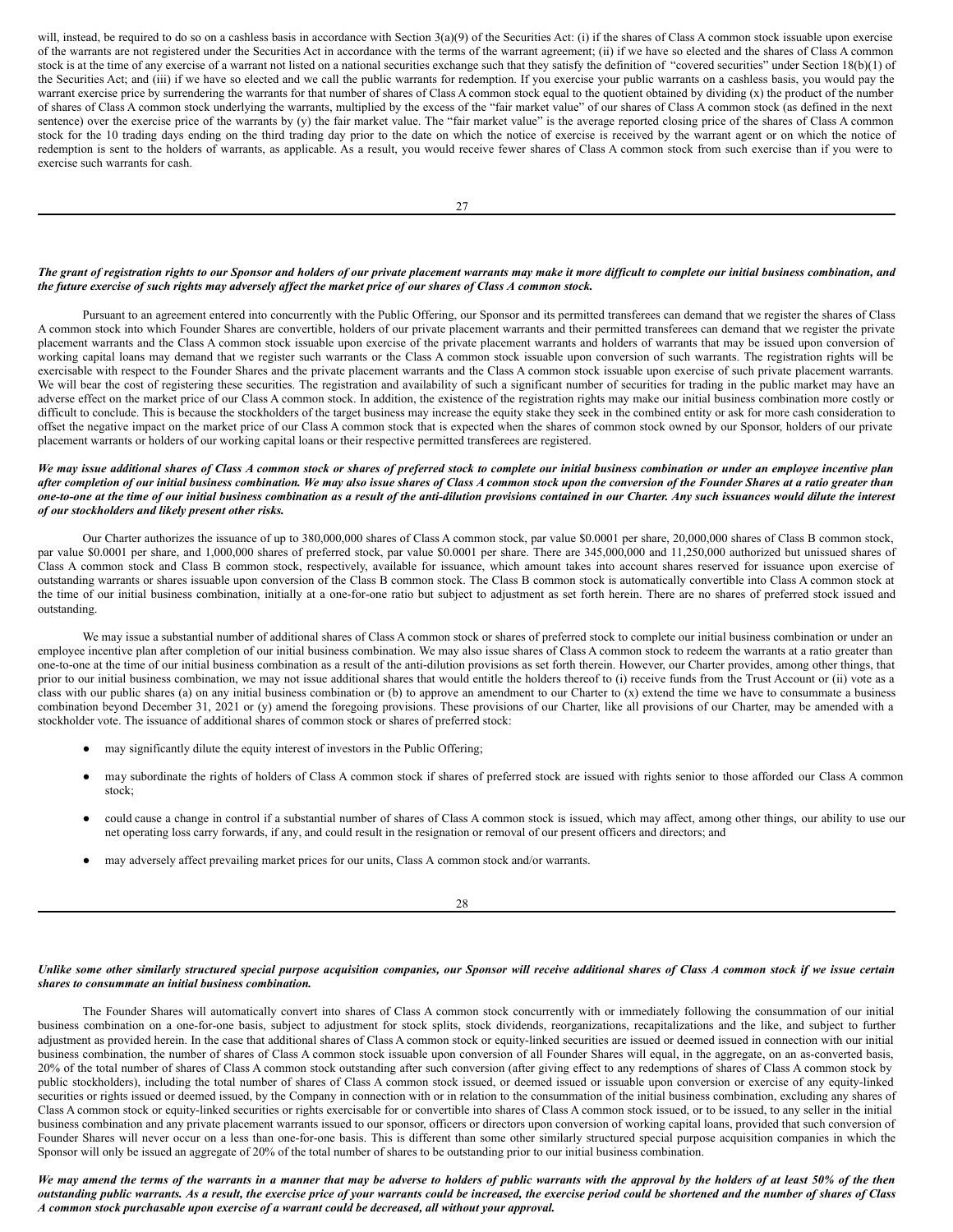will, instead, be required to do so on a cashless basis in accordance with Section 3(a)(9) of the Securities Act: (i) if the shares of Class A common stock issuable upon exercise of the warrants are not registered under the Securities Act in accordance with the terms of the warrant agreement; (ii) if we have so elected and the shares of Class A common stock is at the time of any exercise of a warrant not listed on a national securities exchange such that they satisfy the definition of "covered securities" under Section 18(b)(1) of the Securities Act; and (iii) if we have so elected and we call the public warrants for redemption. If you exercise your public warrants on a cashless basis, you would pay the warrant exercise price by surrendering the warrants for that number of shares of Class A common stock equal to the quotient obtained by dividing (x) the product of the number of shares of Class A common stock underlying the warrants, multiplied by the excess of the "fair market value" of our shares of Class A common stock (as defined in the next sentence) over the exercise price of the warrants by (y) the fair market value. The "fair market value" is the average reported closing price of the shares of Class A common stock for the 10 trading days ending on the third trading day prior to the date on which the notice of exercise is received by the warrant agent or on which the notice of redemption is sent to the holders of warrants, as applicable. As a result, you would receive fewer shares of Class A common stock from such exercise than if you were to exercise such warrants for cash.

## The grant of registration rights to our Sponsor and holders of our private placement warrants may make it more difficult to complete our initial business combination, and the future exercise of such rights may adversely affect the market price of our shares of Class A common stock.

Pursuant to an agreement entered into concurrently with the Public Offering, our Sponsor and its permitted transferees can demand that we register the shares of Class A common stock into which Founder Shares are convertible, holders of our private placement warrants and their permitted transferees can demand that we register the private placement warrants and the Class A common stock issuable upon exercise of the private placement warrants and holders of warrants that may be issued upon conversion of working capital loans may demand that we register such warrants or the Class A common stock issuable upon conversion of such warrants. The registration rights will be exercisable with respect to the Founder Shares and the private placement warrants and the Class A common stock issuable upon exercise of such private placement warrants. We will bear the cost of registering these securities. The registration and availability of such a significant number of securities for trading in the public market may have an adverse effect on the market price of our Class A common stock. In addition, the existence of the registration rights may make our initial business combination more costly or difficult to conclude. This is because the stockholders of the target business may increase the equity stake they seek in the combined entity or ask for more cash consideration to offset the negative impact on the market price of our Class A common stock that is expected when the shares of common stock owned by our Sponsor, holders of our private placement warrants or holders of our working capital loans or their respective permitted transferees are registered.

### We may issue additional shares of Class A common stock or shares of preferred stock to complete our initial business combination or under an employee incentive plan after completion of our initial business combination. We may also issue shares of Class A common stock upon the conversion of the Founder Shares at a ratio greater than one-to-one at the time of our initial business combination as a result of the anti-dilution provisions contained in our Charter. Any such issuances would dilute the interest *of our stockholders and likely present other risks.*

Our Charter authorizes the issuance of up to 380,000,000 shares of Class A common stock, par value \$0.0001 per share, 20,000,000 shares of Class B common stock, par value \$0.0001 per share, and 1,000,000 shares of preferred stock, par value \$0.0001 per share. There are 345,000,000 and 11,250,000 authorized but unissued shares of Class A common stock and Class B common stock, respectively, available for issuance, which amount takes into account shares reserved for issuance upon exercise of outstanding warrants or shares issuable upon conversion of the Class B common stock. The Class B common stock is automatically convertible into Class A common stock at the time of our initial business combination, initially at a one-for-one ratio but subject to adjustment as set forth herein. There are no shares of preferred stock issued and outstanding.

We may issue a substantial number of additional shares of Class A common stock or shares of preferred stock to complete our initial business combination or under an employee incentive plan after completion of our initial business combination. We may also issue shares of Class A common stock to redeem the warrants at a ratio greater than one-to-one at the time of our initial business combination as a result of the anti-dilution provisions as set forth therein. However, our Charter provides, among other things, that prior to our initial business combination, we may not issue additional shares that would entitle the holders thereof to (i) receive funds from the Trust Account or (ii) vote as a class with our public shares (a) on any initial business combination or (b) to approve an amendment to our Charter to (x) extend the time we have to consummate a business combination beyond December 31, 2021 or (y) amend the foregoing provisions. These provisions of our Charter, like all provisions of our Charter, may be amended with a stockholder vote. The issuance of additional shares of common stock or shares of preferred stock:

- may significantly dilute the equity interest of investors in the Public Offering;
- may subordinate the rights of holders of Class A common stock if shares of preferred stock are issued with rights senior to those afforded our Class A common stock;
- could cause a change in control if a substantial number of shares of Class A common stock is issued, which may affect, among other things, our ability to use our net operating loss carry forwards, if any, and could result in the resignation or removal of our present officers and directors; and
- may adversely affect prevailing market prices for our units, Class A common stock and/or warrants.

28

## Unlike some other similarly structured special purpose acquisition companies, our Sponsor will receive additional shares of Class A common stock if we issue certain *shares to consummate an initial business combination.*

The Founder Shares will automatically convert into shares of Class A common stock concurrently with or immediately following the consummation of our initial business combination on a one-for-one basis, subject to adjustment for stock splits, stock dividends, reorganizations, recapitalizations and the like, and subject to further adjustment as provided herein. In the case that additional shares of Class A common stock or equity-linked securities are issued or deemed issued in connection with our initial business combination, the number of shares of Class A common stock issuable upon conversion of all Founder Shares will equal, in the aggregate, on an as-converted basis, 20% of the total number of shares of Class A common stock outstanding after such conversion (after giving effect to any redemptions of shares of Class A common stock by public stockholders), including the total number of shares of Class A common stock issued, or deemed issued or issuable upon conversion or exercise of any equity-linked securities or rights issued or deemed issued, by the Company in connection with or in relation to the consummation of the initial business combination, excluding any shares of Class A common stock or equity-linked securities or rights exercisable for or convertible into shares of Class A common stock issued, or to be issued, to any seller in the initial business combination and any private placement warrants issued to our sponsor, officers or directors upon conversion of working capital loans, provided that such conversion of Founder Shares will never occur on a less than one-for-one basis. This is different than some other similarly structured special purpose acquisition companies in which the Sponsor will only be issued an aggregate of 20% of the total number of shares to be outstanding prior to our initial business combination.

We may amend the terms of the warrants in a manner that may be adverse to holders of public warrants with the approval by the holders of at least 50% of the then outstanding public warrants. As a result, the exercise price of your warrants could be increased, the exercise period could be shortened and the number of shares of Class *A common stock purchasable upon exercise of a warrant could be decreased, all without your approval.*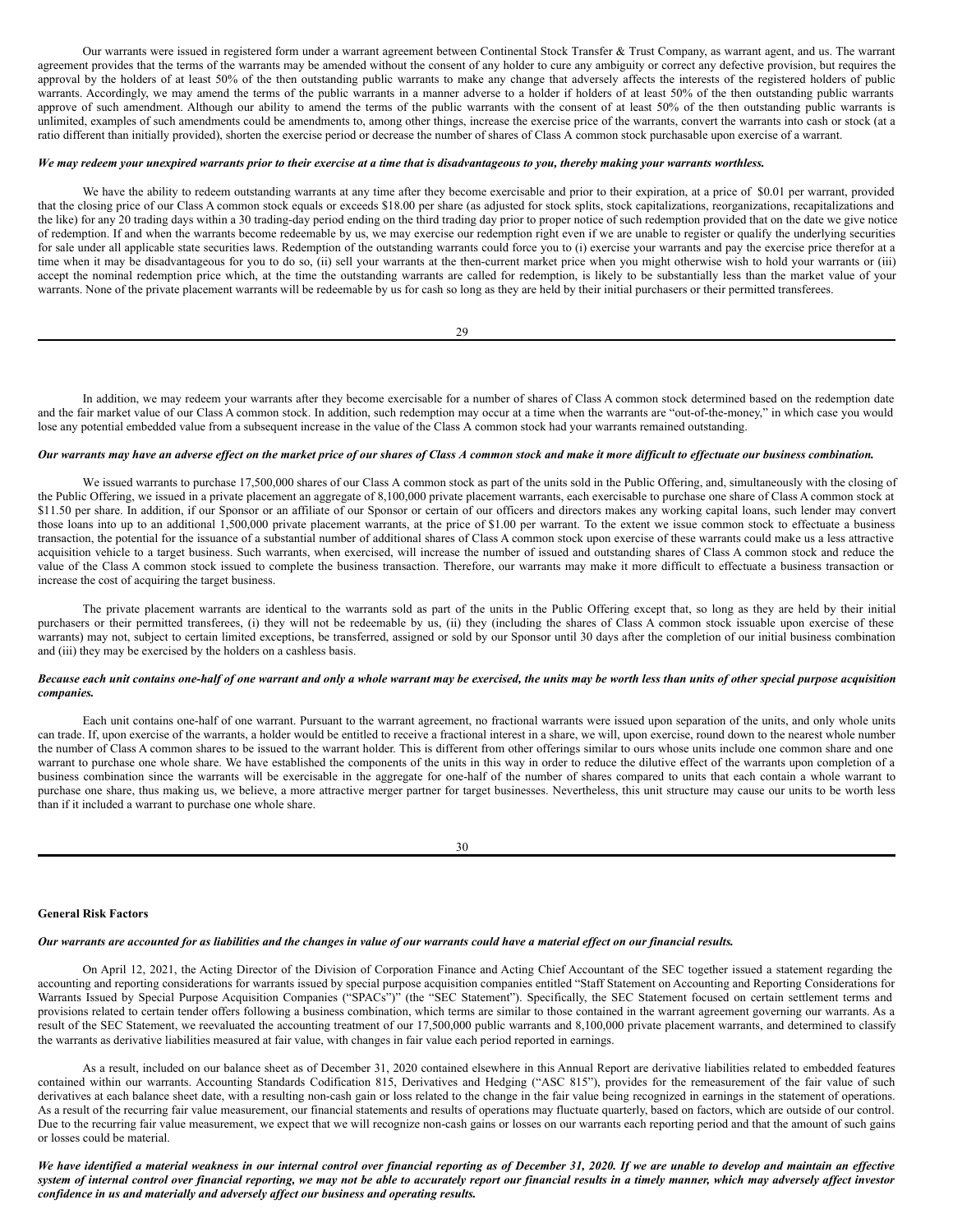Our warrants were issued in registered form under a warrant agreement between Continental Stock Transfer & Trust Company, as warrant agent, and us. The warrant agreement provides that the terms of the warrants may be amended without the consent of any holder to cure any ambiguity or correct any defective provision, but requires the approval by the holders of at least 50% of the then outstanding public warrants to make any change that adversely affects the interests of the registered holders of public warrants. Accordingly, we may amend the terms of the public warrants in a manner adverse to a holder if holders of at least 50% of the then outstanding public warrants approve of such amendment. Although our ability to amend the terms of the public warrants with the consent of at least 50% of the then outstanding public warrants is unlimited, examples of such amendments could be amendments to, among other things, increase the exercise price of the warrants, convert the warrants into cash or stock (at a ratio different than initially provided), shorten the exercise period or decrease the number of shares of Class A common stock purchasable upon exercise of a warrant.

# We may redeem your unexpired warrants prior to their exercise at a time that is disadvantageous to you, thereby making your warrants worthless.

We have the ability to redeem outstanding warrants at any time after they become exercisable and prior to their expiration, at a price of \$0.01 per warrant, provided that the closing price of our Class A common stock equals or exceeds \$18.00 per share (as adjusted for stock splits, stock capitalizations, reorganizations, recapitalizations and the like) for any 20 trading days within a 30 trading-day period ending on the third trading day prior to proper notice of such redemption provided that on the date we give notice of redemption. If and when the warrants become redeemable by us, we may exercise our redemption right even if we are unable to register or qualify the underlying securities for sale under all applicable state securities laws. Redemption of the outstanding warrants could force you to (i) exercise your warrants and pay the exercise price therefor at a time when it may be disadvantageous for you to do so, (ii) sell your warrants at the then-current market price when you might otherwise wish to hold your warrants or (iii) accept the nominal redemption price which, at the time the outstanding warrants are called for redemption, is likely to be substantially less than the market value of your warrants. None of the private placement warrants will be redeemable by us for cash so long as they are held by their initial purchasers or their permitted transferees.

| I | ۰.<br>I<br>٧ |  |
|---|--------------|--|

In addition, we may redeem your warrants after they become exercisable for a number of shares of Class A common stock determined based on the redemption date and the fair market value of our Class A common stock. In addition, such redemption may occur at a time when the warrants are "out-of-the-money," in which case you would lose any potential embedded value from a subsequent increase in the value of the Class A common stock had your warrants remained outstanding.

# Our warrants may have an adverse effect on the market price of our shares of Class A common stock and make it more difficult to effectuate our business combination.

We issued warrants to purchase 17,500,000 shares of our Class A common stock as part of the units sold in the Public Offering, and, simultaneously with the closing of the Public Offering, we issued in a private placement an aggregate of 8,100,000 private placement warrants, each exercisable to purchase one share of Class A common stock at \$11.50 per share. In addition, if our Sponsor or an affiliate of our Sponsor or certain of our officers and directors makes any working capital loans, such lender may convert those loans into up to an additional 1,500,000 private placement warrants, at the price of \$1.00 per warrant. To the extent we issue common stock to effectuate a business transaction, the potential for the issuance of a substantial number of additional shares of Class A common stock upon exercise of these warrants could make us a less attractive acquisition vehicle to a target business. Such warrants, when exercised, will increase the number of issued and outstanding shares of Class A common stock and reduce the value of the Class A common stock issued to complete the business transaction. Therefore, our warrants may make it more difficult to effectuate a business transaction or increase the cost of acquiring the target business.

The private placement warrants are identical to the warrants sold as part of the units in the Public Offering except that, so long as they are held by their initial purchasers or their permitted transferees, (i) they will not be redeemable by us, (ii) they (including the shares of Class A common stock issuable upon exercise of these warrants) may not, subject to certain limited exceptions, be transferred, assigned or sold by our Sponsor until 30 days after the completion of our initial business combination and (iii) they may be exercised by the holders on a cashless basis.

## Because each unit contains one-half of one warrant and only a whole warrant may be exercised, the units may be worth less than units of other special purpose acquisition *companies.*

Each unit contains one-half of one warrant. Pursuant to the warrant agreement, no fractional warrants were issued upon separation of the units, and only whole units can trade. If, upon exercise of the warrants, a holder would be entitled to receive a fractional interest in a share, we will, upon exercise, round down to the nearest whole number the number of Class A common shares to be issued to the warrant holder. This is different from other offerings similar to ours whose units include one common share and one warrant to purchase one whole share. We have established the components of the units in this way in order to reduce the dilutive effect of the warrants upon completion of a business combination since the warrants will be exercisable in the aggregate for one-half of the number of shares compared to units that each contain a whole warrant to purchase one share, thus making us, we believe, a more attractive merger partner for target businesses. Nevertheless, this unit structure may cause our units to be worth less than if it included a warrant to purchase one whole share.

| ۰,<br>I<br>$\sim$ | ٠<br>۰.<br>v<br>۰. |
|-------------------|--------------------|

## **General Risk Factors**

## Our warrants are accounted for as liabilities and the changes in value of our warrants could have a material effect on our financial results.

On April 12, 2021, the Acting Director of the Division of Corporation Finance and Acting Chief Accountant of the SEC together issued a statement regarding the accounting and reporting considerations for warrants issued by special purpose acquisition companies entitled "Staff Statement on Accounting and Reporting Considerations for Warrants Issued by Special Purpose Acquisition Companies ("SPACs")" (the "SEC Statement"). Specifically, the SEC Statement focused on certain settlement terms and provisions related to certain tender offers following a business combination, which terms are similar to those contained in the warrant agreement governing our warrants. As a result of the SEC Statement, we reevaluated the accounting treatment of our 17,500,000 public warrants and 8,100,000 private placement warrants, and determined to classify the warrants as derivative liabilities measured at fair value, with changes in fair value each period reported in earnings.

As a result, included on our balance sheet as of December 31, 2020 contained elsewhere in this Annual Report are derivative liabilities related to embedded features contained within our warrants. Accounting Standards Codification 815, Derivatives and Hedging ("ASC 815"), provides for the remeasurement of the fair value of such derivatives at each balance sheet date, with a resulting non-cash gain or loss related to the change in the fair value being recognized in earnings in the statement of operations. As a result of the recurring fair value measurement, our financial statements and results of operations may fluctuate quarterly, based on factors, which are outside of our control. Due to the recurring fair value measurement, we expect that we will recognize non-cash gains or losses on our warrants each reporting period and that the amount of such gains or losses could be material.

We have identified a material weakness in our internal control over financial reporting as of December 31, 2020. If we are unable to develop and maintain an effective system of internal control over financial reporting, we may not be able to accurately report our financial results in a timely manner, which may adversely affect investor *confidence in us and materially and adversely af ect our business and operating results.*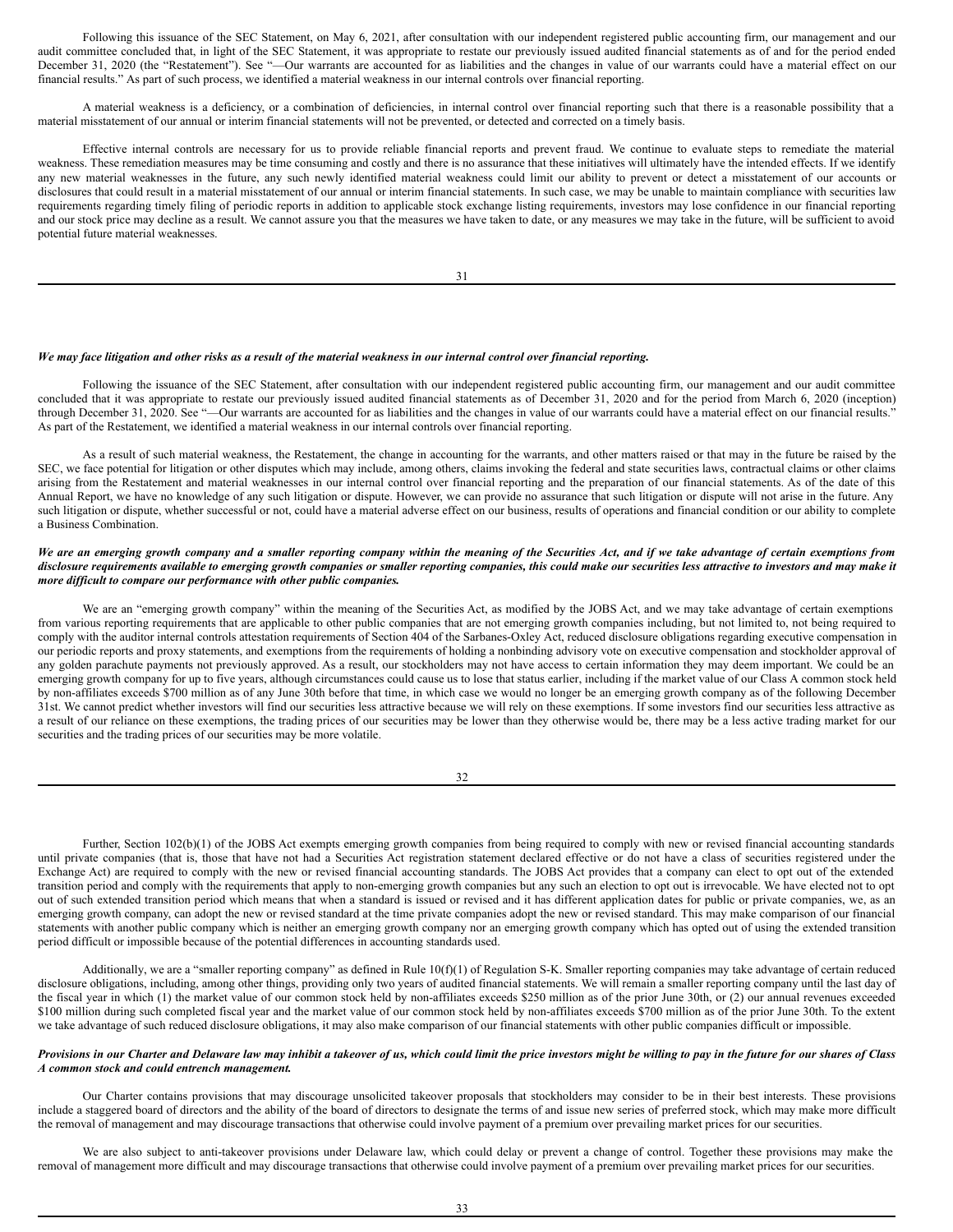Following this issuance of the SEC Statement, on May 6, 2021, after consultation with our independent registered public accounting firm, our management and our audit committee concluded that, in light of the SEC Statement, it was appropriate to restate our previously issued audited financial statements as of and for the period ended December 31, 2020 (the "Restatement"). See "—Our warrants are accounted for as liabilities and the changes in value of our warrants could have a material effect on our financial results." As part of such process, we identified a material weakness in our internal controls over financial reporting.

A material weakness is a deficiency, or a combination of deficiencies, in internal control over financial reporting such that there is a reasonable possibility that a material misstatement of our annual or interim financial statements will not be prevented, or detected and corrected on a timely basis.

Effective internal controls are necessary for us to provide reliable financial reports and prevent fraud. We continue to evaluate steps to remediate the material weakness. These remediation measures may be time consuming and costly and there is no assurance that these initiatives will ultimately have the intended effects. If we identify any new material weaknesses in the future, any such newly identified material weakness could limit our ability to prevent or detect a misstatement of our accounts or disclosures that could result in a material misstatement of our annual or interim financial statements. In such case, we may be unable to maintain compliance with securities law requirements regarding timely filing of periodic reports in addition to applicable stock exchange listing requirements, investors may lose confidence in our financial reporting and our stock price may decline as a result. We cannot assure you that the measures we have taken to date, or any measures we may take in the future, will be sufficient to avoid potential future material weaknesses.

# We may face litigation and other risks as a result of the material weakness in our internal control over financial reporting.

Following the issuance of the SEC Statement, after consultation with our independent registered public accounting firm, our management and our audit committee concluded that it was appropriate to restate our previously issued audited financial statements as of December 31, 2020 and for the period from March 6, 2020 (inception) through December 31, 2020. See "—Our warrants are accounted for as liabilities and the changes in value of our warrants could have a material effect on our financial results." As part of the Restatement, we identified a material weakness in our internal controls over financial reporting.

As a result of such material weakness, the Restatement, the change in accounting for the warrants, and other matters raised or that may in the future be raised by the SEC, we face potential for litigation or other disputes which may include, among others, claims invoking the federal and state securities laws, contractual claims or other claims arising from the Restatement and material weaknesses in our internal control over financial reporting and the preparation of our financial statements. As of the date of this Annual Report, we have no knowledge of any such litigation or dispute. However, we can provide no assurance that such litigation or dispute will not arise in the future. Any such litigation or dispute, whether successful or not, could have a material adverse effect on our business, results of operations and financial condition or our ability to complete a Business Combination.

## We are an emerging growth company and a smaller reporting company within the meaning of the Securities Act, and if we take advantage of certain exemptions from disclosure requirements available to emerging growth companies or smaller reporting companies, this could make our securities less attractive to investors and may make it *more dif icult to compare our performance with other public companies.*

We are an "emerging growth company" within the meaning of the Securities Act, as modified by the JOBS Act, and we may take advantage of certain exemptions from various reporting requirements that are applicable to other public companies that are not emerging growth companies including, but not limited to, not being required to comply with the auditor internal controls attestation requirements of Section 404 of the Sarbanes-Oxley Act, reduced disclosure obligations regarding executive compensation in our periodic reports and proxy statements, and exemptions from the requirements of holding a nonbinding advisory vote on executive compensation and stockholder approval of any golden parachute payments not previously approved. As a result, our stockholders may not have access to certain information they may deem important. We could be an emerging growth company for up to five years, although circumstances could cause us to lose that status earlier, including if the market value of our Class A common stock held by non-affiliates exceeds \$700 million as of any June 30th before that time, in which case we would no longer be an emerging growth company as of the following December 31st. We cannot predict whether investors will find our securities less attractive because we will rely on these exemptions. If some investors find our securities less attractive as a result of our reliance on these exemptions, the trading prices of our securities may be lower than they otherwise would be, there may be a less active trading market for our securities and the trading prices of our securities may be more volatile.

| I |  |
|---|--|

Further, Section 102(b)(1) of the JOBS Act exempts emerging growth companies from being required to comply with new or revised financial accounting standards until private companies (that is, those that have not had a Securities Act registration statement declared effective or do not have a class of securities registered under the Exchange Act) are required to comply with the new or revised financial accounting standards. The JOBS Act provides that a company can elect to opt out of the extended transition period and comply with the requirements that apply to non-emerging growth companies but any such an election to opt out is irrevocable. We have elected not to opt out of such extended transition period which means that when a standard is issued or revised and it has different application dates for public or private companies, we, as an emerging growth company, can adopt the new or revised standard at the time private companies adopt the new or revised standard. This may make comparison of our financial statements with another public company which is neither an emerging growth company nor an emerging growth company which has opted out of using the extended transition period difficult or impossible because of the potential differences in accounting standards used.

Additionally, we are a "smaller reporting company" as defined in Rule 10(f)(1) of Regulation S-K. Smaller reporting companies may take advantage of certain reduced disclosure obligations, including, among other things, providing only two years of audited financial statements. We will remain a smaller reporting company until the last day of the fiscal year in which (1) the market value of our common stock held by non-affiliates exceeds \$250 million as of the prior June 30th, or (2) our annual revenues exceeded \$100 million during such completed fiscal year and the market value of our common stock held by non-affiliates exceeds \$700 million as of the prior June 30th. To the extent we take advantage of such reduced disclosure obligations, it may also make comparison of our financial statements with other public companies difficult or impossible.

# Provisions in our Charter and Delaware law may inhibit a takeover of us, which could limit the price investors might be willing to pay in the future for our shares of Class *A common stock and could entrench management.*

Our Charter contains provisions that may discourage unsolicited takeover proposals that stockholders may consider to be in their best interests. These provisions include a staggered board of directors and the ability of the board of directors to designate the terms of and issue new series of preferred stock, which may make more difficult the removal of management and may discourage transactions that otherwise could involve payment of a premium over prevailing market prices for our securities.

We are also subject to anti-takeover provisions under Delaware law, which could delay or prevent a change of control. Together these provisions may make the removal of management more difficult and may discourage transactions that otherwise could involve payment of a premium over prevailing market prices for our securities.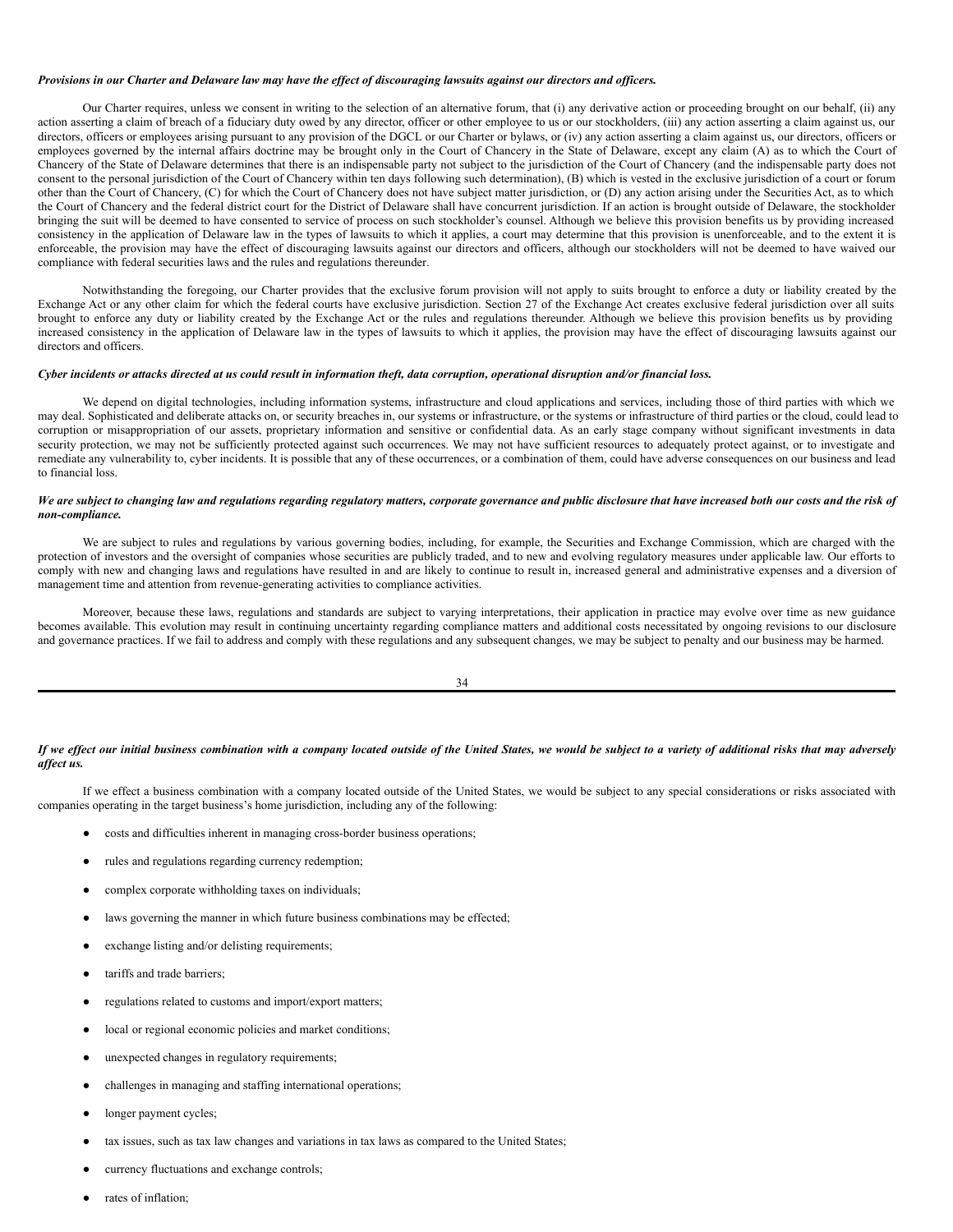#### Provisions in our Charter and Delaware law may have the effect of discouraging lawsuits against our directors and officers.

Our Charter requires, unless we consent in writing to the selection of an alternative forum, that (i) any derivative action or proceeding brought on our behalf, (ii) any action asserting a claim of breach of a fiduciary duty owed by any director, officer or other employee to us or our stockholders, (iii) any action asserting a claim against us, our directors, officers or employees arising pursuant to any provision of the DGCL or our Charter or bylaws, or (iv) any action asserting a claim against us, our directors, officers or employees governed by the internal affairs doctrine may be brought only in the Court of Chancery in the State of Delaware, except any claim (A) as to which the Court of Chancery of the State of Delaware determines that there is an indispensable party not subject to the jurisdiction of the Court of Chancery (and the indispensable party does not consent to the personal jurisdiction of the Court of Chancery within ten days following such determination), (B) which is vested in the exclusive jurisdiction of a court or forum other than the Court of Chancery, (C) for which the Court of Chancery does not have subject matter jurisdiction, or (D) any action arising under the Securities Act, as to which the Court of Chancery and the federal district court for the District of Delaware shall have concurrent jurisdiction. If an action is brought outside of Delaware, the stockholder bringing the suit will be deemed to have consented to service of process on such stockholder's counsel. Although we believe this provision benefits us by providing increased consistency in the application of Delaware law in the types of lawsuits to which it applies, a court may determine that this provision is unenforceable, and to the extent it is enforceable, the provision may have the effect of discouraging lawsuits against our directors and officers, although our stockholders will not be deemed to have waived our compliance with federal securities laws and the rules and regulations thereunder.

Notwithstanding the foregoing, our Charter provides that the exclusive forum provision will not apply to suits brought to enforce a duty or liability created by the Exchange Act or any other claim for which the federal courts have exclusive jurisdiction. Section 27 of the Exchange Act creates exclusive federal jurisdiction over all suits brought to enforce any duty or liability created by the Exchange Act or the rules and regulations thereunder. Although we believe this provision benefits us by providing increased consistency in the application of Delaware law in the types of lawsuits to which it applies, the provision may have the effect of discouraging lawsuits against our directors and officers.

### Cyber incidents or attacks directed at us could result in information theft, data corruption, operational disruption and/or financial loss.

We depend on digital technologies, including information systems, infrastructure and cloud applications and services, including those of third parties with which we may deal. Sophisticated and deliberate attacks on, or security breaches in, our systems or infrastructure, or the systems or infrastructure of third parties or the cloud, could lead to corruption or misappropriation of our assets, proprietary information and sensitive or confidential data. As an early stage company without significant investments in data security protection, we may not be sufficiently protected against such occurrences. We may not have sufficient resources to adequately protect against, or to investigate and remediate any vulnerability to, cyber incidents. It is possible that any of these occurrences, or a combination of them, could have adverse consequences on our business and lead to financial loss.

### We are subject to changing law and regulations regarding regulatory matters, corporate governance and public disclosure that have increased both our costs and the risk of *non-compliance.*

We are subject to rules and regulations by various governing bodies, including, for example, the Securities and Exchange Commission, which are charged with the protection of investors and the oversight of companies whose securities are publicly traded, and to new and evolving regulatory measures under applicable law. Our efforts to comply with new and changing laws and regulations have resulted in and are likely to continue to result in, increased general and administrative expenses and a diversion of management time and attention from revenue-generating activities to compliance activities.

Moreover, because these laws, regulations and standards are subject to varying interpretations, their application in practice may evolve over time as new guidance becomes available. This evolution may result in continuing uncertainty regarding compliance matters and additional costs necessitated by ongoing revisions to our disclosure and governance practices. If we fail to address and comply with these regulations and any subsequent changes, we may be subject to penalty and our business may be harmed.

## If we effect our initial business combination with a company located outside of the United States, we would be subject to a variety of additional risks that may adversely *af ect us.*

If we effect a business combination with a company located outside of the United States, we would be subject to any special considerations or risks associated with companies operating in the target business's home jurisdiction, including any of the following:

- costs and difficulties inherent in managing cross-border business operations;
- rules and regulations regarding currency redemption;
- complex corporate withholding taxes on individuals;
- laws governing the manner in which future business combinations may be effected;
- exchange listing and/or delisting requirements;
- tariffs and trade barriers;
- regulations related to customs and import/export matters;
- local or regional economic policies and market conditions;
- unexpected changes in regulatory requirements;
- challenges in managing and staffing international operations;
- longer payment cycles;
- tax issues, such as tax law changes and variations in tax laws as compared to the United States;
- currency fluctuations and exchange controls;
- rates of inflation: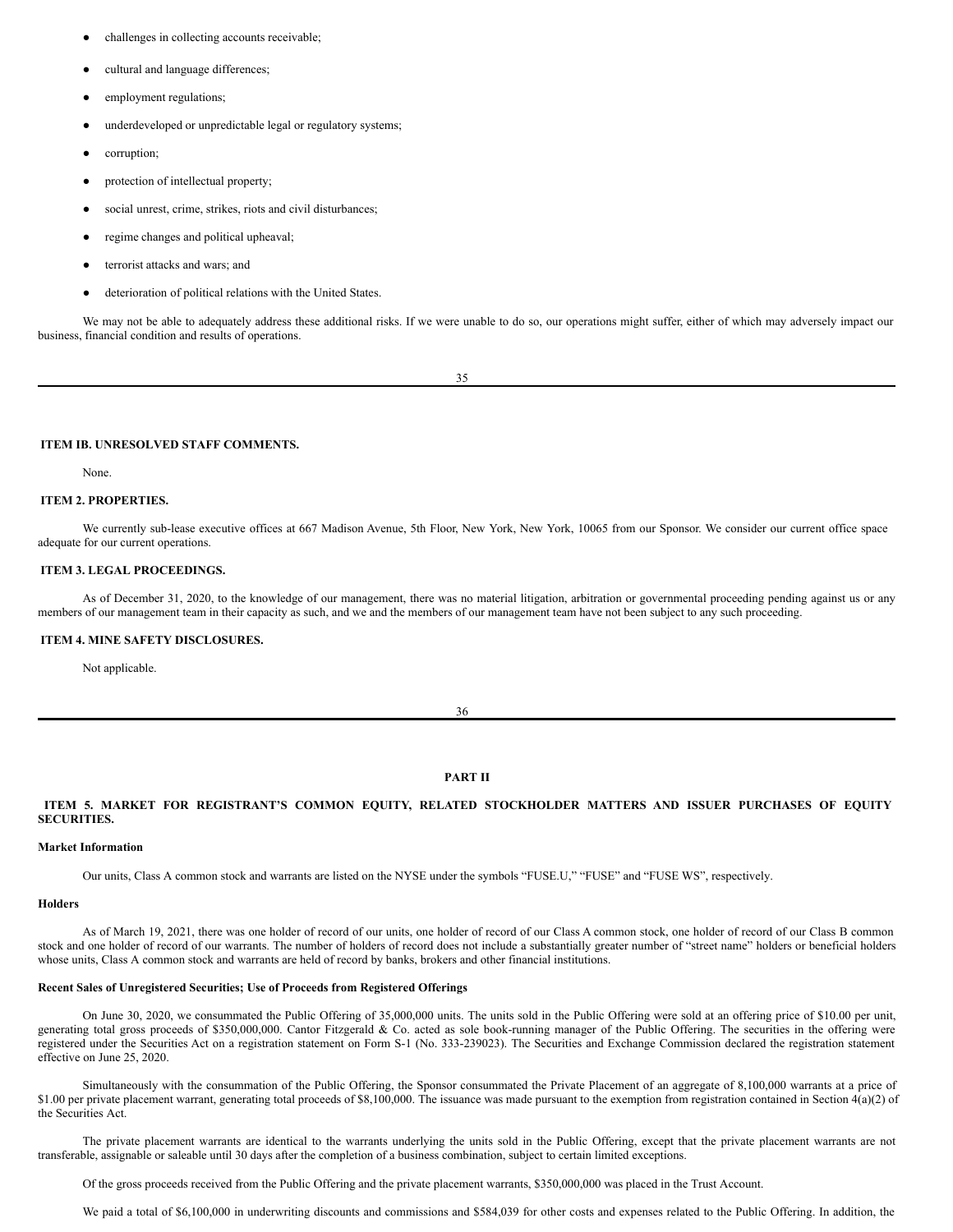- challenges in collecting accounts receivable;
- cultural and language differences;
- employment regulations;
- underdeveloped or unpredictable legal or regulatory systems;
- corruption;
- protection of intellectual property;
- social unrest, crime, strikes, riots and civil disturbances;
- regime changes and political upheaval;
- terrorist attacks and wars; and
- deterioration of political relations with the United States.

We may not be able to adequately address these additional risks. If we were unable to do so, our operations might suffer, either of which may adversely impact our business, financial condition and results of operations.

### <span id="page-21-0"></span>**ITEM IB. UNRESOLVED STAFF COMMENTS.**

None.

#### <span id="page-21-1"></span>**ITEM 2. PROPERTIES.**

We currently sub-lease executive offices at 667 Madison Avenue, 5th Floor, New York, New York, 10065 from our Sponsor. We consider our current office space adequate for our current operations.

### <span id="page-21-2"></span>**ITEM 3. LEGAL PROCEEDINGS.**

As of December 31, 2020, to the knowledge of our management, there was no material litigation, arbitration or governmental proceeding pending against us or any members of our management team in their capacity as such, and we and the members of our management team have not been subject to any such proceeding.

## <span id="page-21-3"></span>**ITEM 4. MINE SAFETY DISCLOSURES.**

Not applicable.

36

# **PART II**

# <span id="page-21-4"></span>**ITEM 5. MARKET FOR REGISTRANT'S COMMON EQUITY, RELATED STOCKHOLDER MATTERS AND ISSUER PURCHASES OF EQUITY SECURITIES.**

#### **Market Information**

Our units, Class A common stock and warrants are listed on the NYSE under the symbols "FUSE.U," "FUSE" and "FUSE WS", respectively.

## **Holders**

As of March 19, 2021, there was one holder of record of our units, one holder of record of our Class A common stock, one holder of record of our Class B common stock and one holder of record of our warrants. The number of holders of record does not include a substantially greater number of "street name" holders or beneficial holders whose units, Class A common stock and warrants are held of record by banks, brokers and other financial institutions.

#### **Recent Sales of Unregistered Securities; Use of Proceeds from Registered Offerings**

On June 30, 2020, we consummated the Public Offering of 35,000,000 units. The units sold in the Public Offering were sold at an offering price of \$10.00 per unit, generating total gross proceeds of \$350,000,000. Cantor Fitzgerald & Co. acted as sole book-running manager of the Public Offering. The securities in the offering were registered under the Securities Act on a registration statement on Form S-1 (No. 333-239023). The Securities and Exchange Commission declared the registration statement effective on June 25, 2020.

Simultaneously with the consummation of the Public Offering, the Sponsor consummated the Private Placement of an aggregate of 8,100,000 warrants at a price of \$1.00 per private placement warrant, generating total proceeds of \$8,100,000. The issuance was made pursuant to the exemption from registration contained in Section 4(a)(2) of the Securities Act.

The private placement warrants are identical to the warrants underlying the units sold in the Public Offering, except that the private placement warrants are not transferable, assignable or saleable until 30 days after the completion of a business combination, subject to certain limited exceptions.

Of the gross proceeds received from the Public Offering and the private placement warrants, \$350,000,000 was placed in the Trust Account.

We paid a total of \$6,100,000 in underwriting discounts and commissions and \$584,039 for other costs and expenses related to the Public Offering. In addition, the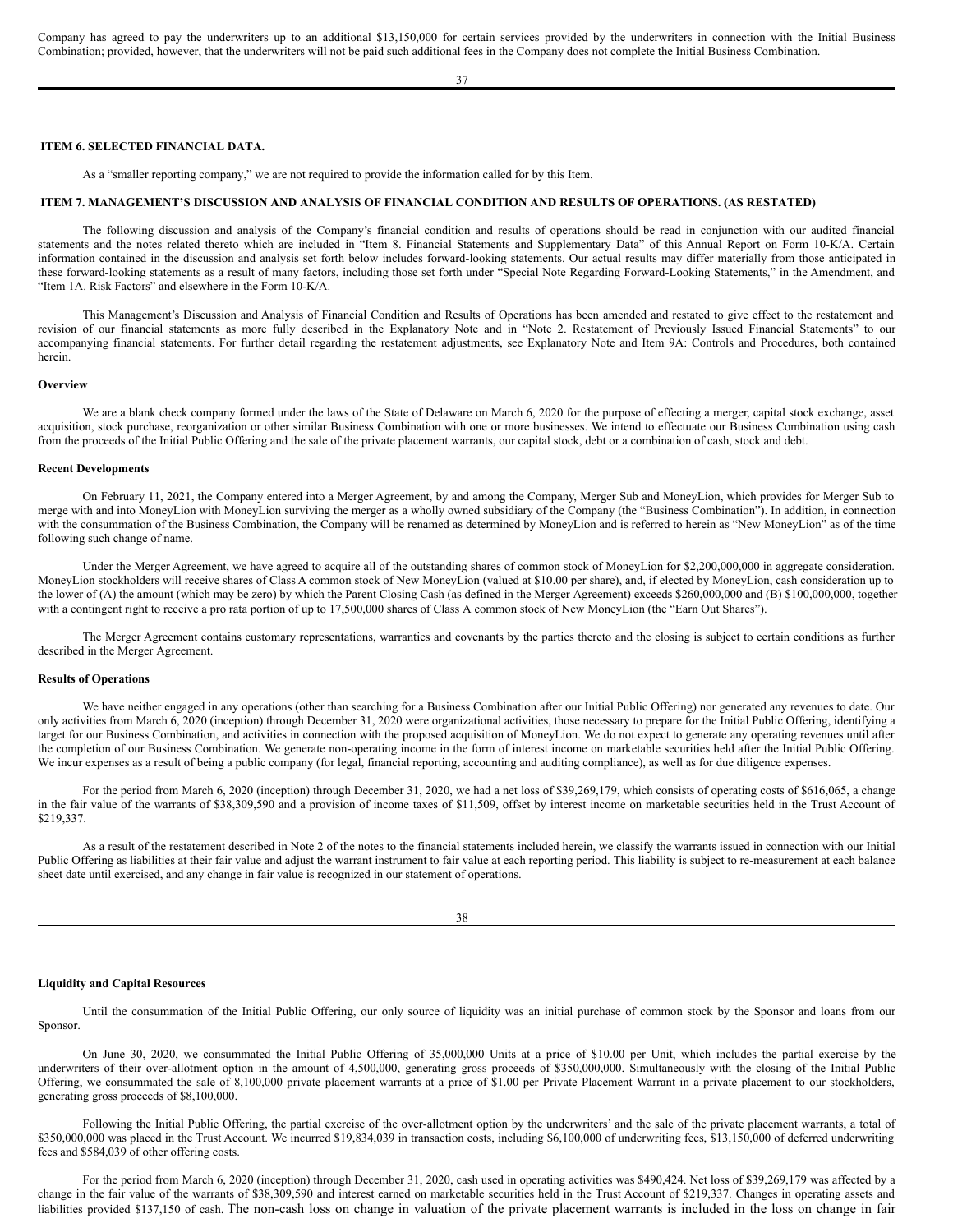Company has agreed to pay the underwriters up to an additional \$13,150,000 for certain services provided by the underwriters in connection with the Initial Business Combination; provided, however, that the underwriters will not be paid such additional fees in the Company does not complete the Initial Business Combination.

37

# <span id="page-22-0"></span>**ITEM 6. SELECTED FINANCIAL DATA.**

As a "smaller reporting company," we are not required to provide the information called for by this Item.

# <span id="page-22-1"></span>**ITEM 7. MANAGEMENT'S DISCUSSION AND ANALYSIS OF FINANCIAL CONDITION AND RESULTS OF OPERATIONS. (AS RESTATED)**

The following discussion and analysis of the Company's financial condition and results of operations should be read in conjunction with our audited financial statements and the notes related thereto which are included in "Item 8. Financial Statements and Supplementary Data" of this Annual Report on Form 10-K/A. Certain information contained in the discussion and analysis set forth below includes forward-looking statements. Our actual results may differ materially from those anticipated in these forward-looking statements as a result of many factors, including those set forth under "Special Note Regarding Forward-Looking Statements," in the Amendment, and "Item 1A. Risk Factors" and elsewhere in the Form 10-K/A.

This Management's Discussion and Analysis of Financial Condition and Results of Operations has been amended and restated to give effect to the restatement and revision of our financial statements as more fully described in the Explanatory Note and in "Note 2. Restatement of Previously Issued Financial Statements" to our accompanying financial statements. For further detail regarding the restatement adjustments, see Explanatory Note and Item 9A: Controls and Procedures, both contained herein.

#### **Overview**

We are a blank check company formed under the laws of the State of Delaware on March 6, 2020 for the purpose of effecting a merger, capital stock exchange, asset acquisition, stock purchase, reorganization or other similar Business Combination with one or more businesses. We intend to effectuate our Business Combination using cash from the proceeds of the Initial Public Offering and the sale of the private placement warrants, our capital stock, debt or a combination of cash, stock and debt.

## **Recent Developments**

On February 11, 2021, the Company entered into a Merger Agreement, by and among the Company, Merger Sub and MoneyLion, which provides for Merger Sub to merge with and into MoneyLion with MoneyLion surviving the merger as a wholly owned subsidiary of the Company (the "Business Combination"). In addition, in connection with the consummation of the Business Combination, the Company will be renamed as determined by MoneyLion and is referred to herein as "New MoneyLion" as of the time following such change of name.

Under the Merger Agreement, we have agreed to acquire all of the outstanding shares of common stock of MoneyLion for \$2,200,000,000 in aggregate consideration. MoneyLion stockholders will receive shares of Class A common stock of New MoneyLion (valued at \$10.00 per share), and, if elected by MoneyLion, cash consideration up to the lower of (A) the amount (which may be zero) by which the Parent Closing Cash (as defined in the Merger Agreement) exceeds \$260,000,000 and (B) \$100,000,000, together with a contingent right to receive a pro rata portion of up to 17,500,000 shares of Class A common stock of New MoneyLion (the "Earn Out Shares").

The Merger Agreement contains customary representations, warranties and covenants by the parties thereto and the closing is subject to certain conditions as further described in the Merger Agreement.

### **Results of Operations**

We have neither engaged in any operations (other than searching for a Business Combination after our Initial Public Offering) nor generated any revenues to date. Our only activities from March 6, 2020 (inception) through December 31, 2020 were organizational activities, those necessary to prepare for the Initial Public Offering, identifying a target for our Business Combination, and activities in connection with the proposed acquisition of MoneyLion. We do not expect to generate any operating revenues until after the completion of our Business Combination. We generate non-operating income in the form of interest income on marketable securities held after the Initial Public Offering. We incur expenses as a result of being a public company (for legal, financial reporting, accounting and auditing compliance), as well as for due diligence expenses.

For the period from March 6, 2020 (inception) through December 31, 2020, we had a net loss of \$39,269,179, which consists of operating costs of \$616,065, a change in the fair value of the warrants of \$38,309,590 and a provision of income taxes of \$11,509, offset by interest income on marketable securities held in the Trust Account of \$219,337.

As a result of the restatement described in Note 2 of the notes to the financial statements included herein, we classify the warrants issued in connection with our Initial Public Offering as liabilities at their fair value and adjust the warrant instrument to fair value at each reporting period. This liability is subject to re-measurement at each balance sheet date until exercised, and any change in fair value is recognized in our statement of operations.

### 38

#### **Liquidity and Capital Resources**

Until the consummation of the Initial Public Offering, our only source of liquidity was an initial purchase of common stock by the Sponsor and loans from our Sponsor.

On June 30, 2020, we consummated the Initial Public Offering of 35,000,000 Units at a price of \$10.00 per Unit, which includes the partial exercise by the underwriters of their over-allotment option in the amount of 4,500,000, generating gross proceeds of \$350,000,000. Simultaneously with the closing of the Initial Public Offering, we consummated the sale of 8,100,000 private placement warrants at a price of \$1.00 per Private Placement Warrant in a private placement to our stockholders, generating gross proceeds of \$8,100,000.

Following the Initial Public Offering, the partial exercise of the over-allotment option by the underwriters' and the sale of the private placement warrants, a total of \$350,000,000 was placed in the Trust Account. We incurred \$19,834,039 in transaction costs, including \$6,100,000 of underwriting fees, \$13,150,000 of deferred underwriting fees and \$584,039 of other offering costs.

For the period from March 6, 2020 (inception) through December 31, 2020, cash used in operating activities was \$490,424. Net loss of \$39,269,179 was affected by a change in the fair value of the warrants of \$38,309,590 and interest earned on marketable securities held in the Trust Account of \$219,337. Changes in operating assets and liabilities provided \$137,150 of cash. The non-cash loss on change in valuation of the private placement warrants is included in the loss on change in fair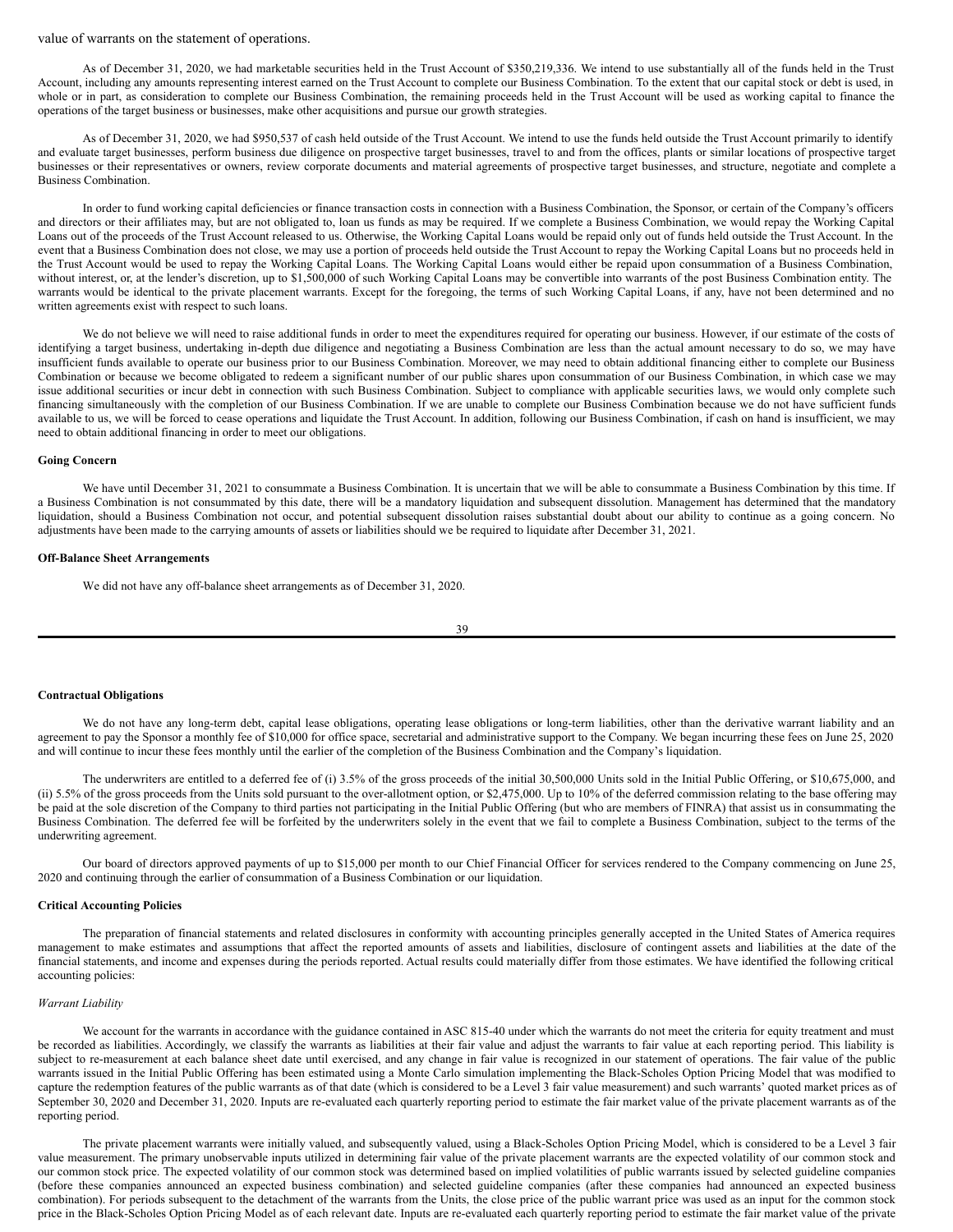### value of warrants on the statement of operations.

As of December 31, 2020, we had marketable securities held in the Trust Account of \$350,219,336. We intend to use substantially all of the funds held in the Trust Account, including any amounts representing interest earned on the Trust Account to complete our Business Combination. To the extent that our capital stock or debt is used, in whole or in part, as consideration to complete our Business Combination, the remaining proceeds held in the Trust Account will be used as working capital to finance the operations of the target business or businesses, make other acquisitions and pursue our growth strategies.

As of December 31, 2020, we had \$950,537 of cash held outside of the Trust Account. We intend to use the funds held outside the Trust Account primarily to identify and evaluate target businesses, perform business due diligence on prospective target businesses, travel to and from the offices, plants or similar locations of prospective target businesses or their representatives or owners, review corporate documents and material agreements of prospective target businesses, and structure, negotiate and complete a Business Combination.

In order to fund working capital deficiencies or finance transaction costs in connection with a Business Combination, the Sponsor, or certain of the Company's officers and directors or their affiliates may, but are not obligated to, loan us funds as may be required. If we complete a Business Combination, we would repay the Working Capital Loans out of the proceeds of the Trust Account released to us. Otherwise, the Working Capital Loans would be repaid only out of funds held outside the Trust Account. In the event that a Business Combination does not close, we may use a portion of proceeds held outside the Trust Account to repay the Working Capital Loans but no proceeds held in the Trust Account would be used to repay the Working Capital Loans. The Working Capital Loans would either be repaid upon consummation of a Business Combination, without interest, or, at the lender's discretion, up to \$1,500,000 of such Working Capital Loans may be convertible into warrants of the post Business Combination entity. The warrants would be identical to the private placement warrants. Except for the foregoing, the terms of such Working Capital Loans, if any, have not been determined and no written agreements exist with respect to such loans.

We do not believe we will need to raise additional funds in order to meet the expenditures required for operating our business. However, if our estimate of the costs of identifying a target business, undertaking in-depth due diligence and negotiating a Business Combination are less than the actual amount necessary to do so, we may have insufficient funds available to operate our business prior to our Business Combination. Moreover, we may need to obtain additional financing either to complete our Business Combination or because we become obligated to redeem a significant number of our public shares upon consummation of our Business Combination, in which case we may issue additional securities or incur debt in connection with such Business Combination. Subject to compliance with applicable securities laws, we would only complete such financing simultaneously with the completion of our Business Combination. If we are unable to complete our Business Combination because we do not have sufficient funds available to us, we will be forced to cease operations and liquidate the Trust Account. In addition, following our Business Combination, if cash on hand is insufficient, we may need to obtain additional financing in order to meet our obligations.

## **Going Concern**

We have until December 31, 2021 to consummate a Business Combination. It is uncertain that we will be able to consummate a Business Combination by this time. If a Business Combination is not consummated by this date, there will be a mandatory liquidation and subsequent dissolution. Management has determined that the mandatory liquidation, should a Business Combination not occur, and potential subsequent dissolution raises substantial doubt about our ability to continue as a going concern. No adjustments have been made to the carrying amounts of assets or liabilities should we be required to liquidate after December 31, 2021.

#### **Off-Balance Sheet Arrangements**

We did not have any off-balance sheet arrangements as of December 31, 2020.

39

#### **Contractual Obligations**

We do not have any long-term debt, capital lease obligations, operating lease obligations or long-term liabilities, other than the derivative warrant liability and an agreement to pay the Sponsor a monthly fee of \$10,000 for office space, secretarial and administrative support to the Company. We began incurring these fees on June 25, 2020 and will continue to incur these fees monthly until the earlier of the completion of the Business Combination and the Company's liquidation.

The underwriters are entitled to a deferred fee of (i) 3.5% of the gross proceeds of the initial 30,500,000 Units sold in the Initial Public Offering, or \$10,675,000, and (ii) 5.5% of the gross proceeds from the Units sold pursuant to the over-allotment option, or \$2,475,000. Up to 10% of the deferred commission relating to the base offering may be paid at the sole discretion of the Company to third parties not participating in the Initial Public Offering (but who are members of FINRA) that assist us in consummating the Business Combination. The deferred fee will be forfeited by the underwriters solely in the event that we fail to complete a Business Combination, subject to the terms of the underwriting agreement.

Our board of directors approved payments of up to \$15,000 per month to our Chief Financial Officer for services rendered to the Company commencing on June 25, 2020 and continuing through the earlier of consummation of a Business Combination or our liquidation.

## **Critical Accounting Policies**

The preparation of financial statements and related disclosures in conformity with accounting principles generally accepted in the United States of America requires management to make estimates and assumptions that affect the reported amounts of assets and liabilities, disclosure of contingent assets and liabilities at the date of the financial statements, and income and expenses during the periods reported. Actual results could materially differ from those estimates. We have identified the following critical accounting policies:

## *Warrant Liability*

We account for the warrants in accordance with the guidance contained in ASC 815-40 under which the warrants do not meet the criteria for equity treatment and must be recorded as liabilities. Accordingly, we classify the warrants as liabilities at their fair value and adjust the warrants to fair value at each reporting period. This liability is subject to re-measurement at each balance sheet date until exercised, and any change in fair value is recognized in our statement of operations. The fair value of the public warrants issued in the Initial Public Offering has been estimated using a Monte Carlo simulation implementing the Black-Scholes Option Pricing Model that was modified to capture the redemption features of the public warrants as of that date (which is considered to be a Level 3 fair value measurement) and such warrants' quoted market prices as of September 30, 2020 and December 31, 2020. Inputs are re-evaluated each quarterly reporting period to estimate the fair market value of the private placement warrants as of the reporting period.

The private placement warrants were initially valued, and subsequently valued, using a Black-Scholes Option Pricing Model, which is considered to be a Level 3 fair value measurement. The primary unobservable inputs utilized in determining fair value of the private placement warrants are the expected volatility of our common stock and our common stock price. The expected volatility of our common stock was determined based on implied volatilities of public warrants issued by selected guideline companies (before these companies announced an expected business combination) and selected guideline companies (after these companies had announced an expected business combination). For periods subsequent to the detachment of the warrants from the Units, the close price of the public warrant price was used as an input for the common stock price in the Black-Scholes Option Pricing Model as of each relevant date. Inputs are re-evaluated each quarterly reporting period to estimate the fair market value of the private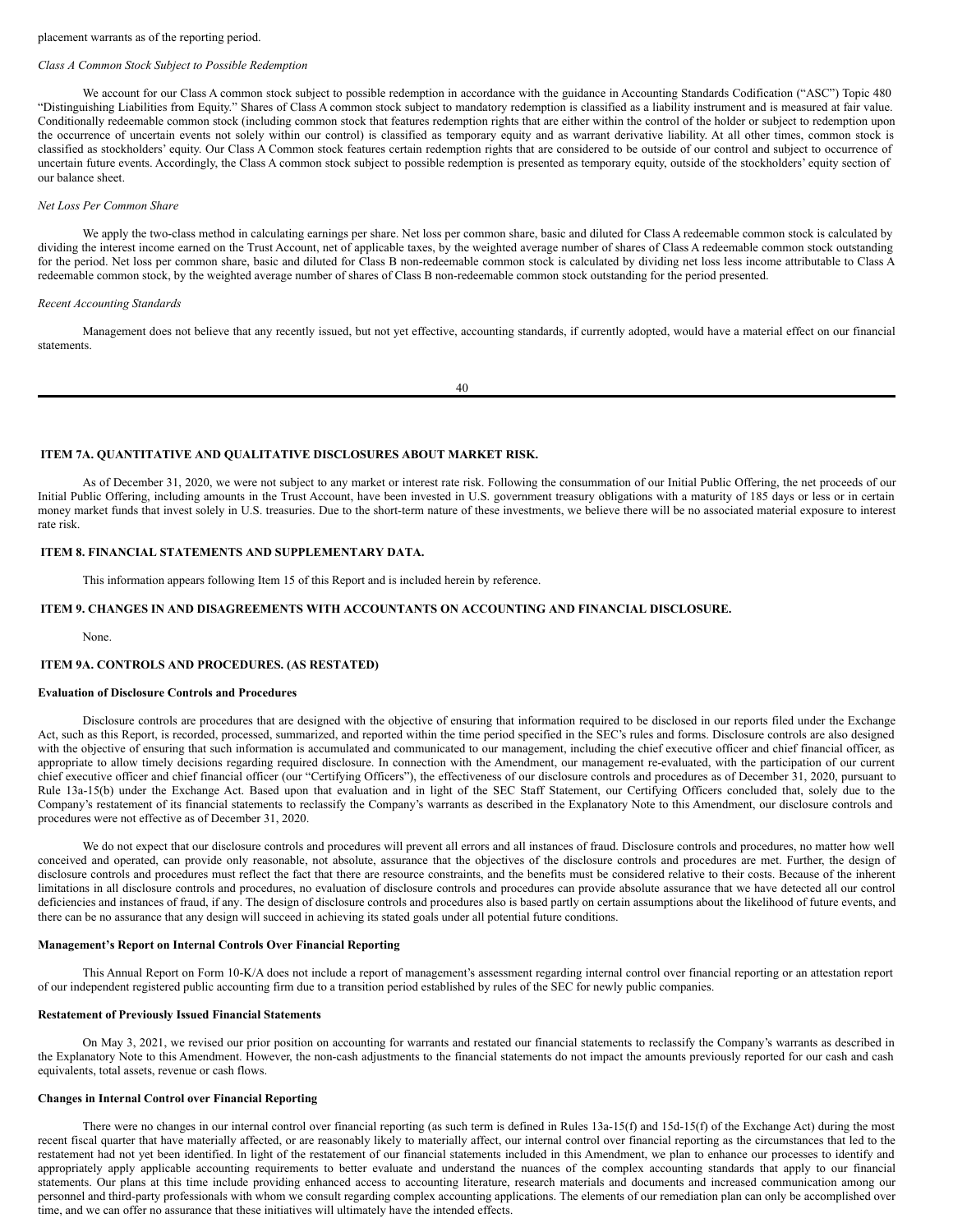### placement warrants as of the reporting period.

## *Class A Common Stock Subject to Possible Redemption*

We account for our Class A common stock subject to possible redemption in accordance with the guidance in Accounting Standards Codification ("ASC") Topic 480 "Distinguishing Liabilities from Equity." Shares of Class A common stock subject to mandatory redemption is classified as a liability instrument and is measured at fair value. Conditionally redeemable common stock (including common stock that features redemption rights that are either within the control of the holder or subject to redemption upon the occurrence of uncertain events not solely within our control) is classified as temporary equity and as warrant derivative liability. At all other times, common stock is classified as stockholders' equity. Our Class A Common stock features certain redemption rights that are considered to be outside of our control and subject to occurrence of uncertain future events. Accordingly, the Class A common stock subject to possible redemption is presented as temporary equity, outside of the stockholders' equity section of our balance sheet.

### *Net Loss Per Common Share*

We apply the two-class method in calculating earnings per share. Net loss per common share, basic and diluted for Class A redeemable common stock is calculated by dividing the interest income earned on the Trust Account, net of applicable taxes, by the weighted average number of shares of Class A redeemable common stock outstanding for the period. Net loss per common share, basic and diluted for Class B non-redeemable common stock is calculated by dividing net loss less income attributable to Class A redeemable common stock, by the weighted average number of shares of Class B non-redeemable common stock outstanding for the period presented.

#### *Recent Accounting Standards*

Management does not believe that any recently issued, but not yet effective, accounting standards, if currently adopted, would have a material effect on our financial statements.

40

### <span id="page-24-0"></span>**ITEM 7A. QUANTITATIVE AND QUALITATIVE DISCLOSURES ABOUT MARKET RISK.**

As of December 31, 2020, we were not subject to any market or interest rate risk. Following the consummation of our Initial Public Offering, the net proceeds of our Initial Public Offering, including amounts in the Trust Account, have been invested in U.S. government treasury obligations with a maturity of 185 days or less or in certain money market funds that invest solely in U.S. treasuries. Due to the short-term nature of these investments, we believe there will be no associated material exposure to interest rate risk.

#### <span id="page-24-1"></span>**ITEM 8. FINANCIAL STATEMENTS AND SUPPLEMENTARY DATA.**

This information appears following Item 15 of this Report and is included herein by reference.

## <span id="page-24-2"></span>**ITEM 9. CHANGES IN AND DISAGREEMENTS WITH ACCOUNTANTS ON ACCOUNTING AND FINANCIAL DISCLOSURE.**

None.

### <span id="page-24-3"></span>**ITEM 9A. CONTROLS AND PROCEDURES. (AS RESTATED)**

### **Evaluation of Disclosure Controls and Procedures**

Disclosure controls are procedures that are designed with the objective of ensuring that information required to be disclosed in our reports filed under the Exchange Act, such as this Report, is recorded, processed, summarized, and reported within the time period specified in the SEC's rules and forms. Disclosure controls are also designed with the objective of ensuring that such information is accumulated and communicated to our management, including the chief executive officer and chief financial officer, as appropriate to allow timely decisions regarding required disclosure. In connection with the Amendment, our management re-evaluated, with the participation of our current chief executive officer and chief financial officer (our "Certifying Officers"), the effectiveness of our disclosure controls and procedures as of December 31, 2020, pursuant to Rule 13a-15(b) under the Exchange Act. Based upon that evaluation and in light of the SEC Staff Statement, our Certifying Officers concluded that, solely due to the Company's restatement of its financial statements to reclassify the Company's warrants as described in the Explanatory Note to this Amendment, our disclosure controls and procedures were not effective as of December 31, 2020.

We do not expect that our disclosure controls and procedures will prevent all errors and all instances of fraud. Disclosure controls and procedures, no matter how well conceived and operated, can provide only reasonable, not absolute, assurance that the objectives of the disclosure controls and procedures are met. Further, the design of disclosure controls and procedures must reflect the fact that there are resource constraints, and the benefits must be considered relative to their costs. Because of the inherent limitations in all disclosure controls and procedures, no evaluation of disclosure controls and procedures can provide absolute assurance that we have detected all our control deficiencies and instances of fraud, if any. The design of disclosure controls and procedures also is based partly on certain assumptions about the likelihood of future events, and there can be no assurance that any design will succeed in achieving its stated goals under all potential future conditions.

#### **Management's Report on Internal Controls Over Financial Reporting**

This Annual Report on Form 10-K/A does not include a report of management's assessment regarding internal control over financial reporting or an attestation report of our independent registered public accounting firm due to a transition period established by rules of the SEC for newly public companies.

#### **Restatement of Previously Issued Financial Statements**

On May 3, 2021, we revised our prior position on accounting for warrants and restated our financial statements to reclassify the Company's warrants as described in the Explanatory Note to this Amendment. However, the non-cash adjustments to the financial statements do not impact the amounts previously reported for our cash and cash equivalents, total assets, revenue or cash flows.

#### **Changes in Internal Control over Financial Reporting**

There were no changes in our internal control over financial reporting (as such term is defined in Rules 13a-15(f) and 15d-15(f) of the Exchange Act) during the most recent fiscal quarter that have materially affected, or are reasonably likely to materially affect, our internal control over financial reporting as the circumstances that led to the restatement had not yet been identified. In light of the restatement of our financial statements included in this Amendment, we plan to enhance our processes to identify and appropriately apply applicable accounting requirements to better evaluate and understand the nuances of the complex accounting standards that apply to our financial statements. Our plans at this time include providing enhanced access to accounting literature, research materials and documents and increased communication among our personnel and third-party professionals with whom we consult regarding complex accounting applications. The elements of our remediation plan can only be accomplished over time, and we can offer no assurance that these initiatives will ultimately have the intended effects.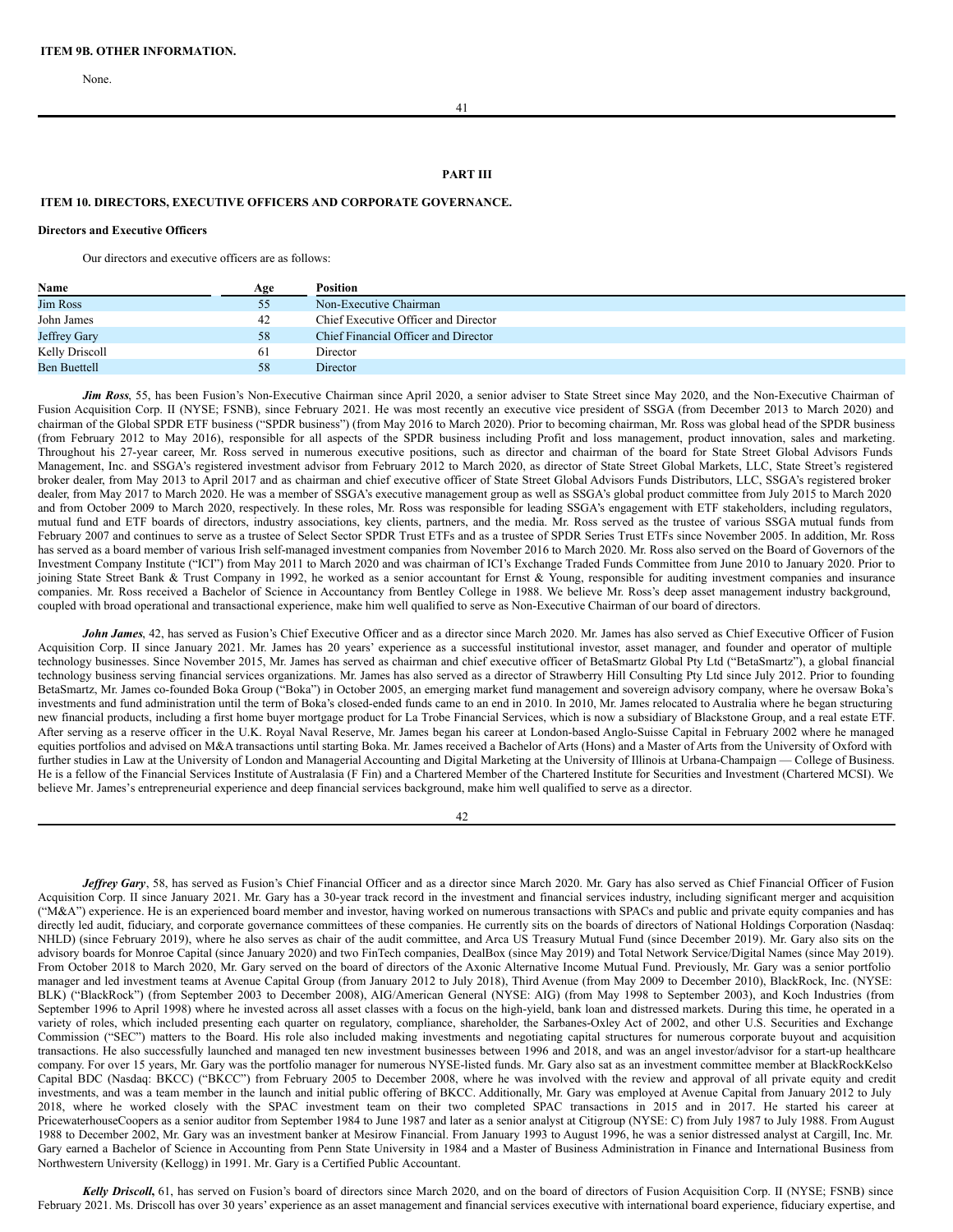<span id="page-25-0"></span>None.

41

## **PART III**

## <span id="page-25-1"></span>**ITEM 10. DIRECTORS, EXECUTIVE OFFICERS AND CORPORATE GOVERNANCE.**

## **Directors and Executive Officers**

Our directors and executive officers are as follows:

| Name                | Age | Position                             |
|---------------------|-----|--------------------------------------|
| Jim Ross            | 55  | Non-Executive Chairman               |
| John James          | 42  | Chief Executive Officer and Director |
| Jeffrey Gary        | 58  | Chief Financial Officer and Director |
| Kelly Driscoll      | 61  | Director                             |
| <b>Ben Buettell</b> | 58  | Director                             |

*Jim Ross*, 55, has been Fusion's Non-Executive Chairman since April 2020, a senior adviser to State Street since May 2020, and the Non-Executive Chairman of Fusion Acquisition Corp. II (NYSE; FSNB), since February 2021. He was most recently an executive vice president of SSGA (from December 2013 to March 2020) and chairman of the Global SPDR ETF business ("SPDR business") (from May 2016 to March 2020). Prior to becoming chairman, Mr. Ross was global head of the SPDR business (from February 2012 to May 2016), responsible for all aspects of the SPDR business including Profit and loss management, product innovation, sales and marketing. Throughout his 27-year career, Mr. Ross served in numerous executive positions, such as director and chairman of the board for State Street Global Advisors Funds Management, Inc. and SSGA's registered investment advisor from February 2012 to March 2020, as director of State Street Global Markets, LLC, State Street's registered broker dealer, from May 2013 to April 2017 and as chairman and chief executive officer of State Street Global Advisors Funds Distributors, LLC, SSGA's registered broker dealer, from May 2017 to March 2020. He was a member of SSGA's executive management group as well as SSGA's global product committee from July 2015 to March 2020 and from October 2009 to March 2020, respectively. In these roles, Mr. Ross was responsible for leading SSGA's engagement with ETF stakeholders, including regulators, mutual fund and ETF boards of directors, industry associations, key clients, partners, and the media. Mr. Ross served as the trustee of various SSGA mutual funds from February 2007 and continues to serve as a trustee of Select Sector SPDR Trust ETFs and as a trustee of SPDR Series Trust ETFs since November 2005. In addition, Mr. Ross has served as a board member of various Irish self-managed investment companies from November 2016 to March 2020. Mr. Ross also served on the Board of Governors of the Investment Company Institute ("ICI") from May 2011 to March 2020 and was chairman of ICI's Exchange Traded Funds Committee from June 2010 to January 2020. Prior to joining State Street Bank & Trust Company in 1992, he worked as a senior accountant for Ernst & Young, responsible for auditing investment companies and insurance companies. Mr. Ross received a Bachelor of Science in Accountancy from Bentley College in 1988. We believe Mr. Ross's deep asset management industry background, coupled with broad operational and transactional experience, make him well qualified to serve as Non-Executive Chairman of our board of directors.

*John James*, 42, has served as Fusion's Chief Executive Officer and as a director since March 2020. Mr. James has also served as Chief Executive Officer of Fusion Acquisition Corp. II since January 2021. Mr. James has 20 years' experience as a successful institutional investor, asset manager, and founder and operator of multiple technology businesses. Since November 2015, Mr. James has served as chairman and chief executive officer of BetaSmartz Global Pty Ltd ("BetaSmartz"), a global financial technology business serving financial services organizations. Mr. James has also served as a director of Strawberry Hill Consulting Pty Ltd since July 2012. Prior to founding BetaSmartz, Mr. James co-founded Boka Group ("Boka") in October 2005, an emerging market fund management and sovereign advisory company, where he oversaw Boka's investments and fund administration until the term of Boka's closed-ended funds came to an end in 2010. In 2010, Mr. James relocated to Australia where he began structuring new financial products, including a first home buyer mortgage product for La Trobe Financial Services, which is now a subsidiary of Blackstone Group, and a real estate ETF. After serving as a reserve officer in the U.K. Royal Naval Reserve, Mr. James began his career at London-based Anglo-Suisse Capital in February 2002 where he managed equities portfolios and advised on M&A transactions until starting Boka. Mr. James received a Bachelor of Arts (Hons) and a Master of Arts from the University of Oxford with further studies in Law at the University of London and Managerial Accounting and Digital Marketing at the University of Illinois at Urbana-Champaign — College of Business. He is a fellow of the Financial Services Institute of Australasia (F Fin) and a Chartered Member of the Chartered Institute for Securities and Investment (Chartered MCSI). We believe Mr. James's entrepreneurial experience and deep financial services background, make him well qualified to serve as a director.

42

*Jeffrey Gary*, 58, has served as Fusion's Chief Financial Officer and as a director since March 2020. Mr. Gary has also served as Chief Financial Officer of Fusion Acquisition Corp. II since January 2021. Mr. Gary has a 30-year track record in the investment and financial services industry, including significant merger and acquisition ("M&A") experience. He is an experienced board member and investor, having worked on numerous transactions with SPACs and public and private equity companies and has directly led audit, fiduciary, and corporate governance committees of these companies. He currently sits on the boards of directors of National Holdings Corporation (Nasdaq: NHLD) (since February 2019), where he also serves as chair of the audit committee, and Arca US Treasury Mutual Fund (since December 2019). Mr. Gary also sits on the advisory boards for Monroe Capital (since January 2020) and two FinTech companies, DealBox (since May 2019) and Total Network Service/Digital Names (since May 2019). From October 2018 to March 2020, Mr. Gary served on the board of directors of the Axonic Alternative Income Mutual Fund. Previously, Mr. Gary was a senior portfolio manager and led investment teams at Avenue Capital Group (from January 2012 to July 2018), Third Avenue (from May 2009 to December 2010), BlackRock, Inc. (NYSE: BLK) ("BlackRock") (from September 2003 to December 2008), AIG/American General (NYSE: AIG) (from May 1998 to September 2003), and Koch Industries (from September 1996 to April 1998) where he invested across all asset classes with a focus on the high-yield, bank loan and distressed markets. During this time, he operated in a variety of roles, which included presenting each quarter on regulatory, compliance, shareholder, the Sarbanes-Oxley Act of 2002, and other U.S. Securities and Exchange Commission ("SEC") matters to the Board. His role also included making investments and negotiating capital structures for numerous corporate buyout and acquisition transactions. He also successfully launched and managed ten new investment businesses between 1996 and 2018, and was an angel investor/advisor for a start-up healthcare company. For over 15 years, Mr. Gary was the portfolio manager for numerous NYSE-listed funds. Mr. Gary also sat as an investment committee member at BlackRockKelso Capital BDC (Nasdaq: BKCC) ("BKCC") from February 2005 to December 2008, where he was involved with the review and approval of all private equity and credit investments, and was a team member in the launch and initial public offering of BKCC. Additionally, Mr. Gary was employed at Avenue Capital from January 2012 to July 2018, where he worked closely with the SPAC investment team on their two completed SPAC transactions in 2015 and in 2017. He started his career at PricewaterhouseCoopers as a senior auditor from September 1984 to June 1987 and later as a senior analyst at Citigroup (NYSE: C) from July 1987 to July 1988. From August 1988 to December 2002, Mr. Gary was an investment banker at Mesirow Financial. From January 1993 to August 1996, he was a senior distressed analyst at Cargill, Inc. Mr. Gary earned a Bachelor of Science in Accounting from Penn State University in 1984 and a Master of Business Administration in Finance and International Business from Northwestern University (Kellogg) in 1991. Mr. Gary is a Certified Public Accountant.

*Kelly Driscoll***,** 61, has served on Fusion's board of directors since March 2020, and on the board of directors of Fusion Acquisition Corp. II (NYSE; FSNB) since February 2021. Ms. Driscoll has over 30 years' experience as an asset management and financial services executive with international board experience, fiduciary expertise, and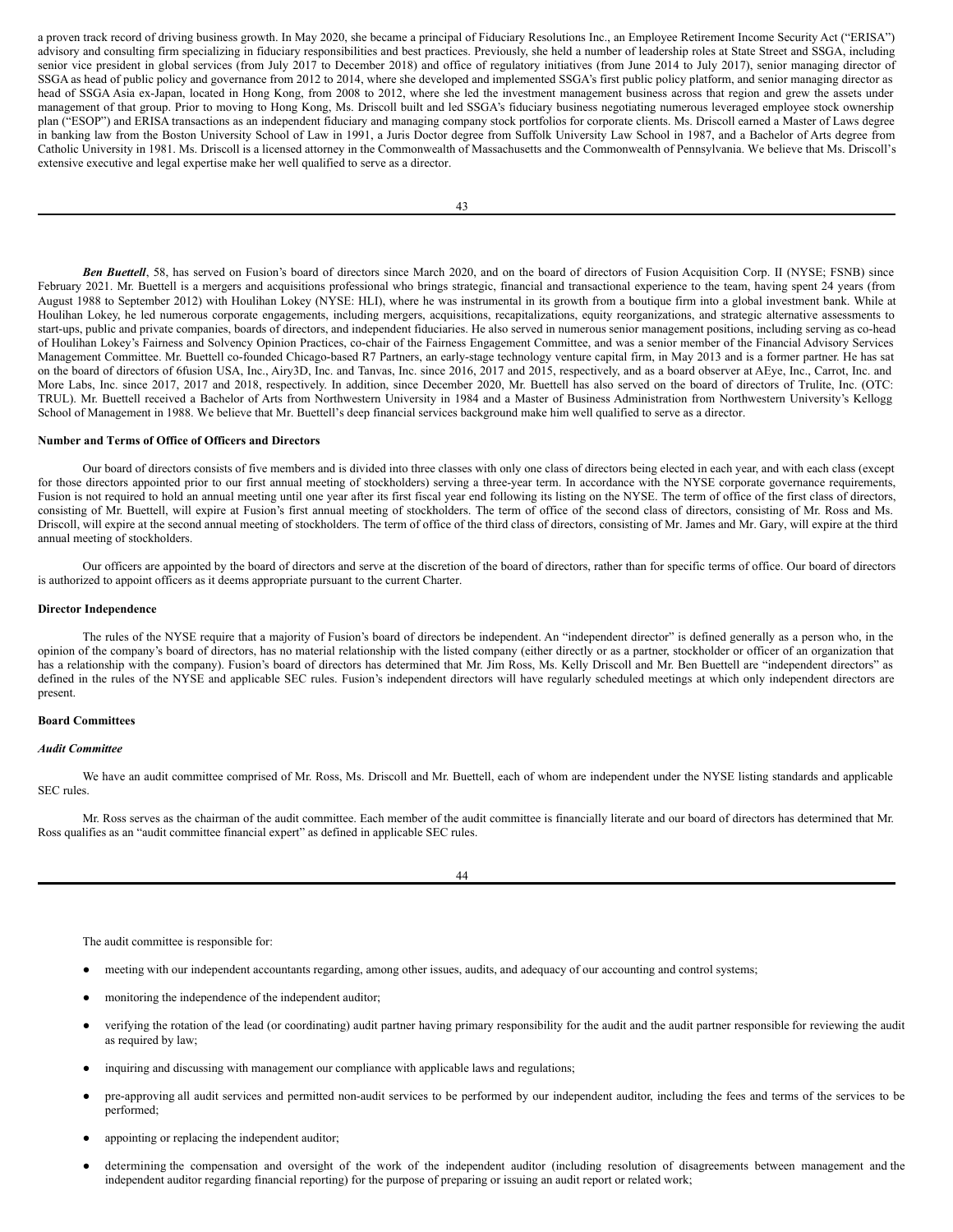a proven track record of driving business growth. In May 2020, she became a principal of Fiduciary Resolutions Inc., an Employee Retirement Income Security Act ("ERISA") advisory and consulting firm specializing in fiduciary responsibilities and best practices. Previously, she held a number of leadership roles at State Street and SSGA, including senior vice president in global services (from July 2017 to December 2018) and office of regulatory initiatives (from June 2014 to July 2017), senior managing director of SSGA as head of public policy and governance from 2012 to 2014, where she developed and implemented SSGA's first public policy platform, and senior managing director as head of SSGA Asia ex-Japan, located in Hong Kong, from 2008 to 2012, where she led the investment management business across that region and grew the assets under management of that group. Prior to moving to Hong Kong, Ms. Driscoll built and led SSGA's fiduciary business negotiating numerous leveraged employee stock ownership plan ("ESOP") and ERISA transactions as an independent fiduciary and managing company stock portfolios for corporate clients. Ms. Driscoll earned a Master of Laws degree in banking law from the Boston University School of Law in 1991, a Juris Doctor degree from Suffolk University Law School in 1987, and a Bachelor of Arts degree from Catholic University in 1981. Ms. Driscoll is a licensed attorney in the Commonwealth of Massachusetts and the Commonwealth of Pennsylvania. We believe that Ms. Driscoll's extensive executive and legal expertise make her well qualified to serve as a director.

*Ben Buettell*, 58, has served on Fusion's board of directors since March 2020, and on the board of directors of Fusion Acquisition Corp. II (NYSE; FSNB) since February 2021. Mr. Buettell is a mergers and acquisitions professional who brings strategic, financial and transactional experience to the team, having spent 24 years (from August 1988 to September 2012) with Houlihan Lokey (NYSE: HLI), where he was instrumental in its growth from a boutique firm into a global investment bank. While at Houlihan Lokey, he led numerous corporate engagements, including mergers, acquisitions, recapitalizations, equity reorganizations, and strategic alternative assessments to start-ups, public and private companies, boards of directors, and independent fiduciaries. He also served in numerous senior management positions, including serving as co-head of Houlihan Lokey's Fairness and Solvency Opinion Practices, co-chair of the Fairness Engagement Committee, and was a senior member of the Financial Advisory Services Management Committee. Mr. Buettell co-founded Chicago-based R7 Partners, an early-stage technology venture capital firm, in May 2013 and is a former partner. He has sat on the board of directors of 6fusion USA, Inc., Airy3D, Inc. and Tanvas, Inc. since 2016, 2017 and 2015, respectively, and as a board observer at AEye, Inc., Carrot, Inc. and More Labs, Inc. since 2017, 2017 and 2018, respectively. In addition, since December 2020, Mr. Buettell has also served on the board of directors of Trulite, Inc. (OTC: TRUL). Mr. Buettell received a Bachelor of Arts from Northwestern University in 1984 and a Master of Business Administration from Northwestern University's Kellogg School of Management in 1988. We believe that Mr. Buettell's deep financial services background make him well qualified to serve as a director.

## **Number and Terms of Office of Officers and Directors**

Our board of directors consists of five members and is divided into three classes with only one class of directors being elected in each year, and with each class (except for those directors appointed prior to our first annual meeting of stockholders) serving a three-year term. In accordance with the NYSE corporate governance requirements, Fusion is not required to hold an annual meeting until one year after its first fiscal year end following its listing on the NYSE. The term of office of the first class of directors, consisting of Mr. Buettell, will expire at Fusion's first annual meeting of stockholders. The term of office of the second class of directors, consisting of Mr. Ross and Ms. Driscoll, will expire at the second annual meeting of stockholders. The term of office of the third class of directors, consisting of Mr. James and Mr. Gary, will expire at the third annual meeting of stockholders.

Our officers are appointed by the board of directors and serve at the discretion of the board of directors, rather than for specific terms of office. Our board of directors is authorized to appoint officers as it deems appropriate pursuant to the current Charter.

### **Director Independence**

The rules of the NYSE require that a majority of Fusion's board of directors be independent. An "independent director" is defined generally as a person who, in the opinion of the company's board of directors, has no material relationship with the listed company (either directly or as a partner, stockholder or officer of an organization that has a relationship with the company). Fusion's board of directors has determined that Mr. Jim Ross, Ms. Kelly Driscoll and Mr. Ben Buettell are "independent directors" as defined in the rules of the NYSE and applicable SEC rules. Fusion's independent directors will have regularly scheduled meetings at which only independent directors are present.

### **Board Committees**

#### *Audit Committee*

We have an audit committee comprised of Mr. Ross, Ms. Driscoll and Mr. Buettell, each of whom are independent under the NYSE listing standards and applicable SEC rules.

Mr. Ross serves as the chairman of the audit committee. Each member of the audit committee is financially literate and our board of directors has determined that Mr. Ross qualifies as an "audit committee financial expert" as defined in applicable SEC rules.

44

The audit committee is responsible for:

- meeting with our independent accountants regarding, among other issues, audits, and adequacy of our accounting and control systems;
- monitoring the independence of the independent auditor;
- verifying the rotation of the lead (or coordinating) audit partner having primary responsibility for the audit and the audit partner responsible for reviewing the audit as required by law;
- inquiring and discussing with management our compliance with applicable laws and regulations;
- pre-approving all audit services and permitted non-audit services to be performed by our independent auditor, including the fees and terms of the services to be performed;
- appointing or replacing the independent auditor;
- determining the compensation and oversight of the work of the independent auditor (including resolution of disagreements between management and the independent auditor regarding financial reporting) for the purpose of preparing or issuing an audit report or related work;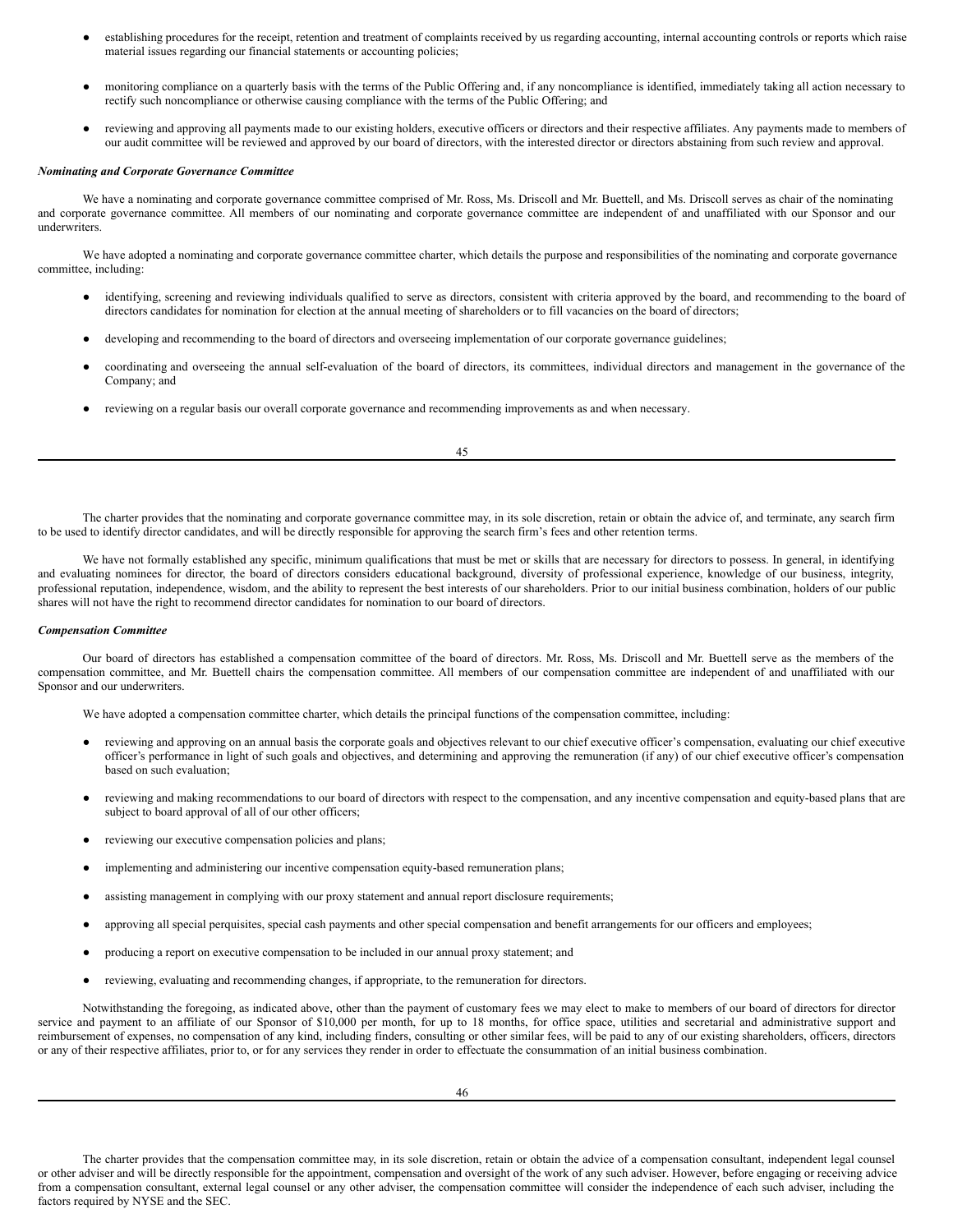- establishing procedures for the receipt, retention and treatment of complaints received by us regarding accounting, internal accounting controls or reports which raise material issues regarding our financial statements or accounting policies;
- monitoring compliance on a quarterly basis with the terms of the Public Offering and, if any noncompliance is identified, immediately taking all action necessary to rectify such noncompliance or otherwise causing compliance with the terms of the Public Offering; and
- reviewing and approving all payments made to our existing holders, executive officers or directors and their respective affiliates. Any payments made to members of our audit committee will be reviewed and approved by our board of directors, with the interested director or directors abstaining from such review and approval.

#### *Nominating and Corporate Governance Committee*

We have a nominating and corporate governance committee comprised of Mr. Ross, Ms. Driscoll and Mr. Buettell, and Ms. Driscoll serves as chair of the nominating and corporate governance committee. All members of our nominating and corporate governance committee are independent of and unaffiliated with our Sponsor and our underwriters.

We have adopted a nominating and corporate governance committee charter, which details the purpose and responsibilities of the nominating and corporate governance committee, including:

- identifying, screening and reviewing individuals qualified to serve as directors, consistent with criteria approved by the board, and recommending to the board of directors candidates for nomination for election at the annual meeting of shareholders or to fill vacancies on the board of directors;
- developing and recommending to the board of directors and overseeing implementation of our corporate governance guidelines;
- coordinating and overseeing the annual self-evaluation of the board of directors, its committees, individual directors and management in the governance of the Company; and
- reviewing on a regular basis our overall corporate governance and recommending improvements as and when necessary.

45

The charter provides that the nominating and corporate governance committee may, in its sole discretion, retain or obtain the advice of, and terminate, any search firm to be used to identify director candidates, and will be directly responsible for approving the search firm's fees and other retention terms.

We have not formally established any specific, minimum qualifications that must be met or skills that are necessary for directors to possess. In general, in identifying and evaluating nominees for director, the board of directors considers educational background, diversity of professional experience, knowledge of our business, integrity, professional reputation, independence, wisdom, and the ability to represent the best interests of our shareholders. Prior to our initial business combination, holders of our public shares will not have the right to recommend director candidates for nomination to our board of directors.

#### *Compensation Committee*

Our board of directors has established a compensation committee of the board of directors. Mr. Ross, Ms. Driscoll and Mr. Buettell serve as the members of the compensation committee, and Mr. Buettell chairs the compensation committee. All members of our compensation committee are independent of and unaffiliated with our Sponsor and our underwriters.

We have adopted a compensation committee charter, which details the principal functions of the compensation committee, including:

- reviewing and approving on an annual basis the corporate goals and objectives relevant to our chief executive officer's compensation, evaluating our chief executive officer's performance in light of such goals and objectives, and determining and approving the remuneration (if any) of our chief executive officer's compensation based on such evaluation;
- reviewing and making recommendations to our board of directors with respect to the compensation, and any incentive compensation and equity-based plans that are subject to board approval of all of our other officers;
- reviewing our executive compensation policies and plans;
- implementing and administering our incentive compensation equity-based remuneration plans;
- assisting management in complying with our proxy statement and annual report disclosure requirements;
- approving all special perquisites, special cash payments and other special compensation and benefit arrangements for our officers and employees;
- producing a report on executive compensation to be included in our annual proxy statement; and
- reviewing, evaluating and recommending changes, if appropriate, to the remuneration for directors.

Notwithstanding the foregoing, as indicated above, other than the payment of customary fees we may elect to make to members of our board of directors for director service and payment to an affiliate of our Sponsor of \$10,000 per month, for up to 18 months, for office space, utilities and secretarial and administrative support and reimbursement of expenses, no compensation of any kind, including finders, consulting or other similar fees, will be paid to any of our existing shareholders, officers, directors or any of their respective affiliates, prior to, or for any services they render in order to effectuate the consummation of an initial business combination.

The charter provides that the compensation committee may, in its sole discretion, retain or obtain the advice of a compensation consultant, independent legal counsel or other adviser and will be directly responsible for the appointment, compensation and oversight of the work of any such adviser. However, before engaging or receiving advice from a compensation consultant, external legal counsel or any other adviser, the compensation committee will consider the independence of each such adviser, including the factors required by NYSE and the SEC.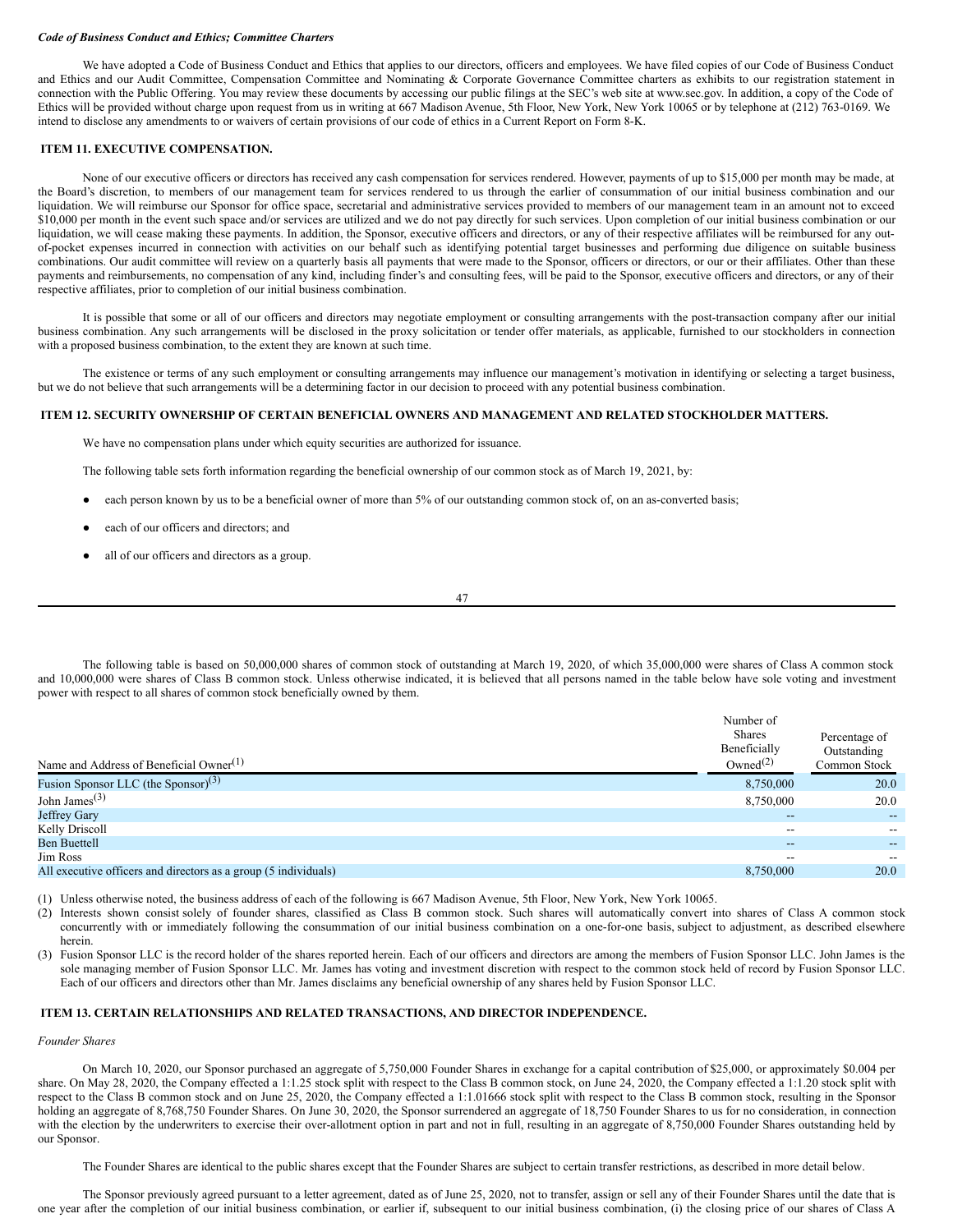#### *Code of Business Conduct and Ethics; Committee Charters*

We have adopted a Code of Business Conduct and Ethics that applies to our directors, officers and employees. We have filed copies of our Code of Business Conduct and Ethics and our Audit Committee, Compensation Committee and Nominating & Corporate Governance Committee charters as exhibits to our registration statement in connection with the Public Offering. You may review these documents by accessing our public filings at the SEC's web site at www.sec.gov. In addition, a copy of the Code of Ethics will be provided without charge upon request from us in writing at 667 Madison Avenue, 5th Floor, New York, New York 10065 or by telephone at (212) 763-0169. We intend to disclose any amendments to or waivers of certain provisions of our code of ethics in a Current Report on Form 8-K.

### <span id="page-28-0"></span>**ITEM 11. EXECUTIVE COMPENSATION.**

None of our executive officers or directors has received any cash compensation for services rendered. However, payments of up to \$15,000 per month may be made, at the Board's discretion, to members of our management team for services rendered to us through the earlier of consummation of our initial business combination and our liquidation. We will reimburse our Sponsor for office space, secretarial and administrative services provided to members of our management team in an amount not to exceed \$10,000 per month in the event such space and/or services are utilized and we do not pay directly for such services. Upon completion of our initial business combination or our liquidation, we will cease making these payments. In addition, the Sponsor, executive officers and directors, or any of their respective affiliates will be reimbursed for any outof-pocket expenses incurred in connection with activities on our behalf such as identifying potential target businesses and performing due diligence on suitable business combinations. Our audit committee will review on a quarterly basis all payments that were made to the Sponsor, officers or directors, or our or their affiliates. Other than these payments and reimbursements, no compensation of any kind, including finder's and consulting fees, will be paid to the Sponsor, executive officers and directors, or any of their respective affiliates, prior to completion of our initial business combination.

It is possible that some or all of our officers and directors may negotiate employment or consulting arrangements with the post-transaction company after our initial business combination. Any such arrangements will be disclosed in the proxy solicitation or tender offer materials, as applicable, furnished to our stockholders in connection with a proposed business combination, to the extent they are known at such time.

The existence or terms of any such employment or consulting arrangements may influence our management's motivation in identifying or selecting a target business, but we do not believe that such arrangements will be a determining factor in our decision to proceed with any potential business combination.

### <span id="page-28-1"></span>**ITEM 12. SECURITY OWNERSHIP OF CERTAIN BENEFICIAL OWNERS AND MANAGEMENT AND RELATED STOCKHOLDER MATTERS.**

We have no compensation plans under which equity securities are authorized for issuance.

The following table sets forth information regarding the beneficial ownership of our common stock as of March 19, 2021, by:

- each person known by us to be a beneficial owner of more than 5% of our outstanding common stock of, on an as-converted basis;
- each of our officers and directors; and
- all of our officers and directors as a group.

$$
^{47}
$$

The following table is based on 50,000,000 shares of common stock of outstanding at March 19, 2020, of which 35,000,000 were shares of Class A common stock and 10,000,000 were shares of Class B common stock. Unless otherwise indicated, it is believed that all persons named in the table below have sole voting and investment power with respect to all shares of common stock beneficially owned by them.

| Name and Address of Beneficial Owner <sup>(1)</sup>             | Number of<br><b>Shares</b><br>Beneficially<br>Owned <sup><math>(2)</math></sup> | Percentage of<br>Outstanding<br>Common Stock |
|-----------------------------------------------------------------|---------------------------------------------------------------------------------|----------------------------------------------|
| Fusion Sponsor LLC (the Sponsor) <sup>(3)</sup>                 | 8,750,000                                                                       | 20.0                                         |
| John James <sup>(3)</sup>                                       | 8,750,000                                                                       | 20.0                                         |
| Jeffrey Gary                                                    | $\qquad \qquad -$                                                               | $- -$                                        |
| Kelly Driscoll                                                  | $\hspace{0.05cm}$                                                               |                                              |
| <b>Ben Buettell</b>                                             | $- -$                                                                           | $\overline{\phantom{a}}$                     |
| Jim Ross                                                        | $- -$                                                                           | --                                           |
| All executive officers and directors as a group (5 individuals) | 8.750,000                                                                       | 20.0                                         |

(1) Unless otherwise noted, the business address of each of the following is 667 Madison Avenue, 5th Floor, New York, New York 10065.

(2) Interests shown consist solely of founder shares, classified as Class B common stock. Such shares will automatically convert into shares of Class A common stock concurrently with or immediately following the consummation of our initial business combination on a one-for-one basis, subject to adjustment, as described elsewhere herein.

(3) Fusion Sponsor LLC is the record holder of the shares reported herein. Each of our officers and directors are among the members of Fusion Sponsor LLC. John James is the sole managing member of Fusion Sponsor LLC. Mr. James has voting and investment discretion with respect to the common stock held of record by Fusion Sponsor LLC. Each of our officers and directors other than Mr. James disclaims any beneficial ownership of any shares held by Fusion Sponsor LLC.

## <span id="page-28-2"></span>**ITEM 13. CERTAIN RELATIONSHIPS AND RELATED TRANSACTIONS, AND DIRECTOR INDEPENDENCE.**

*Founder Shares*

On March 10, 2020, our Sponsor purchased an aggregate of 5,750,000 Founder Shares in exchange for a capital contribution of \$25,000, or approximately \$0.004 per share. On May 28, 2020, the Company effected a 1:1.25 stock split with respect to the Class B common stock, on June 24, 2020, the Company effected a 1:1.20 stock split with respect to the Class B common stock and on June 25, 2020, the Company effected a 1:1.01666 stock split with respect to the Class B common stock, resulting in the Sponsor holding an aggregate of 8,768,750 Founder Shares. On June 30, 2020, the Sponsor surrendered an aggregate of 18,750 Founder Shares to us for no consideration, in connection with the election by the underwriters to exercise their over-allotment option in part and not in full, resulting in an aggregate of 8,750,000 Founder Shares outstanding held by our Sponsor.

The Founder Shares are identical to the public shares except that the Founder Shares are subject to certain transfer restrictions, as described in more detail below.

The Sponsor previously agreed pursuant to a letter agreement, dated as of June 25, 2020, not to transfer, assign or sell any of their Founder Shares until the date that is one year after the completion of our initial business combination, or earlier if, subsequent to our initial business combination, (i) the closing price of our shares of Class A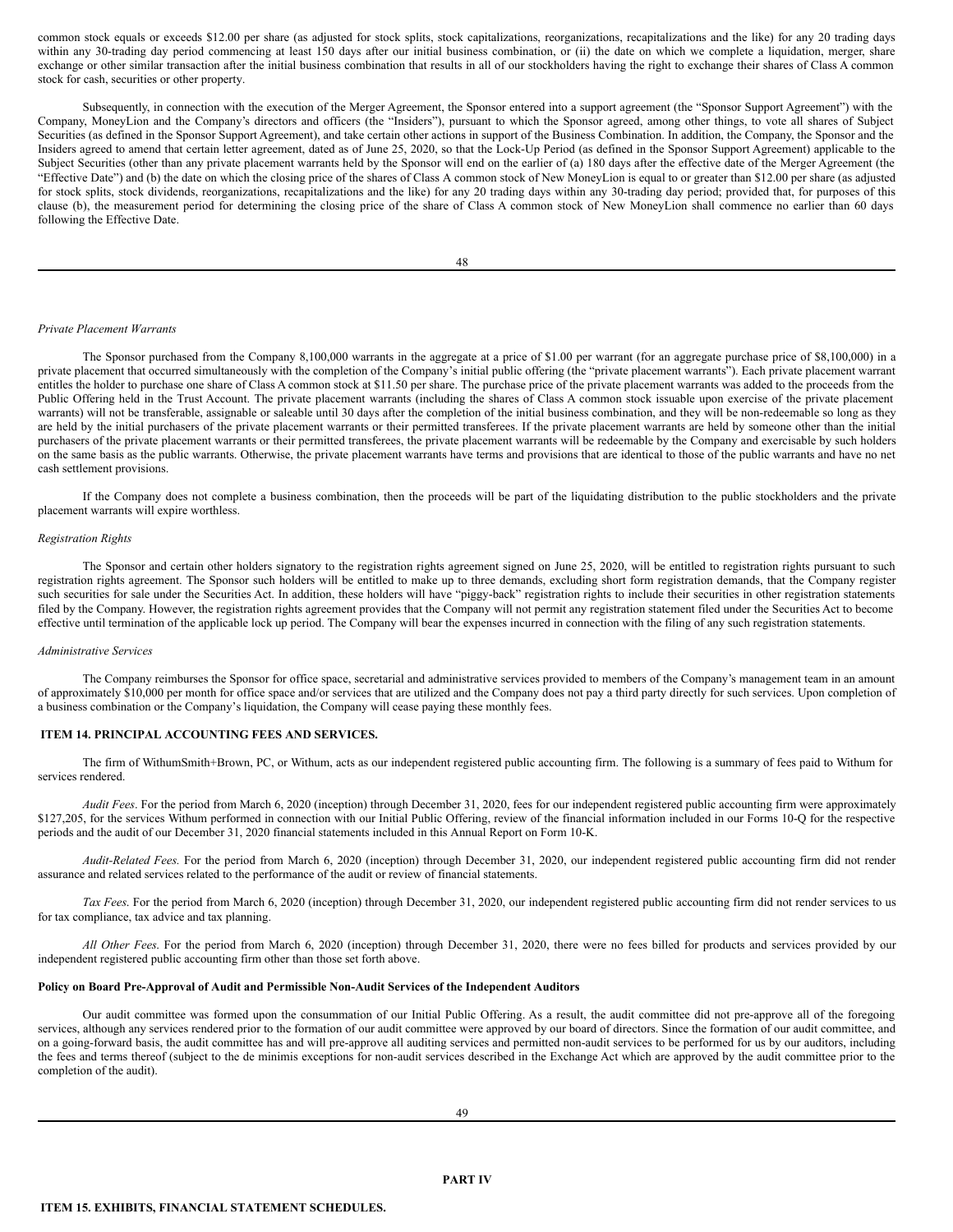common stock equals or exceeds \$12.00 per share (as adjusted for stock splits, stock capitalizations, reorganizations, recapitalizations and the like) for any 20 trading days within any 30-trading day period commencing at least 150 days after our initial business combination, or (ii) the date on which we complete a liquidation, merger, share exchange or other similar transaction after the initial business combination that results in all of our stockholders having the right to exchange their shares of Class A common stock for cash, securities or other property.

Subsequently, in connection with the execution of the Merger Agreement, the Sponsor entered into a support agreement (the "Sponsor Support Agreement") with the Company, MoneyLion and the Company's directors and officers (the "Insiders"), pursuant to which the Sponsor agreed, among other things, to vote all shares of Subject Securities (as defined in the Sponsor Support Agreement), and take certain other actions in support of the Business Combination. In addition, the Company, the Sponsor and the Insiders agreed to amend that certain letter agreement, dated as of June 25, 2020, so that the Lock-Up Period (as defined in the Sponsor Support Agreement) applicable to the Subject Securities (other than any private placement warrants held by the Sponsor will end on the earlier of (a) 180 days after the effective date of the Merger Agreement (the "Effective Date") and (b) the date on which the closing price of the shares of Class A common stock of New MoneyLion is equal to or greater than \$12.00 per share (as adjusted for stock splits, stock dividends, reorganizations, recapitalizations and the like) for any 20 trading days within any 30-trading day period; provided that, for purposes of this clause (b), the measurement period for determining the closing price of the share of Class A common stock of New MoneyLion shall commence no earlier than 60 days following the Effective Date.

#### *Private Placement Warrants*

The Sponsor purchased from the Company 8,100,000 warrants in the aggregate at a price of \$1.00 per warrant (for an aggregate purchase price of \$8,100,000) in a private placement that occurred simultaneously with the completion of the Company's initial public offering (the "private placement warrants"). Each private placement warrant entitles the holder to purchase one share of Class A common stock at \$11.50 per share. The purchase price of the private placement warrants was added to the proceeds from the Public Offering held in the Trust Account. The private placement warrants (including the shares of Class A common stock issuable upon exercise of the private placement warrants) will not be transferable, assignable or saleable until 30 days after the completion of the initial business combination, and they will be non-redeemable so long as they are held by the initial purchasers of the private placement warrants or their permitted transferees. If the private placement warrants are held by someone other than the initial purchasers of the private placement warrants or their permitted transferees, the private placement warrants will be redeemable by the Company and exercisable by such holders on the same basis as the public warrants. Otherwise, the private placement warrants have terms and provisions that are identical to those of the public warrants and have no net cash settlement provisions.

If the Company does not complete a business combination, then the proceeds will be part of the liquidating distribution to the public stockholders and the private placement warrants will expire worthless.

## *Registration Rights*

The Sponsor and certain other holders signatory to the registration rights agreement signed on June 25, 2020, will be entitled to registration rights pursuant to such registration rights agreement. The Sponsor such holders will be entitled to make up to three demands, excluding short form registration demands, that the Company register such securities for sale under the Securities Act. In addition, these holders will have "piggy-back" registration rights to include their securities in other registration statements filed by the Company. However, the registration rights agreement provides that the Company will not permit any registration statement filed under the Securities Act to become effective until termination of the applicable lock up period. The Company will bear the expenses incurred in connection with the filing of any such registration statements.

## *Administrative Services*

The Company reimburses the Sponsor for office space, secretarial and administrative services provided to members of the Company's management team in an amount of approximately \$10,000 per month for office space and/or services that are utilized and the Company does not pay a third party directly for such services. Upon completion of a business combination or the Company's liquidation, the Company will cease paying these monthly fees.

### <span id="page-29-0"></span>**ITEM 14. PRINCIPAL ACCOUNTING FEES AND SERVICES.**

The firm of WithumSmith+Brown, PC, or Withum, acts as our independent registered public accounting firm. The following is a summary of fees paid to Withum for services rendered.

*Audit Fees*. For the period from March 6, 2020 (inception) through December 31, 2020, fees for our independent registered public accounting firm were approximately \$127,205, for the services Withum performed in connection with our Initial Public Offering, review of the financial information included in our Forms 10-Q for the respective periods and the audit of our December 31, 2020 financial statements included in this Annual Report on Form 10-K.

*Audit-Related Fees.* For the period from March 6, 2020 (inception) through December 31, 2020, our independent registered public accounting firm did not render assurance and related services related to the performance of the audit or review of financial statements.

*Tax Fees*. For the period from March 6, 2020 (inception) through December 31, 2020, our independent registered public accounting firm did not render services to us for tax compliance, tax advice and tax planning.

*All Other Fees*. For the period from March 6, 2020 (inception) through December 31, 2020, there were no fees billed for products and services provided by our independent registered public accounting firm other than those set forth above.

#### **Policy on Board Pre-Approval of Audit and Permissible Non-Audit Services of the Independent Auditors**

<span id="page-29-1"></span>Our audit committee was formed upon the consummation of our Initial Public Offering. As a result, the audit committee did not pre-approve all of the foregoing services, although any services rendered prior to the formation of our audit committee were approved by our board of directors. Since the formation of our audit committee, and on a going-forward basis, the audit committee has and will pre-approve all auditing services and permitted non-audit services to be performed for us by our auditors, including the fees and terms thereof (subject to the de minimis exceptions for non-audit services described in the Exchange Act which are approved by the audit committee prior to the completion of the audit).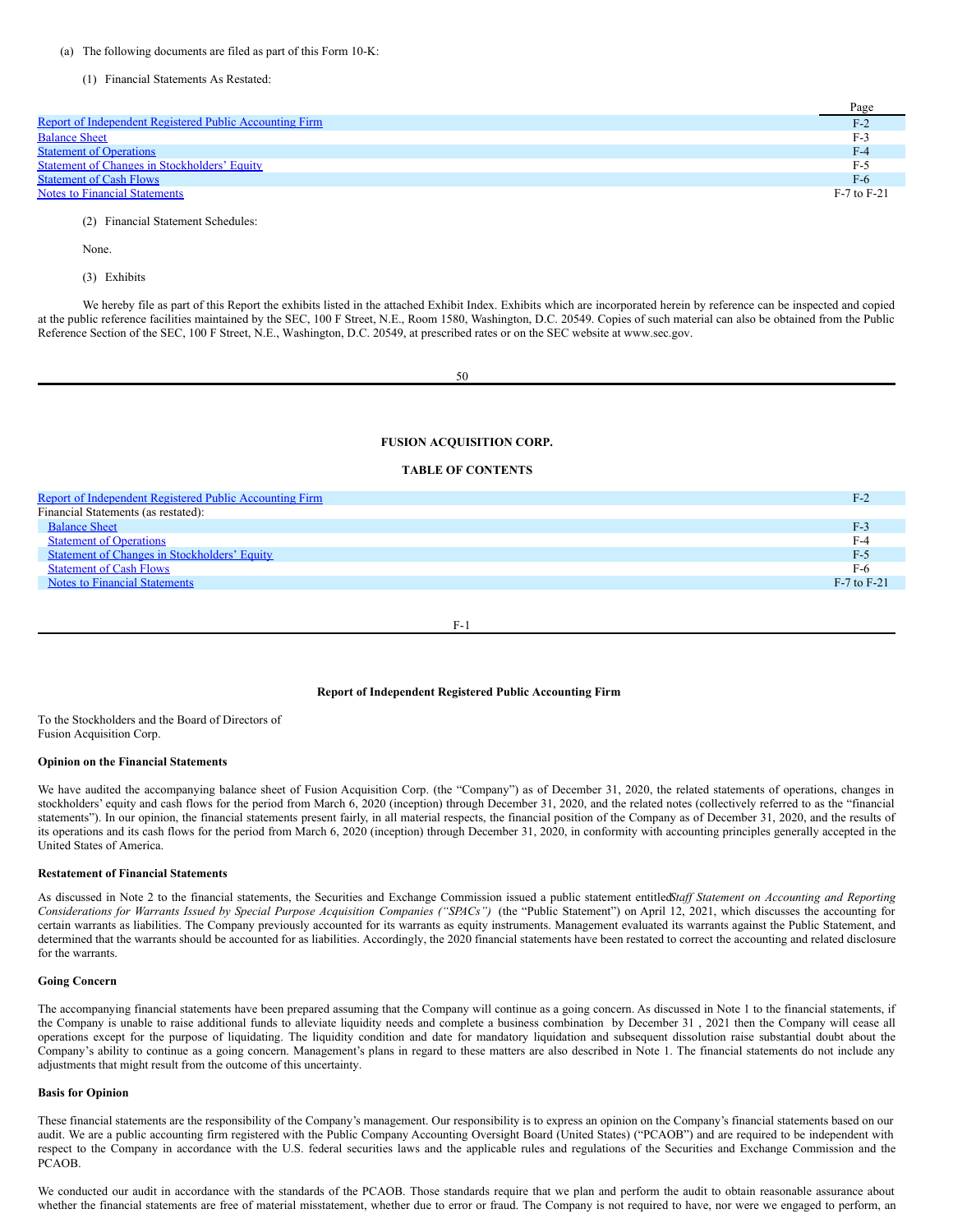### (a) The following documents are filed as part of this Form 10-K:

(1) Financial Statements As Restated:

|                                                                | Page            |
|----------------------------------------------------------------|-----------------|
| <b>Report of Independent Registered Public Accounting Firm</b> | $F-2$           |
| <b>Balance Sheet</b>                                           | $F-3$           |
| <b>Statement of Operations</b>                                 | $F-4$           |
| <b>Statement of Changes in Stockholders' Equity</b>            | F-5             |
| <b>Statement of Cash Flows</b>                                 | $F-6$           |
| Notes to Financial Statements                                  | $F-7$ to $F-21$ |
|                                                                |                 |

(2) Financial Statement Schedules:

None.

(3) Exhibits

We hereby file as part of this Report the exhibits listed in the attached Exhibit Index. Exhibits which are incorporated herein by reference can be inspected and copied at the public reference facilities maintained by the SEC, 100 F Street, N.E., Room 1580, Washington, D.C. 20549. Copies of such material can also be obtained from the Public Reference Section of the SEC, 100 F Street, N.E., Washington, D.C. 20549, at prescribed rates or on the SEC website at www.sec.gov.

50

## **FUSION ACQUISITION CORP.**

### **TABLE OF CONTENTS**

| Report of Independent Registered Public Accounting Firm | $F-2$           |
|---------------------------------------------------------|-----------------|
| Financial Statements (as restated):                     |                 |
| <b>Balance Sheet</b>                                    | $F-3$           |
| <b>Statement of Operations</b>                          | $F-4$           |
| <b>Statement of Changes in Stockholders' Equity</b>     | $F-5$           |
| <b>Statement of Cash Flows</b>                          | F-6             |
| <b>Notes to Financial Statements</b>                    | $F-7$ to $F-21$ |
|                                                         |                 |

F-1

## <span id="page-30-0"></span>**Report of Independent Registered Public Accounting Firm**

To the Stockholders and the Board of Directors of Fusion Acquisition Corp.

### **Opinion on the Financial Statements**

We have audited the accompanying balance sheet of Fusion Acquisition Corp. (the "Company") as of December 31, 2020, the related statements of operations, changes in stockholders' equity and cash flows for the period from March 6, 2020 (inception) through December 31, 2020, and the related notes (collectively referred to as the "financial statements"). In our opinion, the financial statements present fairly, in all material respects, the financial position of the Company as of December 31, 2020, and the results of its operations and its cash flows for the period from March 6, 2020 (inception) through December 31, 2020, in conformity with accounting principles generally accepted in the United States of America.

### **Restatement of Financial Statements**

As discussed in Note 2 to the financial statements, the Securities and Exchange Commission issued a public statement entitled*Staf Statement on Accounting and Reporting* Considerations for Warrants Issued by Special Purpose Acquisition Companies ("SPACs") (the "Public Statement") on April 12, 2021, which discusses the accounting for certain warrants as liabilities. The Company previously accounted for its warrants as equity instruments. Management evaluated its warrants against the Public Statement, and determined that the warrants should be accounted for as liabilities. Accordingly, the 2020 financial statements have been restated to correct the accounting and related disclosure for the warrants.

### **Going Concern**

The accompanying financial statements have been prepared assuming that the Company will continue as a going concern. As discussed in Note 1 to the financial statements, if the Company is unable to raise additional funds to alleviate liquidity needs and complete a business combination by December 31 , 2021 then the Company will cease all operations except for the purpose of liquidating. The liquidity condition and date for mandatory liquidation and subsequent dissolution raise substantial doubt about the Company's ability to continue as a going concern. Management's plans in regard to these matters are also described in Note 1. The financial statements do not include any adjustments that might result from the outcome of this uncertainty.

### **Basis for Opinion**

These financial statements are the responsibility of the Company's management. Our responsibility is to express an opinion on the Company's financial statements based on our audit. We are a public accounting firm registered with the Public Company Accounting Oversight Board (United States) ("PCAOB") and are required to be independent with respect to the Company in accordance with the U.S. federal securities laws and the applicable rules and regulations of the Securities and Exchange Commission and the PCAOB.

We conducted our audit in accordance with the standards of the PCAOB. Those standards require that we plan and perform the audit to obtain reasonable assurance about whether the financial statements are free of material misstatement, whether due to error or fraud. The Company is not required to have, nor were we engaged to perform, an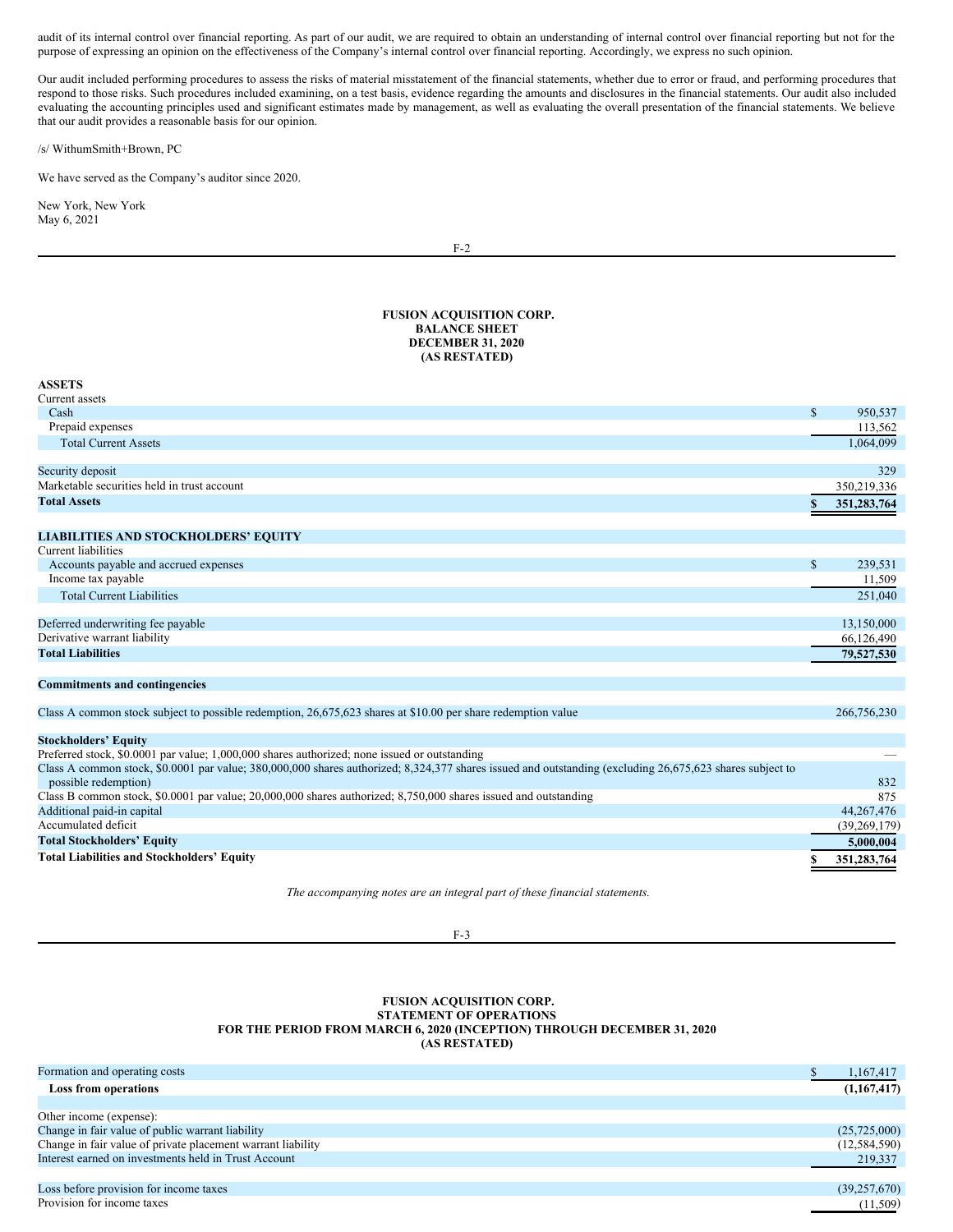audit of its internal control over financial reporting. As part of our audit, we are required to obtain an understanding of internal control over financial reporting but not for the purpose of expressing an opinion on the effectiveness of the Company's internal control over financial reporting. Accordingly, we express no such opinion.

Our audit included performing procedures to assess the risks of material misstatement of the financial statements, whether due to error or fraud, and performing procedures that respond to those risks. Such procedures included examining, on a test basis, evidence regarding the amounts and disclosures in the financial statements. Our audit also included evaluating the accounting principles used and significant estimates made by management, as well as evaluating the overall presentation of the financial statements. We believe that our audit provides a reasonable basis for our opinion.

/s/ WithumSmith+Brown, PC

We have served as the Company's auditor since 2020.

New York, New York May 6, 2021

F-2

# <span id="page-31-0"></span>**FUSION ACQUISITION CORP. BALANCE SHEET DECEMBER 31, 2020 (AS RESTATED)**

| <b>ASSETS</b>  |  |
|----------------|--|
| Current assets |  |

| Cash                                                                                                                                                     | \$<br>950,537  |
|----------------------------------------------------------------------------------------------------------------------------------------------------------|----------------|
| Prepaid expenses                                                                                                                                         | 113,562        |
| <b>Total Current Assets</b>                                                                                                                              | 1.064.099      |
|                                                                                                                                                          |                |
| Security deposit                                                                                                                                         | 329            |
| Marketable securities held in trust account                                                                                                              | 350,219,336    |
| <b>Total Assets</b>                                                                                                                                      | 351,283,764    |
|                                                                                                                                                          |                |
| <b>LIABILITIES AND STOCKHOLDERS' EQUITY</b>                                                                                                              |                |
| Current liabilities                                                                                                                                      |                |
| Accounts payable and accrued expenses                                                                                                                    | \$<br>239.531  |
| Income tax payable                                                                                                                                       | 11,509         |
| <b>Total Current Liabilities</b>                                                                                                                         | 251,040        |
|                                                                                                                                                          | 13,150,000     |
| Deferred underwriting fee payable<br>Derivative warrant liability                                                                                        |                |
| <b>Total Liabilities</b>                                                                                                                                 | 66,126,490     |
|                                                                                                                                                          | 79,527,530     |
| <b>Commitments and contingencies</b>                                                                                                                     |                |
| Class A common stock subject to possible redemption, $26,675,623$ shares at \$10.00 per share redemption value                                           | 266,756,230    |
| <b>Stockholders' Equity</b>                                                                                                                              |                |
| Preferred stock, \$0,0001 par value; 1,000,000 shares authorized; none issued or outstanding                                                             |                |
| Class A common stock, \$0.0001 par value; 380,000,000 shares authorized; 8,324,377 shares issued and outstanding (excluding 26,675,623 shares subject to |                |
| possible redemption)                                                                                                                                     | 832            |
| Class B common stock, \$0.0001 par value; 20,000,000 shares authorized; 8,750,000 shares issued and outstanding                                          | 875            |
| Additional paid-in capital                                                                                                                               | 44, 267, 476   |
| Accumulated deficit                                                                                                                                      | (39, 269, 179) |
| <b>Total Stockholders' Equity</b>                                                                                                                        | 5.000.004      |
| <b>Total Liabilities and Stockholders' Equity</b>                                                                                                        | 351,283,764    |

*The accompanying notes are an integral part of these financial statements.*

<span id="page-31-1"></span>F-3

### **FUSION ACQUISITION CORP. STATEMENT OF OPERATIONS FOR THE PERIOD FROM MARCH 6, 2020 (INCEPTION) THROUGH DECEMBER 31, 2020 (AS RESTATED)**

| Formation and operating costs                               | 1,167,417      |
|-------------------------------------------------------------|----------------|
| <b>Loss from operations</b>                                 | (1,167,417)    |
|                                                             |                |
| Other income (expense):                                     |                |
| Change in fair value of public warrant liability            | (25,725,000)   |
| Change in fair value of private placement warrant liability | (12, 584, 590) |
| Interest earned on investments held in Trust Account        | 219,337        |
|                                                             |                |
| Loss before provision for income taxes                      | (39,257,670)   |
| Provision for income taxes                                  | (11,509)       |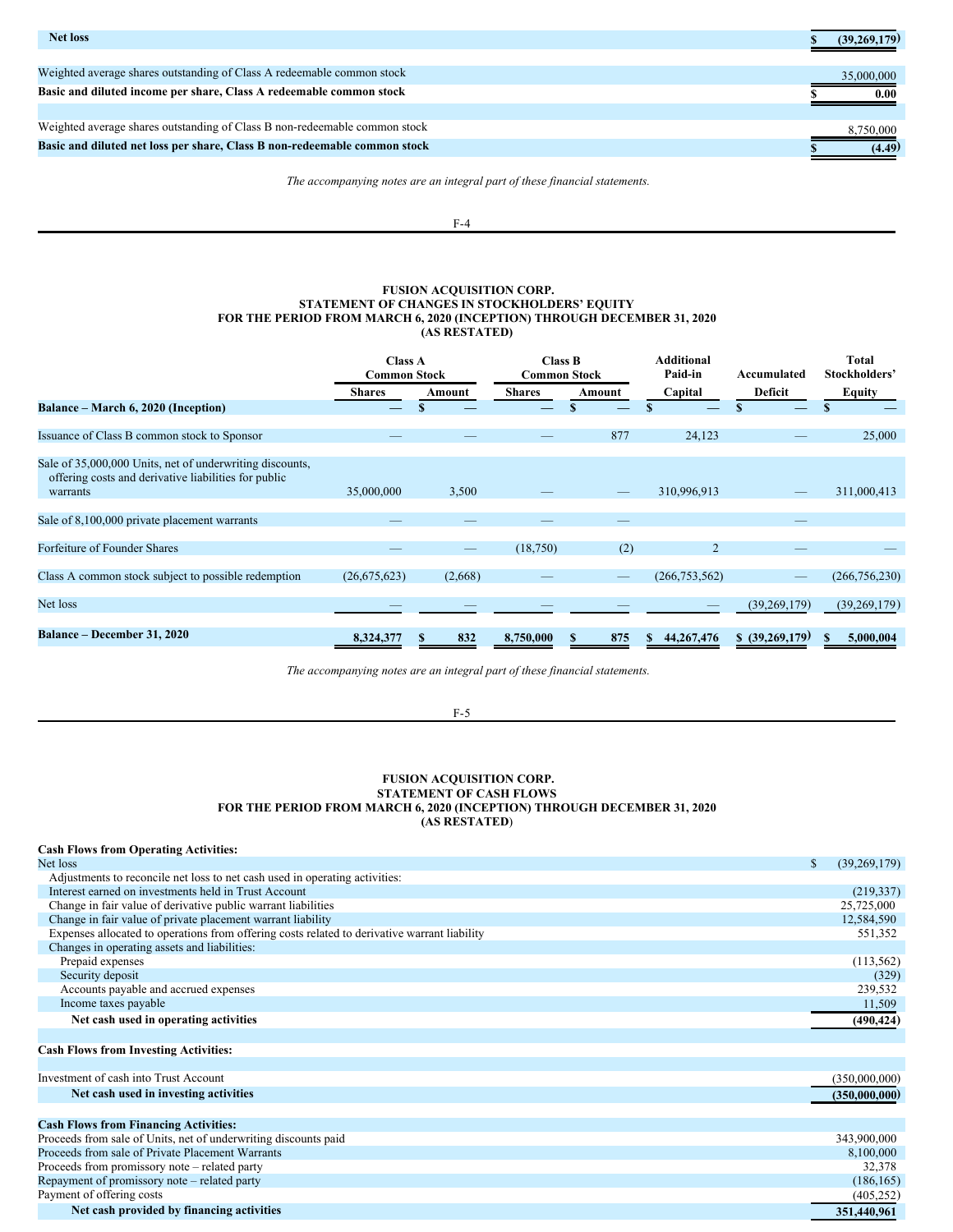| <b>Net loss</b>                                                                                                                                         | (39,269,179)        |
|---------------------------------------------------------------------------------------------------------------------------------------------------------|---------------------|
| Weighted average shares outstanding of Class A redeemable common stock<br>Basic and diluted income per share, Class A redeemable common stock           | 35,000,000<br>0.00  |
| Weighted average shares outstanding of Class B non-redeemable common stock<br>Basic and diluted net loss per share, Class B non-redeemable common stock | 8,750,000<br>(4.49) |

*The accompanying notes are an integral part of these financial statements.*

<span id="page-32-0"></span>F-4

## **FUSION ACQUISITION CORP. STATEMENT OF CHANGES IN STOCKHOLDERS' EQUITY FOR THE PERIOD FROM MARCH 6, 2020 (INCEPTION) THROUGH DECEMBER 31, 2020 (AS RESTATED)**

|                                                                                                                              | <b>Class A</b><br><b>Common Stock</b> |         | <b>Class B</b><br><b>Common Stock</b> |        | <b>Additional</b><br>Paid-in | Accumulated       | <b>Total</b><br>Stockholders' |
|------------------------------------------------------------------------------------------------------------------------------|---------------------------------------|---------|---------------------------------------|--------|------------------------------|-------------------|-------------------------------|
|                                                                                                                              | <b>Shares</b>                         | Amount  | <b>Shares</b>                         | Amount | Capital                      | Deficit           | <b>Equity</b>                 |
| Balance – March 6, 2020 (Inception)                                                                                          |                                       |         |                                       |        |                              |                   |                               |
| Issuance of Class B common stock to Sponsor                                                                                  |                                       |         |                                       | 877    | 24,123                       |                   | 25,000                        |
| Sale of 35,000,000 Units, net of underwriting discounts,<br>offering costs and derivative liabilities for public<br>warrants | 35,000,000                            | 3,500   |                                       |        | 310,996,913                  |                   | 311,000,413                   |
| Sale of 8,100,000 private placement warrants                                                                                 |                                       |         |                                       |        |                              |                   |                               |
| Forfeiture of Founder Shares                                                                                                 |                                       |         | (18,750)                              | (2)    | $\overline{2}$               |                   |                               |
| Class A common stock subject to possible redemption                                                                          | (26,675,623)                          | (2,668) |                                       |        | (266, 753, 562)              |                   | (266, 756, 230)               |
| Net loss                                                                                                                     |                                       |         |                                       |        |                              | (39, 269, 179)    | (39,269,179)                  |
| Balance – December 31, 2020                                                                                                  | 8,324,377                             | 832     | 8,750,000                             | 875    | 44,267,476                   | \$ (39, 269, 179) | 5,000,004                     |

*The accompanying notes are an integral part of these financial statements.*

<span id="page-32-1"></span>F-5

## **FUSION ACQUISITION CORP. STATEMENT OF CASH FLOWS FOR THE PERIOD FROM MARCH 6, 2020 (INCEPTION) THROUGH DECEMBER 31, 2020 (AS RESTATED**)

| <b>Cash Flows from Operating Activities:</b>                                                 |                    |
|----------------------------------------------------------------------------------------------|--------------------|
| Net loss                                                                                     | \$<br>(39,269,179) |
| Adjustments to reconcile net loss to net cash used in operating activities:                  |                    |
| Interest earned on investments held in Trust Account                                         | (219, 337)         |
| Change in fair value of derivative public warrant liabilities                                | 25,725,000         |
| Change in fair value of private placement warrant liability                                  | 12,584,590         |
| Expenses allocated to operations from offering costs related to derivative warrant liability | 551,352            |
| Changes in operating assets and liabilities:                                                 |                    |
| Prepaid expenses                                                                             | (113, 562)         |
| Security deposit                                                                             | (329)              |
| Accounts payable and accrued expenses                                                        | 239,532            |
| Income taxes payable                                                                         | 11,509             |
| Net cash used in operating activities                                                        | (490, 424)         |
|                                                                                              |                    |
| <b>Cash Flows from Investing Activities:</b>                                                 |                    |
|                                                                                              |                    |
| Investment of cash into Trust Account                                                        | (350,000,000)      |
| Net cash used in investing activities                                                        | (350,000,000)      |
|                                                                                              |                    |
| <b>Cash Flows from Financing Activities:</b>                                                 |                    |
| Proceeds from sale of Units, net of underwriting discounts paid                              | 343,900,000        |
| Proceeds from sale of Private Placement Warrants                                             | 8,100,000          |
| Proceeds from promissory note – related party                                                | 32,378             |
| Repayment of promissory note – related party                                                 | (186, 165)         |
| Payment of offering costs                                                                    | (405, 252)         |
| Net cash provided by financing activities                                                    | 351,440,961        |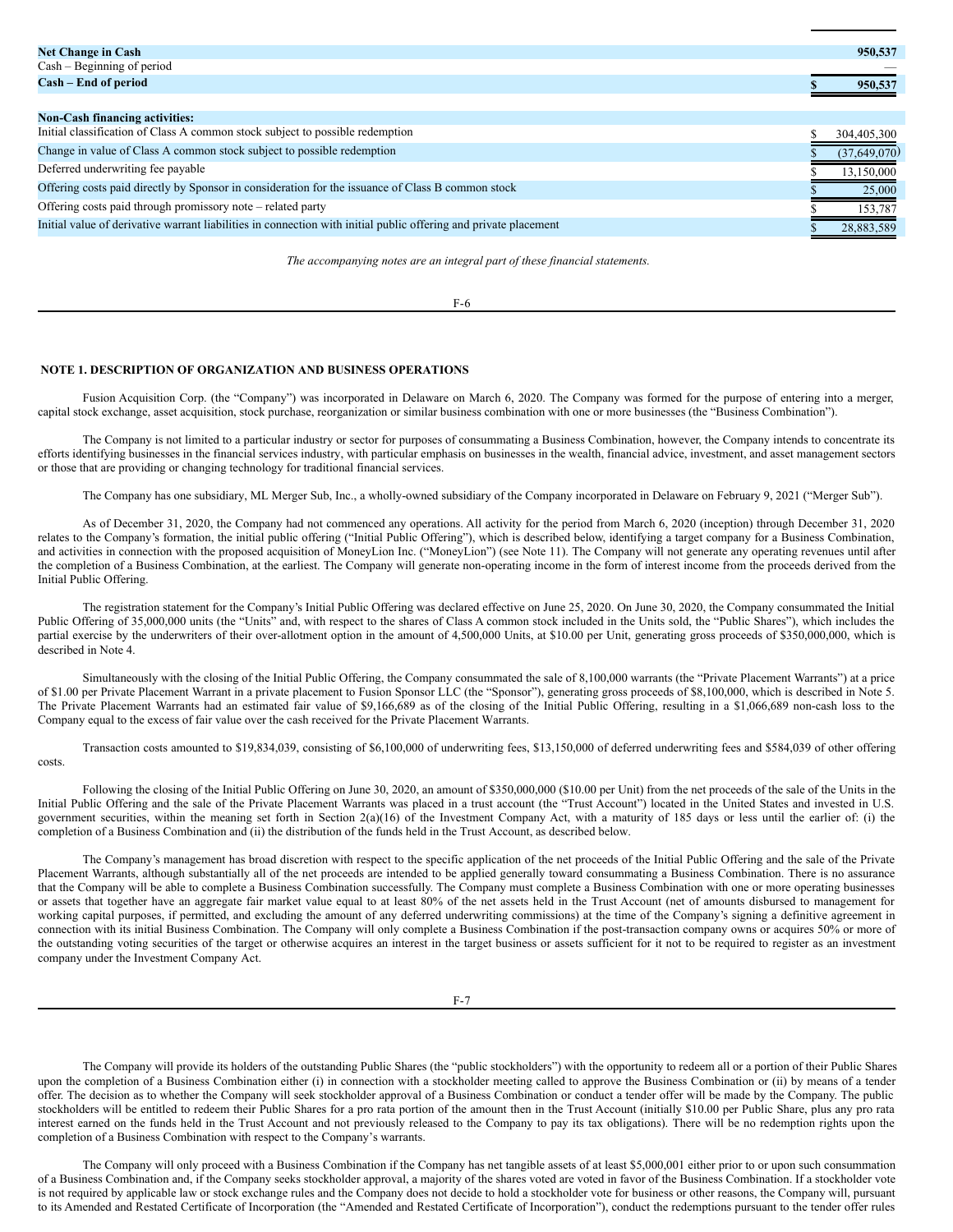| <b>Net Change in Cash</b>                                                                                        | 950,537      |
|------------------------------------------------------------------------------------------------------------------|--------------|
| $Cash - Beginning of period$                                                                                     |              |
| Cash – End of period                                                                                             | 950,537      |
|                                                                                                                  |              |
| <b>Non-Cash financing activities:</b>                                                                            |              |
| Initial classification of Class A common stock subject to possible redemption                                    | 304,405,300  |
| Change in value of Class A common stock subject to possible redemption                                           | (37,649,070) |
| Deferred underwriting fee payable                                                                                | 13,150,000   |
| Offering costs paid directly by Sponsor in consideration for the issuance of Class B common stock                | 25,000       |
| Offering costs paid through promissory note – related party                                                      | 153,787      |
| Initial value of derivative warrant liabilities in connection with initial public offering and private placement | 28,883,589   |

*The accompanying notes are an integral part of these financial statements.*

## <span id="page-33-0"></span>**NOTE 1. DESCRIPTION OF ORGANIZATION AND BUSINESS OPERATIONS**

Fusion Acquisition Corp. (the "Company") was incorporated in Delaware on March 6, 2020. The Company was formed for the purpose of entering into a merger, capital stock exchange, asset acquisition, stock purchase, reorganization or similar business combination with one or more businesses (the "Business Combination").

The Company is not limited to a particular industry or sector for purposes of consummating a Business Combination, however, the Company intends to concentrate its efforts identifying businesses in the financial services industry, with particular emphasis on businesses in the wealth, financial advice, investment, and asset management sectors or those that are providing or changing technology for traditional financial services.

The Company has one subsidiary, ML Merger Sub, Inc., a wholly-owned subsidiary of the Company incorporated in Delaware on February 9, 2021 ("Merger Sub").

As of December 31, 2020, the Company had not commenced any operations. All activity for the period from March 6, 2020 (inception) through December 31, 2020 relates to the Company's formation, the initial public offering ("Initial Public Offering"), which is described below, identifying a target company for a Business Combination, and activities in connection with the proposed acquisition of MoneyLion Inc. ("MoneyLion") (see Note 11). The Company will not generate any operating revenues until after the completion of a Business Combination, at the earliest. The Company will generate non-operating income in the form of interest income from the proceeds derived from the Initial Public Offering.

The registration statement for the Company's Initial Public Offering was declared effective on June 25, 2020. On June 30, 2020, the Company consummated the Initial Public Offering of 35,000,000 units (the "Units" and, with respect to the shares of Class A common stock included in the Units sold, the "Public Shares"), which includes the partial exercise by the underwriters of their over-allotment option in the amount of 4,500,000 Units, at \$10.00 per Unit, generating gross proceeds of \$350,000,000, which is described in Note 4.

Simultaneously with the closing of the Initial Public Offering, the Company consummated the sale of 8,100,000 warrants (the "Private Placement Warrants") at a price of \$1.00 per Private Placement Warrant in a private placement to Fusion Sponsor LLC (the "Sponsor"), generating gross proceeds of \$8,100,000, which is described in Note 5. The Private Placement Warrants had an estimated fair value of \$9,166,689 as of the closing of the Initial Public Offering, resulting in a \$1,066,689 non-cash loss to the Company equal to the excess of fair value over the cash received for the Private Placement Warrants.

Transaction costs amounted to \$19,834,039, consisting of \$6,100,000 of underwriting fees, \$13,150,000 of deferred underwriting fees and \$584,039 of other offering costs.

Following the closing of the Initial Public Offering on June 30, 2020, an amount of \$350,000,000 (\$10.00 per Unit) from the net proceeds of the sale of the Units in the Initial Public Offering and the sale of the Private Placement Warrants was placed in a trust account (the "Trust Account") located in the United States and invested in U.S. government securities, within the meaning set forth in Section  $2(a)(16)$  of the Investment Company Act, with a maturity of 185 days or less until the earlier of: (i) the completion of a Business Combination and (ii) the distribution of the funds held in the Trust Account, as described below.

The Company's management has broad discretion with respect to the specific application of the net proceeds of the Initial Public Offering and the sale of the Private Placement Warrants, although substantially all of the net proceeds are intended to be applied generally toward consummating a Business Combination. There is no assurance that the Company will be able to complete a Business Combination successfully. The Company must complete a Business Combination with one or more operating businesses or assets that together have an aggregate fair market value equal to at least 80% of the net assets held in the Trust Account (net of amounts disbursed to management for working capital purposes, if permitted, and excluding the amount of any deferred underwriting commissions) at the time of the Company's signing a definitive agreement in connection with its initial Business Combination. The Company will only complete a Business Combination if the post-transaction company owns or acquires 50% or more of the outstanding voting securities of the target or otherwise acquires an interest in the target business or assets sufficient for it not to be required to register as an investment company under the Investment Company Act.

The Company will provide its holders of the outstanding Public Shares (the "public stockholders") with the opportunity to redeem all or a portion of their Public Shares upon the completion of a Business Combination either (i) in connection with a stockholder meeting called to approve the Business Combination or (ii) by means of a tender offer. The decision as to whether the Company will seek stockholder approval of a Business Combination or conduct a tender offer will be made by the Company. The public stockholders will be entitled to redeem their Public Shares for a pro rata portion of the amount then in the Trust Account (initially \$10.00 per Public Share, plus any pro rata interest earned on the funds held in the Trust Account and not previously released to the Company to pay its tax obligations). There will be no redemption rights upon the completion of a Business Combination with respect to the Company's warrants.

The Company will only proceed with a Business Combination if the Company has net tangible assets of at least \$5,000,001 either prior to or upon such consummation of a Business Combination and, if the Company seeks stockholder approval, a majority of the shares voted are voted in favor of the Business Combination. If a stockholder vote is not required by applicable law or stock exchange rules and the Company does not decide to hold a stockholder vote for business or other reasons, the Company will, pursuant to its Amended and Restated Certificate of Incorporation (the "Amended and Restated Certificate of Incorporation"), conduct the redemptions pursuant to the tender offer rules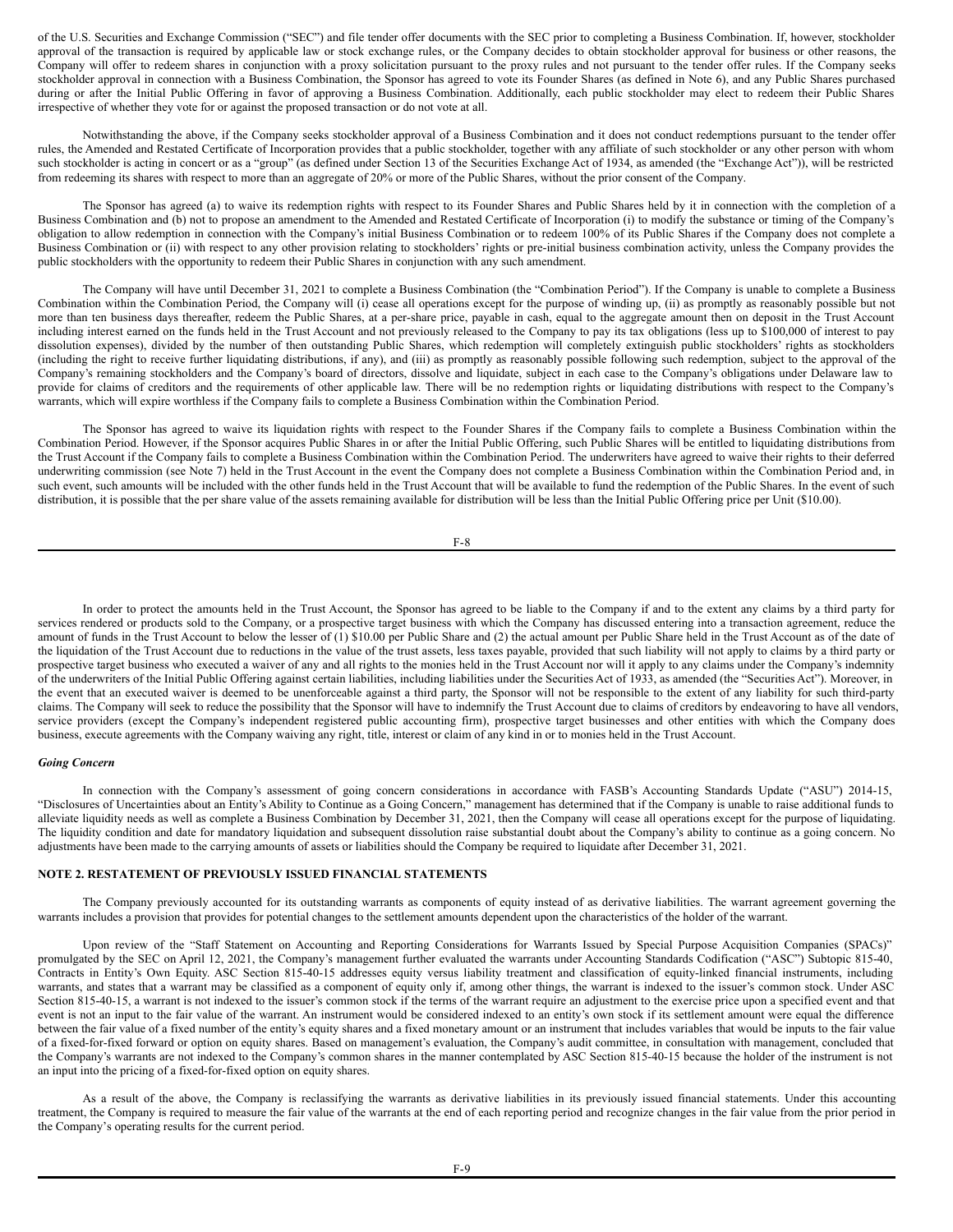of the U.S. Securities and Exchange Commission ("SEC") and file tender offer documents with the SEC prior to completing a Business Combination. If, however, stockholder approval of the transaction is required by applicable law or stock exchange rules, or the Company decides to obtain stockholder approval for business or other reasons, the Company will offer to redeem shares in conjunction with a proxy solicitation pursuant to the proxy rules and not pursuant to the tender offer rules. If the Company seeks stockholder approval in connection with a Business Combination, the Sponsor has agreed to vote its Founder Shares (as defined in Note 6), and any Public Shares purchased during or after the Initial Public Offering in favor of approving a Business Combination. Additionally, each public stockholder may elect to redeem their Public Shares irrespective of whether they vote for or against the proposed transaction or do not vote at all.

Notwithstanding the above, if the Company seeks stockholder approval of a Business Combination and it does not conduct redemptions pursuant to the tender offer rules, the Amended and Restated Certificate of Incorporation provides that a public stockholder, together with any affiliate of such stockholder or any other person with whom such stockholder is acting in concert or as a "group" (as defined under Section 13 of the Securities Exchange Act of 1934, as amended (the "Exchange Act")), will be restricted from redeeming its shares with respect to more than an aggregate of 20% or more of the Public Shares, without the prior consent of the Company.

The Sponsor has agreed (a) to waive its redemption rights with respect to its Founder Shares and Public Shares held by it in connection with the completion of a Business Combination and (b) not to propose an amendment to the Amended and Restated Certificate of Incorporation (i) to modify the substance or timing of the Company's obligation to allow redemption in connection with the Company's initial Business Combination or to redeem 100% of its Public Shares if the Company does not complete a Business Combination or (ii) with respect to any other provision relating to stockholders' rights or pre-initial business combination activity, unless the Company provides the public stockholders with the opportunity to redeem their Public Shares in conjunction with any such amendment.

The Company will have until December 31, 2021 to complete a Business Combination (the "Combination Period"). If the Company is unable to complete a Business Combination within the Combination Period, the Company will (i) cease all operations except for the purpose of winding up, (ii) as promptly as reasonably possible but not more than ten business days thereafter, redeem the Public Shares, at a per-share price, payable in cash, equal to the aggregate amount then on deposit in the Trust Account including interest earned on the funds held in the Trust Account and not previously released to the Company to pay its tax obligations (less up to \$100,000 of interest to pay dissolution expenses), divided by the number of then outstanding Public Shares, which redemption will completely extinguish public stockholders' rights as stockholders (including the right to receive further liquidating distributions, if any), and (iii) as promptly as reasonably possible following such redemption, subject to the approval of the Company's remaining stockholders and the Company's board of directors, dissolve and liquidate, subject in each case to the Company's obligations under Delaware law to provide for claims of creditors and the requirements of other applicable law. There will be no redemption rights or liquidating distributions with respect to the Company's warrants, which will expire worthless if the Company fails to complete a Business Combination within the Combination Period.

The Sponsor has agreed to waive its liquidation rights with respect to the Founder Shares if the Company fails to complete a Business Combination within the Combination Period. However, if the Sponsor acquires Public Shares in or after the Initial Public Offering, such Public Shares will be entitled to liquidating distributions from the Trust Account if the Company fails to complete a Business Combination within the Combination Period. The underwriters have agreed to waive their rights to their deferred underwriting commission (see Note 7) held in the Trust Account in the event the Company does not complete a Business Combination within the Combination Period and, in such event, such amounts will be included with the other funds held in the Trust Account that will be available to fund the redemption of the Public Shares. In the event of such distribution, it is possible that the per share value of the assets remaining available for distribution will be less than the Initial Public Offering price per Unit (\$10.00).

$$
F-8
$$

In order to protect the amounts held in the Trust Account, the Sponsor has agreed to be liable to the Company if and to the extent any claims by a third party for services rendered or products sold to the Company, or a prospective target business with which the Company has discussed entering into a transaction agreement, reduce the amount of funds in the Trust Account to below the lesser of (1) \$10.00 per Public Share and (2) the actual amount per Public Share held in the Trust Account as of the date of the liquidation of the Trust Account due to reductions in the value of the trust assets, less taxes payable, provided that such liability will not apply to claims by a third party or prospective target business who executed a waiver of any and all rights to the monies held in the Trust Account nor will it apply to any claims under the Company's indemnity of the underwriters of the Initial Public Offering against certain liabilities, including liabilities under the Securities Act of 1933, as amended (the "Securities Act"). Moreover, in the event that an executed waiver is deemed to be unenforceable against a third party, the Sponsor will not be responsible to the extent of any liability for such third-party claims. The Company will seek to reduce the possibility that the Sponsor will have to indemnify the Trust Account due to claims of creditors by endeavoring to have all vendors, service providers (except the Company's independent registered public accounting firm), prospective target businesses and other entities with which the Company does business, execute agreements with the Company waiving any right, title, interest or claim of any kind in or to monies held in the Trust Account.

### *Going Concern*

In connection with the Company's assessment of going concern considerations in accordance with FASB's Accounting Standards Update ("ASU") 2014-15, "Disclosures of Uncertainties about an Entity's Ability to Continue as a Going Concern," management has determined that if the Company is unable to raise additional funds to alleviate liquidity needs as well as complete a Business Combination by December 31, 2021, then the Company will cease all operations except for the purpose of liquidating. The liquidity condition and date for mandatory liquidation and subsequent dissolution raise substantial doubt about the Company's ability to continue as a going concern. No adjustments have been made to the carrying amounts of assets or liabilities should the Company be required to liquidate after December 31, 2021.

### **NOTE 2. RESTATEMENT OF PREVIOUSLY ISSUED FINANCIAL STATEMENTS**

The Company previously accounted for its outstanding warrants as components of equity instead of as derivative liabilities. The warrant agreement governing the warrants includes a provision that provides for potential changes to the settlement amounts dependent upon the characteristics of the holder of the warrant.

Upon review of the "Staff Statement on Accounting and Reporting Considerations for Warrants Issued by Special Purpose Acquisition Companies (SPACs)" promulgated by the SEC on April 12, 2021, the Company's management further evaluated the warrants under Accounting Standards Codification ("ASC") Subtopic 815-40, Contracts in Entity's Own Equity. ASC Section 815-40-15 addresses equity versus liability treatment and classification of equity-linked financial instruments, including warrants, and states that a warrant may be classified as a component of equity only if, among other things, the warrant is indexed to the issuer's common stock. Under ASC Section 815-40-15, a warrant is not indexed to the issuer's common stock if the terms of the warrant require an adjustment to the exercise price upon a specified event and that event is not an input to the fair value of the warrant. An instrument would be considered indexed to an entity's own stock if its settlement amount were equal the difference between the fair value of a fixed number of the entity's equity shares and a fixed monetary amount or an instrument that includes variables that would be inputs to the fair value of a fixed-for-fixed forward or option on equity shares. Based on management's evaluation, the Company's audit committee, in consultation with management, concluded that the Company's warrants are not indexed to the Company's common shares in the manner contemplated by ASC Section 815-40-15 because the holder of the instrument is not an input into the pricing of a fixed-for-fixed option on equity shares.

As a result of the above, the Company is reclassifying the warrants as derivative liabilities in its previously issued financial statements. Under this accounting treatment, the Company is required to measure the fair value of the warrants at the end of each reporting period and recognize changes in the fair value from the prior period in the Company's operating results for the current period.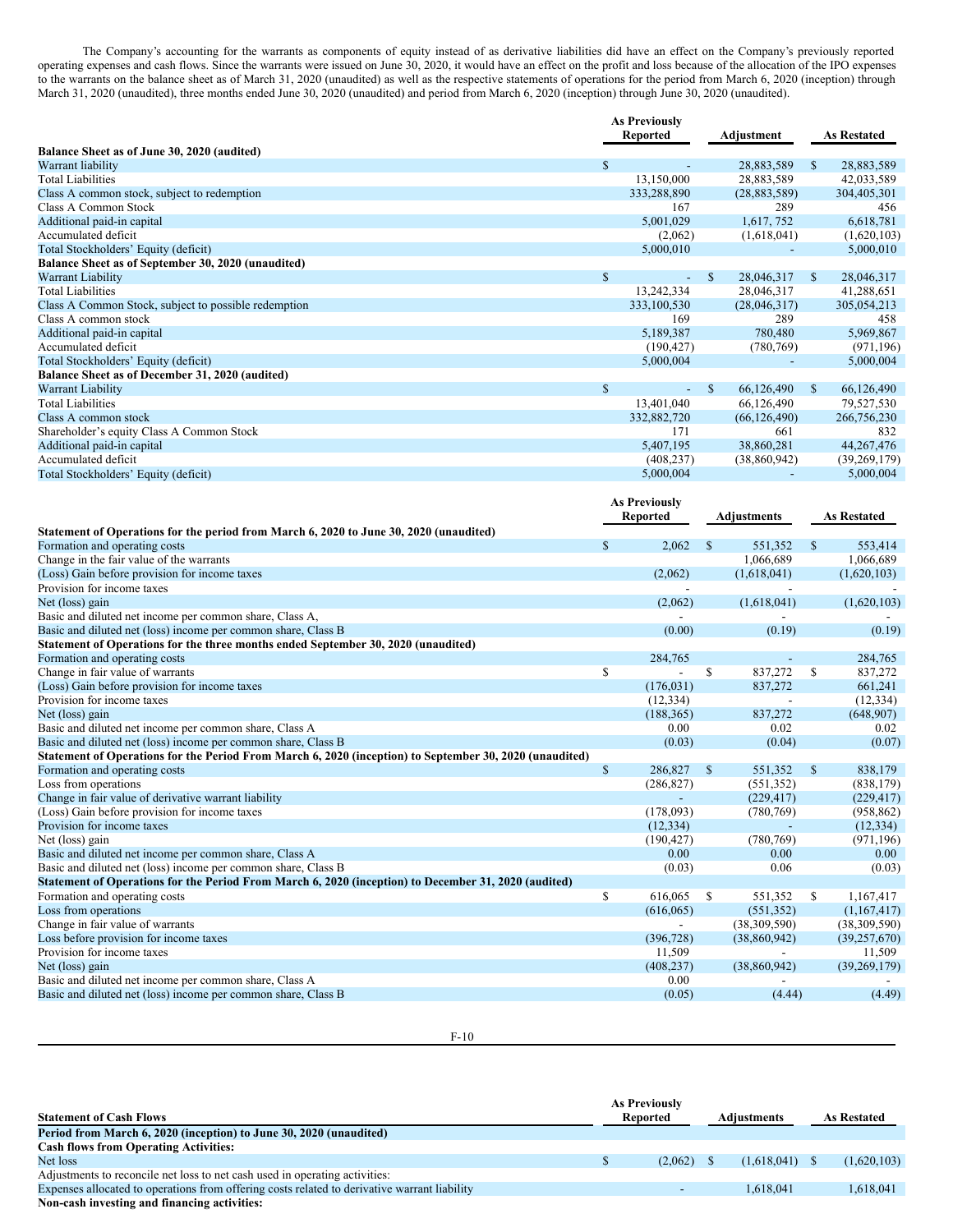The Company's accounting for the warrants as components of equity instead of as derivative liabilities did have an effect on the Company's previously reported operating expenses and cash flows. Since the warrants were issued on June 30, 2020, it would have an effect on the profit and loss because of the allocation of the IPO expenses to the warrants on the balance sheet as of March 31, 2020 (unaudited) as well as the respective statements of operations for the period from March 6, 2020 (inception) through March 31, 2020 (unaudited), three months ended June 30, 2020 (unaudited) and period from March 6, 2020 (inception) through June 30, 2020 (unaudited).

|                                                      |                 | <b>As Previously</b> |               |                |              |                    |
|------------------------------------------------------|-----------------|----------------------|---------------|----------------|--------------|--------------------|
|                                                      | <b>Reported</b> |                      | Adjustment    |                |              | <b>As Restated</b> |
| Balance Sheet as of June 30, 2020 (audited)          |                 |                      |               |                |              |                    |
| Warrant liability                                    | $\mathbb{S}$    |                      |               | 28,883,589     | $\mathbb{S}$ | 28,883,589         |
| <b>Total Liabilities</b>                             |                 | 13,150,000           |               | 28,883,589     |              | 42,033,589         |
| Class A common stock, subject to redemption          |                 | 333,288,890          |               | (28, 883, 589) |              | 304,405,301        |
| Class A Common Stock                                 |                 | 167                  |               | 289            |              | 456                |
| Additional paid-in capital                           |                 | 5,001,029            |               | 1,617, 752     |              | 6,618,781          |
| Accumulated deficit                                  |                 | (2,062)              |               | (1,618,041)    |              | (1,620,103)        |
| Total Stockholders' Equity (deficit)                 |                 | 5,000,010            |               |                |              | 5,000,010          |
| Balance Sheet as of September 30, 2020 (unaudited)   |                 |                      |               |                |              |                    |
| Warrant Liability                                    | $\mathbb{S}$    |                      | <sup>\$</sup> | 28,046,317     | <sup>S</sup> | 28,046,317         |
| <b>Total Liabilities</b>                             |                 | 13,242,334           |               | 28,046,317     |              | 41,288,651         |
| Class A Common Stock, subject to possible redemption |                 | 333,100,530          |               | (28,046,317)   |              | 305,054,213        |
| Class A common stock                                 |                 | 169                  |               | 289            |              | 458                |
| Additional paid-in capital                           |                 | 5,189,387            |               | 780,480        |              | 5,969,867          |
| Accumulated deficit                                  |                 | (190, 427)           |               | (780, 769)     |              | (971, 196)         |
| Total Stockholders' Equity (deficit)                 |                 | 5,000,004            |               |                |              | 5,000,004          |
| Balance Sheet as of December 31, 2020 (audited)      |                 |                      |               |                |              |                    |
| Warrant Liability                                    | \$              |                      | <sup>\$</sup> | 66,126,490     | <sup>S</sup> | 66,126,490         |
| <b>Total Liabilities</b>                             |                 | 13,401,040           |               | 66,126,490     |              | 79,527,530         |
| Class A common stock                                 |                 | 332,882,720          |               | (66, 126, 490) |              | 266,756,230        |
| Shareholder's equity Class A Common Stock            |                 | 171                  |               | 661            |              | 832                |
| Additional paid-in capital                           |                 | 5,407,195            |               | 38,860,281     |              | 44, 267, 476       |
| Accumulated deficit                                  |                 | (408, 237)           |               | (38,860,942)   |              | (39, 269, 179)     |
| Total Stockholders' Equity (deficit)                 |                 | 5,000,004            |               |                |              | 5,000,004          |

|                                                                                                         | <b>As Previously</b><br>Reported |              | Adjustments  |               | <b>As Restated</b> |  |
|---------------------------------------------------------------------------------------------------------|----------------------------------|--------------|--------------|---------------|--------------------|--|
| Statement of Operations for the period from March 6, 2020 to June 30, 2020 (unaudited)                  |                                  |              |              |               |                    |  |
| Formation and operating costs                                                                           | \$<br>2.062                      | $\mathbb{S}$ | 551.352      | $\mathbb{S}$  | 553,414            |  |
| Change in the fair value of the warrants                                                                |                                  |              | 1,066,689    |               | 1,066,689          |  |
| (Loss) Gain before provision for income taxes                                                           | (2,062)                          |              | (1,618,041)  |               | (1,620,103)        |  |
| Provision for income taxes                                                                              |                                  |              |              |               |                    |  |
| Net (loss) gain                                                                                         | (2,062)                          |              | (1,618,041)  |               | (1,620,103)        |  |
| Basic and diluted net income per common share, Class A,                                                 |                                  |              |              |               |                    |  |
| Basic and diluted net (loss) income per common share, Class B                                           | (0.00)                           |              | (0.19)       |               | (0.19)             |  |
| Statement of Operations for the three months ended September 30, 2020 (unaudited)                       |                                  |              |              |               |                    |  |
| Formation and operating costs                                                                           | 284,765                          |              |              |               | 284,765            |  |
| Change in fair value of warrants                                                                        | \$                               | \$           | 837,272      | <sup>\$</sup> | 837,272            |  |
| (Loss) Gain before provision for income taxes                                                           | (176, 031)                       |              | 837,272      |               | 661,241            |  |
| Provision for income taxes                                                                              | (12, 334)                        |              |              |               | (12, 334)          |  |
| Net (loss) gain                                                                                         | (188, 365)                       |              | 837,272      |               | (648,907)          |  |
| Basic and diluted net income per common share, Class A                                                  | 0.00                             |              | 0.02         |               | 0.02               |  |
| Basic and diluted net (loss) income per common share, Class B                                           | (0.03)                           |              | (0.04)       |               | (0.07)             |  |
| Statement of Operations for the Period From March 6, 2020 (inception) to September 30, 2020 (unaudited) |                                  |              |              |               |                    |  |
| Formation and operating costs                                                                           | \$<br>286,827                    | $\mathbb{S}$ | 551,352      | $\mathbb{S}$  | 838,179            |  |
| Loss from operations                                                                                    | (286, 827)                       |              | (551, 352)   |               | (838, 179)         |  |
| Change in fair value of derivative warrant liability                                                    |                                  |              | (229, 417)   |               | (229, 417)         |  |
| (Loss) Gain before provision for income taxes                                                           | (178,093)                        |              | (780, 769)   |               | (958, 862)         |  |
| Provision for income taxes                                                                              | (12, 334)                        |              |              |               | (12, 334)          |  |
| Net (loss) gain                                                                                         | (190, 427)                       |              | (780, 769)   |               | (971, 196)         |  |
| Basic and diluted net income per common share, Class A                                                  | 0.00                             |              | 0.00         |               | 0.00               |  |
| Basic and diluted net (loss) income per common share, Class B                                           | (0.03)                           |              | 0.06         |               | (0.03)             |  |
| Statement of Operations for the Period From March 6, 2020 (inception) to December 31, 2020 (audited)    |                                  |              |              |               |                    |  |
| Formation and operating costs                                                                           | \$<br>616,065                    | \$           | 551,352      | \$            | 1,167,417          |  |
| Loss from operations                                                                                    | (616,065)                        |              | (551, 352)   |               | (1,167,417)        |  |
| Change in fair value of warrants                                                                        |                                  |              | (38,309,590) |               | (38,309,590)       |  |
| Loss before provision for income taxes                                                                  | (396, 728)                       |              | (38,860,942) |               | (39, 257, 670)     |  |
| Provision for income taxes                                                                              | 11,509                           |              |              |               | 11,509             |  |
| Net (loss) gain                                                                                         | (408, 237)                       |              | (38,860,942) |               | (39, 269, 179)     |  |
| Basic and diluted net income per common share, Class A                                                  | 0.00                             |              |              |               |                    |  |
| Basic and diluted net (loss) income per common share, Class B                                           | (0.05)                           |              | (4.44)       |               | (4.49)             |  |

F-10

|                                                                                              | <b>As Previously</b> |                          |                    |                    |
|----------------------------------------------------------------------------------------------|----------------------|--------------------------|--------------------|--------------------|
| <b>Statement of Cash Flows</b>                                                               | Reported             |                          | <b>Adjustments</b> | <b>As Restated</b> |
| Period from March 6, 2020 (inception) to June 30, 2020 (unaudited)                           |                      |                          |                    |                    |
| <b>Cash flows from Operating Activities:</b>                                                 |                      |                          |                    |                    |
| Net loss                                                                                     |                      | (2.062)                  | $(1.618.041)$ \$   | (1,620,103)        |
| Adjustments to reconcile net loss to net cash used in operating activities:                  |                      |                          |                    |                    |
| Expenses allocated to operations from offering costs related to derivative warrant liability |                      | $\overline{\phantom{0}}$ | 1.618.041          | 1,618,041          |
| Non-cash investing and financing activities:                                                 |                      |                          |                    |                    |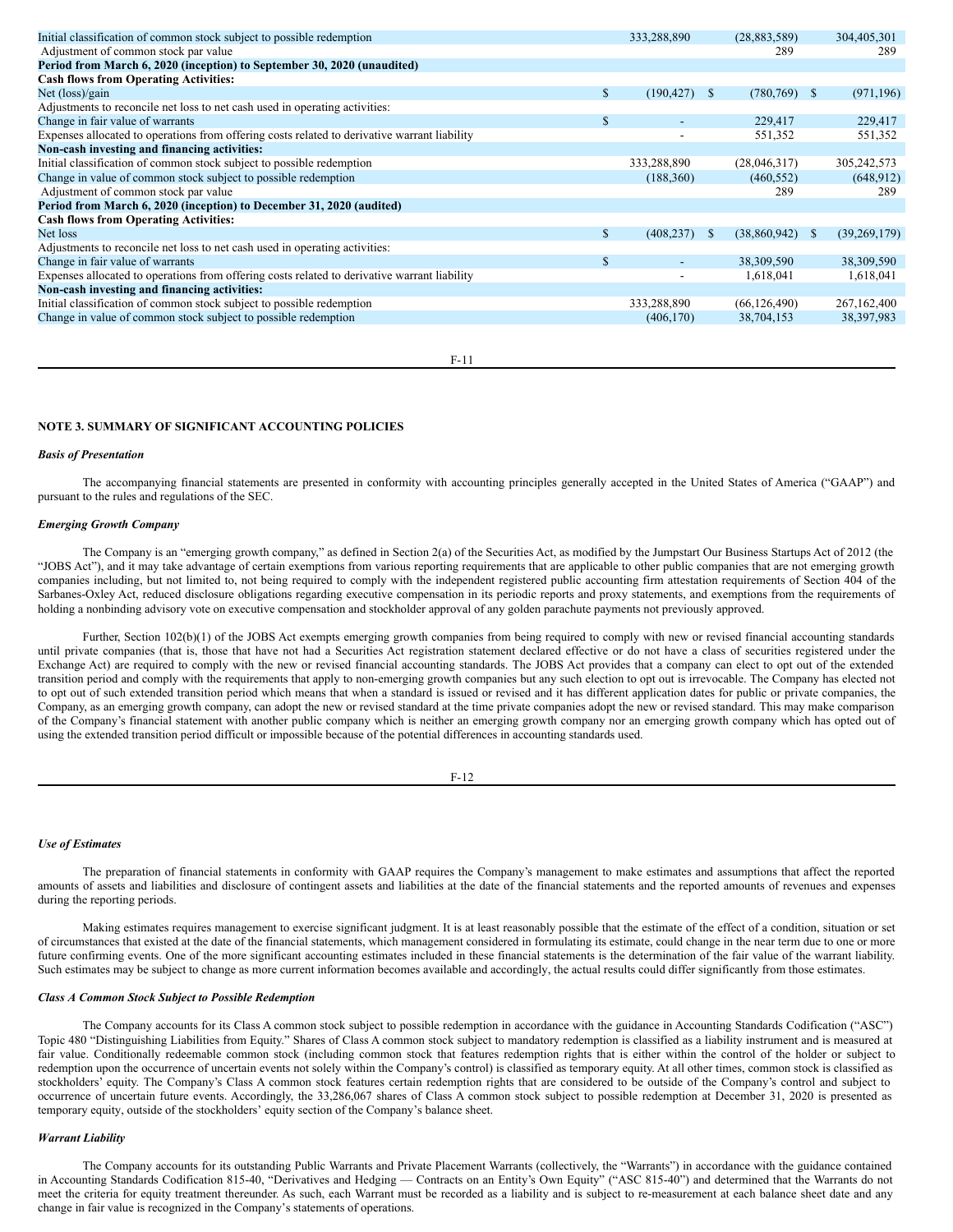| Initial classification of common stock subject to possible redemption                        |     | 333,288,890              |          | (28, 883, 589) |              | 304,405,301    |
|----------------------------------------------------------------------------------------------|-----|--------------------------|----------|----------------|--------------|----------------|
| Adjustment of common stock par value                                                         |     |                          |          | 289            |              | 289            |
| Period from March 6, 2020 (inception) to September 30, 2020 (unaudited)                      |     |                          |          |                |              |                |
| <b>Cash flows from Operating Activities:</b>                                                 |     |                          |          |                |              |                |
| Net (loss)/gain                                                                              | \$  | (190, 427)               | -S       | (780, 769)     | <sup>S</sup> | (971, 196)     |
| Adjustments to reconcile net loss to net cash used in operating activities:                  |     |                          |          |                |              |                |
| Change in fair value of warrants                                                             | \$. | $\overline{\phantom{a}}$ |          | 229,417        |              | 229,417        |
| Expenses allocated to operations from offering costs related to derivative warrant liability |     |                          |          | 551,352        |              | 551,352        |
| Non-cash investing and financing activities:                                                 |     |                          |          |                |              |                |
| Initial classification of common stock subject to possible redemption                        |     | 333,288,890              |          | (28,046,317)   |              | 305, 242, 573  |
| Change in value of common stock subject to possible redemption                               |     | (188, 360)               |          | (460, 552)     |              | (648, 912)     |
| Adjustment of common stock par value                                                         |     |                          |          | 289            |              | 289            |
| Period from March 6, 2020 (inception) to December 31, 2020 (audited)                         |     |                          |          |                |              |                |
| <b>Cash flows from Operating Activities:</b>                                                 |     |                          |          |                |              |                |
| Net loss                                                                                     | \$. | (408.237)                | <b>S</b> | (38, 860, 942) | -SS          | (39, 269, 179) |
| Adjustments to reconcile net loss to net cash used in operating activities:                  |     |                          |          |                |              |                |
| Change in fair value of warrants                                                             | \$. |                          |          | 38,309,590     |              | 38,309,590     |
| Expenses allocated to operations from offering costs related to derivative warrant liability |     |                          |          | 1,618,041      |              | 1,618,041      |
| Non-cash investing and financing activities:                                                 |     |                          |          |                |              |                |
| Initial classification of common stock subject to possible redemption                        |     | 333,288,890              |          | (66, 126, 490) |              | 267,162,400    |
| Change in value of common stock subject to possible redemption                               |     | (406, 170)               |          | 38,704,153     |              | 38, 397, 983   |
|                                                                                              |     |                          |          |                |              |                |
|                                                                                              |     |                          |          |                |              |                |

F-11

### **NOTE 3. SUMMARY OF SIGNIFICANT ACCOUNTING POLICIES**

#### *Basis of Presentation*

The accompanying financial statements are presented in conformity with accounting principles generally accepted in the United States of America ("GAAP") and pursuant to the rules and regulations of the SEC.

#### *Emerging Growth Company*

The Company is an "emerging growth company," as defined in Section 2(a) of the Securities Act, as modified by the Jumpstart Our Business Startups Act of 2012 (the "JOBS Act"), and it may take advantage of certain exemptions from various reporting requirements that are applicable to other public companies that are not emerging growth companies including, but not limited to, not being required to comply with the independent registered public accounting firm attestation requirements of Section 404 of the Sarbanes-Oxley Act, reduced disclosure obligations regarding executive compensation in its periodic reports and proxy statements, and exemptions from the requirements of holding a nonbinding advisory vote on executive compensation and stockholder approval of any golden parachute payments not previously approved.

Further, Section 102(b)(1) of the JOBS Act exempts emerging growth companies from being required to comply with new or revised financial accounting standards until private companies (that is, those that have not had a Securities Act registration statement declared effective or do not have a class of securities registered under the Exchange Act) are required to comply with the new or revised financial accounting standards. The JOBS Act provides that a company can elect to opt out of the extended transition period and comply with the requirements that apply to non-emerging growth companies but any such election to opt out is irrevocable. The Company has elected not to opt out of such extended transition period which means that when a standard is issued or revised and it has different application dates for public or private companies, the Company, as an emerging growth company, can adopt the new or revised standard at the time private companies adopt the new or revised standard. This may make comparison of the Company's financial statement with another public company which is neither an emerging growth company nor an emerging growth company which has opted out of using the extended transition period difficult or impossible because of the potential differences in accounting standards used.

| _ |
|---|
|---|

# *Use of Estimates*

The preparation of financial statements in conformity with GAAP requires the Company's management to make estimates and assumptions that affect the reported amounts of assets and liabilities and disclosure of contingent assets and liabilities at the date of the financial statements and the reported amounts of revenues and expenses during the reporting periods.

Making estimates requires management to exercise significant judgment. It is at least reasonably possible that the estimate of the effect of a condition, situation or set of circumstances that existed at the date of the financial statements, which management considered in formulating its estimate, could change in the near term due to one or more future confirming events. One of the more significant accounting estimates included in these financial statements is the determination of the fair value of the warrant liability. Such estimates may be subject to change as more current information becomes available and accordingly, the actual results could differ significantly from those estimates.

# *Class A Common Stock Subject to Possible Redemption*

The Company accounts for its Class A common stock subject to possible redemption in accordance with the guidance in Accounting Standards Codification ("ASC") Topic 480 "Distinguishing Liabilities from Equity." Shares of Class A common stock subject to mandatory redemption is classified as a liability instrument and is measured at fair value. Conditionally redeemable common stock (including common stock that features redemption rights that is either within the control of the holder or subject to redemption upon the occurrence of uncertain events not solely within the Company's control) is classified as temporary equity. At all other times, common stock is classified as stockholders' equity. The Company's Class A common stock features certain redemption rights that are considered to be outside of the Company's control and subject to occurrence of uncertain future events. Accordingly, the 33,286,067 shares of Class A common stock subject to possible redemption at December 31, 2020 is presented as temporary equity, outside of the stockholders' equity section of the Company's balance sheet.

# *Warrant Liability*

The Company accounts for its outstanding Public Warrants and Private Placement Warrants (collectively, the "Warrants") in accordance with the guidance contained in Accounting Standards Codification 815-40, "Derivatives and Hedging — Contracts on an Entity's Own Equity" ("ASC 815-40") and determined that the Warrants do not meet the criteria for equity treatment thereunder. As such, each Warrant must be recorded as a liability and is subject to re-measurement at each balance sheet date and any change in fair value is recognized in the Company's statements of operations.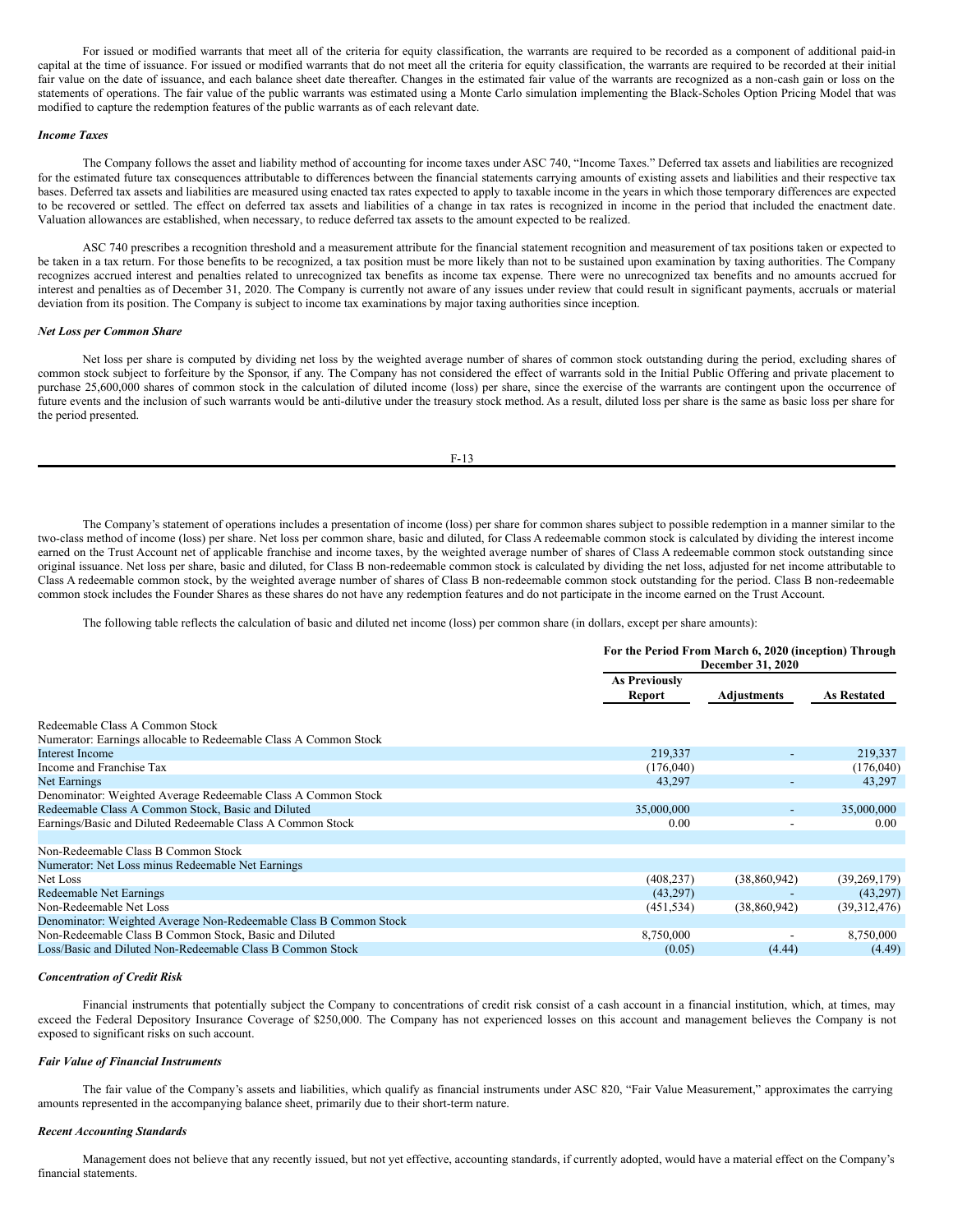For issued or modified warrants that meet all of the criteria for equity classification, the warrants are required to be recorded as a component of additional paid-in capital at the time of issuance. For issued or modified warrants that do not meet all the criteria for equity classification, the warrants are required to be recorded at their initial fair value on the date of issuance, and each balance sheet date thereafter. Changes in the estimated fair value of the warrants are recognized as a non-cash gain or loss on the statements of operations. The fair value of the public warrants was estimated using a Monte Carlo simulation implementing the Black-Scholes Option Pricing Model that was modified to capture the redemption features of the public warrants as of each relevant date.

## *Income Taxes*

The Company follows the asset and liability method of accounting for income taxes under ASC 740, "Income Taxes." Deferred tax assets and liabilities are recognized for the estimated future tax consequences attributable to differences between the financial statements carrying amounts of existing assets and liabilities and their respective tax bases. Deferred tax assets and liabilities are measured using enacted tax rates expected to apply to taxable income in the years in which those temporary differences are expected to be recovered or settled. The effect on deferred tax assets and liabilities of a change in tax rates is recognized in income in the period that included the enactment date. Valuation allowances are established, when necessary, to reduce deferred tax assets to the amount expected to be realized.

ASC 740 prescribes a recognition threshold and a measurement attribute for the financial statement recognition and measurement of tax positions taken or expected to be taken in a tax return. For those benefits to be recognized, a tax position must be more likely than not to be sustained upon examination by taxing authorities. The Company recognizes accrued interest and penalties related to unrecognized tax benefits as income tax expense. There were no unrecognized tax benefits and no amounts accrued for interest and penalties as of December 31, 2020. The Company is currently not aware of any issues under review that could result in significant payments, accruals or material deviation from its position. The Company is subject to income tax examinations by major taxing authorities since inception.

#### *Net Loss per Common Share*

Net loss per share is computed by dividing net loss by the weighted average number of shares of common stock outstanding during the period, excluding shares of common stock subject to forfeiture by the Sponsor, if any. The Company has not considered the effect of warrants sold in the Initial Public Offering and private placement to purchase 25,600,000 shares of common stock in the calculation of diluted income (loss) per share, since the exercise of the warrants are contingent upon the occurrence of future events and the inclusion of such warrants would be anti-dilutive under the treasury stock method. As a result, diluted loss per share is the same as basic loss per share for the period presented.

The Company's statement of operations includes a presentation of income (loss) per share for common shares subject to possible redemption in a manner similar to the two-class method of income (loss) per share. Net loss per common share, basic and diluted, for Class A redeemable common stock is calculated by dividing the interest income earned on the Trust Account net of applicable franchise and income taxes, by the weighted average number of shares of Class A redeemable common stock outstanding since original issuance. Net loss per share, basic and diluted, for Class B non-redeemable common stock is calculated by dividing the net loss, adjusted for net income attributable to Class A redeemable common stock, by the weighted average number of shares of Class B non-redeemable common stock outstanding for the period. Class B non-redeemable common stock includes the Founder Shares as these shares do not have any redemption features and do not participate in the income earned on the Trust Account.

The following table reflects the calculation of basic and diluted net income (loss) per common share (in dollars, except per share amounts):

|                                                                   | For the Period From March 6, 2020 (inception) Through<br>December 31, 2020 |                          |                    |
|-------------------------------------------------------------------|----------------------------------------------------------------------------|--------------------------|--------------------|
|                                                                   | <b>As Previously</b><br>Report                                             | Adjustments              | <b>As Restated</b> |
| Redeemable Class A Common Stock                                   |                                                                            |                          |                    |
| Numerator: Earnings allocable to Redeemable Class A Common Stock  |                                                                            |                          |                    |
| <b>Interest Income</b>                                            | 219,337                                                                    | $\overline{\phantom{a}}$ | 219,337            |
| Income and Franchise Tax                                          | (176,040)                                                                  |                          | (176,040)          |
| <b>Net Earnings</b>                                               | 43,297                                                                     |                          | 43,297             |
| Denominator: Weighted Average Redeemable Class A Common Stock     |                                                                            |                          |                    |
| Redeemable Class A Common Stock, Basic and Diluted                | 35,000,000                                                                 |                          | 35,000,000         |
| Earnings/Basic and Diluted Redeemable Class A Common Stock        | 0.00                                                                       | $\overline{\phantom{a}}$ | 0.00               |
| Non-Redeemable Class B Common Stock                               |                                                                            |                          |                    |
| Numerator: Net Loss minus Redeemable Net Earnings                 |                                                                            |                          |                    |
| Net Loss                                                          | (408, 237)                                                                 | (38,860,942)             | (39, 269, 179)     |
| <b>Redeemable Net Earnings</b>                                    | (43,297)                                                                   |                          | (43,297)           |
| Non-Redeemable Net Loss                                           | (451, 534)                                                                 | (38,860,942)             | (39,312,476)       |
| Denominator: Weighted Average Non-Redeemable Class B Common Stock |                                                                            |                          |                    |
| Non-Redeemable Class B Common Stock, Basic and Diluted            | 8,750,000                                                                  |                          | 8,750,000          |
| Loss/Basic and Diluted Non-Redeemable Class B Common Stock        | (0.05)                                                                     | (4.44)                   | (4.49)             |

## *Concentration of Credit Risk*

Financial instruments that potentially subject the Company to concentrations of credit risk consist of a cash account in a financial institution, which, at times, may exceed the Federal Depository Insurance Coverage of \$250,000. The Company has not experienced losses on this account and management believes the Company is not exposed to significant risks on such account.

### *Fair Value of Financial Instruments*

The fair value of the Company's assets and liabilities, which qualify as financial instruments under ASC 820, "Fair Value Measurement," approximates the carrying amounts represented in the accompanying balance sheet, primarily due to their short-term nature.

#### *Recent Accounting Standards*

Management does not believe that any recently issued, but not yet effective, accounting standards, if currently adopted, would have a material effect on the Company's financial statements.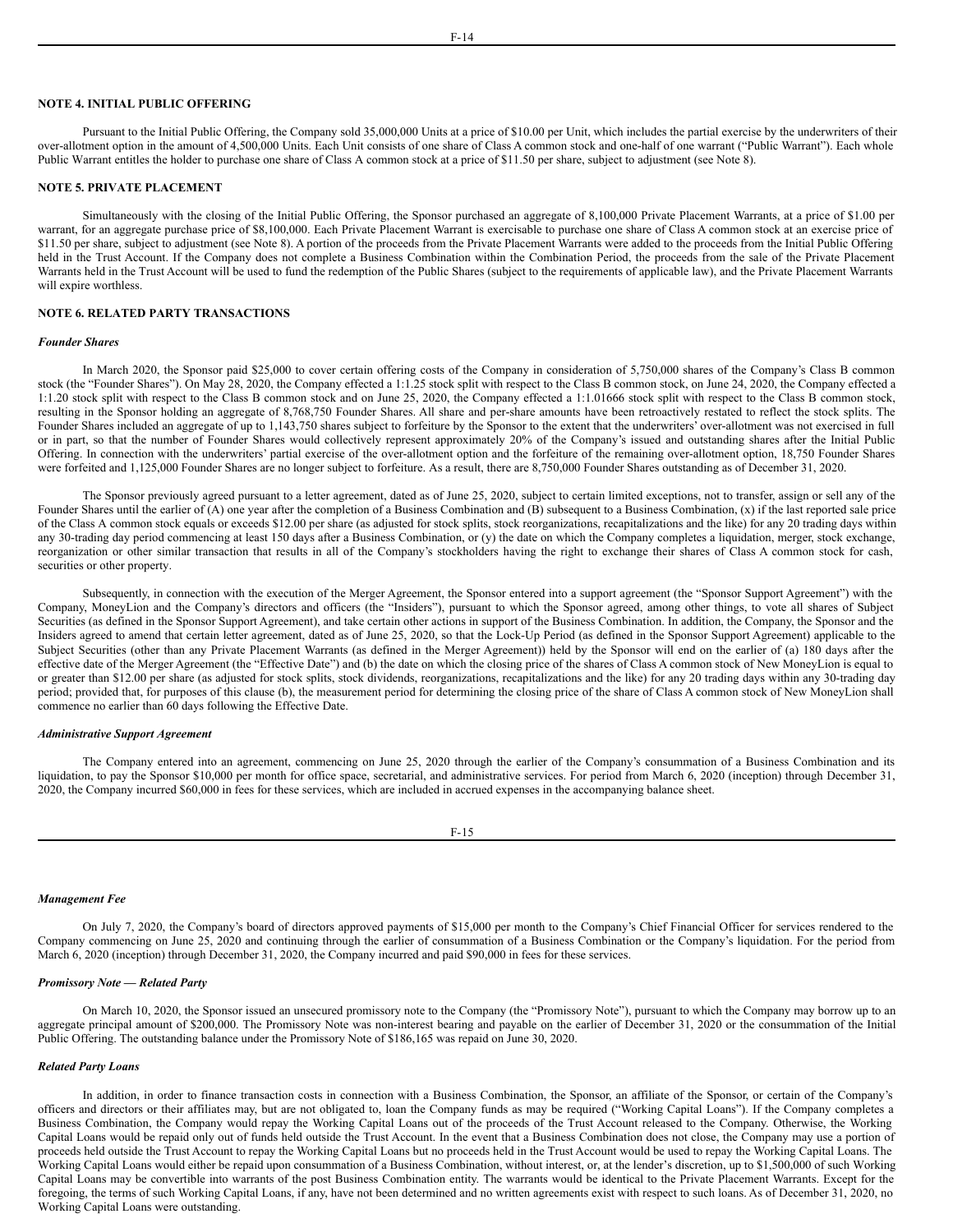# **NOTE 4. INITIAL PUBLIC OFFERING**

Pursuant to the Initial Public Offering, the Company sold 35,000,000 Units at a price of \$10.00 per Unit, which includes the partial exercise by the underwriters of their over-allotment option in the amount of 4,500,000 Units. Each Unit consists of one share of Class A common stock and one-half of one warrant ("Public Warrant"). Each whole Public Warrant entitles the holder to purchase one share of Class A common stock at a price of \$11.50 per share, subject to adjustment (see Note 8).

# **NOTE 5. PRIVATE PLACEMENT**

Simultaneously with the closing of the Initial Public Offering, the Sponsor purchased an aggregate of 8,100,000 Private Placement Warrants, at a price of \$1.00 per warrant, for an aggregate purchase price of \$8,100,000. Each Private Placement Warrant is exercisable to purchase one share of Class A common stock at an exercise price of \$11.50 per share, subject to adjustment (see Note 8). A portion of the proceeds from the Private Placement Warrants were added to the proceeds from the Initial Public Offering held in the Trust Account. If the Company does not complete a Business Combination within the Combination Period, the proceeds from the sale of the Private Placement Warrants held in the Trust Account will be used to fund the redemption of the Public Shares (subject to the requirements of applicable law), and the Private Placement Warrants will expire worthless.

### **NOTE 6. RELATED PARTY TRANSACTIONS**

### *Founder Shares*

In March 2020, the Sponsor paid \$25,000 to cover certain offering costs of the Company in consideration of 5,750,000 shares of the Company's Class B common stock (the "Founder Shares"). On May 28, 2020, the Company effected a 1:1.25 stock split with respect to the Class B common stock, on June 24, 2020, the Company effected a 1:1.20 stock split with respect to the Class B common stock and on June 25, 2020, the Company effected a 1:1.01666 stock split with respect to the Class B common stock, resulting in the Sponsor holding an aggregate of 8,768,750 Founder Shares. All share and per-share amounts have been retroactively restated to reflect the stock splits. The Founder Shares included an aggregate of up to 1,143,750 shares subject to forfeiture by the Sponsor to the extent that the underwriters' over-allotment was not exercised in full or in part, so that the number of Founder Shares would collectively represent approximately 20% of the Company's issued and outstanding shares after the Initial Public Offering. In connection with the underwriters' partial exercise of the over-allotment option and the forfeiture of the remaining over-allotment option, 18,750 Founder Shares were forfeited and 1,125,000 Founder Shares are no longer subject to forfeiture. As a result, there are 8,750,000 Founder Shares outstanding as of December 31, 2020.

The Sponsor previously agreed pursuant to a letter agreement, dated as of June 25, 2020, subject to certain limited exceptions, not to transfer, assign or sell any of the Founder Shares until the earlier of (A) one year after the completion of a Business Combination and (B) subsequent to a Business Combination, (x) if the last reported sale price of the Class A common stock equals or exceeds \$12.00 per share (as adjusted for stock splits, stock reorganizations, recapitalizations and the like) for any 20 trading days within any 30-trading day period commencing at least 150 days after a Business Combination, or (y) the date on which the Company completes a liquidation, merger, stock exchange, reorganization or other similar transaction that results in all of the Company's stockholders having the right to exchange their shares of Class A common stock for cash, securities or other property.

Subsequently, in connection with the execution of the Merger Agreement, the Sponsor entered into a support agreement (the "Sponsor Support Agreement") with the Company, MoneyLion and the Company's directors and officers (the "Insiders"), pursuant to which the Sponsor agreed, among other things, to vote all shares of Subject Securities (as defined in the Sponsor Support Agreement), and take certain other actions in support of the Business Combination. In addition, the Company, the Sponsor and the Insiders agreed to amend that certain letter agreement, dated as of June 25, 2020, so that the Lock-Up Period (as defined in the Sponsor Support Agreement) applicable to the Subject Securities (other than any Private Placement Warrants (as defined in the Merger Agreement)) held by the Sponsor will end on the earlier of (a) 180 days after the effective date of the Merger Agreement (the "Effective Date") and (b) the date on which the closing price of the shares of Class A common stock of New MoneyLion is equal to or greater than \$12.00 per share (as adjusted for stock splits, stock dividends, reorganizations, recapitalizations and the like) for any 20 trading days within any 30-trading day period; provided that, for purposes of this clause (b), the measurement period for determining the closing price of the share of Class A common stock of New MoneyLion shall commence no earlier than 60 days following the Effective Date.

## *Administrative Support Agreement*

The Company entered into an agreement, commencing on June 25, 2020 through the earlier of the Company's consummation of a Business Combination and its liquidation, to pay the Sponsor \$10,000 per month for office space, secretarial, and administrative services. For period from March 6, 2020 (inception) through December 31, 2020, the Company incurred \$60,000 in fees for these services, which are included in accrued expenses in the accompanying balance sheet.

# *Management Fee*

On July 7, 2020, the Company's board of directors approved payments of \$15,000 per month to the Company's Chief Financial Officer for services rendered to the Company commencing on June 25, 2020 and continuing through the earlier of consummation of a Business Combination or the Company's liquidation. For the period from March 6, 2020 (inception) through December 31, 2020, the Company incurred and paid \$90,000 in fees for these services.

# *Promissory Note — Related Party*

On March 10, 2020, the Sponsor issued an unsecured promissory note to the Company (the "Promissory Note"), pursuant to which the Company may borrow up to an aggregate principal amount of \$200,000. The Promissory Note was non-interest bearing and payable on the earlier of December 31, 2020 or the consummation of the Initial Public Offering. The outstanding balance under the Promissory Note of \$186,165 was repaid on June 30, 2020.

# *Related Party Loans*

In addition, in order to finance transaction costs in connection with a Business Combination, the Sponsor, an affiliate of the Sponsor, or certain of the Company's officers and directors or their affiliates may, but are not obligated to, loan the Company funds as may be required ("Working Capital Loans"). If the Company completes a Business Combination, the Company would repay the Working Capital Loans out of the proceeds of the Trust Account released to the Company. Otherwise, the Working Capital Loans would be repaid only out of funds held outside the Trust Account. In the event that a Business Combination does not close, the Company may use a portion of proceeds held outside the Trust Account to repay the Working Capital Loans but no proceeds held in the Trust Account would be used to repay the Working Capital Loans. The Working Capital Loans would either be repaid upon consummation of a Business Combination, without interest, or, at the lender's discretion, up to \$1,500,000 of such Working Capital Loans may be convertible into warrants of the post Business Combination entity. The warrants would be identical to the Private Placement Warrants. Except for the foregoing, the terms of such Working Capital Loans, if any, have not been determined and no written agreements exist with respect to such loans. As of December 31, 2020, no Working Capital Loans were outstanding.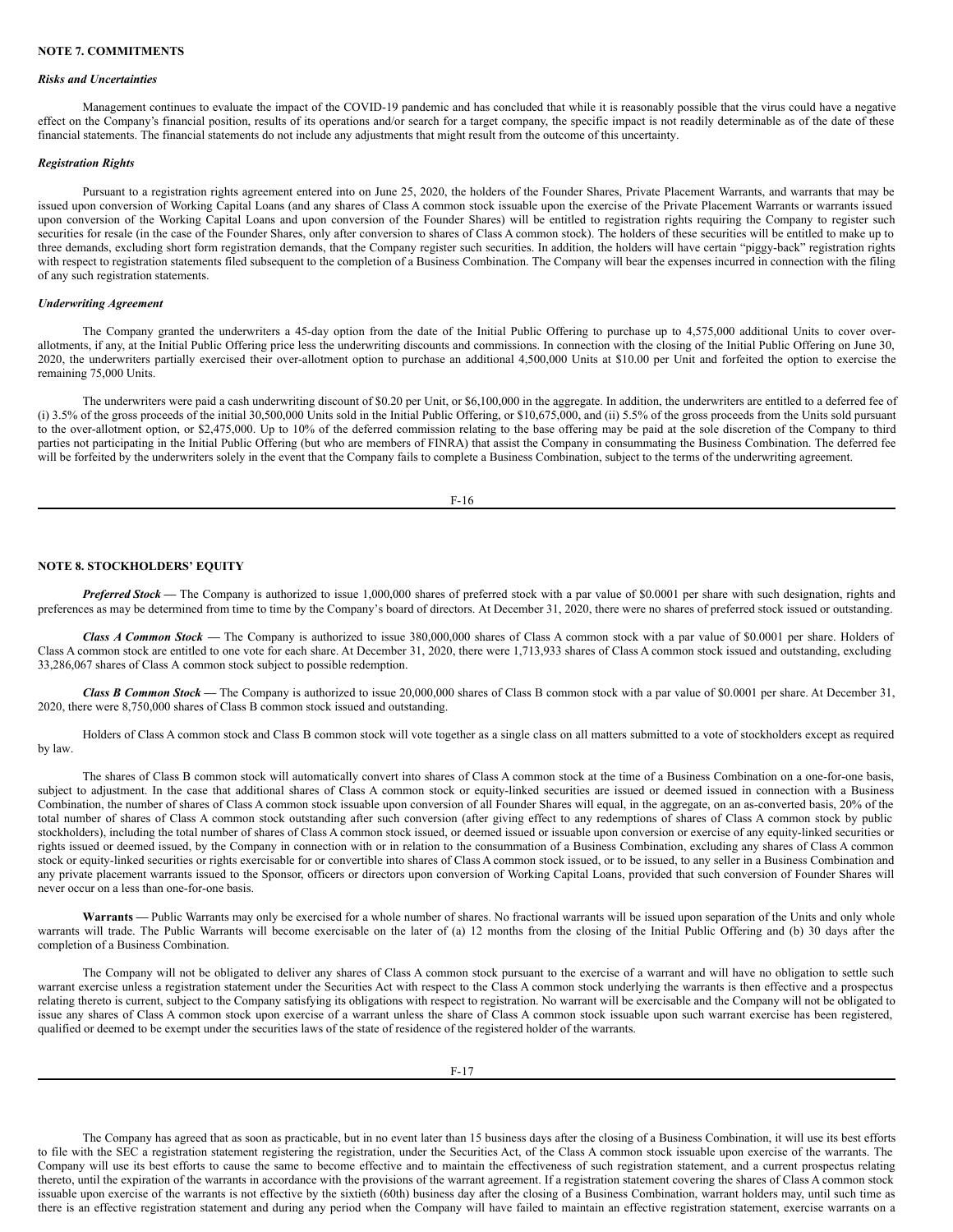## **NOTE 7. COMMITMENTS**

#### *Risks and Uncertainties*

Management continues to evaluate the impact of the COVID-19 pandemic and has concluded that while it is reasonably possible that the virus could have a negative effect on the Company's financial position, results of its operations and/or search for a target company, the specific impact is not readily determinable as of the date of these financial statements. The financial statements do not include any adjustments that might result from the outcome of this uncertainty.

#### *Registration Rights*

Pursuant to a registration rights agreement entered into on June 25, 2020, the holders of the Founder Shares, Private Placement Warrants, and warrants that may be issued upon conversion of Working Capital Loans (and any shares of Class A common stock issuable upon the exercise of the Private Placement Warrants or warrants issued upon conversion of the Working Capital Loans and upon conversion of the Founder Shares) will be entitled to registration rights requiring the Company to register such securities for resale (in the case of the Founder Shares, only after conversion to shares of Class A common stock). The holders of these securities will be entitled to make up to three demands, excluding short form registration demands, that the Company register such securities. In addition, the holders will have certain "piggy-back" registration rights with respect to registration statements filed subsequent to the completion of a Business Combination. The Company will bear the expenses incurred in connection with the filing of any such registration statements.

### *Underwriting Agreement*

The Company granted the underwriters a 45-day option from the date of the Initial Public Offering to purchase up to 4,575,000 additional Units to cover overallotments, if any, at the Initial Public Offering price less the underwriting discounts and commissions. In connection with the closing of the Initial Public Offering on June 30, 2020, the underwriters partially exercised their over-allotment option to purchase an additional 4,500,000 Units at \$10.00 per Unit and forfeited the option to exercise the remaining 75,000 Units.

The underwriters were paid a cash underwriting discount of \$0.20 per Unit, or \$6,100,000 in the aggregate. In addition, the underwriters are entitled to a deferred fee of (i) 3.5% of the gross proceeds of the initial 30,500,000 Units sold in the Initial Public Offering, or \$10,675,000, and (ii) 5.5% of the gross proceeds from the Units sold pursuant to the over-allotment option, or \$2,475,000. Up to 10% of the deferred commission relating to the base offering may be paid at the sole discretion of the Company to third parties not participating in the Initial Public Offering (but who are members of FINRA) that assist the Company in consummating the Business Combination. The deferred fee will be forfeited by the underwriters solely in the event that the Company fails to complete a Business Combination, subject to the terms of the underwriting agreement.

### **NOTE 8. STOCKHOLDERS' EQUITY**

*Preferred Stock* — The Company is authorized to issue 1,000,000 shares of preferred stock with a par value of \$0.0001 per share with such designation, rights and preferences as may be determined from time to time by the Company's board of directors. At December 31, 2020, there were no shares of preferred stock issued or outstanding.

*Class A Common Stock* **—** The Company is authorized to issue 380,000,000 shares of Class A common stock with a par value of \$0.0001 per share. Holders of Class A common stock are entitled to one vote for each share. At December 31, 2020, there were 1,713,933 shares of Class A common stock issued and outstanding, excluding 33,286,067 shares of Class A common stock subject to possible redemption.

*Class B Common Stock* **—** The Company is authorized to issue 20,000,000 shares of Class B common stock with a par value of \$0.0001 per share. At December 31, 2020, there were 8,750,000 shares of Class B common stock issued and outstanding.

Holders of Class A common stock and Class B common stock will vote together as a single class on all matters submitted to a vote of stockholders except as required by law.

The shares of Class B common stock will automatically convert into shares of Class A common stock at the time of a Business Combination on a one-for-one basis, subject to adjustment. In the case that additional shares of Class A common stock or equity-linked securities are issued or deemed issued in connection with a Business Combination, the number of shares of Class A common stock issuable upon conversion of all Founder Shares will equal, in the aggregate, on an as-converted basis, 20% of the total number of shares of Class A common stock outstanding after such conversion (after giving effect to any redemptions of shares of Class A common stock by public stockholders), including the total number of shares of Class A common stock issued, or deemed issued or issuable upon conversion or exercise of any equity-linked securities or rights issued or deemed issued, by the Company in connection with or in relation to the consummation of a Business Combination, excluding any shares of Class A common stock or equity-linked securities or rights exercisable for or convertible into shares of Class A common stock issued, or to be issued, to any seller in a Business Combination and any private placement warrants issued to the Sponsor, officers or directors upon conversion of Working Capital Loans, provided that such conversion of Founder Shares will never occur on a less than one-for-one basis.

**Warrants —** Public Warrants may only be exercised for a whole number of shares. No fractional warrants will be issued upon separation of the Units and only whole warrants will trade. The Public Warrants will become exercisable on the later of (a) 12 months from the closing of the Initial Public Offering and (b) 30 days after the completion of a Business Combination.

The Company will not be obligated to deliver any shares of Class A common stock pursuant to the exercise of a warrant and will have no obligation to settle such warrant exercise unless a registration statement under the Securities Act with respect to the Class A common stock underlying the warrants is then effective and a prospectus relating thereto is current, subject to the Company satisfying its obligations with respect to registration. No warrant will be exercisable and the Company will not be obligated to issue any shares of Class A common stock upon exercise of a warrant unless the share of Class A common stock issuable upon such warrant exercise has been registered, qualified or deemed to be exempt under the securities laws of the state of residence of the registered holder of the warrants.

The Company has agreed that as soon as practicable, but in no event later than 15 business days after the closing of a Business Combination, it will use its best efforts to file with the SEC a registration statement registering the registration, under the Securities Act, of the Class A common stock issuable upon exercise of the warrants. The Company will use its best efforts to cause the same to become effective and to maintain the effectiveness of such registration statement, and a current prospectus relating thereto, until the expiration of the warrants in accordance with the provisions of the warrant agreement. If a registration statement covering the shares of Class A common stock issuable upon exercise of the warrants is not effective by the sixtieth (60th) business day after the closing of a Business Combination, warrant holders may, until such time as there is an effective registration statement and during any period when the Company will have failed to maintain an effective registration statement, exercise warrants on a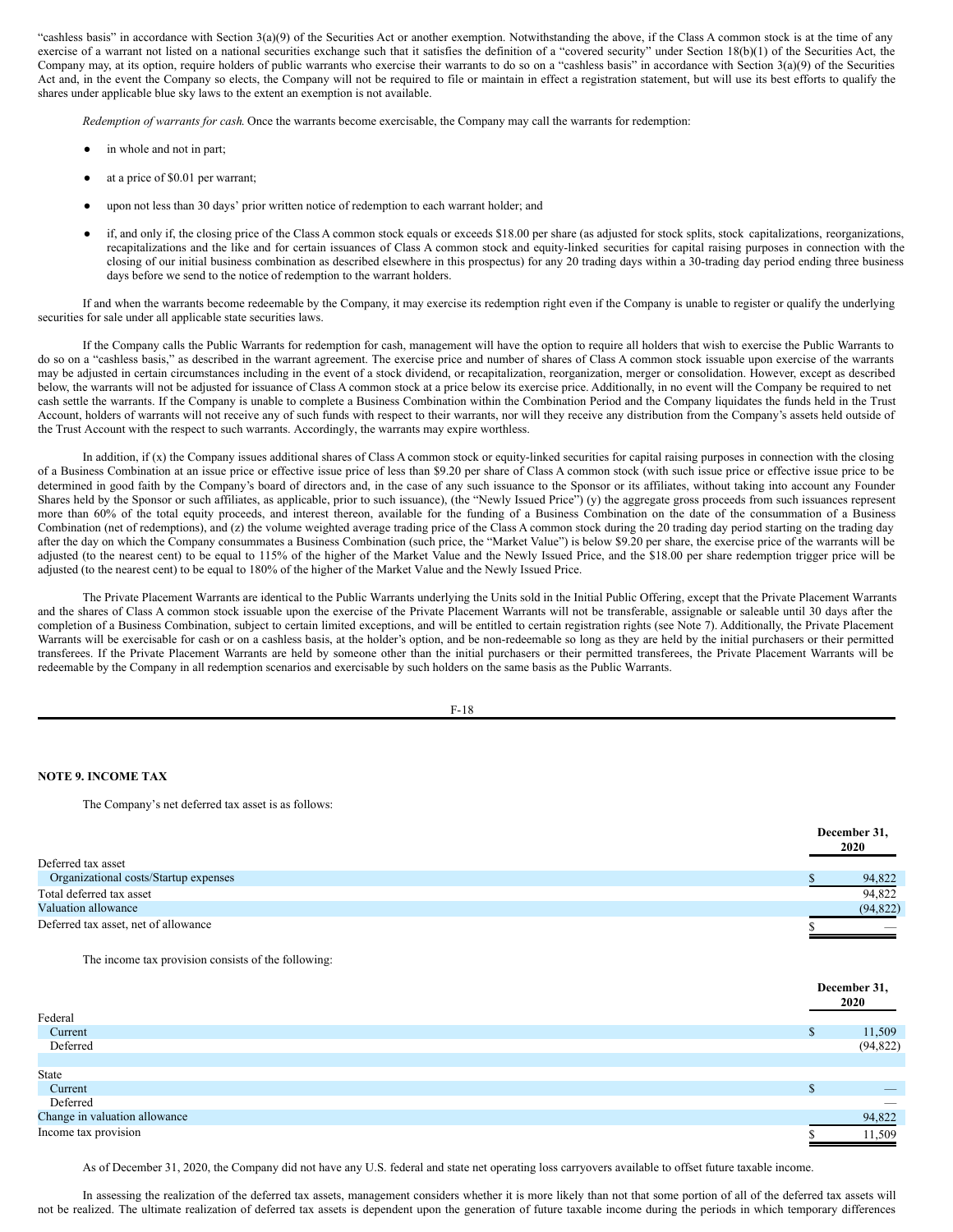"cashless basis" in accordance with Section 3(a)(9) of the Securities Act or another exemption. Notwithstanding the above, if the Class A common stock is at the time of any exercise of a warrant not listed on a national securities exchange such that it satisfies the definition of a "covered security" under Section 18(b)(1) of the Securities Act, the Company may, at its option, require holders of public warrants who exercise their warrants to do so on a "cashless basis" in accordance with Section 3(a)(9) of the Securities Act and, in the event the Company so elects, the Company will not be required to file or maintain in effect a registration statement, but will use its best efforts to qualify the shares under applicable blue sky laws to the extent an exemption is not available.

*Redemption of warrants for cash*. Once the warrants become exercisable, the Company may call the warrants for redemption:

- in whole and not in part;
- at a price of \$0.01 per warrant;
- upon not less than 30 days' prior written notice of redemption to each warrant holder; and
- if, and only if, the closing price of the Class A common stock equals or exceeds \$18.00 per share (as adjusted for stock splits, stock capitalizations, reorganizations, recapitalizations and the like and for certain issuances of Class A common stock and equity-linked securities for capital raising purposes in connection with the closing of our initial business combination as described elsewhere in this prospectus) for any 20 trading days within a 30-trading day period ending three business days before we send to the notice of redemption to the warrant holders.

If and when the warrants become redeemable by the Company, it may exercise its redemption right even if the Company is unable to register or qualify the underlying securities for sale under all applicable state securities laws.

If the Company calls the Public Warrants for redemption for cash, management will have the option to require all holders that wish to exercise the Public Warrants to do so on a "cashless basis," as described in the warrant agreement. The exercise price and number of shares of Class A common stock issuable upon exercise of the warrants may be adjusted in certain circumstances including in the event of a stock dividend, or recapitalization, reorganization, merger or consolidation. However, except as described below, the warrants will not be adjusted for issuance of Class A common stock at a price below its exercise price. Additionally, in no event will the Company be required to net cash settle the warrants. If the Company is unable to complete a Business Combination within the Combination Period and the Company liquidates the funds held in the Trust Account, holders of warrants will not receive any of such funds with respect to their warrants, nor will they receive any distribution from the Company's assets held outside of the Trust Account with the respect to such warrants. Accordingly, the warrants may expire worthless.

In addition, if (x) the Company issues additional shares of Class A common stock or equity-linked securities for capital raising purposes in connection with the closing of a Business Combination at an issue price or effective issue price of less than \$9.20 per share of Class A common stock (with such issue price or effective issue price to be determined in good faith by the Company's board of directors and, in the case of any such issuance to the Sponsor or its affiliates, without taking into account any Founder Shares held by the Sponsor or such affiliates, as applicable, prior to such issuance), (the "Newly Issued Price") (y) the aggregate gross proceeds from such issuances represent more than 60% of the total equity proceeds, and interest thereon, available for the funding of a Business Combination on the date of the consummation of a Business Combination (net of redemptions), and (z) the volume weighted average trading price of the Class A common stock during the 20 trading day period starting on the trading day after the day on which the Company consummates a Business Combination (such price, the "Market Value") is below \$9.20 per share, the exercise price of the warrants will be adjusted (to the nearest cent) to be equal to 115% of the higher of the Market Value and the Newly Issued Price, and the \$18.00 per share redemption trigger price will be adjusted (to the nearest cent) to be equal to 180% of the higher of the Market Value and the Newly Issued Price.

The Private Placement Warrants are identical to the Public Warrants underlying the Units sold in the Initial Public Offering, except that the Private Placement Warrants and the shares of Class A common stock issuable upon the exercise of the Private Placement Warrants will not be transferable, assignable or saleable until 30 days after the completion of a Business Combination, subject to certain limited exceptions, and will be entitled to certain registration rights (see Note 7). Additionally, the Private Placement Warrants will be exercisable for cash or on a cashless basis, at the holder's option, and be non-redeemable so long as they are held by the initial purchasers or their permitted transferees. If the Private Placement Warrants are held by someone other than the initial purchasers or their permitted transferees, the Private Placement Warrants will be redeemable by the Company in all redemption scenarios and exercisable by such holders on the same basis as the Public Warrants.

## **NOTE 9. INCOME TAX**

The Company's net deferred tax asset is as follows:

|                                       | December 31,<br>2020     |
|---------------------------------------|--------------------------|
| Deferred tax asset                    |                          |
| Organizational costs/Startup expenses | 94,822                   |
| Total deferred tax asset              | 94,822                   |
| Valuation allowance                   | (94, 822)                |
| Deferred tax asset, net of allowance  | $\overline{\phantom{a}}$ |

The income tax provision consists of the following:

| Federal                       |   | December 31,<br>2020 |
|-------------------------------|---|----------------------|
| Current                       | D | 11,509               |
| Deferred                      |   | (94, 822)            |
|                               |   |                      |
| State                         |   |                      |
| Current                       |   | $-$                  |
| Deferred                      |   | $\hspace{0.05cm}$    |
| Change in valuation allowance |   | 94,822               |
| Income tax provision          |   | 11,509               |

As of December 31, 2020, the Company did not have any U.S. federal and state net operating loss carryovers available to offset future taxable income.

In assessing the realization of the deferred tax assets, management considers whether it is more likely than not that some portion of all of the deferred tax assets will not be realized. The ultimate realization of deferred tax assets is dependent upon the generation of future taxable income during the periods in which temporary differences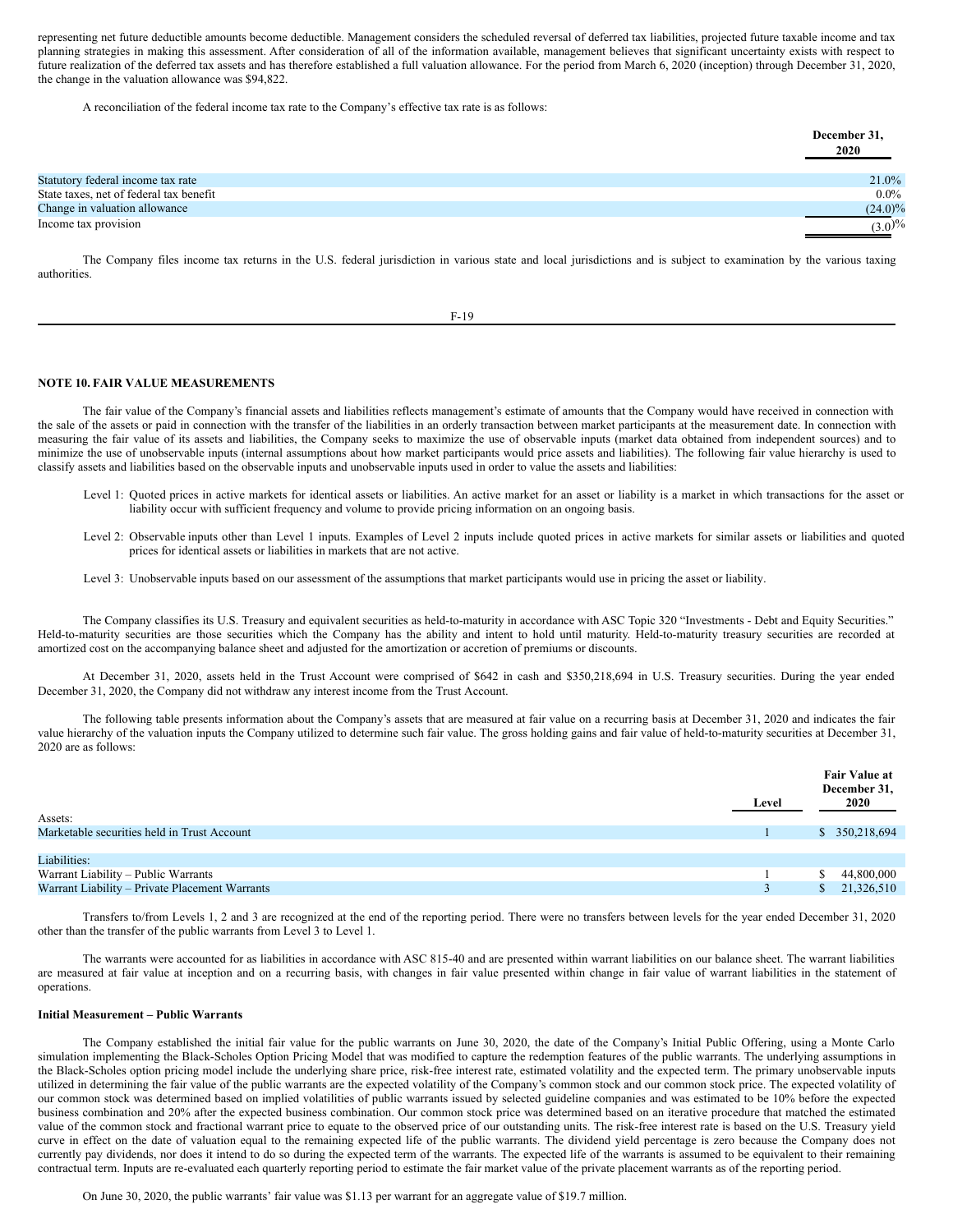representing net future deductible amounts become deductible. Management considers the scheduled reversal of deferred tax liabilities, projected future taxable income and tax planning strategies in making this assessment. After consideration of all of the information available, management believes that significant uncertainty exists with respect to future realization of the deferred tax assets and has therefore established a full valuation allowance. For the period from March 6, 2020 (inception) through December 31, 2020, the change in the valuation allowance was \$94,822.

A reconciliation of the federal income tax rate to the Company's effective tax rate is as follows:

|                                         | December 31,<br>2020 |
|-----------------------------------------|----------------------|
| Statutory federal income tax rate       | 21.0%                |
| State taxes, net of federal tax benefit | $0.0\%$              |
| Change in valuation allowance           | $(24.0)\%$           |
| Income tax provision                    | $(3.0)\%$            |

The Company files income tax returns in the U.S. federal jurisdiction in various state and local jurisdictions and is subject to examination by the various taxing authorities.

## **NOTE 10. FAIR VALUE MEASUREMENTS**

The fair value of the Company's financial assets and liabilities reflects management's estimate of amounts that the Company would have received in connection with the sale of the assets or paid in connection with the transfer of the liabilities in an orderly transaction between market participants at the measurement date. In connection with measuring the fair value of its assets and liabilities, the Company seeks to maximize the use of observable inputs (market data obtained from independent sources) and to minimize the use of unobservable inputs (internal assumptions about how market participants would price assets and liabilities). The following fair value hierarchy is used to classify assets and liabilities based on the observable inputs and unobservable inputs used in order to value the assets and liabilities:

- Level 1: Quoted prices in active markets for identical assets or liabilities. An active market for an asset or liability is a market in which transactions for the asset or liability occur with sufficient frequency and volume to provide pricing information on an ongoing basis.
- Level 2: Observable inputs other than Level 1 inputs. Examples of Level 2 inputs include quoted prices in active markets for similar assets or liabilities and quoted prices for identical assets or liabilities in markets that are not active.
- Level 3: Unobservable inputs based on our assessment of the assumptions that market participants would use in pricing the asset or liability.

The Company classifies its U.S. Treasury and equivalent securities as held-to-maturity in accordance with ASC Topic 320 "Investments - Debt and Equity Securities." Held-to-maturity securities are those securities which the Company has the ability and intent to hold until maturity. Held-to-maturity treasury securities are recorded at amortized cost on the accompanying balance sheet and adjusted for the amortization or accretion of premiums or discounts.

At December 31, 2020, assets held in the Trust Account were comprised of \$642 in cash and \$350,218,694 in U.S. Treasury securities. During the year ended December 31, 2020, the Company did not withdraw any interest income from the Trust Account.

The following table presents information about the Company's assets that are measured at fair value on a recurring basis at December 31, 2020 and indicates the fair value hierarchy of the valuation inputs the Company utilized to determine such fair value. The gross holding gains and fair value of held-to-maturity securities at December 31, 2020 are as follows:

| Assets:                                        | Level | <b>Fair Value at</b><br>December 31,<br>2020 |
|------------------------------------------------|-------|----------------------------------------------|
| Marketable securities held in Trust Account    |       | \$ 350,218,694                               |
|                                                |       |                                              |
| Liabilities:                                   |       |                                              |
| Warrant Liability – Public Warrants            |       | 44,800,000<br>S.                             |
| Warrant Liability - Private Placement Warrants |       | 21,326,510<br>S.                             |
|                                                |       |                                              |

Transfers to/from Levels 1, 2 and 3 are recognized at the end of the reporting period. There were no transfers between levels for the year ended December 31, 2020 other than the transfer of the public warrants from Level 3 to Level 1.

The warrants were accounted for as liabilities in accordance with ASC 815-40 and are presented within warrant liabilities on our balance sheet. The warrant liabilities are measured at fair value at inception and on a recurring basis, with changes in fair value presented within change in fair value of warrant liabilities in the statement of operations.

### **Initial Measurement – Public Warrants**

The Company established the initial fair value for the public warrants on June 30, 2020, the date of the Company's Initial Public Offering, using a Monte Carlo simulation implementing the Black-Scholes Option Pricing Model that was modified to capture the redemption features of the public warrants. The underlying assumptions in the Black-Scholes option pricing model include the underlying share price, risk-free interest rate, estimated volatility and the expected term. The primary unobservable inputs utilized in determining the fair value of the public warrants are the expected volatility of the Company's common stock and our common stock price. The expected volatility of our common stock was determined based on implied volatilities of public warrants issued by selected guideline companies and was estimated to be 10% before the expected business combination and 20% after the expected business combination. Our common stock price was determined based on an iterative procedure that matched the estimated value of the common stock and fractional warrant price to equate to the observed price of our outstanding units. The risk-free interest rate is based on the U.S. Treasury yield curve in effect on the date of valuation equal to the remaining expected life of the public warrants. The dividend yield percentage is zero because the Company does not currently pay dividends, nor does it intend to do so during the expected term of the warrants. The expected life of the warrants is assumed to be equivalent to their remaining contractual term. Inputs are re-evaluated each quarterly reporting period to estimate the fair market value of the private placement warrants as of the reporting period.

On June 30, 2020, the public warrants' fair value was \$1.13 per warrant for an aggregate value of \$19.7 million.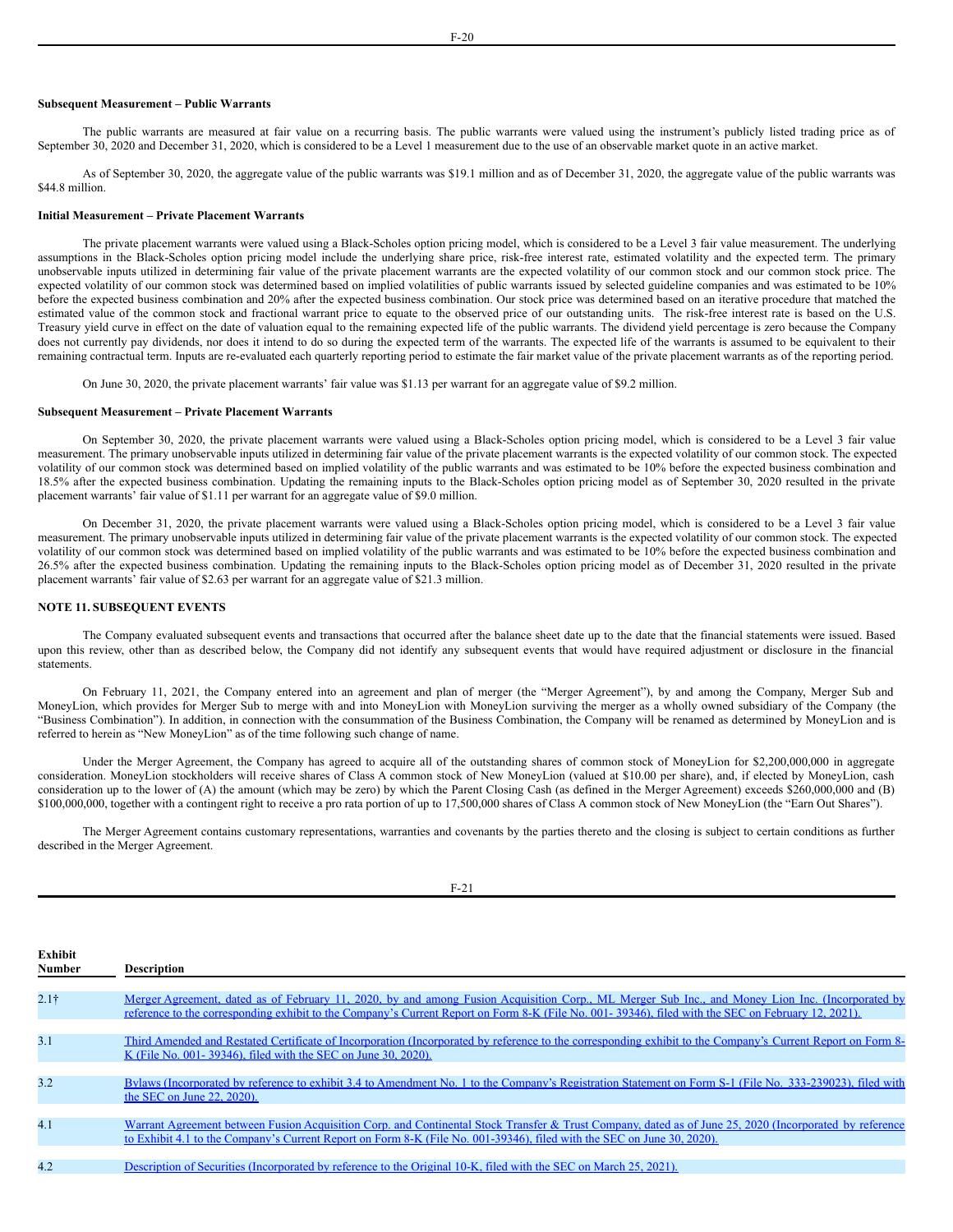## **Subsequent Measurement – Public Warrants**

The public warrants are measured at fair value on a recurring basis. The public warrants were valued using the instrument's publicly listed trading price as of September 30, 2020 and December 31, 2020, which is considered to be a Level 1 measurement due to the use of an observable market quote in an active market.

As of September 30, 2020, the aggregate value of the public warrants was \$19.1 million and as of December 31, 2020, the aggregate value of the public warrants was \$44.8 million.

### **Initial Measurement – Private Placement Warrants**

The private placement warrants were valued using a Black-Scholes option pricing model, which is considered to be a Level 3 fair value measurement. The underlying assumptions in the Black-Scholes option pricing model include the underlying share price, risk-free interest rate, estimated volatility and the expected term. The primary unobservable inputs utilized in determining fair value of the private placement warrants are the expected volatility of our common stock and our common stock price. The expected volatility of our common stock was determined based on implied volatilities of public warrants issued by selected guideline companies and was estimated to be 10% before the expected business combination and 20% after the expected business combination. Our stock price was determined based on an iterative procedure that matched the estimated value of the common stock and fractional warrant price to equate to the observed price of our outstanding units. The risk-free interest rate is based on the U.S. Treasury yield curve in effect on the date of valuation equal to the remaining expected life of the public warrants. The dividend yield percentage is zero because the Company does not currently pay dividends, nor does it intend to do so during the expected term of the warrants. The expected life of the warrants is assumed to be equivalent to their remaining contractual term. Inputs are re-evaluated each quarterly reporting period to estimate the fair market value of the private placement warrants as of the reporting period.

On June 30, 2020, the private placement warrants' fair value was \$1.13 per warrant for an aggregate value of \$9.2 million.

## **Subsequent Measurement – Private Placement Warrants**

On September 30, 2020, the private placement warrants were valued using a Black-Scholes option pricing model, which is considered to be a Level 3 fair value measurement. The primary unobservable inputs utilized in determining fair value of the private placement warrants is the expected volatility of our common stock. The expected volatility of our common stock was determined based on implied volatility of the public warrants and was estimated to be 10% before the expected business combination and 18.5% after the expected business combination. Updating the remaining inputs to the Black-Scholes option pricing model as of September 30, 2020 resulted in the private placement warrants' fair value of \$1.11 per warrant for an aggregate value of \$9.0 million.

On December 31, 2020, the private placement warrants were valued using a Black-Scholes option pricing model, which is considered to be a Level 3 fair value measurement. The primary unobservable inputs utilized in determining fair value of the private placement warrants is the expected volatility of our common stock. The expected volatility of our common stock was determined based on implied volatility of the public warrants and was estimated to be 10% before the expected business combination and 26.5% after the expected business combination. Updating the remaining inputs to the Black-Scholes option pricing model as of December 31, 2020 resulted in the private placement warrants' fair value of \$2.63 per warrant for an aggregate value of \$21.3 million.

## **NOTE 11. SUBSEQUENT EVENTS**

The Company evaluated subsequent events and transactions that occurred after the balance sheet date up to the date that the financial statements were issued. Based upon this review, other than as described below, the Company did not identify any subsequent events that would have required adjustment or disclosure in the financial statements.

On February 11, 2021, the Company entered into an agreement and plan of merger (the "Merger Agreement"), by and among the Company, Merger Sub and MoneyLion, which provides for Merger Sub to merge with and into MoneyLion with MoneyLion surviving the merger as a wholly owned subsidiary of the Company (the "Business Combination"). In addition, in connection with the consummation of the Business Combination, the Company will be renamed as determined by MoneyLion and is referred to herein as "New MoneyLion" as of the time following such change of name.

Under the Merger Agreement, the Company has agreed to acquire all of the outstanding shares of common stock of MoneyLion for \$2,200,000,000 in aggregate consideration. MoneyLion stockholders will receive shares of Class A common stock of New MoneyLion (valued at \$10.00 per share), and, if elected by MoneyLion, cash consideration up to the lower of (A) the amount (which may be zero) by which the Parent Closing Cash (as defined in the Merger Agreement) exceeds \$260,000,000 and (B) \$100,000,000, together with a contingent right to receive a pro rata portion of up to 17,500,000 shares of Class A common stock of New MoneyLion (the "Earn Out Shares").

The Merger Agreement contains customary representations, warranties and covenants by the parties thereto and the closing is subject to certain conditions as further described in the Merger Agreement.

| Exhibit<br><b>Number</b> | <b>Description</b>                                                                                                                                                                                                                                                                                     |
|--------------------------|--------------------------------------------------------------------------------------------------------------------------------------------------------------------------------------------------------------------------------------------------------------------------------------------------------|
| 2.1 <sub>1</sub>         | Merger Agreement, dated as of February 11, 2020, by and among Fusion Acquisition Corp., ML Merger Sub Inc., and Money Lion Inc. (Incorporated by<br>reference to the corresponding exhibit to the Company's Current Report on Form 8-K (File No. 001-39346), filed with the SEC on February 12, 2021). |
| 3.1                      | Third Amended and Restated Certificate of Incorporation (Incorporated by reference to the corresponding exhibit to the Company's Current Report on Form 8-<br>K (File No. 001-39346), filed with the SEC on June 30, 2020).                                                                            |
| 3.2                      | Bylaws (Incorporated by reference to exhibit 3.4 to Amendment No. 1 to the Company's Registration Statement on Form S-1 (File No. 333-239023), filed with<br>the SEC on June 22, 2020).                                                                                                                |
| 4.1                      | Warrant Agreement between Fusion Acquisition Corp. and Continental Stock Transfer & Trust Company, dated as of June 25, 2020 (Incorporated by reference<br>to Exhibit 4.1 to the Company's Current Report on Form 8-K (File No. 001-39346), filed with the SEC on June 30, 2020).                      |
| 4.2                      | Description of Securities (Incorporated by reference to the Original 10-K, filed with the SEC on March 25, 2021).                                                                                                                                                                                      |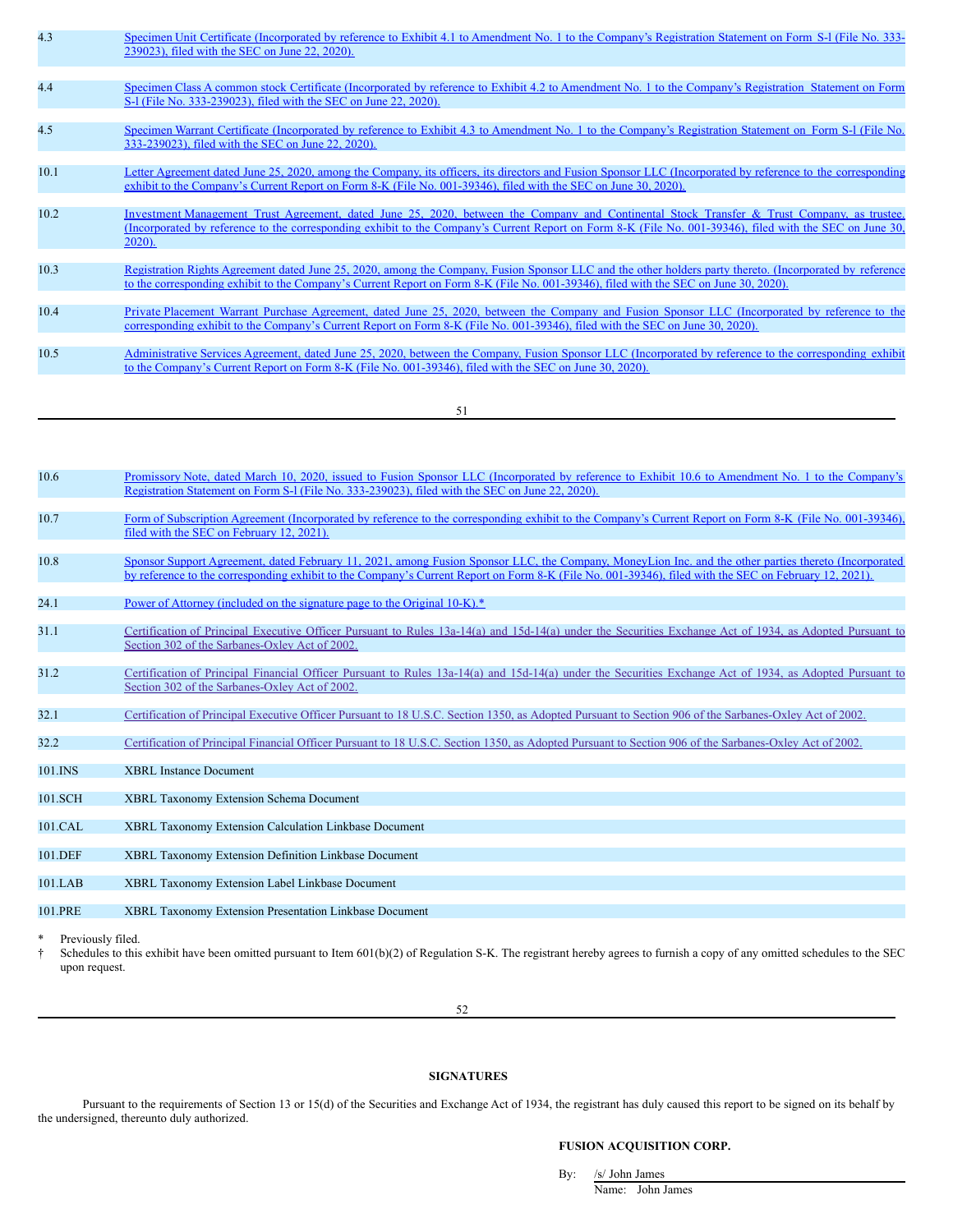| 4.3  | Specimen Unit Certificate (Incorporated by reference to Exhibit 4.1 to Amendment No. 1 to the Company's Registration Statement on Form S-1 (File No. 333-<br>239023), filed with the SEC on June 22, 2020).                                                                                                          |
|------|----------------------------------------------------------------------------------------------------------------------------------------------------------------------------------------------------------------------------------------------------------------------------------------------------------------------|
| 4.4  | Specimen Class A common stock Certificate (Incorporated by reference to Exhibit 4.2 to Amendment No. 1 to the Company's Registration Statement on Form<br>S-1 (File No. 333-239023), filed with the SEC on June 22, 2020).                                                                                           |
| 4.5  | Specimen Warrant Certificate (Incorporated by reference to Exhibit 4.3 to Amendment No. 1 to the Company's Registration Statement on Form S-1 (File No.<br>333-239023), filed with the SEC on June 22, 2020).                                                                                                        |
| 10.1 | Letter Agreement dated June 25, 2020, among the Company, its officers, its directors and Fusion Sponsor LLC (Incorporated by reference to the corresponding<br>exhibit to the Company's Current Report on Form 8-K (File No. 001-39346), filed with the SEC on June 30, 2020).                                       |
| 10.2 | Investment Management Trust Agreement, dated June 25, 2020, between the Company and Continental Stock Transfer & Trust Company, as trustee.<br>(Incorporated by reference to the corresponding exhibit to the Company's Current Report on Form 8-K (File No. 001-39346), filed with the SEC on June 30,<br>$2020$ ). |
| 10.3 | Registration Rights Agreement dated June 25, 2020, among the Company, Fusion Sponsor LLC and the other holders party thereto. (Incorporated by reference<br>to the corresponding exhibit to the Company's Current Report on Form 8-K (File No. 001-39346), filed with the SEC on June 30, 2020).                     |
| 10.4 | Private Placement Warrant Purchase Agreement, dated June 25, 2020, between the Company and Fusion Sponsor LLC (Incorporated by reference to the<br>corresponding exhibit to the Company's Current Report on Form 8-K (File No. 001-39346), filed with the SEC on June 30, 2020).                                     |
| 10.5 | Administrative Services Agreement, dated June 25, 2020, between the Company, Fusion Sponsor LLC (Incorporated by reference to the corresponding exhibit<br>to the Company's Current Report on Form 8-K (File No. 001-39346), filed with the SEC on June 30, 2020).                                                   |

51

| Promissory Note, dated March 10, 2020, issued to Fusion Sponsor LLC (Incorporated by reference to Exhibit 10.6 to Amendment No. 1 to the Company's<br>Registration Statement on Form S-1 (File No. 333-239023), filed with the SEC on June 22, 2020).                                                          |
|----------------------------------------------------------------------------------------------------------------------------------------------------------------------------------------------------------------------------------------------------------------------------------------------------------------|
| Form of Subscription Agreement (Incorporated by reference to the corresponding exhibit to the Company's Current Report on Form 8-K (File No. 001-39346).<br>filed with the SEC on February 12, 2021).                                                                                                          |
| Sponsor Support Agreement, dated February 11, 2021, among Fusion Sponsor LLC, the Company, MoneyLion Inc. and the other parties thereto (Incorporated<br>by reference to the corresponding exhibit to the Company's Current Report on Form 8-K (File No. 001-39346), filed with the SEC on February 12, 2021). |
| Power of Attorney (included on the signature page to the Original 10-K).*                                                                                                                                                                                                                                      |
| Certification of Principal Executive Officer Pursuant to Rules 13a-14(a) and 15d-14(a) under the Securities Exchange Act of 1934, as Adopted Pursuant to<br>Section 302 of the Sarbanes-Oxley Act of 2002.                                                                                                     |
| Certification of Principal Financial Officer Pursuant to Rules 13a-14(a) and 15d-14(a) under the Securities Exchange Act of 1934, as Adopted Pursuant to<br>Section 302 of the Sarbanes-Oxley Act of 2002.                                                                                                     |
| Certification of Principal Executive Officer Pursuant to 18 U.S.C. Section 1350, as Adopted Pursuant to Section 906 of the Sarbanes-Oxley Act of 2002.                                                                                                                                                         |
| Certification of Principal Financial Officer Pursuant to 18 U.S.C. Section 1350, as Adopted Pursuant to Section 906 of the Sarbanes-Oxley Act of 2002.                                                                                                                                                         |
| <b>XBRL Instance Document</b>                                                                                                                                                                                                                                                                                  |
| XBRL Taxonomy Extension Schema Document                                                                                                                                                                                                                                                                        |
| XBRL Taxonomy Extension Calculation Linkbase Document                                                                                                                                                                                                                                                          |
| XBRL Taxonomy Extension Definition Linkbase Document                                                                                                                                                                                                                                                           |
| XBRL Taxonomy Extension Label Linkbase Document                                                                                                                                                                                                                                                                |
| XBRL Taxonomy Extension Presentation Linkbase Document                                                                                                                                                                                                                                                         |
|                                                                                                                                                                                                                                                                                                                |

\* Previously filed.

† Schedules to this exhibit have been omitted pursuant to Item 601(b)(2) of Regulation S-K. The registrant hereby agrees to furnish a copy of any omitted schedules to the SEC upon request.

# **SIGNATURES**

Pursuant to the requirements of Section 13 or 15(d) of the Securities and Exchange Act of 1934, the registrant has duly caused this report to be signed on its behalf by the undersigned, thereunto duly authorized.

# **FUSION ACQUISITION CORP.**

By: /s/ John James

Name: John James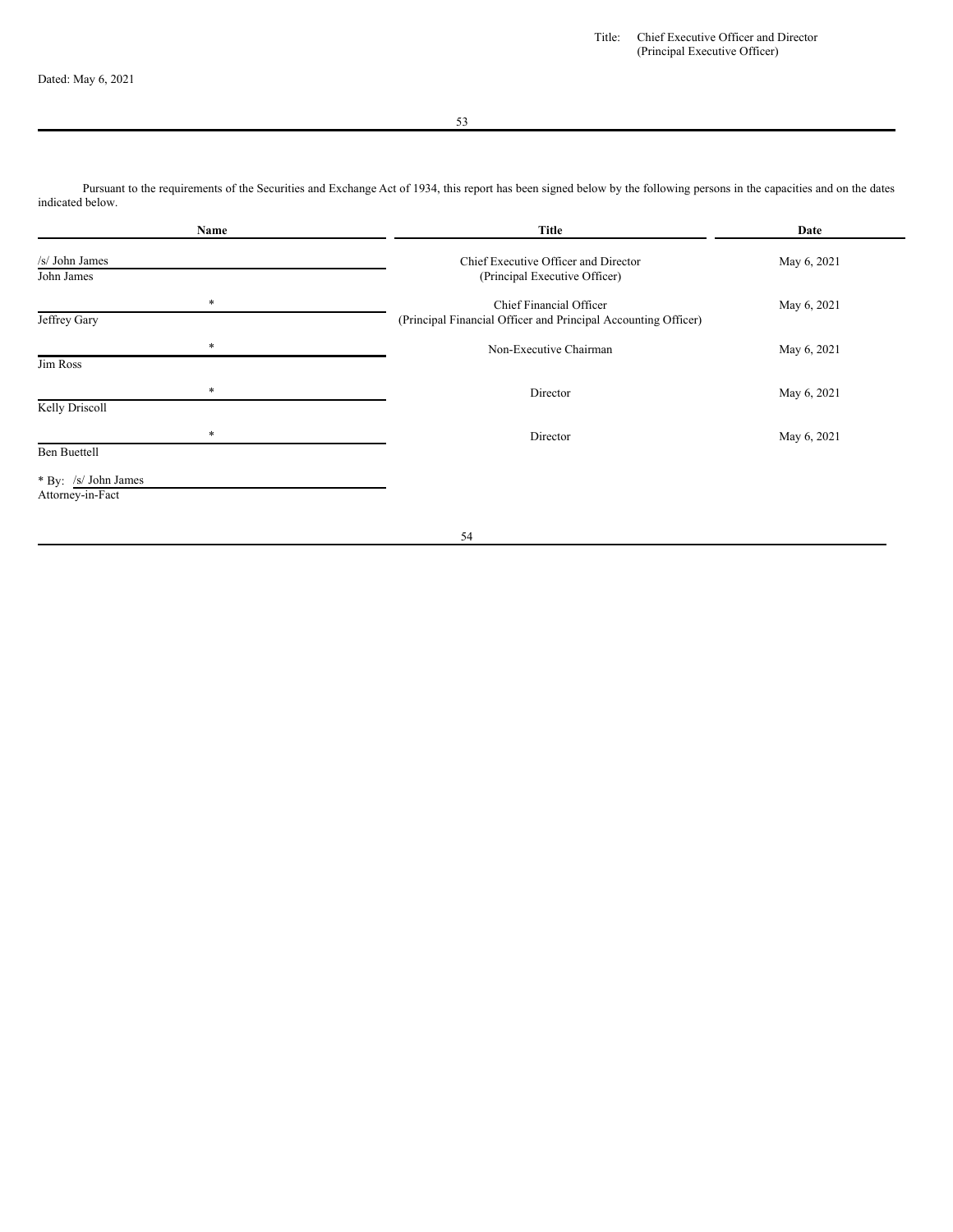Pursuant to the requirements of the Securities and Exchange Act of 1934, this report has been signed below by the following persons in the capacities and on the dates indicated below.

| Name                                     | Title                                                                                     | Date        |
|------------------------------------------|-------------------------------------------------------------------------------------------|-------------|
| /s/ John James<br>John James             | Chief Executive Officer and Director<br>(Principal Executive Officer)                     | May 6, 2021 |
| $\ast$<br>Jeffrey Gary                   | Chief Financial Officer<br>(Principal Financial Officer and Principal Accounting Officer) | May 6, 2021 |
| $\ast$<br>Jim Ross                       | Non-Executive Chairman                                                                    | May 6, 2021 |
| $\ast$<br>Kelly Driscoll                 | Director                                                                                  | May 6, 2021 |
| $\ast$<br><b>Ben Buettell</b>            | Director                                                                                  | May 6, 2021 |
| * By: /s/ John James<br>Attorney-in-Fact |                                                                                           |             |
|                                          | 54                                                                                        |             |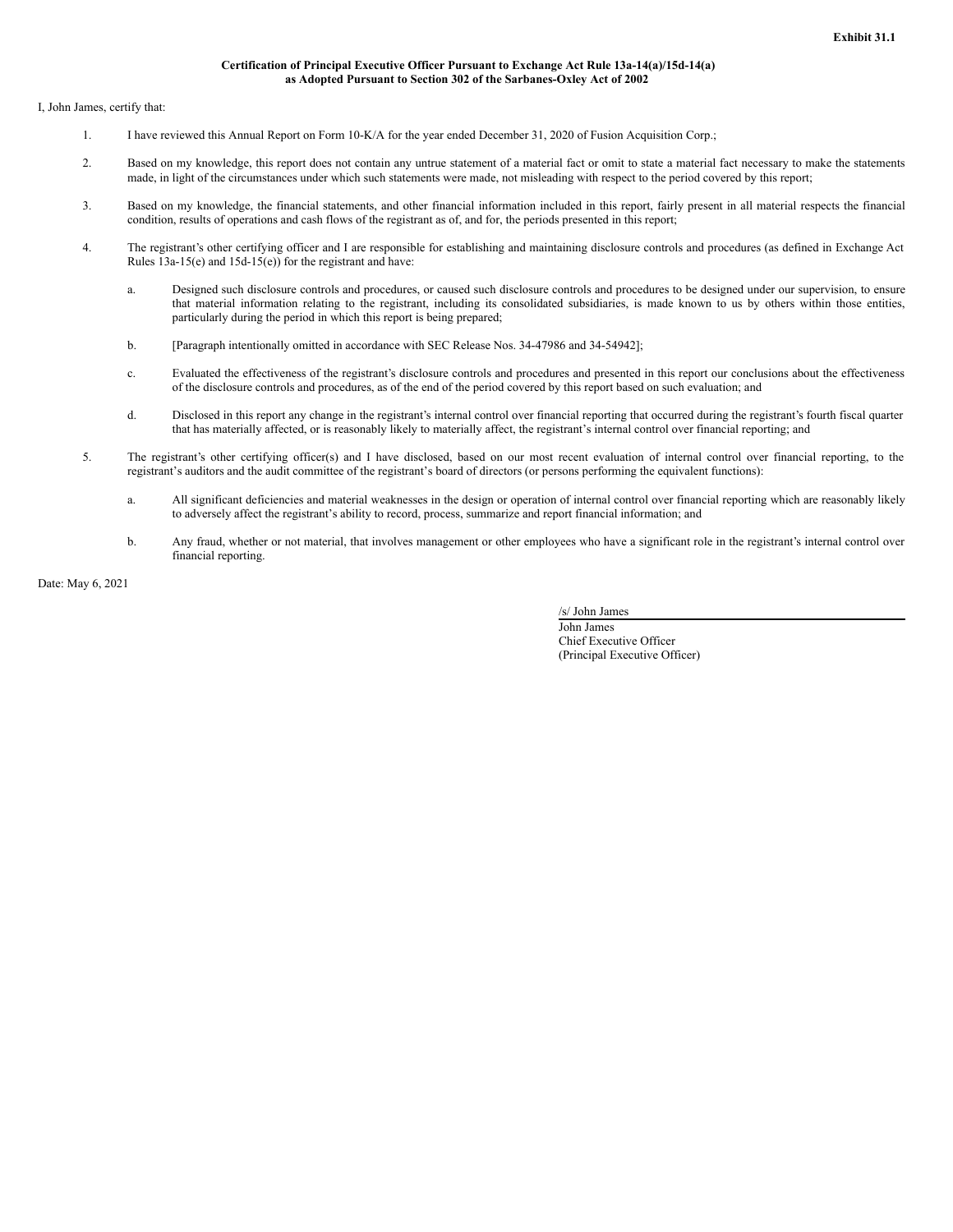## **Certification of Principal Executive Officer Pursuant to Exchange Act Rule 13a-14(a)/15d-14(a) as Adopted Pursuant to Section 302 of the Sarbanes-Oxley Act of 2002**

<span id="page-45-0"></span>I, John James, certify that:

- 1. I have reviewed this Annual Report on Form 10-K/A for the year ended December 31, 2020 of Fusion Acquisition Corp.;
- 2. Based on my knowledge, this report does not contain any untrue statement of a material fact or omit to state a material fact necessary to make the statements made, in light of the circumstances under which such statements were made, not misleading with respect to the period covered by this report;
- 3. Based on my knowledge, the financial statements, and other financial information included in this report, fairly present in all material respects the financial condition, results of operations and cash flows of the registrant as of, and for, the periods presented in this report;
- 4. The registrant's other certifying officer and I are responsible for establishing and maintaining disclosure controls and procedures (as defined in Exchange Act Rules 13a-15(e) and 15d-15(e)) for the registrant and have:
	- a. Designed such disclosure controls and procedures, or caused such disclosure controls and procedures to be designed under our supervision, to ensure that material information relating to the registrant, including its consolidated subsidiaries, is made known to us by others within those entities, particularly during the period in which this report is being prepared;
	- b. [Paragraph intentionally omitted in accordance with SEC Release Nos. 34-47986 and 34-54942];
	- c. Evaluated the effectiveness of the registrant's disclosure controls and procedures and presented in this report our conclusions about the effectiveness of the disclosure controls and procedures, as of the end of the period covered by this report based on such evaluation; and
	- d. Disclosed in this report any change in the registrant's internal control over financial reporting that occurred during the registrant's fourth fiscal quarter that has materially affected, or is reasonably likely to materially affect, the registrant's internal control over financial reporting; and
- 5. The registrant's other certifying officer(s) and I have disclosed, based on our most recent evaluation of internal control over financial reporting, to the registrant's auditors and the audit committee of the registrant's board of directors (or persons performing the equivalent functions):
	- a. All significant deficiencies and material weaknesses in the design or operation of internal control over financial reporting which are reasonably likely to adversely affect the registrant's ability to record, process, summarize and report financial information; and
	- b. Any fraud, whether or not material, that involves management or other employees who have a significant role in the registrant's internal control over financial reporting.

Date: May 6, 2021

/s/ John James

John James Chief Executive Officer (Principal Executive Officer)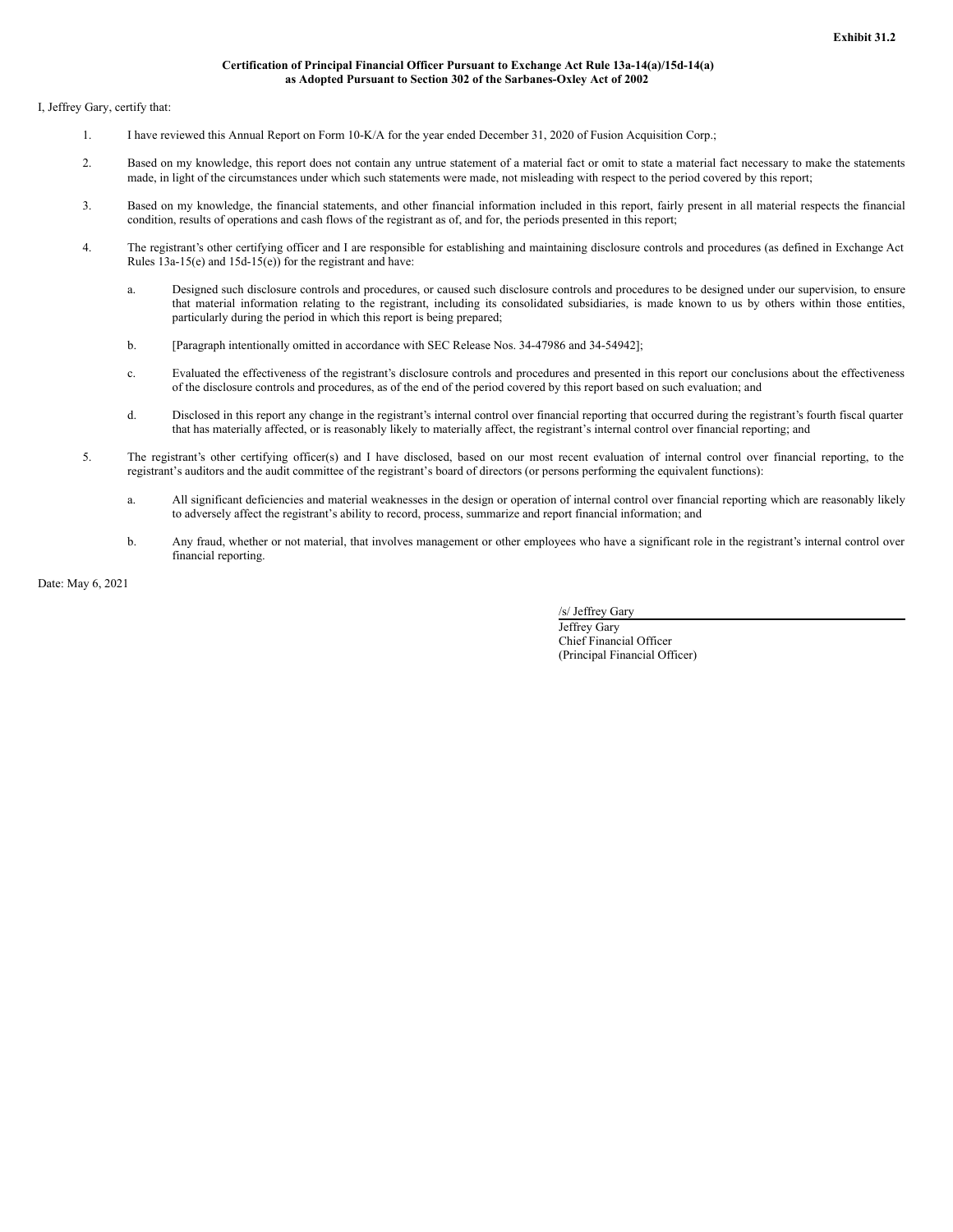## **Certification of Principal Financial Officer Pursuant to Exchange Act Rule 13a-14(a)/15d-14(a) as Adopted Pursuant to Section 302 of the Sarbanes-Oxley Act of 2002**

<span id="page-46-0"></span>I, Jeffrey Gary, certify that:

- 1. I have reviewed this Annual Report on Form 10-K/A for the year ended December 31, 2020 of Fusion Acquisition Corp.;
- 2. Based on my knowledge, this report does not contain any untrue statement of a material fact or omit to state a material fact necessary to make the statements made, in light of the circumstances under which such statements were made, not misleading with respect to the period covered by this report;
- 3. Based on my knowledge, the financial statements, and other financial information included in this report, fairly present in all material respects the financial condition, results of operations and cash flows of the registrant as of, and for, the periods presented in this report;
- 4. The registrant's other certifying officer and I are responsible for establishing and maintaining disclosure controls and procedures (as defined in Exchange Act Rules 13a-15(e) and 15d-15(e)) for the registrant and have:
	- a. Designed such disclosure controls and procedures, or caused such disclosure controls and procedures to be designed under our supervision, to ensure that material information relating to the registrant, including its consolidated subsidiaries, is made known to us by others within those entities, particularly during the period in which this report is being prepared;
	- b. [Paragraph intentionally omitted in accordance with SEC Release Nos. 34-47986 and 34-54942];
	- c. Evaluated the effectiveness of the registrant's disclosure controls and procedures and presented in this report our conclusions about the effectiveness of the disclosure controls and procedures, as of the end of the period covered by this report based on such evaluation; and
	- d. Disclosed in this report any change in the registrant's internal control over financial reporting that occurred during the registrant's fourth fiscal quarter that has materially affected, or is reasonably likely to materially affect, the registrant's internal control over financial reporting; and
- 5. The registrant's other certifying officer(s) and I have disclosed, based on our most recent evaluation of internal control over financial reporting, to the registrant's auditors and the audit committee of the registrant's board of directors (or persons performing the equivalent functions):
	- a. All significant deficiencies and material weaknesses in the design or operation of internal control over financial reporting which are reasonably likely to adversely affect the registrant's ability to record, process, summarize and report financial information; and
	- b. Any fraud, whether or not material, that involves management or other employees who have a significant role in the registrant's internal control over financial reporting.

Date: May 6, 2021

/s/ Jeffrey Gary

Jeffrey Gary Chief Financial Officer (Principal Financial Officer)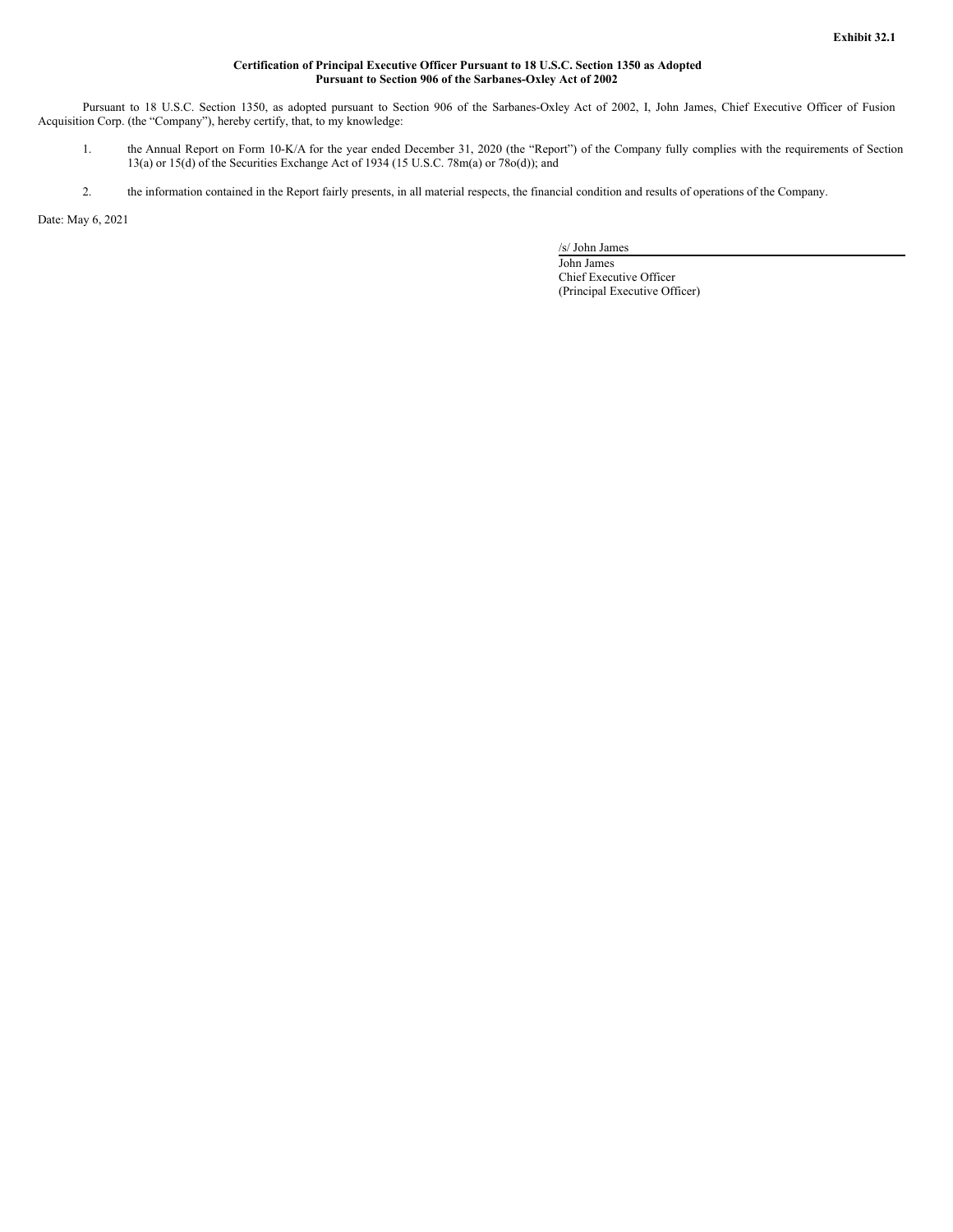## **Certification of Principal Executive Officer Pursuant to 18 U.S.C. Section 1350 as Adopted Pursuant to Section 906 of the Sarbanes-Oxley Act of 2002**

<span id="page-47-0"></span>Pursuant to 18 U.S.C. Section 1350, as adopted pursuant to Section 906 of the Sarbanes-Oxley Act of 2002, I, John James, Chief Executive Officer of Fusion Acquisition Corp. (the "Company"), hereby certify, that, to my knowledge:

- 1. the Annual Report on Form 10-K/A for the year ended December 31, 2020 (the "Report") of the Company fully complies with the requirements of Section 13(a) or 15(d) of the Securities Exchange Act of 1934 (15 U.S.C. 78m(a) or 78o(d)); and
- 2. the information contained in the Report fairly presents, in all material respects, the financial condition and results of operations of the Company.

Date: May 6, 2021

/s/ John James

John James Chief Executive Officer (Principal Executive Officer)